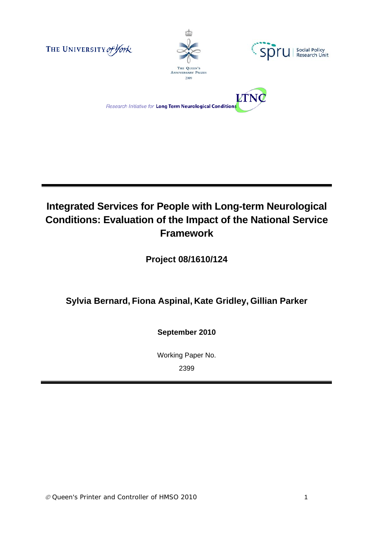







# **Integrated Services for People with Long-term Neurological Conditions: Evaluation of the Impact of the National Service Framework**

**Project 08/1610/124** 

# **Sylvia Bernard, Fiona Aspinal, Kate Gridley, Gillian Parker**

**September 2010** 

Working Paper No. 2399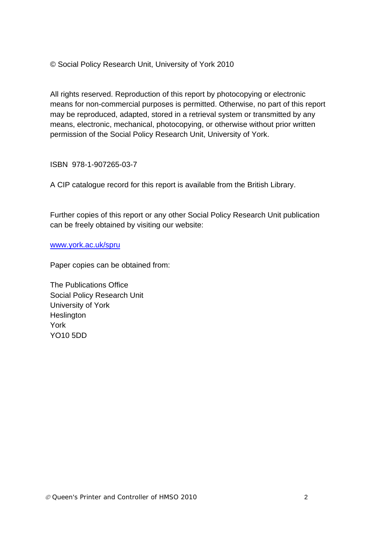© Social Policy Research Unit, University of York 2010

All rights reserved. Reproduction of this report by photocopying or electronic means for non-commercial purposes is permitted. Otherwise, no part of this report may be reproduced, adapted, stored in a retrieval system or transmitted by any means, electronic, mechanical, photocopying, or otherwise without prior written permission of the Social Policy Research Unit, University of York.

ISBN 978-1-907265-03-7

A CIP catalogue record for this report is available from the British Library.

Further copies of this report or any other Social Policy Research Unit publication can be freely obtained by visiting our website:

www.york.ac.uk/spru

Paper copies can be obtained from:

The Publications Office Social Policy Research Unit University of York **Heslington** York YO10 5DD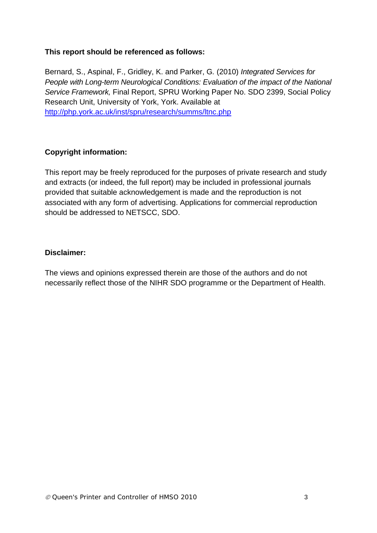#### **This report should be referenced as follows:**

Bernard, S., Aspinal, F., Gridley, K. and Parker, G*.* (2010) *Integrated Services for People with Long-term Neurological Conditions: Evaluation of the impact of the National Service Framework,* Final Report, SPRU Working Paper No. SDO 2399, Social Policy Research Unit, University of York, York. Available at http://php.york.ac.uk/inst/spru/research/summs/ltnc.php

#### **Copyright information:**

This report may be freely reproduced for the purposes of private research and study and extracts (or indeed, the full report) may be included in professional journals provided that suitable acknowledgement is made and the reproduction is not associated with any form of advertising. Applications for commercial reproduction should be addressed to NETSCC, SDO.

#### **Disclaimer:**

The views and opinions expressed therein are those of the authors and do not necessarily reflect those of the NIHR SDO programme or the Department of Health.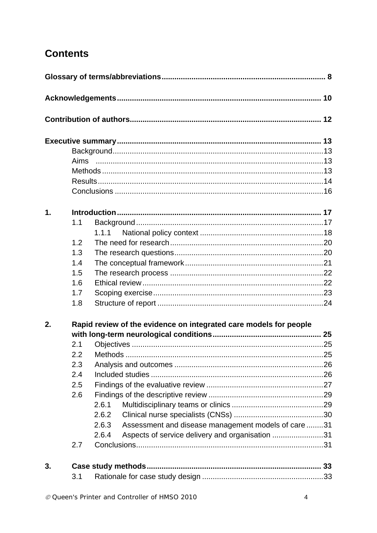# **Contents**

| 1. |     |                                                                   |  |  |
|----|-----|-------------------------------------------------------------------|--|--|
|    | 1.1 |                                                                   |  |  |
|    |     | 1.1.1                                                             |  |  |
|    | 1.2 |                                                                   |  |  |
|    | 1.3 |                                                                   |  |  |
|    | 1.4 |                                                                   |  |  |
|    | 1.5 |                                                                   |  |  |
|    | 1.6 |                                                                   |  |  |
|    | 1.7 |                                                                   |  |  |
|    | 1.8 |                                                                   |  |  |
| 2. |     | Rapid review of the evidence on integrated care models for people |  |  |
|    |     |                                                                   |  |  |
|    | 2.1 |                                                                   |  |  |
|    |     | 2.2 Methods                                                       |  |  |
|    | 2.3 |                                                                   |  |  |
|    | 2.4 |                                                                   |  |  |
|    | 2.5 |                                                                   |  |  |
|    | 2.6 |                                                                   |  |  |
|    |     | 2.6.1                                                             |  |  |
|    |     | 2.6.2                                                             |  |  |
|    |     | Assessment and disease management models of care 31<br>2.6.3      |  |  |
|    |     | 2.6.4<br>Aspects of service delivery and organisation 31          |  |  |
|    | 2.7 |                                                                   |  |  |
| 3. |     |                                                                   |  |  |
|    | 3.1 |                                                                   |  |  |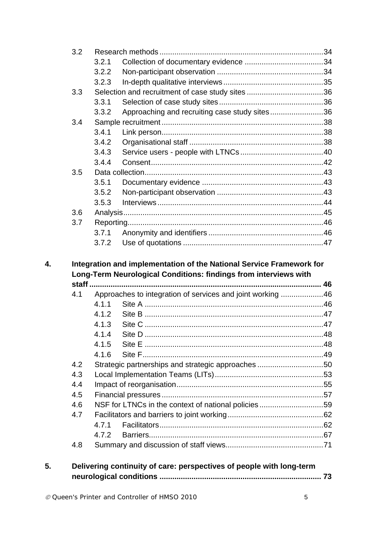| 3.2                                           |       |                                                                                                                                          |  |
|-----------------------------------------------|-------|------------------------------------------------------------------------------------------------------------------------------------------|--|
|                                               | 3.2.1 |                                                                                                                                          |  |
|                                               | 3.2.2 |                                                                                                                                          |  |
|                                               | 3.2.3 |                                                                                                                                          |  |
| 3.3                                           |       |                                                                                                                                          |  |
|                                               | 3.3.1 |                                                                                                                                          |  |
|                                               | 3.3.2 | Approaching and recruiting case study sites36                                                                                            |  |
| 3.4                                           |       |                                                                                                                                          |  |
|                                               | 3.4.1 |                                                                                                                                          |  |
|                                               | 3.4.2 |                                                                                                                                          |  |
|                                               | 3.4.3 |                                                                                                                                          |  |
|                                               | 3.4.4 |                                                                                                                                          |  |
| 3.5                                           |       |                                                                                                                                          |  |
|                                               | 3.5.1 |                                                                                                                                          |  |
|                                               | 3.5.2 |                                                                                                                                          |  |
|                                               | 3.5.3 |                                                                                                                                          |  |
| 3.6                                           |       |                                                                                                                                          |  |
|                                               |       |                                                                                                                                          |  |
|                                               |       |                                                                                                                                          |  |
|                                               | 3.7.1 |                                                                                                                                          |  |
|                                               | 3.7.2 | Integration and implementation of the National Service Framework for<br>Long-Term Neurological Conditions: findings from interviews with |  |
|                                               |       |                                                                                                                                          |  |
| 4.1                                           |       | Approaches to integration of services and joint working 46                                                                               |  |
|                                               | 4.1.1 |                                                                                                                                          |  |
|                                               | 4.1.2 |                                                                                                                                          |  |
|                                               | 4.1.3 |                                                                                                                                          |  |
|                                               | 4.1.4 |                                                                                                                                          |  |
|                                               | 4.1.5 |                                                                                                                                          |  |
|                                               | 4.1.6 |                                                                                                                                          |  |
|                                               |       | Strategic partnerships and strategic approaches 50                                                                                       |  |
|                                               |       |                                                                                                                                          |  |
|                                               |       |                                                                                                                                          |  |
|                                               |       |                                                                                                                                          |  |
|                                               |       | NSF for LTNCs in the context of national policies59                                                                                      |  |
| 3.7<br>4.2<br>4.3<br>4.4<br>4.5<br>4.6<br>4.7 |       |                                                                                                                                          |  |
|                                               | 4.7.1 |                                                                                                                                          |  |
|                                               | 4.7.2 |                                                                                                                                          |  |

**neurological conditions ............................................................................ 73**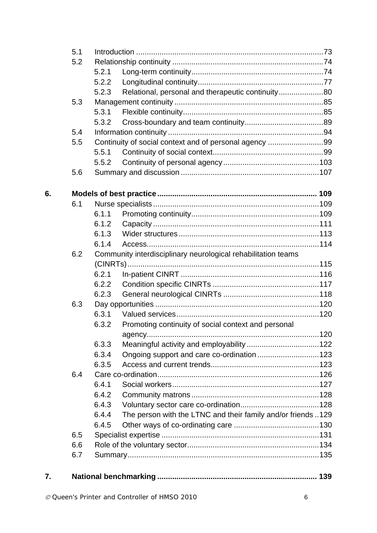|    | 5.1 |       |                                                               |  |
|----|-----|-------|---------------------------------------------------------------|--|
|    | 5.2 |       |                                                               |  |
|    |     | 5.2.1 |                                                               |  |
|    |     | 5.2.2 |                                                               |  |
|    |     | 5.2.3 | Relational, personal and therapeutic continuity80             |  |
|    | 5.3 |       |                                                               |  |
|    |     | 5.3.1 |                                                               |  |
|    |     | 5.3.2 |                                                               |  |
|    | 5.4 |       |                                                               |  |
|    | 5.5 |       | Continuity of social context and of personal agency 99        |  |
|    |     | 5.5.1 |                                                               |  |
|    |     | 5.5.2 |                                                               |  |
|    | 5.6 |       |                                                               |  |
| 6. |     |       |                                                               |  |
|    | 6.1 |       |                                                               |  |
|    |     | 6.1.1 |                                                               |  |
|    |     | 6.1.2 |                                                               |  |
|    |     | 6.1.3 |                                                               |  |
|    |     | 6.1.4 |                                                               |  |
|    | 6.2 |       | Community interdisciplinary neurological rehabilitation teams |  |
|    |     |       |                                                               |  |
|    |     | 6.2.1 |                                                               |  |
|    |     | 6.2.2 |                                                               |  |
|    |     | 6.2.3 |                                                               |  |
|    | 6.3 |       |                                                               |  |
|    |     | 6.3.1 |                                                               |  |
|    |     | 6.3.2 | Promoting continuity of social context and personal           |  |
|    |     |       |                                                               |  |
|    |     | 6.3.3 |                                                               |  |
|    |     | 6.3.4 | Ongoing support and care co-ordination 123                    |  |
|    |     | 6.3.5 |                                                               |  |
|    | 6.4 |       |                                                               |  |
|    |     | 6.4.1 |                                                               |  |
|    |     | 6.4.2 |                                                               |  |
|    |     | 6.4.3 |                                                               |  |
|    |     | 6.4.4 | The person with the LTNC and their family and/or friends 129  |  |
|    |     | 6.4.5 |                                                               |  |
|    | 6.5 |       |                                                               |  |
|    | 6.6 |       |                                                               |  |
|    | 6.7 |       |                                                               |  |
| 7. |     |       |                                                               |  |
|    |     |       |                                                               |  |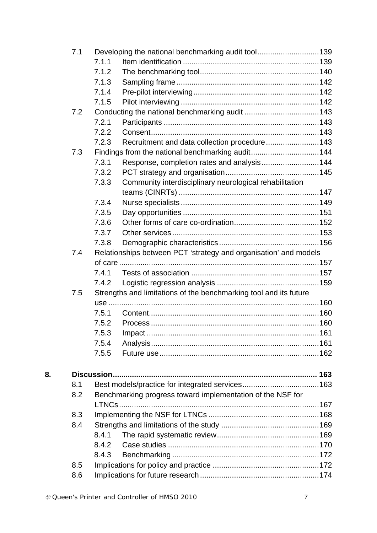|    | 7.1 |                | Developing the national benchmarking audit tool139                |  |
|----|-----|----------------|-------------------------------------------------------------------|--|
|    |     | 7.1.1          |                                                                   |  |
|    |     | 7.1.2          |                                                                   |  |
|    |     | 7.1.3          |                                                                   |  |
|    |     | 7.1.4          |                                                                   |  |
|    |     | 7.1.5          |                                                                   |  |
|    | 7.2 |                |                                                                   |  |
|    |     | 7.2.1          |                                                                   |  |
|    |     | 7.2.2          |                                                                   |  |
|    |     | 7.2.3          | Recruitment and data collection procedure143                      |  |
|    | 7.3 |                | Findings from the national benchmarking audit144                  |  |
|    |     | 7.3.1          | Response, completion rates and analysis144                        |  |
|    |     | 7.3.2          |                                                                   |  |
|    |     | 7.3.3          | Community interdisciplinary neurological rehabilitation           |  |
|    |     |                |                                                                   |  |
|    |     | 7.3.4          |                                                                   |  |
|    |     | 7.3.5          |                                                                   |  |
|    |     | 7.3.6          |                                                                   |  |
|    |     | 7.3.7          |                                                                   |  |
|    |     | 7.3.8          |                                                                   |  |
|    | 7.4 |                | Relationships between PCT 'strategy and organisation' and models  |  |
|    |     |                |                                                                   |  |
|    |     | 7.4.1          |                                                                   |  |
|    |     | 7.4.2          |                                                                   |  |
|    | 7.5 |                | Strengths and limitations of the benchmarking tool and its future |  |
|    |     |                |                                                                   |  |
|    |     | 7.5.1          |                                                                   |  |
|    |     | 7.5.2          |                                                                   |  |
|    |     | 7.5.3          |                                                                   |  |
|    |     | 7.5.4          |                                                                   |  |
|    |     | 7.5.5          |                                                                   |  |
|    |     |                |                                                                   |  |
| 8. |     |                |                                                                   |  |
|    | 8.1 |                |                                                                   |  |
|    | 8.2 |                | Benchmarking progress toward implementation of the NSF for        |  |
|    |     |                | <b>LTNCs</b>                                                      |  |
|    | 8.3 |                |                                                                   |  |
|    | 8.4 |                |                                                                   |  |
|    |     | 8.4.1<br>8.4.2 |                                                                   |  |
|    |     | 8.4.3          |                                                                   |  |
|    | 8.5 |                |                                                                   |  |
|    | 8.6 |                |                                                                   |  |
|    |     |                |                                                                   |  |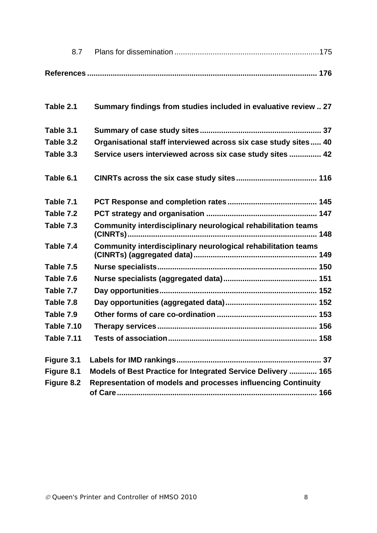| Table 2.1         | Summary findings from studies included in evaluative review  27 |
|-------------------|-----------------------------------------------------------------|
| Table 3.1         |                                                                 |
| Table 3.2         | Organisational staff interviewed across six case study sites 40 |
| Table 3.3         | Service users interviewed across six case study sites  42       |
| Table 6.1         |                                                                 |
| Table 7.1         |                                                                 |
| Table 7.2         |                                                                 |
| Table 7.3         | Community interdisciplinary neurological rehabilitation teams   |
| Table 7.4         | Community interdisciplinary neurological rehabilitation teams   |
| Table 7.5         |                                                                 |
| Table 7.6         |                                                                 |
| Table 7.7         |                                                                 |
| Table 7.8         |                                                                 |
| Table 7.9         |                                                                 |
| <b>Table 7.10</b> |                                                                 |
| <b>Table 7.11</b> |                                                                 |
| Figure 3.1        |                                                                 |
| Figure 8.1        | Models of Best Practice for Integrated Service Delivery  165    |
| Figure 8.2        | Representation of models and processes influencing Continuity   |
|                   |                                                                 |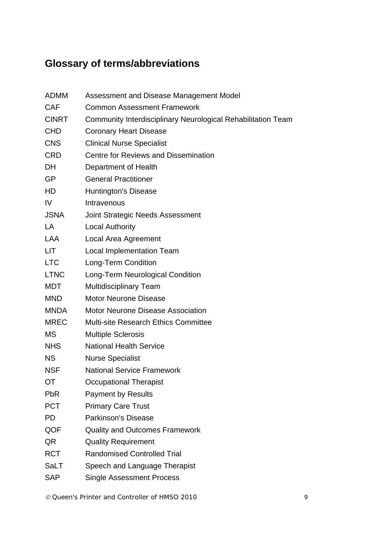# **Glossary of terms/abbreviations**

| <b>ADMM</b>  | Assessment and Disease Management Model                      |  |  |
|--------------|--------------------------------------------------------------|--|--|
| <b>CAF</b>   | <b>Common Assessment Framework</b>                           |  |  |
| <b>CINRT</b> | Community Interdisciplinary Neurological Rehabilitation Team |  |  |
| <b>CHD</b>   | <b>Coronary Heart Disease</b>                                |  |  |
| <b>CNS</b>   | <b>Clinical Nurse Specialist</b>                             |  |  |
| <b>CRD</b>   | <b>Centre for Reviews and Dissemination</b>                  |  |  |
| <b>DH</b>    | Department of Health                                         |  |  |
| <b>GP</b>    | <b>General Practitioner</b>                                  |  |  |
| HD           | <b>Huntington's Disease</b>                                  |  |  |
| IV.          | Intravenous                                                  |  |  |
| <b>JSNA</b>  | <b>Joint Strategic Needs Assessment</b>                      |  |  |
| LA           | <b>Local Authority</b>                                       |  |  |
| <b>LAA</b>   | Local Area Agreement                                         |  |  |
| LIT.         | <b>Local Implementation Team</b>                             |  |  |
| <b>LTC</b>   | Long-Term Condition                                          |  |  |
| <b>LTNC</b>  | Long-Term Neurological Condition                             |  |  |
| <b>MDT</b>   | <b>Multidisciplinary Team</b>                                |  |  |
| <b>MND</b>   | <b>Motor Neurone Disease</b>                                 |  |  |
| <b>MNDA</b>  | <b>Motor Neurone Disease Association</b>                     |  |  |
| <b>MREC</b>  | <b>Multi-site Research Ethics Committee</b>                  |  |  |
| <b>MS</b>    | <b>Multiple Sclerosis</b>                                    |  |  |
| <b>NHS</b>   | <b>National Health Service</b>                               |  |  |
| <b>NS</b>    | <b>Nurse Specialist</b>                                      |  |  |
| <b>NSF</b>   | <b>National Service Framework</b>                            |  |  |
| ОT           | <b>Occupational Therapist</b>                                |  |  |
| <b>PbR</b>   | <b>Payment by Results</b>                                    |  |  |
| <b>PCT</b>   | <b>Primary Care Trust</b>                                    |  |  |
| <b>PD</b>    | <b>Parkinson's Disease</b>                                   |  |  |
| QOF          | <b>Quality and Outcomes Framework</b>                        |  |  |
| QR           | <b>Quality Requirement</b>                                   |  |  |
| <b>RCT</b>   | <b>Randomised Controlled Trial</b>                           |  |  |
| SaLT         | Speech and Language Therapist                                |  |  |
| <b>SAP</b>   | <b>Single Assessment Process</b>                             |  |  |

 *Queen's Printer and Controller of HMSO 2010* 9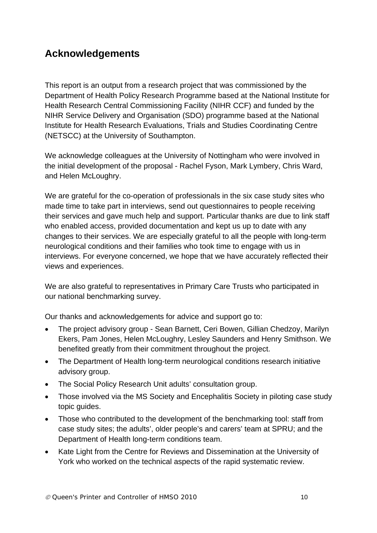# **Acknowledgements**

This report is an output from a research project that was commissioned by the Department of Health Policy Research Programme based at the National Institute for Health Research Central Commissioning Facility (NIHR CCF) and funded by the NIHR Service Delivery and Organisation (SDO) programme based at the National Institute for Health Research Evaluations, Trials and Studies Coordinating Centre (NETSCC) at the University of Southampton.

We acknowledge colleagues at the University of Nottingham who were involved in the initial development of the proposal - Rachel Fyson, Mark Lymbery, Chris Ward, and Helen McLoughry.

We are grateful for the co-operation of professionals in the six case study sites who made time to take part in interviews, send out questionnaires to people receiving their services and gave much help and support. Particular thanks are due to link staff who enabled access, provided documentation and kept us up to date with any changes to their services. We are especially grateful to all the people with long-term neurological conditions and their families who took time to engage with us in interviews. For everyone concerned, we hope that we have accurately reflected their views and experiences.

We are also grateful to representatives in Primary Care Trusts who participated in our national benchmarking survey.

Our thanks and acknowledgements for advice and support go to:

- The project advisory group Sean Barnett, Ceri Bowen, Gillian Chedzoy, Marilyn Ekers, Pam Jones, Helen McLoughry, Lesley Saunders and Henry Smithson. We benefited greatly from their commitment throughout the project.
- The Department of Health long-term neurological conditions research initiative advisory group.
- The Social Policy Research Unit adults' consultation group.
- Those involved via the MS Society and Encephalitis Society in piloting case study topic guides.
- Those who contributed to the development of the benchmarking tool: staff from case study sites; the adults', older people's and carers' team at SPRU; and the Department of Health long-term conditions team.
- Kate Light from the Centre for Reviews and Dissemination at the University of York who worked on the technical aspects of the rapid systematic review.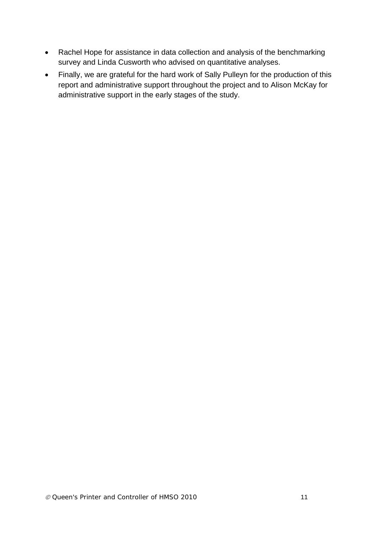- Rachel Hope for assistance in data collection and analysis of the benchmarking survey and Linda Cusworth who advised on quantitative analyses.
- Finally, we are grateful for the hard work of Sally Pulleyn for the production of this report and administrative support throughout the project and to Alison McKay for administrative support in the early stages of the study.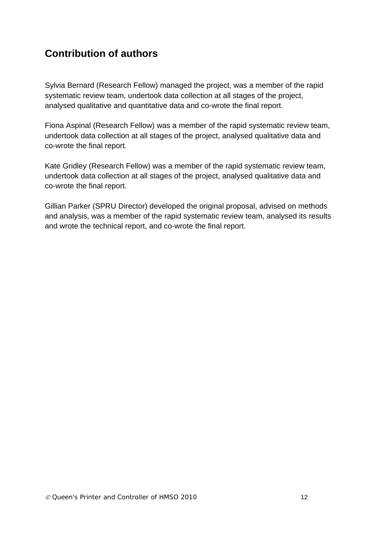# **Contribution of authors**

Sylvia Bernard (Research Fellow) managed the project, was a member of the rapid systematic review team, undertook data collection at all stages of the project, analysed qualitative and quantitative data and co-wrote the final report.

Fiona Aspinal (Research Fellow) was a member of the rapid systematic review team, undertook data collection at all stages of the project, analysed qualitative data and co-wrote the final report.

Kate Gridley (Research Fellow) was a member of the rapid systematic review team, undertook data collection at all stages of the project, analysed qualitative data and co-wrote the final report.

Gillian Parker (SPRU Director) developed the original proposal, advised on methods and analysis, was a member of the rapid systematic review team, analysed its results and wrote the technical report, and co-wrote the final report.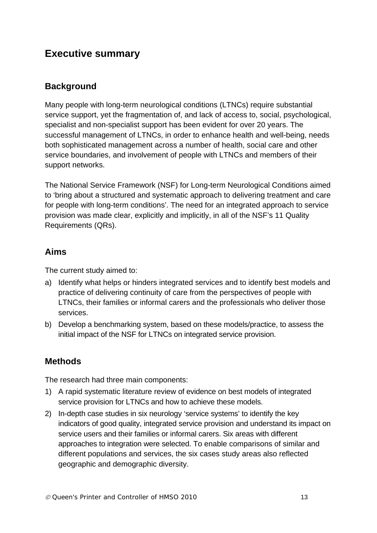## **Executive summary**

## **Background**

Many people with long-term neurological conditions (LTNCs) require substantial service support, yet the fragmentation of, and lack of access to, social, psychological, specialist and non-specialist support has been evident for over 20 years. The successful management of LTNCs, in order to enhance health and well-being, needs both sophisticated management across a number of health, social care and other service boundaries, and involvement of people with LTNCs and members of their support networks.

The National Service Framework (NSF) for Long-term Neurological Conditions aimed to 'bring about a structured and systematic approach to delivering treatment and care for people with long-term conditions'. The need for an integrated approach to service provision was made clear, explicitly and implicitly, in all of the NSF's 11 Quality Requirements (QRs).

#### **Aims**

The current study aimed to:

- a) Identify what helps or hinders integrated services and to identify best models and practice of delivering continuity of care from the perspectives of people with LTNCs, their families or informal carers and the professionals who deliver those services.
- b) Develop a benchmarking system, based on these models/practice, to assess the initial impact of the NSF for LTNCs on integrated service provision.

#### **Methods**

The research had three main components:

- 1) A rapid systematic literature review of evidence on best models of integrated service provision for LTNCs and how to achieve these models.
- 2) In-depth case studies in six neurology 'service systems' to identify the key indicators of good quality, integrated service provision and understand its impact on service users and their families or informal carers. Six areas with different approaches to integration were selected. To enable comparisons of similar and different populations and services, the six cases study areas also reflected geographic and demographic diversity.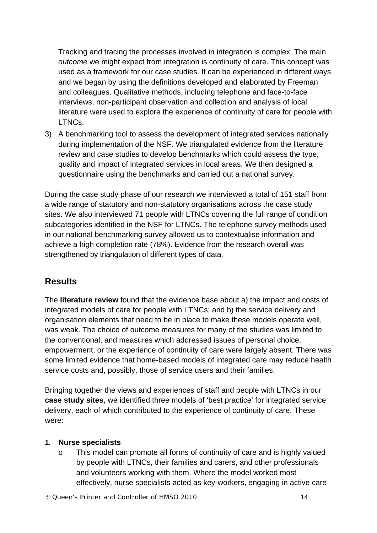Tracking and tracing the processes involved in integration is complex. The main *outcome* we might expect from integration is continuity of care. This concept was used as a framework for our case studies. It can be experienced in different ways and we began by using the definitions developed and elaborated by Freeman and colleagues. Qualitative methods, including telephone and face-to-face interviews, non-participant observation and collection and analysis of local literature were used to explore the experience of continuity of care for people with LTNCs.

3) A benchmarking tool to assess the development of integrated services nationally during implementation of the NSF. We triangulated evidence from the literature review and case studies to develop benchmarks which could assess the type, quality and impact of integrated services in local areas. We then designed a questionnaire using the benchmarks and carried out a national survey.

During the case study phase of our research we interviewed a total of 151 staff from a wide range of statutory and non-statutory organisations across the case study sites. We also interviewed 71 people with LTNCs covering the full range of condition subcategories identified in the NSF for LTNCs. The telephone survey methods used in our national benchmarking survey allowed us to contextualise information and achieve a high completion rate (78%). Evidence from the research overall was strengthened by triangulation of different types of data.

#### **Results**

The **literature review** found that the evidence base about a) the impact and costs of integrated models of care for people with LTNCs; and b) the service delivery and organisation elements that need to be in place to make these models operate well, was weak. The choice of outcome measures for many of the studies was limited to the conventional, and measures which addressed issues of personal choice, empowerment, or the experience of continuity of care were largely absent. There was some limited evidence that home-based models of integrated care may reduce health service costs and, possibly, those of service users and their families.

Bringing together the views and experiences of staff and people with LTNCs in our **case study sites**, we identified three models of 'best practice' for integrated service delivery, each of which contributed to the experience of continuity of care. These were:

#### **1. Nurse specialists**

o This model can promote all forms of continuity of care and is highly valued by people with LTNCs, their families and carers, and other professionals and volunteers working with them. Where the model worked most effectively, nurse specialists acted as key-workers, engaging in active care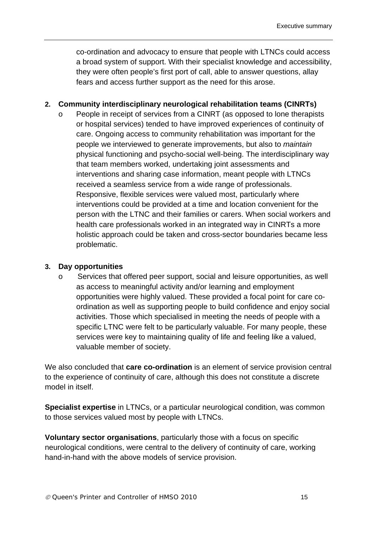co-ordination and advocacy to ensure that people with LTNCs could access a broad system of support. With their specialist knowledge and accessibility, they were often people's first port of call, able to answer questions, allay fears and access further support as the need for this arose.

#### **2. Community interdisciplinary neurological rehabilitation teams (CINRTs)**

o People in receipt of services from a CINRT (as opposed to lone therapists or hospital services) tended to have improved experiences of continuity of care. Ongoing access to community rehabilitation was important for the people we interviewed to generate improvements, but also to *maintain* physical functioning and psycho-social well-being. The interdisciplinary way that team members worked, undertaking joint assessments and interventions and sharing case information, meant people with LTNCs received a seamless service from a wide range of professionals. Responsive, flexible services were valued most, particularly where interventions could be provided at a time and location convenient for the person with the LTNC and their families or carers. When social workers and health care professionals worked in an integrated way in CINRTs a more holistic approach could be taken and cross-sector boundaries became less problematic.

#### **3. Day opportunities**

o Services that offered peer support, social and leisure opportunities, as well as access to meaningful activity and/or learning and employment opportunities were highly valued. These provided a focal point for care coordination as well as supporting people to build confidence and enjoy social activities. Those which specialised in meeting the needs of people with a specific LTNC were felt to be particularly valuable. For many people, these services were key to maintaining quality of life and feeling like a valued, valuable member of society.

We also concluded that **care co-ordination** is an element of service provision central to the experience of continuity of care, although this does not constitute a discrete model in itself.

**Specialist expertise** in LTNCs, or a particular neurological condition, was common to those services valued most by people with LTNCs.

**Voluntary sector organisations**, particularly those with a focus on specific neurological conditions, were central to the delivery of continuity of care, working hand-in-hand with the above models of service provision.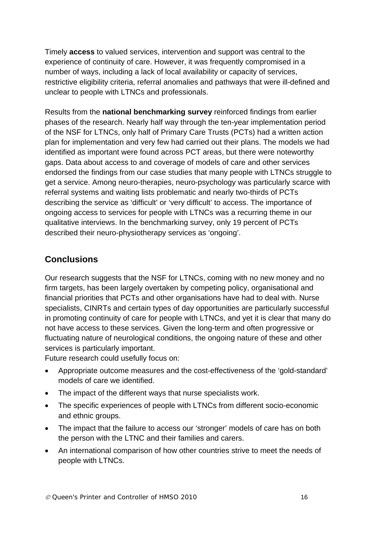Timely **access** to valued services, intervention and support was central to the experience of continuity of care. However, it was frequently compromised in a number of ways, including a lack of local availability or capacity of services, restrictive eligibility criteria, referral anomalies and pathways that were ill-defined and unclear to people with LTNCs and professionals.

Results from the **national benchmarking survey** reinforced findings from earlier phases of the research. Nearly half way through the ten-year implementation period of the NSF for LTNCs, only half of Primary Care Trusts (PCTs) had a written action plan for implementation and very few had carried out their plans. The models we had identified as important were found across PCT areas, but there were noteworthy gaps. Data about access to and coverage of models of care and other services endorsed the findings from our case studies that many people with LTNCs struggle to get a service. Among neuro-therapies, neuro-psychology was particularly scarce with referral systems and waiting lists problematic and nearly two-thirds of PCTs describing the service as 'difficult' or 'very difficult' to access. The importance of ongoing access to services for people with LTNCs was a recurring theme in our qualitative interviews. In the benchmarking survey, only 19 percent of PCTs described their neuro-physiotherapy services as 'ongoing'.

## **Conclusions**

Our research suggests that the NSF for LTNCs, coming with no new money and no firm targets, has been largely overtaken by competing policy, organisational and financial priorities that PCTs and other organisations have had to deal with. Nurse specialists, CINRTs and certain types of day opportunities are particularly successful in promoting continuity of care for people with LTNCs, and yet it is clear that many do not have access to these services. Given the long-term and often progressive or fluctuating nature of neurological conditions, the ongoing nature of these and other services is particularly important.

Future research could usefully focus on:

- Appropriate outcome measures and the cost-effectiveness of the 'gold-standard' models of care we identified.
- The impact of the different ways that nurse specialists work.
- The specific experiences of people with LTNCs from different socio-economic and ethnic groups.
- The impact that the failure to access our 'stronger' models of care has on both the person with the LTNC and their families and carers.
- An international comparison of how other countries strive to meet the needs of people with LTNCs.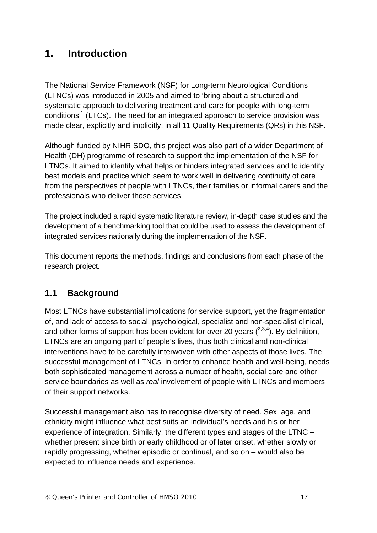# **1. Introduction**

The National Service Framework (NSF) for Long-term Neurological Conditions (LTNCs) was introduced in 2005 and aimed to 'bring about a structured and systematic approach to delivering treatment and care for people with long-term conditions<sup>1</sup> (LTCs). The need for an integrated approach to service provision was made clear, explicitly and implicitly, in all 11 Quality Requirements (QRs) in this NSF.

Although funded by NIHR SDO, this project was also part of a wider Department of Health (DH) programme of research to support the implementation of the NSF for LTNCs. It aimed to identify what helps or hinders integrated services and to identify best models and practice which seem to work well in delivering continuity of care from the perspectives of people with LTNCs, their families or informal carers and the professionals who deliver those services.

The project included a rapid systematic literature review, in-depth case studies and the development of a benchmarking tool that could be used to assess the development of integrated services nationally during the implementation of the NSF.

This document reports the methods, findings and conclusions from each phase of the research project.

## **1.1 Background**

Most LTNCs have substantial implications for service support, yet the fragmentation of, and lack of access to social, psychological, specialist and non-specialist clinical, and other forms of support has been evident for over 20 years  $(^{2,3,4})$ . By definition, LTNCs are an ongoing part of people's lives, thus both clinical and non-clinical interventions have to be carefully interwoven with other aspects of those lives. The successful management of LTNCs, in order to enhance health and well-being, needs both sophisticated management across a number of health, social care and other service boundaries as well as *real* involvement of people with LTNCs and members of their support networks.

Successful management also has to recognise diversity of need. Sex, age, and ethnicity might influence what best suits an individual's needs and his or her experience of integration. Similarly, the different types and stages of the LTNC – whether present since birth or early childhood or of later onset, whether slowly or rapidly progressing, whether episodic or continual, and so on – would also be expected to influence needs and experience.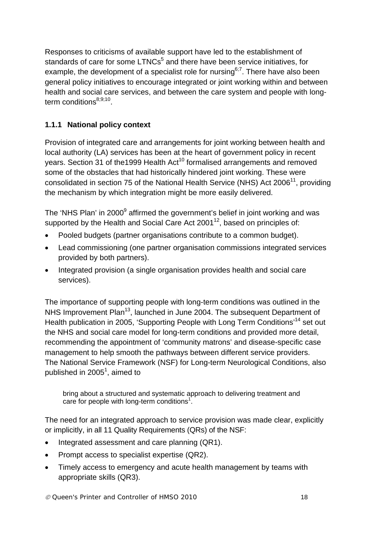Responses to criticisms of available support have led to the establishment of standards of care for some LTNCs<sup>5</sup> and there have been service initiatives, for example, the development of a specialist role for nursing<sup> $6,7$ </sup>. There have also been general policy initiatives to encourage integrated or joint working within and between health and social care services, and between the care system and people with longterm conditions $8,9,10$ .

#### **1.1.1 National policy context**

Provision of integrated care and arrangements for joint working between health and local authority (LA) services has been at the heart of government policy in recent years. Section 31 of the 1999 Health Act<sup>10</sup> formalised arrangements and removed some of the obstacles that had historically hindered joint working. These were consolidated in section 75 of the National Health Service (NHS) Act  $2006<sup>11</sup>$ , providing the mechanism by which integration might be more easily delivered.

The 'NHS Plan' in 2000<sup>9</sup> affirmed the government's belief in joint working and was supported by the Health and Social Care Act  $2001^{12}$ , based on principles of:

- Pooled budgets (partner organisations contribute to a common budget).
- Lead commissioning (one partner organisation commissions integrated services provided by both partners).
- Integrated provision (a single organisation provides health and social care services).

The importance of supporting people with long-term conditions was outlined in the NHS Improvement Plan<sup>13</sup>, launched in June 2004. The subsequent Department of Health publication in 2005, 'Supporting People with Long Term Conditions'<sup>14</sup> set out the NHS and social care model for long-term conditions and provided more detail, recommending the appointment of 'community matrons' and disease-specific case management to help smooth the pathways between different service providers. The National Service Framework (NSF) for Long-term Neurological Conditions, also published in 2005<sup>1</sup>, aimed to

bring about a structured and systematic approach to delivering treatment and care for people with long-term conditions<sup>1</sup>.

The need for an integrated approach to service provision was made clear, explicitly or implicitly, in all 11 Quality Requirements (QRs) of the NSF:

- Integrated assessment and care planning (QR1).
- Prompt access to specialist expertise (QR2).
- Timely access to emergency and acute health management by teams with appropriate skills (QR3).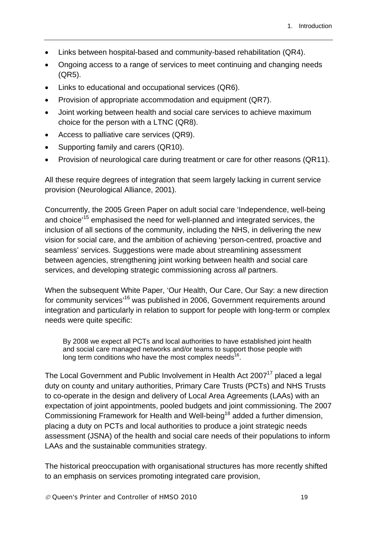- Links between hospital-based and community-based rehabilitation (QR4).
- Ongoing access to a range of services to meet continuing and changing needs (QR5).
- Links to educational and occupational services (QR6).
- Provision of appropriate accommodation and equipment (QR7).
- Joint working between health and social care services to achieve maximum choice for the person with a LTNC (QR8).
- Access to palliative care services (QR9).
- Supporting family and carers (QR10).
- Provision of neurological care during treatment or care for other reasons (QR11).

All these require degrees of integration that seem largely lacking in current service provision (Neurological Alliance, 2001).

Concurrently, the 2005 Green Paper on adult social care 'Independence, well-being and choice<sup>'15</sup> emphasised the need for well-planned and integrated services, the inclusion of all sections of the community, including the NHS, in delivering the new vision for social care, and the ambition of achieving 'person-centred, proactive and seamless' services. Suggestions were made about streamlining assessment between agencies, strengthening joint working between health and social care services, and developing strategic commissioning across *all* partners.

When the subsequent White Paper, 'Our Health, Our Care, Our Say: a new direction for community services<sup>16</sup> was published in 2006, Government requirements around integration and particularly in relation to support for people with long-term or complex needs were quite specific:

By 2008 we expect all PCTs and local authorities to have established joint health and social care managed networks and/or teams to support those people with long term conditions who have the most complex needs $16$ .

The Local Government and Public Involvement in Health Act 2007<sup>17</sup> placed a legal duty on county and unitary authorities, Primary Care Trusts (PCTs) and NHS Trusts to co-operate in the design and delivery of Local Area Agreements (LAAs) with an expectation of joint appointments, pooled budgets and joint commissioning. The 2007 Commissioning Framework for Health and Well-being<sup>18</sup> added a further dimension, placing a duty on PCTs and local authorities to produce a joint strategic needs assessment (JSNA) of the health and social care needs of their populations to inform LAAs and the sustainable communities strategy.

The historical preoccupation with organisational structures has more recently shifted to an emphasis on services promoting integrated care provision,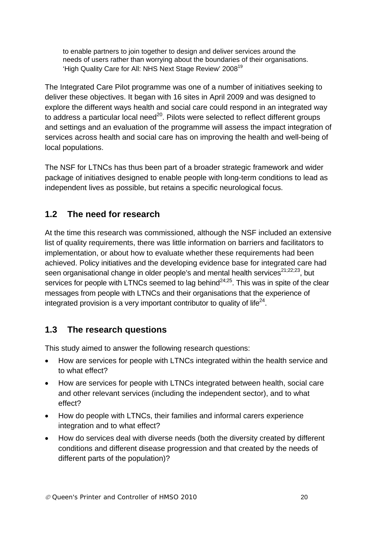to enable partners to join together to design and deliver services around the needs of users rather than worrying about the boundaries of their organisations. 'High Quality Care for All: NHS Next Stage Review' 2008<sup>19</sup>

The Integrated Care Pilot programme was one of a number of initiatives seeking to deliver these objectives. It began with 16 sites in April 2009 and was designed to explore the different ways health and social care could respond in an integrated way to address a particular local need<sup>20</sup>. Pilots were selected to reflect different groups and settings and an evaluation of the programme will assess the impact integration of services across health and social care has on improving the health and well-being of local populations.

The NSF for LTNCs has thus been part of a broader strategic framework and wider package of initiatives designed to enable people with long-term conditions to lead as independent lives as possible, but retains a specific neurological focus.

#### **1.2 The need for research**

At the time this research was commissioned, although the NSF included an extensive list of quality requirements, there was little information on barriers and facilitators to implementation, or about how to evaluate whether these requirements had been achieved. Policy initiatives and the developing evidence base for integrated care had seen organisational change in older people's and mental health services<sup>21;22;23</sup>, but services for people with LTNCs seemed to lag behind<sup> $24,25$ </sup>. This was in spite of the clear messages from people with LTNCs and their organisations that the experience of integrated provision is a very important contributor to quality of life<sup>24</sup>.

#### **1.3 The research questions**

This study aimed to answer the following research questions:

- How are services for people with LTNCs integrated within the health service and to what effect?
- How are services for people with LTNCs integrated between health, social care and other relevant services (including the independent sector), and to what effect?
- How do people with LTNCs, their families and informal carers experience integration and to what effect?
- How do services deal with diverse needs (both the diversity created by different conditions and different disease progression and that created by the needs of different parts of the population)?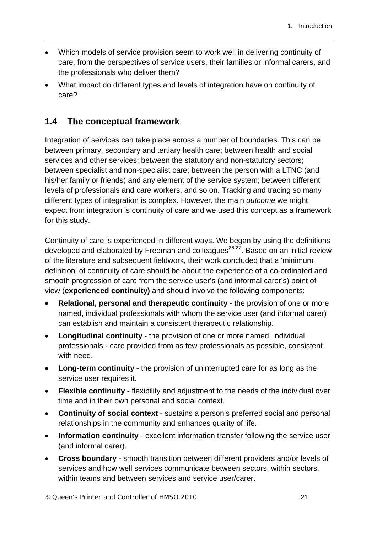- Which models of service provision seem to work well in delivering continuity of care, from the perspectives of service users, their families or informal carers, and the professionals who deliver them?
- What impact do different types and levels of integration have on continuity of care?

## **1.4 The conceptual framework**

Integration of services can take place across a number of boundaries. This can be between primary, secondary and tertiary health care; between health and social services and other services; between the statutory and non-statutory sectors; between specialist and non-specialist care; between the person with a LTNC (and his/her family or friends) and any element of the service system; between different levels of professionals and care workers, and so on. Tracking and tracing so many different types of integration is complex. However, the main *outcome* we might expect from integration is continuity of care and we used this concept as a framework for this study.

Continuity of care is experienced in different ways. We began by using the definitions developed and elaborated by Freeman and colleagues<sup>26,27</sup>. Based on an initial review of the literature and subsequent fieldwork, their work concluded that a 'minimum definition' of continuity of care should be about the experience of a co-ordinated and smooth progression of care from the service user's (and informal carer's) point of view (**experienced continuity)** and should involve the following components:

- **Relational, personal and therapeutic continuity** the provision of one or more named, individual professionals with whom the service user (and informal carer) can establish and maintain a consistent therapeutic relationship.
- **Longitudinal continuity** the provision of one or more named, individual professionals - care provided from as few professionals as possible, consistent with need.
- **Long-term continuity** the provision of uninterrupted care for as long as the service user requires it.
- **Flexible continuity** flexibility and adjustment to the needs of the individual over time and in their own personal and social context.
- **Continuity of social context**  sustains a person's preferred social and personal relationships in the community and enhances quality of life.
- **Information continuity**  excellent information transfer following the service user (and informal carer).
- **Cross boundary** smooth transition between different providers and/or levels of services and how well services communicate between sectors, within sectors, within teams and between services and service user/carer.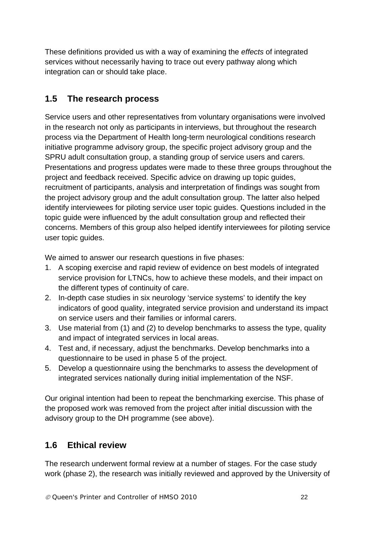These definitions provided us with a way of examining the *effects* of integrated services without necessarily having to trace out every pathway along which integration can or should take place.

## **1.5 The research process**

Service users and other representatives from voluntary organisations were involved in the research not only as participants in interviews, but throughout the research process via the Department of Health long-term neurological conditions research initiative programme advisory group, the specific project advisory group and the SPRU adult consultation group, a standing group of service users and carers. Presentations and progress updates were made to these three groups throughout the project and feedback received. Specific advice on drawing up topic guides, recruitment of participants, analysis and interpretation of findings was sought from the project advisory group and the adult consultation group. The latter also helped identify interviewees for piloting service user topic guides. Questions included in the topic guide were influenced by the adult consultation group and reflected their concerns. Members of this group also helped identify interviewees for piloting service user topic guides.

We aimed to answer our research questions in five phases:

- 1. A scoping exercise and rapid review of evidence on best models of integrated service provision for LTNCs, how to achieve these models, and their impact on the different types of continuity of care.
- 2. In-depth case studies in six neurology 'service systems' to identify the key indicators of good quality, integrated service provision and understand its impact on service users and their families or informal carers.
- 3. Use material from (1) and (2) to develop benchmarks to assess the type, quality and impact of integrated services in local areas.
- 4. Test and, if necessary, adjust the benchmarks. Develop benchmarks into a questionnaire to be used in phase 5 of the project.
- 5. Develop a questionnaire using the benchmarks to assess the development of integrated services nationally during initial implementation of the NSF.

Our original intention had been to repeat the benchmarking exercise. This phase of the proposed work was removed from the project after initial discussion with the advisory group to the DH programme (see above).

## **1.6 Ethical review**

The research underwent formal review at a number of stages. For the case study work (phase 2), the research was initially reviewed and approved by the University of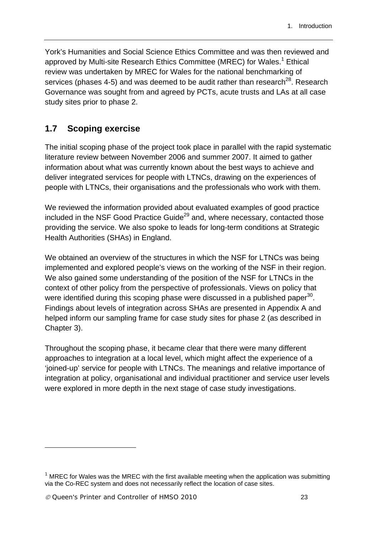York's Humanities and Social Science Ethics Committee and was then reviewed and approved by Multi-site Research Ethics Committee (MREC) for Wales.<sup>1</sup> Ethical review was undertaken by MREC for Wales for the national benchmarking of services (phases 4-5) and was deemed to be audit rather than research<sup>28</sup>. Research Governance was sought from and agreed by PCTs, acute trusts and LAs at all case study sites prior to phase 2.

### **1.7 Scoping exercise**

The initial scoping phase of the project took place in parallel with the rapid systematic literature review between November 2006 and summer 2007. It aimed to gather information about what was currently known about the best ways to achieve and deliver integrated services for people with LTNCs, drawing on the experiences of people with LTNCs, their organisations and the professionals who work with them.

We reviewed the information provided about evaluated examples of good practice included in the NSF Good Practice Guide<sup>29</sup> and, where necessary, contacted those providing the service. We also spoke to leads for long-term conditions at Strategic Health Authorities (SHAs) in England.

We obtained an overview of the structures in which the NSF for LTNCs was being implemented and explored people's views on the working of the NSF in their region. We also gained some understanding of the position of the NSF for LTNCs in the context of other policy from the perspective of professionals. Views on policy that were identified during this scoping phase were discussed in a published paper<sup>30</sup>. Findings about levels of integration across SHAs are presented in Appendix A and helped inform our sampling frame for case study sites for phase 2 (as described in Chapter 3).

Throughout the scoping phase, it became clear that there were many different approaches to integration at a local level, which might affect the experience of a 'joined-up' service for people with LTNCs. The meanings and relative importance of integration at policy, organisational and individual practitioner and service user levels were explored in more depth in the next stage of case study investigations.

1

 $1$  MREC for Wales was the MREC with the first available meeting when the application was submitting via the Co-REC system and does not necessarily reflect the location of case sites.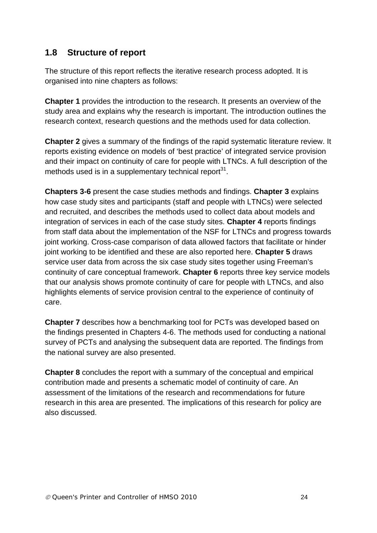### **1.8 Structure of report**

The structure of this report reflects the iterative research process adopted. It is organised into nine chapters as follows:

**Chapter 1** provides the introduction to the research. It presents an overview of the study area and explains why the research is important. The introduction outlines the research context, research questions and the methods used for data collection.

**Chapter 2** gives a summary of the findings of the rapid systematic literature review. It reports existing evidence on models of 'best practice' of integrated service provision and their impact on continuity of care for people with LTNCs. A full description of the methods used is in a supplementary technical report $31$ .

**Chapters 3-6** present the case studies methods and findings. **Chapter 3** explains how case study sites and participants (staff and people with LTNCs) were selected and recruited, and describes the methods used to collect data about models and integration of services in each of the case study sites. **Chapter 4** reports findings from staff data about the implementation of the NSF for LTNCs and progress towards joint working. Cross-case comparison of data allowed factors that facilitate or hinder joint working to be identified and these are also reported here. **Chapter 5** draws service user data from across the six case study sites together using Freeman's continuity of care conceptual framework. **Chapter 6** reports three key service models that our analysis shows promote continuity of care for people with LTNCs, and also highlights elements of service provision central to the experience of continuity of care.

**Chapter 7** describes how a benchmarking tool for PCTs was developed based on the findings presented in Chapters 4-6. The methods used for conducting a national survey of PCTs and analysing the subsequent data are reported. The findings from the national survey are also presented.

**Chapter 8** concludes the report with a summary of the conceptual and empirical contribution made and presents a schematic model of continuity of care. An assessment of the limitations of the research and recommendations for future research in this area are presented. The implications of this research for policy are also discussed.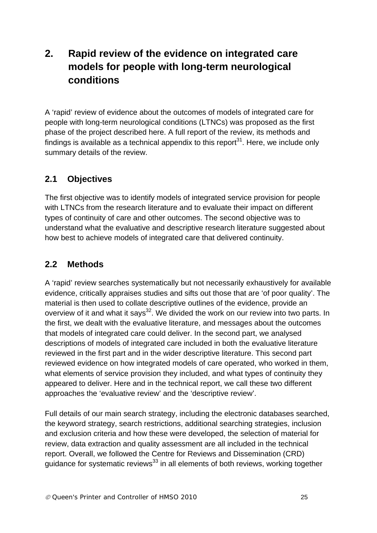# **2. Rapid review of the evidence on integrated care models for people with long-term neurological conditions**

A 'rapid' review of evidence about the outcomes of models of integrated care for people with long-term neurological conditions (LTNCs) was proposed as the first phase of the project described here. A full report of the review, its methods and findings is available as a technical appendix to this report $31$ . Here, we include only summary details of the review.

## **2.1 Objectives**

The first objective was to identify models of integrated service provision for people with LTNCs from the research literature and to evaluate their impact on different types of continuity of care and other outcomes. The second objective was to understand what the evaluative and descriptive research literature suggested about how best to achieve models of integrated care that delivered continuity.

## **2.2 Methods**

A 'rapid' review searches systematically but not necessarily exhaustively for available evidence, critically appraises studies and sifts out those that are 'of poor quality'. The material is then used to collate descriptive outlines of the evidence, provide an overview of it and what it says<sup>32</sup>. We divided the work on our review into two parts. In the first, we dealt with the evaluative literature, and messages about the outcomes that models of integrated care could deliver. In the second part, we analysed descriptions of models of integrated care included in both the evaluative literature reviewed in the first part and in the wider descriptive literature. This second part reviewed evidence on how integrated models of care operated, who worked in them, what elements of service provision they included, and what types of continuity they appeared to deliver. Here and in the technical report, we call these two different approaches the 'evaluative review' and the 'descriptive review'.

Full details of our main search strategy, including the electronic databases searched, the keyword strategy, search restrictions, additional searching strategies, inclusion and exclusion criteria and how these were developed, the selection of material for review, data extraction and quality assessment are all included in the technical report. Overall, we followed the Centre for Reviews and Dissemination (CRD) guidance for systematic reviews<sup>33</sup> in all elements of both reviews, working together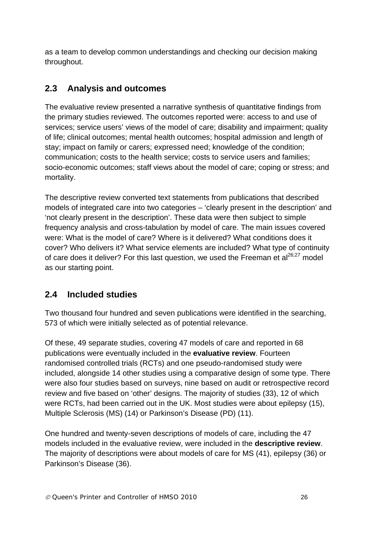as a team to develop common understandings and checking our decision making throughout.

## **2.3 Analysis and outcomes**

The evaluative review presented a narrative synthesis of quantitative findings from the primary studies reviewed. The outcomes reported were: access to and use of services; service users' views of the model of care; disability and impairment; quality of life; clinical outcomes; mental health outcomes; hospital admission and length of stay; impact on family or carers; expressed need; knowledge of the condition; communication; costs to the health service; costs to service users and families; socio-economic outcomes; staff views about the model of care; coping or stress; and mortality.

The descriptive review converted text statements from publications that described models of integrated care into two categories – 'clearly present in the description' and 'not clearly present in the description'. These data were then subject to simple frequency analysis and cross-tabulation by model of care. The main issues covered were: What is the model of care? Where is it delivered? What conditions does it cover? Who delivers it? What service elements are included? What type of continuity of care does it deliver? For this last question, we used the Freeman et  $al^{26;27}$  model as our starting point.

## **2.4 Included studies**

Two thousand four hundred and seven publications were identified in the searching, 573 of which were initially selected as of potential relevance.

Of these, 49 separate studies, covering 47 models of care and reported in 68 publications were eventually included in the **evaluative review**. Fourteen randomised controlled trials (RCTs) and one pseudo-randomised study were included, alongside 14 other studies using a comparative design of some type. There were also four studies based on surveys, nine based on audit or retrospective record review and five based on 'other' designs. The majority of studies (33), 12 of which were RCTs, had been carried out in the UK. Most studies were about epilepsy (15), Multiple Sclerosis (MS) (14) or Parkinson's Disease (PD) (11).

One hundred and twenty-seven descriptions of models of care, including the 47 models included in the evaluative review, were included in the **descriptive review**. The majority of descriptions were about models of care for MS (41), epilepsy (36) or Parkinson's Disease (36).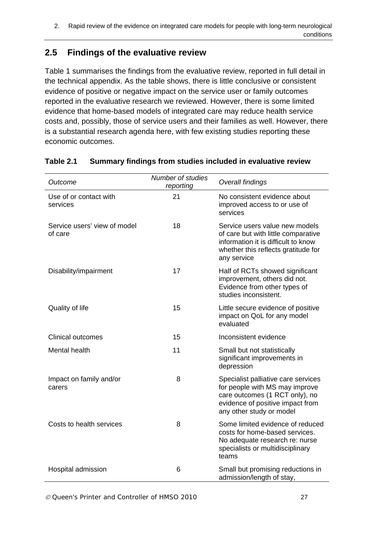## **2.5 Findings of the evaluative review**

Table 1 summarises the findings from the evaluative review, reported in full detail in the technical appendix. As the table shows, there is little conclusive or consistent evidence of positive or negative impact on the service user or family outcomes reported in the evaluative research we reviewed. However, there is some limited evidence that home-based models of integrated care may reduce health service costs and, possibly, those of service users and their families as well. However, there is a substantial research agenda here, with few existing studies reporting these economic outcomes.

| Outcome                                 | <b>Number of studies</b><br>reporting | Overall findings                                                                                                                                                        |  |
|-----------------------------------------|---------------------------------------|-------------------------------------------------------------------------------------------------------------------------------------------------------------------------|--|
| Use of or contact with<br>services      | 21                                    | No consistent evidence about<br>improved access to or use of<br>services                                                                                                |  |
| Service users' view of model<br>of care | 18                                    | Service users value new models<br>of care but with little comparative<br>information it is difficult to know<br>whether this reflects gratitude for<br>any service      |  |
| Disability/impairment                   | 17                                    | Half of RCTs showed significant<br>improvement, others did not.<br>Evidence from other types of<br>studies inconsistent.                                                |  |
| Quality of life                         | 15                                    | Little secure evidence of positive<br>impact on QoL for any model<br>evaluated                                                                                          |  |
| <b>Clinical outcomes</b>                | 15                                    | Inconsistent evidence                                                                                                                                                   |  |
| Mental health                           | 11                                    | Small but not statistically<br>significant improvements in<br>depression                                                                                                |  |
| Impact on family and/or<br>carers       | 8                                     | Specialist palliative care services<br>for people with MS may improve<br>care outcomes (1 RCT only), no<br>evidence of positive impact from<br>any other study or model |  |
| Costs to health services                | 8                                     | Some limited evidence of reduced<br>costs for home-based services.<br>No adequate research re: nurse<br>specialists or multidisciplinary<br>teams                       |  |
| Hospital admission                      | 6                                     | Small but promising reductions in<br>admission/length of stay,                                                                                                          |  |

#### **Table 2.1 Summary findings from studies included in evaluative review**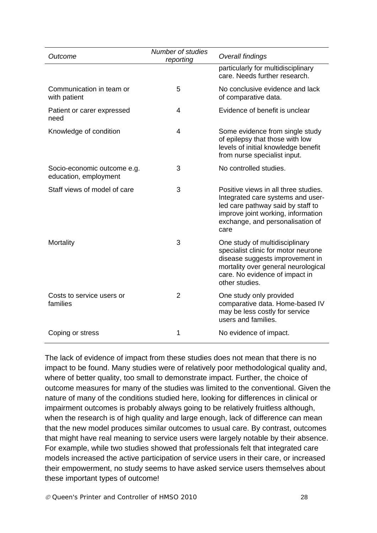| Outcome                                              | Number of studies<br>reporting | Overall findings                                                                                                                                                                                    |
|------------------------------------------------------|--------------------------------|-----------------------------------------------------------------------------------------------------------------------------------------------------------------------------------------------------|
|                                                      |                                | particularly for multidisciplinary<br>care. Needs further research.                                                                                                                                 |
| Communication in team or<br>with patient             | 5                              | No conclusive evidence and lack<br>of comparative data.                                                                                                                                             |
| Patient or carer expressed<br>need                   | 4                              | Evidence of benefit is unclear                                                                                                                                                                      |
| Knowledge of condition                               | 4                              | Some evidence from single study<br>of epilepsy that those with low<br>levels of initial knowledge benefit<br>from nurse specialist input.                                                           |
| Socio-economic outcome e.g.<br>education, employment | 3                              | No controlled studies.                                                                                                                                                                              |
| Staff views of model of care                         | 3                              | Positive views in all three studies.<br>Integrated care systems and user-<br>led care pathway said by staff to<br>improve joint working, information<br>exchange, and personalisation of<br>care    |
| Mortality                                            | 3                              | One study of multidisciplinary<br>specialist clinic for motor neurone<br>disease suggests improvement in<br>mortality over general neurological<br>care. No evidence of impact in<br>other studies. |
| Costs to service users or<br>families                | $\overline{2}$                 | One study only provided<br>comparative data. Home-based IV<br>may be less costly for service<br>users and families.                                                                                 |
| Coping or stress                                     | 1                              | No evidence of impact.                                                                                                                                                                              |

The lack of evidence of impact from these studies does not mean that there is no impact to be found. Many studies were of relatively poor methodological quality and, where of better quality, too small to demonstrate impact. Further, the choice of outcome measures for many of the studies was limited to the conventional. Given the nature of many of the conditions studied here, looking for differences in clinical or impairment outcomes is probably always going to be relatively fruitless although, when the research is of high quality and large enough, lack of difference can mean that the new model produces similar outcomes to usual care. By contrast, outcomes that might have real meaning to service users were largely notable by their absence. For example, while two studies showed that professionals felt that integrated care models increased the active participation of service users in their care, or increased their empowerment, no study seems to have asked service users themselves about these important types of outcome!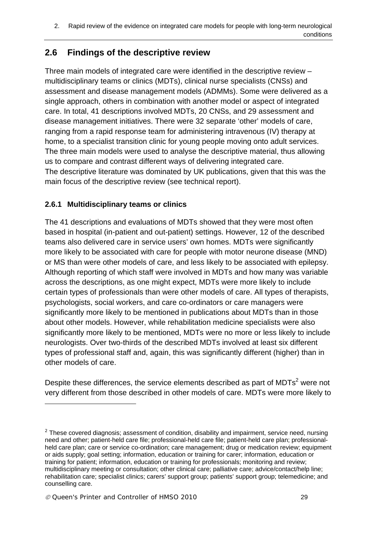## **2.6 Findings of the descriptive review**

Three main models of integrated care were identified in the descriptive review – multidisciplinary teams or clinics (MDTs), clinical nurse specialists (CNSs) and assessment and disease management models (ADMMs). Some were delivered as a single approach, others in combination with another model or aspect of integrated care. In total, 41 descriptions involved MDTs, 20 CNSs, and 29 assessment and disease management initiatives. There were 32 separate 'other' models of care, ranging from a rapid response team for administering intravenous (IV) therapy at home, to a specialist transition clinic for young people moving onto adult services. The three main models were used to analyse the descriptive material, thus allowing us to compare and contrast different ways of delivering integrated care. The descriptive literature was dominated by UK publications, given that this was the main focus of the descriptive review (see technical report).

#### **2.6.1 Multidisciplinary teams or clinics**

The 41 descriptions and evaluations of MDTs showed that they were most often based in hospital (in-patient and out-patient) settings. However, 12 of the described teams also delivered care in service users' own homes. MDTs were significantly more likely to be associated with care for people with motor neurone disease (MND) or MS than were other models of care, and less likely to be associated with epilepsy. Although reporting of which staff were involved in MDTs and how many was variable across the descriptions, as one might expect, MDTs were more likely to include certain types of professionals than were other models of care. All types of therapists, psychologists, social workers, and care co-ordinators or care managers were significantly more likely to be mentioned in publications about MDTs than in those about other models. However, while rehabilitation medicine specialists were also significantly more likely to be mentioned, MDTs were no more or less likely to include neurologists. Over two-thirds of the described MDTs involved at least six different types of professional staff and, again, this was significantly different (higher) than in other models of care.

Despite these differences, the service elements described as part of  $MDTs<sup>2</sup>$  were not very different from those described in other models of care. MDTs were more likely to

1

 $2$  These covered diagnosis; assessment of condition, disability and impairment, service need, nursing need and other; patient-held care file; professional-held care file; patient-held care plan; professionalheld care plan; care or service co-ordination; care management; drug or medication review; equipment or aids supply; goal setting; information, education or training for carer; information, education or training for patient; information, education or training for professionals; monitoring and review; multidisciplinary meeting or consultation; other clinical care; palliative care; advice/contact/help line; rehabilitation care; specialist clinics; carers' support group; patients' support group; telemedicine; and counselling care.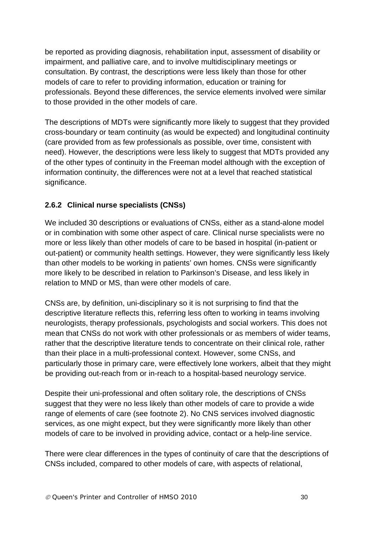be reported as providing diagnosis, rehabilitation input, assessment of disability or impairment, and palliative care, and to involve multidisciplinary meetings or consultation. By contrast, the descriptions were less likely than those for other models of care to refer to providing information, education or training for professionals. Beyond these differences, the service elements involved were similar to those provided in the other models of care.

The descriptions of MDTs were significantly more likely to suggest that they provided cross-boundary or team continuity (as would be expected) and longitudinal continuity (care provided from as few professionals as possible, over time, consistent with need). However, the descriptions were less likely to suggest that MDTs provided any of the other types of continuity in the Freeman model although with the exception of information continuity, the differences were not at a level that reached statistical significance.

#### **2.6.2 Clinical nurse specialists (CNSs)**

We included 30 descriptions or evaluations of CNSs, either as a stand-alone model or in combination with some other aspect of care. Clinical nurse specialists were no more or less likely than other models of care to be based in hospital (in-patient or out-patient) or community health settings. However, they were significantly less likely than other models to be working in patients' own homes. CNSs were significantly more likely to be described in relation to Parkinson's Disease, and less likely in relation to MND or MS, than were other models of care.

CNSs are, by definition, uni-disciplinary so it is not surprising to find that the descriptive literature reflects this, referring less often to working in teams involving neurologists, therapy professionals, psychologists and social workers. This does not mean that CNSs do not work with other professionals or as members of wider teams, rather that the descriptive literature tends to concentrate on their clinical role, rather than their place in a multi-professional context. However, some CNSs, and particularly those in primary care, were effectively lone workers, albeit that they might be providing out-reach from or in-reach to a hospital-based neurology service.

Despite their uni-professional and often solitary role, the descriptions of CNSs suggest that they were no less likely than other models of care to provide a wide range of elements of care (see footnote 2). No CNS services involved diagnostic services, as one might expect, but they were significantly more likely than other models of care to be involved in providing advice, contact or a help-line service.

There were clear differences in the types of continuity of care that the descriptions of CNSs included, compared to other models of care, with aspects of relational,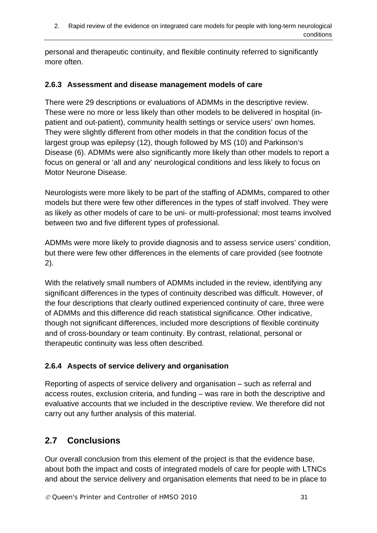personal and therapeutic continuity, and flexible continuity referred to significantly more often.

#### **2.6.3 Assessment and disease management models of care**

There were 29 descriptions or evaluations of ADMMs in the descriptive review. These were no more or less likely than other models to be delivered in hospital (inpatient and out-patient), community health settings or service users' own homes. They were slightly different from other models in that the condition focus of the largest group was epilepsy (12), though followed by MS (10) and Parkinson's Disease (6). ADMMs were also significantly more likely than other models to report a focus on general or 'all and any' neurological conditions and less likely to focus on Motor Neurone Disease.

Neurologists were more likely to be part of the staffing of ADMMs, compared to other models but there were few other differences in the types of staff involved. They were as likely as other models of care to be uni- or multi-professional; most teams involved between two and five different types of professional.

ADMMs were more likely to provide diagnosis and to assess service users' condition, but there were few other differences in the elements of care provided (see footnote 2).

With the relatively small numbers of ADMMs included in the review, identifying any significant differences in the types of continuity described was difficult. However, of the four descriptions that clearly outlined experienced continuity of care, three were of ADMMs and this difference did reach statistical significance. Other indicative, though not significant differences, included more descriptions of flexible continuity and of cross-boundary or team continuity. By contrast, relational, personal or therapeutic continuity was less often described.

#### **2.6.4 Aspects of service delivery and organisation**

Reporting of aspects of service delivery and organisation – such as referral and access routes, exclusion criteria, and funding – was rare in both the descriptive and evaluative accounts that we included in the descriptive review. We therefore did not carry out any further analysis of this material.

## **2.7 Conclusions**

Our overall conclusion from this element of the project is that the evidence base, about both the impact and costs of integrated models of care for people with LTNCs and about the service delivery and organisation elements that need to be in place to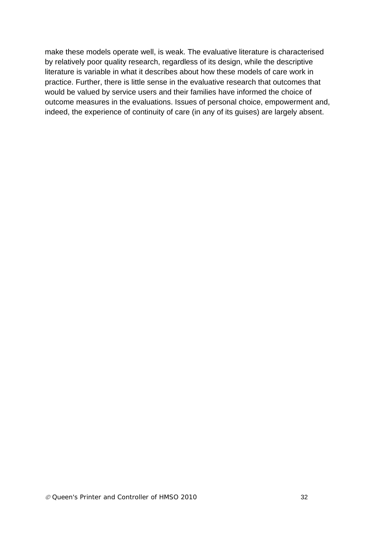make these models operate well, is weak. The evaluative literature is characterised by relatively poor quality research, regardless of its design, while the descriptive literature is variable in what it describes about how these models of care work in practice. Further, there is little sense in the evaluative research that outcomes that would be valued by service users and their families have informed the choice of outcome measures in the evaluations. Issues of personal choice, empowerment and, indeed, the experience of continuity of care (in any of its guises) are largely absent.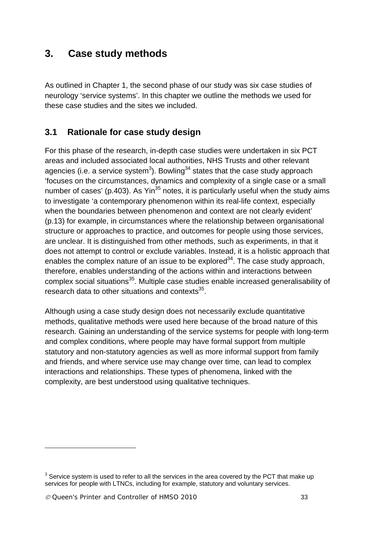# **3. Case study methods**

As outlined in Chapter 1, the second phase of our study was six case studies of neurology 'service systems'. In this chapter we outline the methods we used for these case studies and the sites we included.

## **3.1 Rationale for case study design**

For this phase of the research, in-depth case studies were undertaken in six PCT areas and included associated local authorities, NHS Trusts and other relevant agencies (i.e. a service system<sup>3</sup>). Bowling<sup>34</sup> states that the case study approach 'focuses on the circumstances, dynamics and complexity of a single case or a small number of cases' (p.403). As Yin<sup>35</sup> notes, it is particularly useful when the study aims to investigate 'a contemporary phenomenon within its real-life context, especially when the boundaries between phenomenon and context are not clearly evident' (p.13) for example, in circumstances where the relationship between organisational structure or approaches to practice, and outcomes for people using those services, are unclear. It is distinguished from other methods, such as experiments, in that it does not attempt to control or exclude variables. Instead, it is a holistic approach that enables the complex nature of an issue to be explored<sup>34</sup>. The case study approach, therefore, enables understanding of the actions within and interactions between complex social situations<sup>35</sup>. Multiple case studies enable increased generalisability of research data to other situations and contexts<sup>35</sup>.

Although using a case study design does not necessarily exclude quantitative methods, qualitative methods were used here because of the broad nature of this research. Gaining an understanding of the service systems for people with long-term and complex conditions, where people may have formal support from multiple statutory and non-statutory agencies as well as more informal support from family and friends, and where service use may change over time, can lead to complex interactions and relationships. These types of phenomena, linked with the complexity, are best understood using qualitative techniques.

1

 $3$  Service system is used to refer to all the services in the area covered by the PCT that make up services for people with LTNCs, including for example, statutory and voluntary services.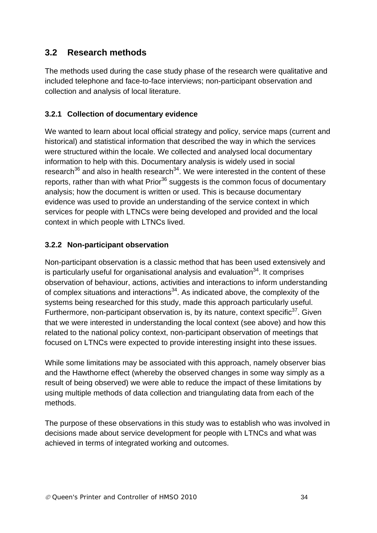## **3.2 Research methods**

The methods used during the case study phase of the research were qualitative and included telephone and face-to-face interviews; non-participant observation and collection and analysis of local literature.

#### **3.2.1 Collection of documentary evidence**

We wanted to learn about local official strategy and policy, service maps (current and historical) and statistical information that described the way in which the services were structured within the locale. We collected and analysed local documentary information to help with this. Documentary analysis is widely used in social research<sup>36</sup> and also in health research<sup>34</sup>. We were interested in the content of these reports, rather than with what  $Prior<sup>36</sup>$  suggests is the common focus of documentary analysis; how the document is written or used. This is because documentary evidence was used to provide an understanding of the service context in which services for people with LTNCs were being developed and provided and the local context in which people with LTNCs lived.

#### **3.2.2 Non-participant observation**

Non-participant observation is a classic method that has been used extensively and is particularly useful for organisational analysis and evaluation $34$ . It comprises observation of behaviour, actions, activities and interactions to inform understanding of complex situations and interactions<sup>34</sup>. As indicated above, the complexity of the systems being researched for this study, made this approach particularly useful. Furthermore, non-participant observation is, by its nature, context specific $37$ . Given that we were interested in understanding the local context (see above) and how this related to the national policy context, non-participant observation of meetings that focused on LTNCs were expected to provide interesting insight into these issues.

While some limitations may be associated with this approach, namely observer bias and the Hawthorne effect (whereby the observed changes in some way simply as a result of being observed) we were able to reduce the impact of these limitations by using multiple methods of data collection and triangulating data from each of the methods.

The purpose of these observations in this study was to establish who was involved in decisions made about service development for people with LTNCs and what was achieved in terms of integrated working and outcomes.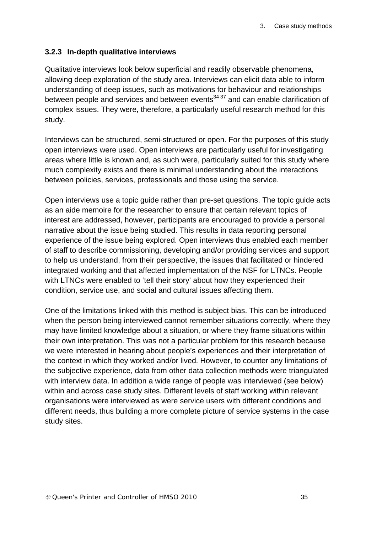#### **3.2.3 In-depth qualitative interviews**

Qualitative interviews look below superficial and readily observable phenomena, allowing deep exploration of the study area. Interviews can elicit data able to inform understanding of deep issues, such as motivations for behaviour and relationships between people and services and between events $34,37$  and can enable clarification of complex issues. They were, therefore, a particularly useful research method for this study.

Interviews can be structured, semi-structured or open. For the purposes of this study open interviews were used. Open interviews are particularly useful for investigating areas where little is known and, as such were, particularly suited for this study where much complexity exists and there is minimal understanding about the interactions between policies, services, professionals and those using the service.

Open interviews use a topic guide rather than pre-set questions. The topic guide acts as an aide memoire for the researcher to ensure that certain relevant topics of interest are addressed, however, participants are encouraged to provide a personal narrative about the issue being studied. This results in data reporting personal experience of the issue being explored. Open interviews thus enabled each member of staff to describe commissioning, developing and/or providing services and support to help us understand, from their perspective, the issues that facilitated or hindered integrated working and that affected implementation of the NSF for LTNCs. People with LTNCs were enabled to 'tell their story' about how they experienced their condition, service use, and social and cultural issues affecting them.

One of the limitations linked with this method is subject bias. This can be introduced when the person being interviewed cannot remember situations correctly, where they may have limited knowledge about a situation, or where they frame situations within their own interpretation. This was not a particular problem for this research because we were interested in hearing about people's experiences and their interpretation of the context in which they worked and/or lived. However, to counter any limitations of the subjective experience, data from other data collection methods were triangulated with interview data. In addition a wide range of people was interviewed (see below) within and across case study sites. Different levels of staff working within relevant organisations were interviewed as were service users with different conditions and different needs, thus building a more complete picture of service systems in the case study sites.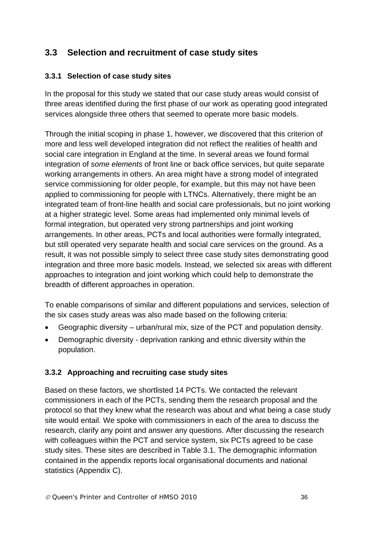## **3.3 Selection and recruitment of case study sites**

#### **3.3.1 Selection of case study sites**

In the proposal for this study we stated that our case study areas would consist of three areas identified during the first phase of our work as operating good integrated services alongside three others that seemed to operate more basic models.

Through the initial scoping in phase 1, however, we discovered that this criterion of more and less well developed integration did not reflect the realities of health and social care integration in England at the time. In several areas we found formal integration of *some elements* of front line or back office services, but quite separate working arrangements in others. An area might have a strong model of integrated service commissioning for older people, for example, but this may not have been applied to commissioning for people with LTNCs. Alternatively, there might be an integrated team of front-line health and social care professionals, but no joint working at a higher strategic level. Some areas had implemented only minimal levels of formal integration, but operated very strong partnerships and joint working arrangements. In other areas, PCTs and local authorities were formally integrated, but still operated very separate health and social care services on the ground. As a result, it was not possible simply to select three case study sites demonstrating good integration and three more basic models. Instead, we selected six areas with different approaches to integration and joint working which could help to demonstrate the breadth of different approaches in operation.

To enable comparisons of similar and different populations and services, selection of the six cases study areas was also made based on the following criteria:

- Geographic diversity urban/rural mix, size of the PCT and population density.
- Demographic diversity deprivation ranking and ethnic diversity within the population.

#### **3.3.2 Approaching and recruiting case study sites**

Based on these factors, we shortlisted 14 PCTs. We contacted the relevant commissioners in each of the PCTs, sending them the research proposal and the protocol so that they knew what the research was about and what being a case study site would entail. We spoke with commissioners in each of the area to discuss the research, clarify any point and answer any questions. After discussing the research with colleagues within the PCT and service system, six PCTs agreed to be case study sites. These sites are described in Table 3.1. The demographic information contained in the appendix reports local organisational documents and national statistics (Appendix C).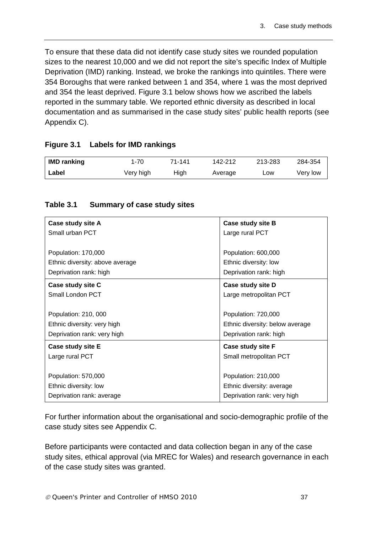To ensure that these data did not identify case study sites we rounded population sizes to the nearest 10,000 and we did not report the site's specific Index of Multiple Deprivation (IMD) ranking. Instead, we broke the rankings into quintiles. There were 354 Boroughs that were ranked between 1 and 354, where 1 was the most deprived and 354 the least deprived. Figure 3.1 below shows how we ascribed the labels reported in the summary table. We reported ethnic diversity as described in local documentation and as summarised in the case study sites' public health reports (see Appendix C).

#### **Figure 3.1 Labels for IMD rankings**

| <b>IMD ranking</b> | 1-70      | 71-141 | 142-212 | 213-283 | 284-354  |
|--------------------|-----------|--------|---------|---------|----------|
| Label              | Very high | High   | Average | LOW     | Very low |

#### **Table 3.1 Summary of case study sites**

| Case study site A               | Case study site B               |  |
|---------------------------------|---------------------------------|--|
| Small urban PCT                 | Large rural PCT                 |  |
|                                 |                                 |  |
| Population: 170,000             | Population: 600,000             |  |
| Ethnic diversity: above average | Ethnic diversity: low           |  |
| Deprivation rank: high          | Deprivation rank: high          |  |
| Case study site C               | Case study site D               |  |
| Small London PCT                | Large metropolitan PCT          |  |
|                                 |                                 |  |
| Population: 210, 000            | Population: 720,000             |  |
| Ethnic diversity: very high     | Ethnic diversity: below average |  |
| Deprivation rank: very high     | Deprivation rank: high          |  |
| Case study site E               | Case study site F               |  |
| Large rural PCT                 | Small metropolitan PCT          |  |
|                                 |                                 |  |
| Population: 570,000             | Population: 210,000             |  |
| Ethnic diversity: low           | Ethnic diversity: average       |  |
| Deprivation rank: average       | Deprivation rank: very high     |  |

For further information about the organisational and socio-demographic profile of the case study sites see Appendix C.

Before participants were contacted and data collection began in any of the case study sites, ethical approval (via MREC for Wales) and research governance in each of the case study sites was granted.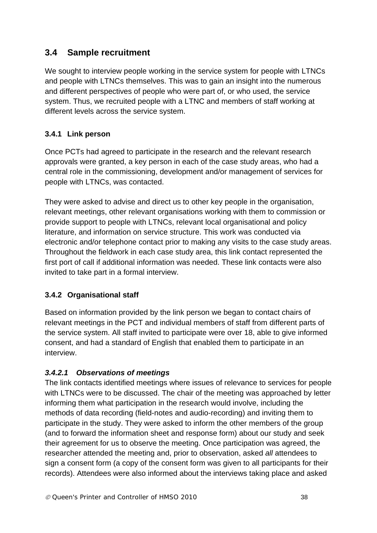# **3.4 Sample recruitment**

We sought to interview people working in the service system for people with LTNCs and people with LTNCs themselves. This was to gain an insight into the numerous and different perspectives of people who were part of, or who used, the service system. Thus, we recruited people with a LTNC and members of staff working at different levels across the service system.

# **3.4.1 Link person**

Once PCTs had agreed to participate in the research and the relevant research approvals were granted, a key person in each of the case study areas, who had a central role in the commissioning, development and/or management of services for people with LTNCs, was contacted.

They were asked to advise and direct us to other key people in the organisation, relevant meetings, other relevant organisations working with them to commission or provide support to people with LTNCs, relevant local organisational and policy literature, and information on service structure. This work was conducted via electronic and/or telephone contact prior to making any visits to the case study areas. Throughout the fieldwork in each case study area, this link contact represented the first port of call if additional information was needed. These link contacts were also invited to take part in a formal interview.

# **3.4.2 Organisational staff**

Based on information provided by the link person we began to contact chairs of relevant meetings in the PCT and individual members of staff from different parts of the service system. All staff invited to participate were over 18, able to give informed consent, and had a standard of English that enabled them to participate in an interview.

#### *3.4.2.1 Observations of meetings*

The link contacts identified meetings where issues of relevance to services for people with LTNCs were to be discussed. The chair of the meeting was approached by letter informing them what participation in the research would involve, including the methods of data recording (field-notes and audio-recording) and inviting them to participate in the study. They were asked to inform the other members of the group (and to forward the information sheet and response form) about our study and seek their agreement for us to observe the meeting. Once participation was agreed, the researcher attended the meeting and, prior to observation, asked *all* attendees to sign a consent form (a copy of the consent form was given to all participants for their records). Attendees were also informed about the interviews taking place and asked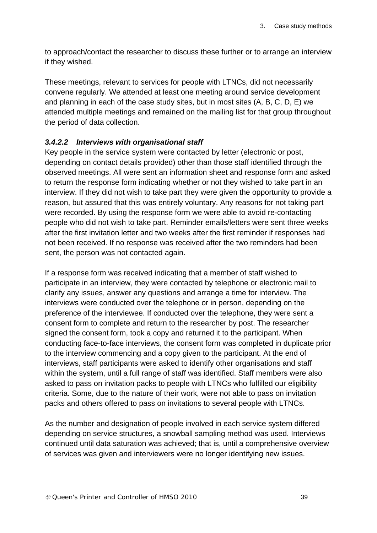to approach/contact the researcher to discuss these further or to arrange an interview if they wished.

These meetings, relevant to services for people with LTNCs, did not necessarily convene regularly. We attended at least one meeting around service development and planning in each of the case study sites, but in most sites (A, B, C, D, E) we attended multiple meetings and remained on the mailing list for that group throughout the period of data collection.

#### *3.4.2.2 Interviews with organisational staff*

Key people in the service system were contacted by letter (electronic or post, depending on contact details provided) other than those staff identified through the observed meetings. All were sent an information sheet and response form and asked to return the response form indicating whether or not they wished to take part in an interview. If they did not wish to take part they were given the opportunity to provide a reason, but assured that this was entirely voluntary. Any reasons for not taking part were recorded. By using the response form we were able to avoid re-contacting people who did not wish to take part. Reminder emails/letters were sent three weeks after the first invitation letter and two weeks after the first reminder if responses had not been received. If no response was received after the two reminders had been sent, the person was not contacted again.

If a response form was received indicating that a member of staff wished to participate in an interview, they were contacted by telephone or electronic mail to clarify any issues, answer any questions and arrange a time for interview. The interviews were conducted over the telephone or in person, depending on the preference of the interviewee. If conducted over the telephone, they were sent a consent form to complete and return to the researcher by post. The researcher signed the consent form, took a copy and returned it to the participant. When conducting face-to-face interviews, the consent form was completed in duplicate prior to the interview commencing and a copy given to the participant. At the end of interviews, staff participants were asked to identify other organisations and staff within the system, until a full range of staff was identified. Staff members were also asked to pass on invitation packs to people with LTNCs who fulfilled our eligibility criteria. Some, due to the nature of their work, were not able to pass on invitation packs and others offered to pass on invitations to several people with LTNCs.

As the number and designation of people involved in each service system differed depending on service structures, a snowball sampling method was used. Interviews continued until data saturation was achieved; that is, until a comprehensive overview of services was given and interviewers were no longer identifying new issues.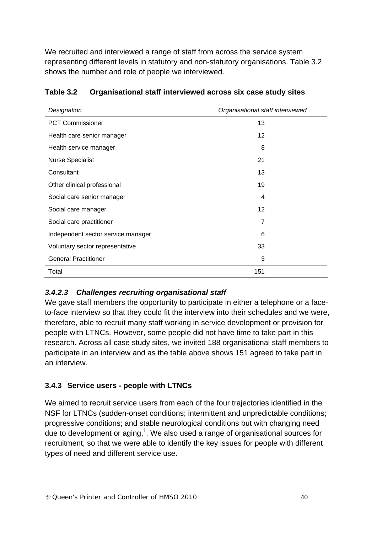We recruited and interviewed a range of staff from across the service system representing different levels in statutory and non-statutory organisations. Table 3.2 shows the number and role of people we interviewed.

| Designation                        | Organisational staff interviewed |
|------------------------------------|----------------------------------|
| <b>PCT Commissioner</b>            | 13                               |
| Health care senior manager         | 12                               |
| Health service manager             | 8                                |
| <b>Nurse Specialist</b>            | 21                               |
| Consultant                         | 13                               |
| Other clinical professional        | 19                               |
| Social care senior manager         | 4                                |
| Social care manager                | $12 \overline{ }$                |
| Social care practitioner           | 7                                |
| Independent sector service manager | 6                                |
| Voluntary sector representative    | 33                               |
| <b>General Practitioner</b>        | 3                                |
| Total                              | 151                              |

#### **Table 3.2 Organisational staff interviewed across six case study sites**

# *3.4.2.3 Challenges recruiting organisational staff*

We gave staff members the opportunity to participate in either a telephone or a faceto-face interview so that they could fit the interview into their schedules and we were, therefore, able to recruit many staff working in service development or provision for people with LTNCs. However, some people did not have time to take part in this research. Across all case study sites, we invited 188 organisational staff members to participate in an interview and as the table above shows 151 agreed to take part in an interview.

# **3.4.3 Service users - people with LTNCs**

We aimed to recruit service users from each of the four trajectories identified in the NSF for LTNCs (sudden-onset conditions; intermittent and unpredictable conditions; progressive conditions; and stable neurological conditions but with changing need due to development or aging,<sup>1</sup>. We also used a range of organisational sources for recruitment, so that we were able to identify the key issues for people with different types of need and different service use.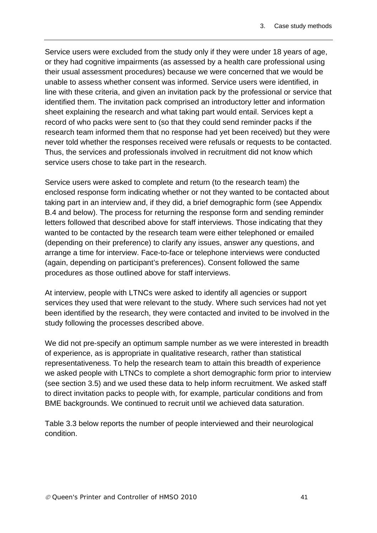Service users were excluded from the study only if they were under 18 years of age, or they had cognitive impairments (as assessed by a health care professional using their usual assessment procedures) because we were concerned that we would be unable to assess whether consent was informed. Service users were identified, in line with these criteria, and given an invitation pack by the professional or service that identified them. The invitation pack comprised an introductory letter and information sheet explaining the research and what taking part would entail. Services kept a record of who packs were sent to (so that they could send reminder packs if the research team informed them that no response had yet been received) but they were never told whether the responses received were refusals or requests to be contacted. Thus, the services and professionals involved in recruitment did not know which service users chose to take part in the research.

Service users were asked to complete and return (to the research team) the enclosed response form indicating whether or not they wanted to be contacted about taking part in an interview and, if they did, a brief demographic form (see Appendix B.4 and below). The process for returning the response form and sending reminder letters followed that described above for staff interviews. Those indicating that they wanted to be contacted by the research team were either telephoned or emailed (depending on their preference) to clarify any issues, answer any questions, and arrange a time for interview. Face-to-face or telephone interviews were conducted (again, depending on participant's preferences). Consent followed the same procedures as those outlined above for staff interviews.

At interview, people with LTNCs were asked to identify all agencies or support services they used that were relevant to the study. Where such services had not yet been identified by the research, they were contacted and invited to be involved in the study following the processes described above.

We did not pre-specify an optimum sample number as we were interested in breadth of experience, as is appropriate in qualitative research, rather than statistical representativeness. To help the research team to attain this breadth of experience we asked people with LTNCs to complete a short demographic form prior to interview (see section 3.5) and we used these data to help inform recruitment. We asked staff to direct invitation packs to people with, for example, particular conditions and from BME backgrounds. We continued to recruit until we achieved data saturation.

Table 3.3 below reports the number of people interviewed and their neurological condition.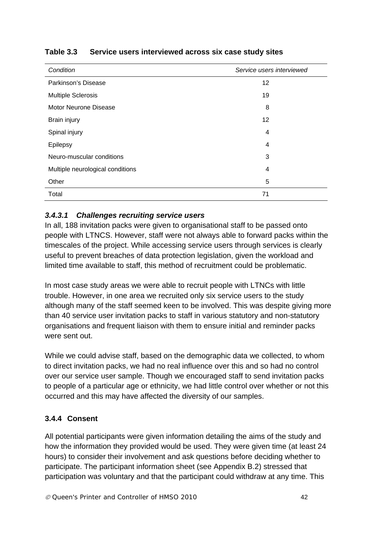| Condition                        | Service users interviewed |  |
|----------------------------------|---------------------------|--|
| Parkinson's Disease              | 12                        |  |
| <b>Multiple Sclerosis</b>        | 19                        |  |
| <b>Motor Neurone Disease</b>     | 8                         |  |
| Brain injury                     | 12                        |  |
| Spinal injury                    | 4                         |  |
| Epilepsy                         | 4                         |  |
| Neuro-muscular conditions        | 3                         |  |
| Multiple neurological conditions | 4                         |  |
| Other                            | 5                         |  |
| Total                            | 71                        |  |

# **Table 3.3 Service users interviewed across six case study sites**

#### *3.4.3.1 Challenges recruiting service users*

In all, 188 invitation packs were given to organisational staff to be passed onto people with LTNCS. However, staff were not always able to forward packs within the timescales of the project. While accessing service users through services is clearly useful to prevent breaches of data protection legislation, given the workload and limited time available to staff, this method of recruitment could be problematic.

In most case study areas we were able to recruit people with LTNCs with little trouble. However, in one area we recruited only six service users to the study although many of the staff seemed keen to be involved. This was despite giving more than 40 service user invitation packs to staff in various statutory and non-statutory organisations and frequent liaison with them to ensure initial and reminder packs were sent out.

While we could advise staff, based on the demographic data we collected, to whom to direct invitation packs, we had no real influence over this and so had no control over our service user sample. Though we encouraged staff to send invitation packs to people of a particular age or ethnicity, we had little control over whether or not this occurred and this may have affected the diversity of our samples.

# **3.4.4 Consent**

All potential participants were given information detailing the aims of the study and how the information they provided would be used. They were given time (at least 24 hours) to consider their involvement and ask questions before deciding whether to participate. The participant information sheet (see Appendix B.2) stressed that participation was voluntary and that the participant could withdraw at any time. This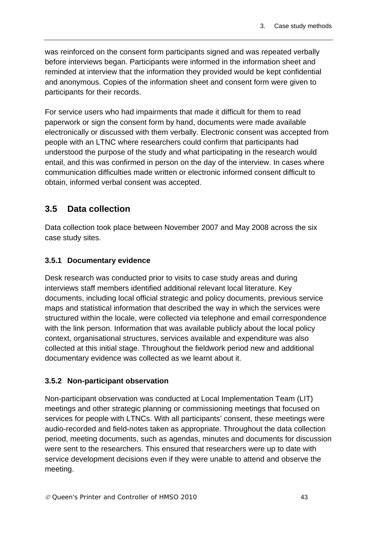was reinforced on the consent form participants signed and was repeated verbally before interviews began. Participants were informed in the information sheet and reminded at interview that the information they provided would be kept confidential and anonymous. Copies of the information sheet and consent form were given to participants for their records.

For service users who had impairments that made it difficult for them to read paperwork or sign the consent form by hand, documents were made available electronically or discussed with them verbally. Electronic consent was accepted from people with an LTNC where researchers could confirm that participants had understood the purpose of the study and what participating in the research would entail, and this was confirmed in person on the day of the interview. In cases where communication difficulties made written or electronic informed consent difficult to obtain, informed verbal consent was accepted.

# **3.5 Data collection**

Data collection took place between November 2007 and May 2008 across the six case study sites.

#### **3.5.1 Documentary evidence**

Desk research was conducted prior to visits to case study areas and during interviews staff members identified additional relevant local literature. Key documents, including local official strategic and policy documents, previous service maps and statistical information that described the way in which the services were structured within the locale, were collected via telephone and email correspondence with the link person. Information that was available publicly about the local policy context, organisational structures, services available and expenditure was also collected at this initial stage. Throughout the fieldwork period new and additional documentary evidence was collected as we learnt about it.

# **3.5.2 Non-participant observation**

Non-participant observation was conducted at Local Implementation Team (LIT) meetings and other strategic planning or commissioning meetings that focused on services for people with LTNCs. With all participants' consent, these meetings were audio-recorded and field-notes taken as appropriate. Throughout the data collection period, meeting documents, such as agendas, minutes and documents for discussion were sent to the researchers. This ensured that researchers were up to date with service development decisions even if they were unable to attend and observe the meeting.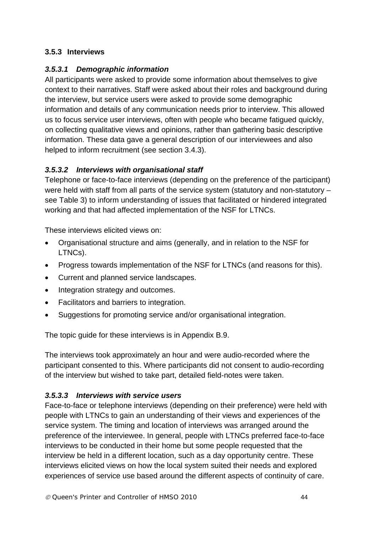#### **3.5.3 Interviews**

#### *3.5.3.1 Demographic information*

All participants were asked to provide some information about themselves to give context to their narratives. Staff were asked about their roles and background during the interview, but service users were asked to provide some demographic information and details of any communication needs prior to interview. This allowed us to focus service user interviews, often with people who became fatigued quickly, on collecting qualitative views and opinions, rather than gathering basic descriptive information. These data gave a general description of our interviewees and also helped to inform recruitment (see section 3.4.3).

#### *3.5.3.2 Interviews with organisational staff*

Telephone or face-to-face interviews (depending on the preference of the participant) were held with staff from all parts of the service system (statutory and non-statutory – see Table 3) to inform understanding of issues that facilitated or hindered integrated working and that had affected implementation of the NSF for LTNCs.

These interviews elicited views on:

- Organisational structure and aims (generally, and in relation to the NSF for LTNCs).
- Progress towards implementation of the NSF for LTNCs (and reasons for this).
- Current and planned service landscapes.
- Integration strategy and outcomes.
- Facilitators and barriers to integration.
- Suggestions for promoting service and/or organisational integration.

The topic guide for these interviews is in Appendix B.9.

The interviews took approximately an hour and were audio-recorded where the participant consented to this. Where participants did not consent to audio-recording of the interview but wished to take part, detailed field-notes were taken.

# *3.5.3.3 Interviews with service users*

Face-to-face or telephone interviews (depending on their preference) were held with people with LTNCs to gain an understanding of their views and experiences of the service system. The timing and location of interviews was arranged around the preference of the interviewee. In general, people with LTNCs preferred face-to-face interviews to be conducted in their home but some people requested that the interview be held in a different location, such as a day opportunity centre. These interviews elicited views on how the local system suited their needs and explored experiences of service use based around the different aspects of continuity of care.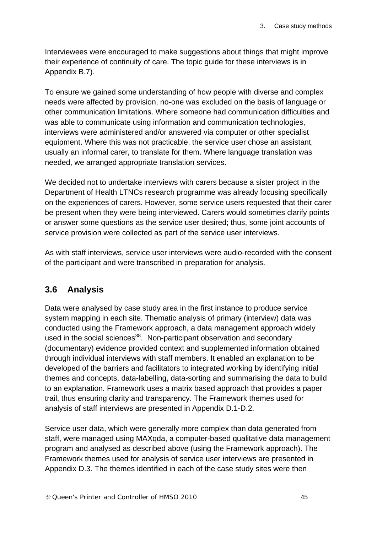Interviewees were encouraged to make suggestions about things that might improve their experience of continuity of care. The topic guide for these interviews is in Appendix B.7).

To ensure we gained some understanding of how people with diverse and complex needs were affected by provision, no-one was excluded on the basis of language or other communication limitations. Where someone had communication difficulties and was able to communicate using information and communication technologies, interviews were administered and/or answered via computer or other specialist equipment. Where this was not practicable, the service user chose an assistant, usually an informal carer, to translate for them. Where language translation was needed, we arranged appropriate translation services.

We decided not to undertake interviews with carers because a sister project in the Department of Health LTNCs research programme was already focusing specifically on the experiences of carers. However, some service users requested that their carer be present when they were being interviewed. Carers would sometimes clarify points or answer some questions as the service user desired; thus, some joint accounts of service provision were collected as part of the service user interviews.

As with staff interviews, service user interviews were audio-recorded with the consent of the participant and were transcribed in preparation for analysis.

# **3.6 Analysis**

Data were analysed by case study area in the first instance to produce service system mapping in each site. Thematic analysis of primary (interview) data was conducted using the Framework approach, a data management approach widely used in the social sciences<sup>38</sup>. Non-participant observation and secondary (documentary) evidence provided context and supplemented information obtained through individual interviews with staff members. It enabled an explanation to be developed of the barriers and facilitators to integrated working by identifying initial themes and concepts, data-labelling, data-sorting and summarising the data to build to an explanation. Framework uses a matrix based approach that provides a paper trail, thus ensuring clarity and transparency. The Framework themes used for analysis of staff interviews are presented in Appendix D.1-D.2.

Service user data, which were generally more complex than data generated from staff, were managed using MAXqda, a computer-based qualitative data management program and analysed as described above (using the Framework approach). The Framework themes used for analysis of service user interviews are presented in Appendix D.3. The themes identified in each of the case study sites were then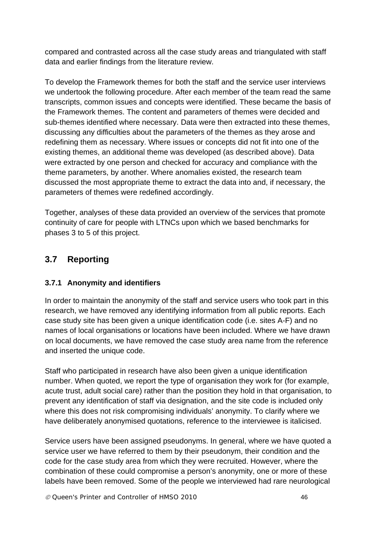compared and contrasted across all the case study areas and triangulated with staff data and earlier findings from the literature review.

To develop the Framework themes for both the staff and the service user interviews we undertook the following procedure. After each member of the team read the same transcripts, common issues and concepts were identified. These became the basis of the Framework themes. The content and parameters of themes were decided and sub-themes identified where necessary. Data were then extracted into these themes, discussing any difficulties about the parameters of the themes as they arose and redefining them as necessary. Where issues or concepts did not fit into one of the existing themes, an additional theme was developed (as described above). Data were extracted by one person and checked for accuracy and compliance with the theme parameters, by another. Where anomalies existed, the research team discussed the most appropriate theme to extract the data into and, if necessary, the parameters of themes were redefined accordingly.

Together, analyses of these data provided an overview of the services that promote continuity of care for people with LTNCs upon which we based benchmarks for phases 3 to 5 of this project.

# **3.7 Reporting**

# **3.7.1 Anonymity and identifiers**

In order to maintain the anonymity of the staff and service users who took part in this research, we have removed any identifying information from all public reports. Each case study site has been given a unique identification code (i.e. sites A-F) and no names of local organisations or locations have been included. Where we have drawn on local documents, we have removed the case study area name from the reference and inserted the unique code.

Staff who participated in research have also been given a unique identification number. When quoted, we report the type of organisation they work for (for example, acute trust, adult social care) rather than the position they hold in that organisation, to prevent any identification of staff via designation, and the site code is included only where this does not risk compromising individuals' anonymity. To clarify where we have deliberately anonymised quotations, reference to the interviewee is italicised.

Service users have been assigned pseudonyms. In general, where we have quoted a service user we have referred to them by their pseudonym, their condition and the code for the case study area from which they were recruited. However, where the combination of these could compromise a person's anonymity, one or more of these labels have been removed. Some of the people we interviewed had rare neurological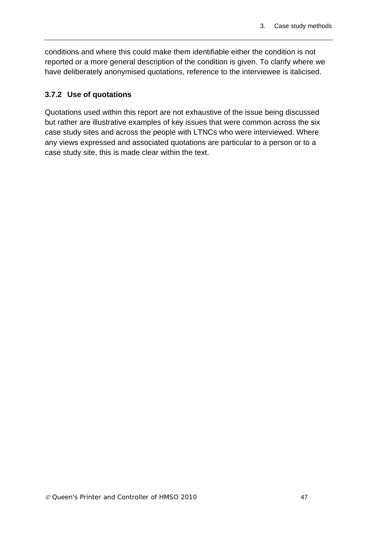conditions and where this could make them identifiable either the condition is not reported or a more general description of the condition is given. To clarify where we have deliberately anonymised quotations, reference to the interviewee is italicised.

#### **3.7.2 Use of quotations**

Quotations used within this report are not exhaustive of the issue being discussed but rather are illustrative examples of key issues that were common across the six case study sites and across the people with LTNCs who were interviewed. Where any views expressed and associated quotations are particular to a person or to a case study site, this is made clear within the text.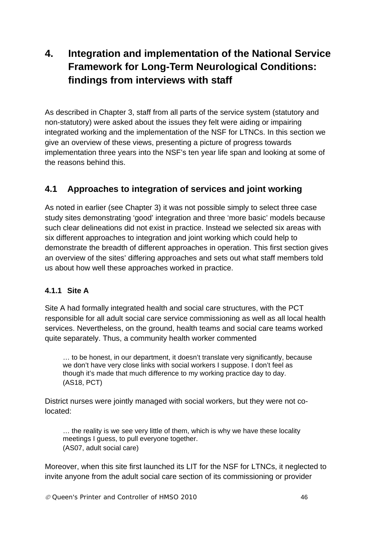# **4. Integration and implementation of the National Service Framework for Long-Term Neurological Conditions: findings from interviews with staff**

As described in Chapter 3, staff from all parts of the service system (statutory and non-statutory) were asked about the issues they felt were aiding or impairing integrated working and the implementation of the NSF for LTNCs. In this section we give an overview of these views, presenting a picture of progress towards implementation three years into the NSF's ten year life span and looking at some of the reasons behind this.

# **4.1 Approaches to integration of services and joint working**

As noted in earlier (see Chapter 3) it was not possible simply to select three case study sites demonstrating 'good' integration and three 'more basic' models because such clear delineations did not exist in practice. Instead we selected six areas with six different approaches to integration and joint working which could help to demonstrate the breadth of different approaches in operation. This first section gives an overview of the sites' differing approaches and sets out what staff members told us about how well these approaches worked in practice.

#### **4.1.1 Site A**

Site A had formally integrated health and social care structures, with the PCT responsible for all adult social care service commissioning as well as all local health services. Nevertheless, on the ground, health teams and social care teams worked quite separately. Thus, a community health worker commented

… to be honest, in our department, it doesn't translate very significantly, because we don't have very close links with social workers I suppose. I don't feel as though it's made that much difference to my working practice day to day. (AS18, PCT)

District nurses were jointly managed with social workers, but they were not colocated:

… the reality is we see very little of them, which is why we have these locality meetings I guess, to pull everyone together. (AS07, adult social care)

Moreover, when this site first launched its LIT for the NSF for LTNCs, it neglected to invite anyone from the adult social care section of its commissioning or provider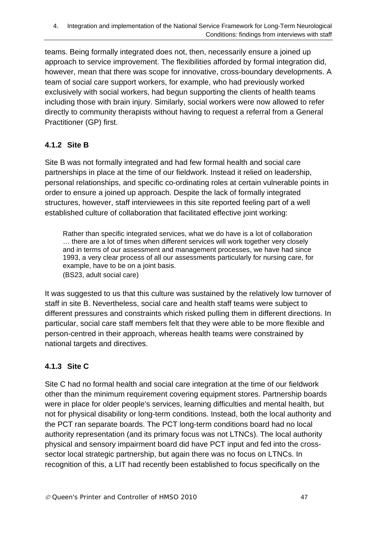teams. Being formally integrated does not, then, necessarily ensure a joined up approach to service improvement. The flexibilities afforded by formal integration did, however, mean that there was scope for innovative, cross-boundary developments. A team of social care support workers, for example, who had previously worked exclusively with social workers, had begun supporting the clients of health teams including those with brain injury. Similarly, social workers were now allowed to refer directly to community therapists without having to request a referral from a General Practitioner (GP) first.

# **4.1.2 Site B**

Site B was not formally integrated and had few formal health and social care partnerships in place at the time of our fieldwork. Instead it relied on leadership, personal relationships, and specific co-ordinating roles at certain vulnerable points in order to ensure a joined up approach. Despite the lack of formally integrated structures, however, staff interviewees in this site reported feeling part of a well established culture of collaboration that facilitated effective joint working:

Rather than specific integrated services, what we do have is a lot of collaboration … there are a lot of times when different services will work together very closely and in terms of our assessment and management processes, we have had since 1993, a very clear process of all our assessments particularly for nursing care, for example, have to be on a joint basis. (BS23, adult social care)

It was suggested to us that this culture was sustained by the relatively low turnover of staff in site B. Nevertheless, social care and health staff teams were subject to different pressures and constraints which risked pulling them in different directions. In particular, social care staff members felt that they were able to be more flexible and person-centred in their approach, whereas health teams were constrained by national targets and directives.

# **4.1.3 Site C**

Site C had no formal health and social care integration at the time of our fieldwork other than the minimum requirement covering equipment stores. Partnership boards were in place for older people's services, learning difficulties and mental health, but not for physical disability or long-term conditions. Instead, both the local authority and the PCT ran separate boards. The PCT long-term conditions board had no local authority representation (and its primary focus was not LTNCs). The local authority physical and sensory impairment board did have PCT input and fed into the crosssector local strategic partnership, but again there was no focus on LTNCs. In recognition of this, a LIT had recently been established to focus specifically on the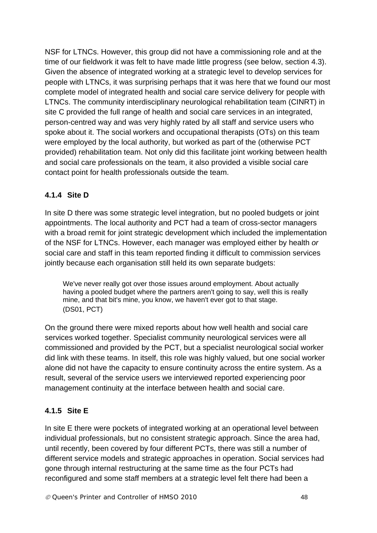NSF for LTNCs. However, this group did not have a commissioning role and at the time of our fieldwork it was felt to have made little progress (see below, section 4.3). Given the absence of integrated working at a strategic level to develop services for people with LTNCs, it was surprising perhaps that it was here that we found our most complete model of integrated health and social care service delivery for people with LTNCs. The community interdisciplinary neurological rehabilitation team (CINRT) in site C provided the full range of health and social care services in an integrated, person-centred way and was very highly rated by all staff and service users who spoke about it. The social workers and occupational therapists (OTs) on this team were employed by the local authority, but worked as part of the (otherwise PCT provided) rehabilitation team. Not only did this facilitate joint working between health and social care professionals on the team, it also provided a visible social care contact point for health professionals outside the team.

#### **4.1.4 Site D**

In site D there was some strategic level integration, but no pooled budgets or joint appointments. The local authority and PCT had a team of cross-sector managers with a broad remit for joint strategic development which included the implementation of the NSF for LTNCs. However, each manager was employed either by health *or* social care and staff in this team reported finding it difficult to commission services jointly because each organisation still held its own separate budgets:

We've never really got over those issues around employment. About actually having a pooled budget where the partners aren't going to say, well this is really mine, and that bit's mine, you know, we haven't ever got to that stage. (DS01, PCT)

On the ground there were mixed reports about how well health and social care services worked together. Specialist community neurological services were all commissioned and provided by the PCT, but a specialist neurological social worker did link with these teams. In itself, this role was highly valued, but one social worker alone did not have the capacity to ensure continuity across the entire system. As a result, several of the service users we interviewed reported experiencing poor management continuity at the interface between health and social care.

# **4.1.5 Site E**

In site E there were pockets of integrated working at an operational level between individual professionals, but no consistent strategic approach. Since the area had, until recently, been covered by four different PCTs, there was still a number of different service models and strategic approaches in operation. Social services had gone through internal restructuring at the same time as the four PCTs had reconfigured and some staff members at a strategic level felt there had been a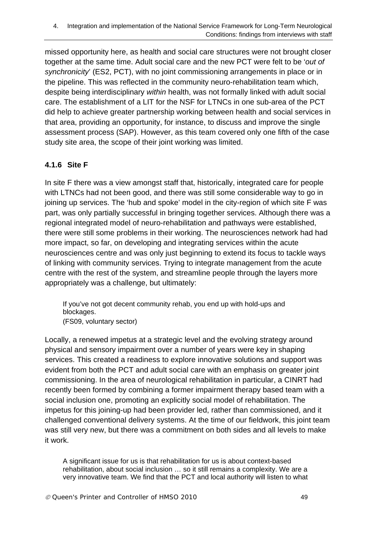missed opportunity here, as health and social care structures were not brought closer together at the same time. Adult social care and the new PCT were felt to be '*out of synchronicity*' (ES2, PCT), with no joint commissioning arrangements in place or in the pipeline. This was reflected in the community neuro-rehabilitation team which, despite being interdisciplinary *within* health, was not formally linked with adult social care. The establishment of a LIT for the NSF for LTNCs in one sub-area of the PCT did help to achieve greater partnership working between health and social services in that area, providing an opportunity, for instance, to discuss and improve the single assessment process (SAP). However, as this team covered only one fifth of the case study site area, the scope of their joint working was limited.

# **4.1.6 Site F**

In site F there was a view amongst staff that, historically, integrated care for people with LTNCs had not been good, and there was still some considerable way to go in joining up services. The 'hub and spoke' model in the city-region of which site F was part, was only partially successful in bringing together services. Although there was a regional integrated model of neuro-rehabilitation and pathways were established, there were still some problems in their working. The neurosciences network had had more impact, so far, on developing and integrating services within the acute neurosciences centre and was only just beginning to extend its focus to tackle ways of linking with community services. Trying to integrate management from the acute centre with the rest of the system, and streamline people through the layers more appropriately was a challenge, but ultimately:

If you've not got decent community rehab, you end up with hold-ups and blockages. (FS09, voluntary sector)

Locally, a renewed impetus at a strategic level and the evolving strategy around physical and sensory impairment over a number of years were key in shaping services. This created a readiness to explore innovative solutions and support was evident from both the PCT and adult social care with an emphasis on greater joint commissioning. In the area of neurological rehabilitation in particular, a CINRT had recently been formed by combining a former impairment therapy based team with a social inclusion one, promoting an explicitly social model of rehabilitation. The impetus for this joining-up had been provider led, rather than commissioned, and it challenged conventional delivery systems. At the time of our fieldwork, this joint team was still very new, but there was a commitment on both sides and all levels to make it work.

A significant issue for us is that rehabilitation for us is about context-based rehabilitation, about social inclusion … so it still remains a complexity. We are a very innovative team. We find that the PCT and local authority will listen to what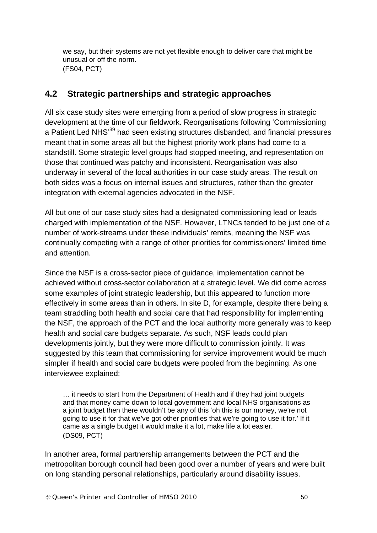we say, but their systems are not yet flexible enough to deliver care that might be unusual or off the norm. (FS04, PCT)

# **4.2 Strategic partnerships and strategic approaches**

All six case study sites were emerging from a period of slow progress in strategic development at the time of our fieldwork. Reorganisations following 'Commissioning a Patient Led NHS<sup>39</sup> had seen existing structures disbanded, and financial pressures meant that in some areas all but the highest priority work plans had come to a standstill. Some strategic level groups had stopped meeting, and representation on those that continued was patchy and inconsistent. Reorganisation was also underway in several of the local authorities in our case study areas. The result on both sides was a focus on internal issues and structures, rather than the greater integration with external agencies advocated in the NSF.

All but one of our case study sites had a designated commissioning lead or leads charged with implementation of the NSF. However, LTNCs tended to be just one of a number of work-streams under these individuals' remits, meaning the NSF was continually competing with a range of other priorities for commissioners' limited time and attention.

Since the NSF is a cross-sector piece of guidance, implementation cannot be achieved without cross-sector collaboration at a strategic level. We did come across some examples of joint strategic leadership, but this appeared to function more effectively in some areas than in others. In site D, for example, despite there being a team straddling both health and social care that had responsibility for implementing the NSF, the approach of the PCT and the local authority more generally was to keep health and social care budgets separate. As such, NSF leads could plan developments jointly, but they were more difficult to commission jointly. It was suggested by this team that commissioning for service improvement would be much simpler if health and social care budgets were pooled from the beginning. As one interviewee explained:

… it needs to start from the Department of Health and if they had joint budgets and that money came down to local government and local NHS organisations as a joint budget then there wouldn't be any of this 'oh this is our money, we're not going to use it for that we've got other priorities that we're going to use it for.' If it came as a single budget it would make it a lot, make life a lot easier. (DS09, PCT)

In another area, formal partnership arrangements between the PCT and the metropolitan borough council had been good over a number of years and were built on long standing personal relationships, particularly around disability issues.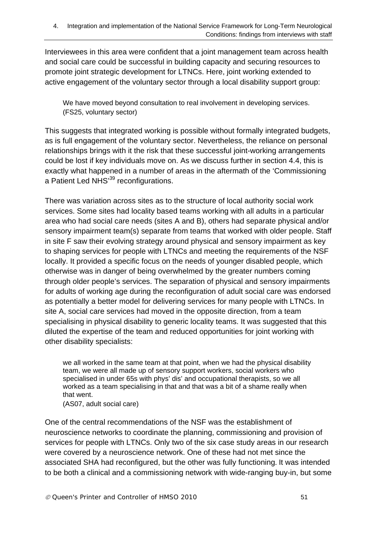Interviewees in this area were confident that a joint management team across health and social care could be successful in building capacity and securing resources to promote joint strategic development for LTNCs. Here, joint working extended to active engagement of the voluntary sector through a local disability support group:

We have moved beyond consultation to real involvement in developing services. (FS25, voluntary sector)

This suggests that integrated working is possible without formally integrated budgets, as is full engagement of the voluntary sector. Nevertheless, the reliance on personal relationships brings with it the risk that these successful joint-working arrangements could be lost if key individuals move on. As we discuss further in section 4.4, this is exactly what happened in a number of areas in the aftermath of the 'Commissioning a Patient Led NHS<sup>39</sup> reconfigurations.

There was variation across sites as to the structure of local authority social work services. Some sites had locality based teams working with all adults in a particular area who had social care needs (sites A and B), others had separate physical and/or sensory impairment team(s) separate from teams that worked with older people. Staff in site F saw their evolving strategy around physical and sensory impairment as key to shaping services for people with LTNCs and meeting the requirements of the NSF locally. It provided a specific focus on the needs of younger disabled people, which otherwise was in danger of being overwhelmed by the greater numbers coming through older people's services. The separation of physical and sensory impairments for adults of working age during the reconfiguration of adult social care was endorsed as potentially a better model for delivering services for many people with LTNCs. In site A, social care services had moved in the opposite direction, from a team specialising in physical disability to generic locality teams. It was suggested that this diluted the expertise of the team and reduced opportunities for joint working with other disability specialists:

we all worked in the same team at that point, when we had the physical disability team, we were all made up of sensory support workers, social workers who specialised in under 65s with phys' dis' and occupational therapists, so we all worked as a team specialising in that and that was a bit of a shame really when that went.

(AS07, adult social care)

One of the central recommendations of the NSF was the establishment of neuroscience networks to coordinate the planning, commissioning and provision of services for people with LTNCs. Only two of the six case study areas in our research were covered by a neuroscience network. One of these had not met since the associated SHA had reconfigured, but the other was fully functioning. It was intended to be both a clinical and a commissioning network with wide-ranging buy-in, but some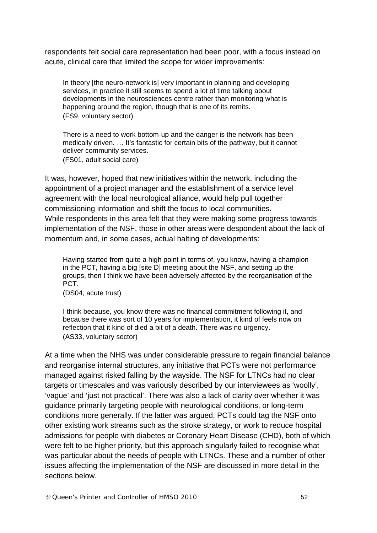respondents felt social care representation had been poor, with a focus instead on acute, clinical care that limited the scope for wider improvements:

In theory [the neuro-network is] very important in planning and developing services, in practice it still seems to spend a lot of time talking about developments in the neurosciences centre rather than monitoring what is happening around the region, though that is one of its remits. (FS9, voluntary sector)

There is a need to work bottom-up and the danger is the network has been medically driven. … It's fantastic for certain bits of the pathway, but it cannot deliver community services. (FS01, adult social care)

It was, however, hoped that new initiatives within the network, including the appointment of a project manager and the establishment of a service level agreement with the local neurological alliance, would help pull together commissioning information and shift the focus to local communities. While respondents in this area felt that they were making some progress towards implementation of the NSF, those in other areas were despondent about the lack of momentum and, in some cases, actual halting of developments:

Having started from quite a high point in terms of, you know, having a champion in the PCT, having a big [site D] meeting about the NSF, and setting up the groups, then I think we have been adversely affected by the reorganisation of the PCT.

(DS04, acute trust)

I think because, you know there was no financial commitment following it, and because there was sort of 10 years for implementation, it kind of feels now on reflection that it kind of died a bit of a death. There was no urgency. (AS33, voluntary sector)

At a time when the NHS was under considerable pressure to regain financial balance and reorganise internal structures, any initiative that PCTs were not performance managed against risked falling by the wayside. The NSF for LTNCs had no clear targets or timescales and was variously described by our interviewees as 'woolly', 'vague' and 'just not practical'. There was also a lack of clarity over whether it was guidance primarily targeting people with neurological conditions, or long-term conditions more generally. If the latter was argued, PCTs could tag the NSF onto other existing work streams such as the stroke strategy, or work to reduce hospital admissions for people with diabetes or Coronary Heart Disease (CHD), both of which were felt to be higher priority, but this approach singularly failed to recognise what was particular about the needs of people with LTNCs. These and a number of other issues affecting the implementation of the NSF are discussed in more detail in the sections below.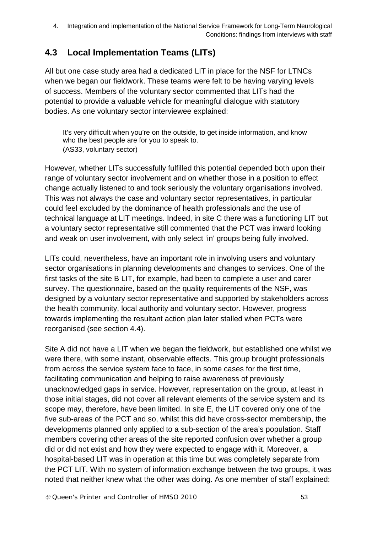# **4.3 Local Implementation Teams (LITs)**

All but one case study area had a dedicated LIT in place for the NSF for LTNCs when we began our fieldwork. These teams were felt to be having varying levels of success. Members of the voluntary sector commented that LITs had the potential to provide a valuable vehicle for meaningful dialogue with statutory bodies. As one voluntary sector interviewee explained:

It's very difficult when you're on the outside, to get inside information, and know who the best people are for you to speak to. (AS33, voluntary sector)

However, whether LITs successfully fulfilled this potential depended both upon their range of voluntary sector involvement and on whether those in a position to effect change actually listened to and took seriously the voluntary organisations involved. This was not always the case and voluntary sector representatives, in particular could feel excluded by the dominance of health professionals and the use of technical language at LIT meetings. Indeed, in site C there was a functioning LIT but a voluntary sector representative still commented that the PCT was inward looking and weak on user involvement, with only select 'in' groups being fully involved.

LITs could, nevertheless, have an important role in involving users and voluntary sector organisations in planning developments and changes to services. One of the first tasks of the site B LIT, for example, had been to complete a user and carer survey. The questionnaire, based on the quality requirements of the NSF, was designed by a voluntary sector representative and supported by stakeholders across the health community, local authority and voluntary sector. However, progress towards implementing the resultant action plan later stalled when PCTs were reorganised (see section 4.4).

Site A did not have a LIT when we began the fieldwork, but established one whilst we were there, with some instant, observable effects. This group brought professionals from across the service system face to face, in some cases for the first time, facilitating communication and helping to raise awareness of previously unacknowledged gaps in service. However, representation on the group, at least in those initial stages, did not cover all relevant elements of the service system and its scope may, therefore, have been limited. In site E, the LIT covered only one of the five sub-areas of the PCT and so, whilst this did have cross-sector membership, the developments planned only applied to a sub-section of the area's population. Staff members covering other areas of the site reported confusion over whether a group did or did not exist and how they were expected to engage with it. Moreover, a hospital-based LIT was in operation at this time but was completely separate from the PCT LIT. With no system of information exchange between the two groups, it was noted that neither knew what the other was doing. As one member of staff explained: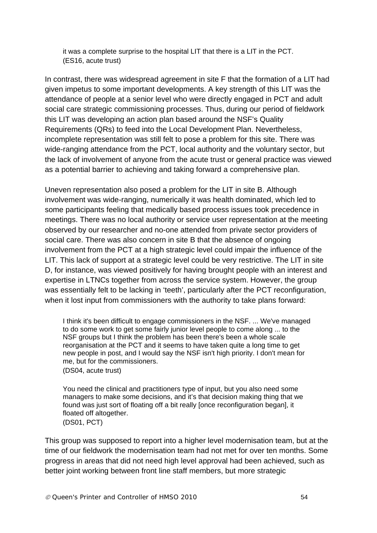it was a complete surprise to the hospital LIT that there is a LIT in the PCT. (ES16, acute trust)

In contrast, there was widespread agreement in site F that the formation of a LIT had given impetus to some important developments. A key strength of this LIT was the attendance of people at a senior level who were directly engaged in PCT and adult social care strategic commissioning processes. Thus, during our period of fieldwork this LIT was developing an action plan based around the NSF's Quality Requirements (QRs) to feed into the Local Development Plan. Nevertheless, incomplete representation was still felt to pose a problem for this site. There was wide-ranging attendance from the PCT, local authority and the voluntary sector, but the lack of involvement of anyone from the acute trust or general practice was viewed as a potential barrier to achieving and taking forward a comprehensive plan.

Uneven representation also posed a problem for the LIT in site B. Although involvement was wide-ranging, numerically it was health dominated, which led to some participants feeling that medically based process issues took precedence in meetings. There was no local authority or service user representation at the meeting observed by our researcher and no-one attended from private sector providers of social care. There was also concern in site B that the absence of ongoing involvement from the PCT at a high strategic level could impair the influence of the LIT. This lack of support at a strategic level could be very restrictive. The LIT in site D, for instance, was viewed positively for having brought people with an interest and expertise in LTNCs together from across the service system. However, the group was essentially felt to be lacking in 'teeth', particularly after the PCT reconfiguration, when it lost input from commissioners with the authority to take plans forward:

I think it's been difficult to engage commissioners in the NSF. ... We've managed to do some work to get some fairly junior level people to come along ... to the NSF groups but I think the problem has been there's been a whole scale reorganisation at the PCT and it seems to have taken quite a long time to get new people in post, and I would say the NSF isn't high priority. I don't mean for me, but for the commissioners.

(DS04, acute trust)

You need the clinical and practitioners type of input, but you also need some managers to make some decisions, and it's that decision making thing that we found was just sort of floating off a bit really [once reconfiguration began], it floated off altogether. (DS01, PCT)

This group was supposed to report into a higher level modernisation team, but at the time of our fieldwork the modernisation team had not met for over ten months. Some progress in areas that did not need high level approval had been achieved, such as better joint working between front line staff members, but more strategic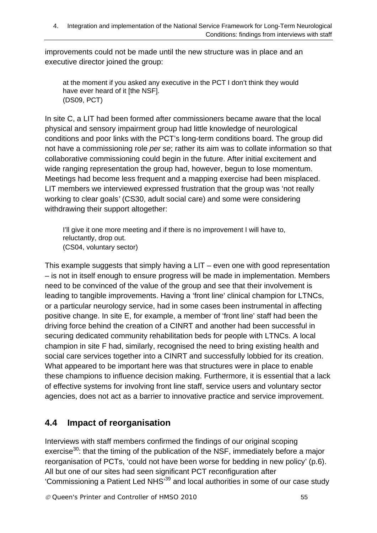improvements could not be made until the new structure was in place and an executive director joined the group:

at the moment if you asked any executive in the PCT I don't think they would have ever heard of it [the NSF]. (DS09, PCT)

In site C, a LIT had been formed after commissioners became aware that the local physical and sensory impairment group had little knowledge of neurological conditions and poor links with the PCT's long-term conditions board. The group did not have a commissioning role *per se*; rather its aim was to collate information so that collaborative commissioning could begin in the future. After initial excitement and wide ranging representation the group had, however, begun to lose momentum. Meetings had become less frequent and a mapping exercise had been misplaced. LIT members we interviewed expressed frustration that the group was 'not really working to clear goals*'* (CS30, adult social care) and some were considering withdrawing their support altogether:

I'll give it one more meeting and if there is no improvement I will have to, reluctantly, drop out. (CS04, voluntary sector)

This example suggests that simply having a LIT – even one with good representation – is not in itself enough to ensure progress will be made in implementation. Members need to be convinced of the value of the group and see that their involvement is leading to tangible improvements. Having a 'front line' clinical champion for LTNCs, or a particular neurology service, had in some cases been instrumental in affecting positive change. In site E, for example, a member of 'front line' staff had been the driving force behind the creation of a CINRT and another had been successful in securing dedicated community rehabilitation beds for people with LTNCs. A local champion in site F had, similarly, recognised the need to bring existing health and social care services together into a CINRT and successfully lobbied for its creation. What appeared to be important here was that structures were in place to enable these champions to influence decision making. Furthermore, it is essential that a lack of effective systems for involving front line staff, service users and voluntary sector agencies, does not act as a barrier to innovative practice and service improvement.

# **4.4 Impact of reorganisation**

Interviews with staff members confirmed the findings of our original scoping exercise<sup>30</sup>: that the timing of the publication of the NSF, immediately before a major reorganisation of PCTs, 'could not have been worse for bedding in new policy' (p.6). All but one of our sites had seen significant PCT reconfiguration after 'Commissioning a Patient Led NHS'39 and local authorities in some of our case study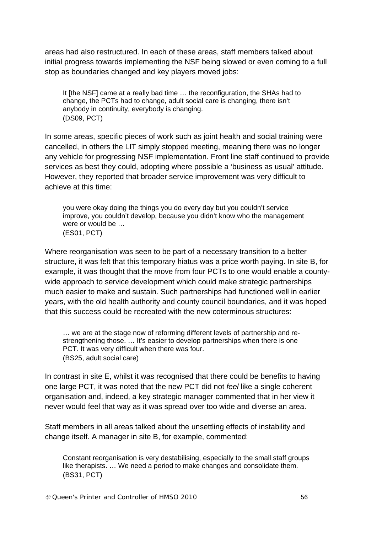areas had also restructured. In each of these areas, staff members talked about initial progress towards implementing the NSF being slowed or even coming to a full stop as boundaries changed and key players moved jobs:

It [the NSF] came at a really bad time … the reconfiguration, the SHAs had to change, the PCTs had to change, adult social care is changing, there isn't anybody in continuity, everybody is changing. (DS09, PCT)

In some areas, specific pieces of work such as joint health and social training were cancelled, in others the LIT simply stopped meeting, meaning there was no longer any vehicle for progressing NSF implementation. Front line staff continued to provide services as best they could, adopting where possible a 'business as usual' attitude. However, they reported that broader service improvement was very difficult to achieve at this time:

you were okay doing the things you do every day but you couldn't service improve, you couldn't develop, because you didn't know who the management were or would be … (ES01, PCT)

Where reorganisation was seen to be part of a necessary transition to a better structure, it was felt that this temporary hiatus was a price worth paying. In site B, for example, it was thought that the move from four PCTs to one would enable a countywide approach to service development which could make strategic partnerships much easier to make and sustain. Such partnerships had functioned well in earlier years, with the old health authority and county council boundaries, and it was hoped that this success could be recreated with the new coterminous structures:

… we are at the stage now of reforming different levels of partnership and restrengthening those. … It's easier to develop partnerships when there is one PCT. It was very difficult when there was four. (BS25, adult social care)

In contrast in site E, whilst it was recognised that there could be benefits to having one large PCT, it was noted that the new PCT did not *feel* like a single coherent organisation and, indeed, a key strategic manager commented that in her view it never would feel that way as it was spread over too wide and diverse an area.

Staff members in all areas talked about the unsettling effects of instability and change itself. A manager in site B, for example, commented:

Constant reorganisation is very destabilising, especially to the small staff groups like therapists. … We need a period to make changes and consolidate them. (BS31, PCT)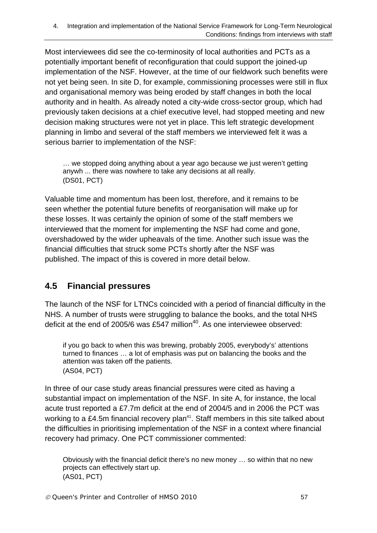Most interviewees did see the co-terminosity of local authorities and PCTs as a potentially important benefit of reconfiguration that could support the joined-up implementation of the NSF. However, at the time of our fieldwork such benefits were not yet being seen. In site D, for example, commissioning processes were still in flux and organisational memory was being eroded by staff changes in both the local authority and in health. As already noted a city-wide cross-sector group, which had previously taken decisions at a chief executive level, had stopped meeting and new decision making structures were not yet in place. This left strategic development planning in limbo and several of the staff members we interviewed felt it was a serious barrier to implementation of the NSF:

… we stopped doing anything about a year ago because we just weren't getting anywh ... there was nowhere to take any decisions at all really. (DS01, PCT)

Valuable time and momentum has been lost, therefore, and it remains to be seen whether the potential future benefits of reorganisation will make up for these losses. It was certainly the opinion of some of the staff members we interviewed that the moment for implementing the NSF had come and gone, overshadowed by the wider upheavals of the time. Another such issue was the financial difficulties that struck some PCTs shortly after the NSF was published. The impact of this is covered in more detail below.

# **4.5 Financial pressures**

The launch of the NSF for LTNCs coincided with a period of financial difficulty in the NHS. A number of trusts were struggling to balance the books, and the total NHS deficit at the end of 2005/6 was £547 million<sup>40</sup>. As one interviewee observed:

if you go back to when this was brewing, probably 2005, everybody's' attentions turned to finances … a lot of emphasis was put on balancing the books and the attention was taken off the patients. (AS04, PCT)

In three of our case study areas financial pressures were cited as having a substantial impact on implementation of the NSF. In site A, for instance, the local acute trust reported a £7.7m deficit at the end of 2004/5 and in 2006 the PCT was working to a £4.5m financial recovery plan<sup>41</sup>. Staff members in this site talked about the difficulties in prioritising implementation of the NSF in a context where financial recovery had primacy. One PCT commissioner commented:

Obviously with the financial deficit there's no new money … so within that no new projects can effectively start up. (AS01, PCT)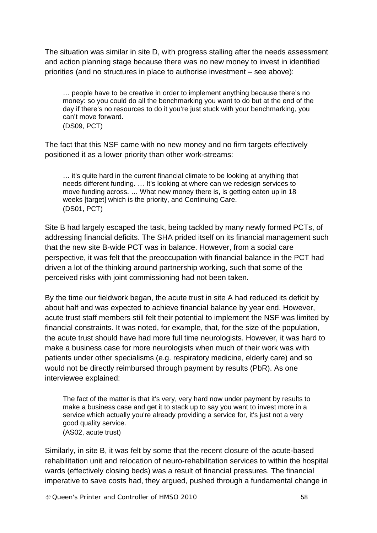The situation was similar in site D, with progress stalling after the needs assessment and action planning stage because there was no new money to invest in identified priorities (and no structures in place to authorise investment – see above):

… people have to be creative in order to implement anything because there's no money: so you could do all the benchmarking you want to do but at the end of the day if there's no resources to do it you're just stuck with your benchmarking, you can't move forward.

(DS09, PCT)

The fact that this NSF came with no new money and no firm targets effectively positioned it as a lower priority than other work-streams:

… it's quite hard in the current financial climate to be looking at anything that needs different funding. … It's looking at where can we redesign services to move funding across. … What new money there is, is getting eaten up in 18 weeks [target] which is the priority, and Continuing Care. (DS01, PCT)

Site B had largely escaped the task, being tackled by many newly formed PCTs, of addressing financial deficits. The SHA prided itself on its financial management such that the new site B-wide PCT was in balance. However, from a social care perspective, it was felt that the preoccupation with financial balance in the PCT had driven a lot of the thinking around partnership working, such that some of the perceived risks with joint commissioning had not been taken.

By the time our fieldwork began, the acute trust in site A had reduced its deficit by about half and was expected to achieve financial balance by year end. However, acute trust staff members still felt their potential to implement the NSF was limited by financial constraints. It was noted, for example, that, for the size of the population, the acute trust should have had more full time neurologists. However, it was hard to make a business case for more neurologists when much of their work was with patients under other specialisms (e.g. respiratory medicine, elderly care) and so would not be directly reimbursed through payment by results (PbR). As one interviewee explained:

The fact of the matter is that it's very, very hard now under payment by results to make a business case and get it to stack up to say you want to invest more in a service which actually you're already providing a service for, it's just not a very good quality service. (AS02, acute trust)

Similarly, in site B, it was felt by some that the recent closure of the acute-based rehabilitation unit and relocation of neuro-rehabilitation services to within the hospital wards (effectively closing beds) was a result of financial pressures. The financial imperative to save costs had, they argued, pushed through a fundamental change in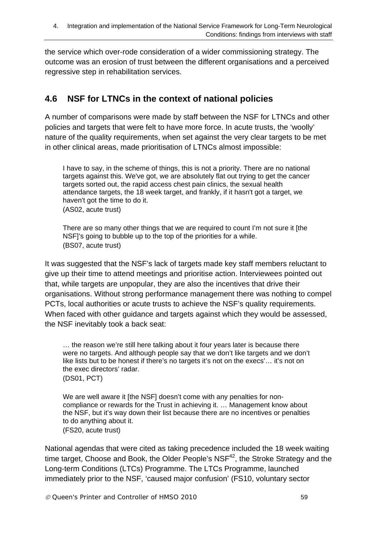the service which over-rode consideration of a wider commissioning strategy. The outcome was an erosion of trust between the different organisations and a perceived regressive step in rehabilitation services.

# **4.6 NSF for LTNCs in the context of national policies**

A number of comparisons were made by staff between the NSF for LTNCs and other policies and targets that were felt to have more force. In acute trusts, the 'woolly' nature of the quality requirements, when set against the very clear targets to be met in other clinical areas, made prioritisation of LTNCs almost impossible:

I have to say, in the scheme of things, this is not a priority. There are no national targets against this. We've got, we are absolutely flat out trying to get the cancer targets sorted out, the rapid access chest pain clinics, the sexual health attendance targets, the 18 week target, and frankly, if it hasn't got a target, we haven't got the time to do it. (AS02, acute trust)

There are so many other things that we are required to count I'm not sure it [the NSF]'s going to bubble up to the top of the priorities for a while. (BS07, acute trust)

It was suggested that the NSF's lack of targets made key staff members reluctant to give up their time to attend meetings and prioritise action. Interviewees pointed out that, while targets are unpopular, they are also the incentives that drive their organisations. Without strong performance management there was nothing to compel PCTs, local authorities or acute trusts to achieve the NSF's quality requirements. When faced with other guidance and targets against which they would be assessed, the NSF inevitably took a back seat:

… the reason we're still here talking about it four years later is because there were no targets. And although people say that we don't like targets and we don't like lists but to be honest if there's no targets it's not on the execs'… it's not on the exec directors' radar. (DS01, PCT)

We are well aware it [the NSF] doesn't come with any penalties for noncompliance or rewards for the Trust in achieving it. … Management know about the NSF, but it's way down their list because there are no incentives or penalties to do anything about it. (FS20, acute trust)

National agendas that were cited as taking precedence included the 18 week waiting time target, Choose and Book, the Older People's  $NSF<sup>42</sup>$ , the Stroke Strategy and the Long-term Conditions (LTCs) Programme. The LTCs Programme, launched immediately prior to the NSF, 'caused major confusion' (FS10, voluntary sector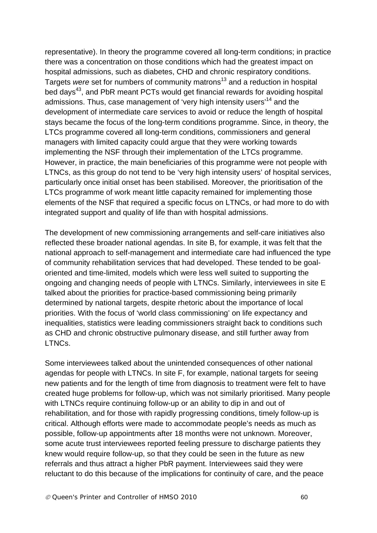representative). In theory the programme covered all long-term conditions; in practice there was a concentration on those conditions which had the greatest impact on hospital admissions, such as diabetes, CHD and chronic respiratory conditions. Targets *were* set for numbers of community matrons<sup>13</sup> and a reduction in hospital bed days<sup>43</sup>, and PbR meant PCTs would get financial rewards for avoiding hospital admissions. Thus, case management of 'very high intensity users<sup>14</sup> and the development of intermediate care services to avoid or reduce the length of hospital stays became the focus of the long-term conditions programme. Since, in theory, the LTCs programme covered all long-term conditions, commissioners and general managers with limited capacity could argue that they were working towards implementing the NSF through their implementation of the LTCs programme. However, in practice, the main beneficiaries of this programme were not people with LTNCs, as this group do not tend to be 'very high intensity users' of hospital services, particularly once initial onset has been stabilised. Moreover, the prioritisation of the LTCs programme of work meant little capacity remained for implementing those elements of the NSF that required a specific focus on LTNCs, or had more to do with integrated support and quality of life than with hospital admissions.

The development of new commissioning arrangements and self-care initiatives also reflected these broader national agendas. In site B, for example, it was felt that the national approach to self-management and intermediate care had influenced the type of community rehabilitation services that had developed. These tended to be goaloriented and time-limited, models which were less well suited to supporting the ongoing and changing needs of people with LTNCs. Similarly, interviewees in site E talked about the priorities for practice-based commissioning being primarily determined by national targets, despite rhetoric about the importance of local priorities. With the focus of 'world class commissioning' on life expectancy and inequalities, statistics were leading commissioners straight back to conditions such as CHD and chronic obstructive pulmonary disease, and still further away from LTNCs.

Some interviewees talked about the unintended consequences of other national agendas for people with LTNCs. In site F, for example, national targets for seeing new patients and for the length of time from diagnosis to treatment were felt to have created huge problems for follow-up, which was not similarly prioritised. Many people with LTNCs require continuing follow-up or an ability to dip in and out of rehabilitation, and for those with rapidly progressing conditions, timely follow-up is critical. Although efforts were made to accommodate people's needs as much as possible, follow-up appointments after 18 months were not unknown. Moreover, some acute trust interviewees reported feeling pressure to discharge patients they knew would require follow-up, so that they could be seen in the future as new referrals and thus attract a higher PbR payment. Interviewees said they were reluctant to do this because of the implications for continuity of care, and the peace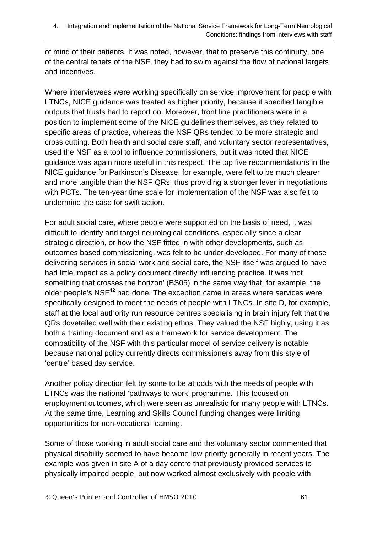of mind of their patients. It was noted, however, that to preserve this continuity, one of the central tenets of the NSF, they had to swim against the flow of national targets and incentives.

Where interviewees were working specifically on service improvement for people with LTNCs, NICE guidance was treated as higher priority, because it specified tangible outputs that trusts had to report on. Moreover, front line practitioners were in a position to implement some of the NICE guidelines themselves, as they related to specific areas of practice, whereas the NSF QRs tended to be more strategic and cross cutting. Both health and social care staff, and voluntary sector representatives, used the NSF as a tool to influence commissioners, but it was noted that NICE guidance was again more useful in this respect. The top five recommendations in the NICE guidance for Parkinson's Disease, for example, were felt to be much clearer and more tangible than the NSF QRs, thus providing a stronger lever in negotiations with PCTs. The ten-year time scale for implementation of the NSF was also felt to undermine the case for swift action.

For adult social care, where people were supported on the basis of need, it was difficult to identify and target neurological conditions, especially since a clear strategic direction, or how the NSF fitted in with other developments, such as outcomes based commissioning, was felt to be under-developed. For many of those delivering services in social work and social care, the NSF itself was argued to have had little impact as a policy document directly influencing practice. It was *'*not something that crosses the horizon' (BS05) in the same way that, for example, the older people's NSF<sup>42</sup> had done. The exception came in areas where services were specifically designed to meet the needs of people with LTNCs. In site D, for example, staff at the local authority run resource centres specialising in brain injury felt that the QRs dovetailed well with their existing ethos. They valued the NSF highly, using it as both a training document and as a framework for service development. The compatibility of the NSF with this particular model of service delivery is notable because national policy currently directs commissioners away from this style of 'centre' based day service.

Another policy direction felt by some to be at odds with the needs of people with LTNCs was the national 'pathways to work' programme. This focused on employment outcomes, which were seen as unrealistic for many people with LTNCs. At the same time, Learning and Skills Council funding changes were limiting opportunities for non-vocational learning.

Some of those working in adult social care and the voluntary sector commented that physical disability seemed to have become low priority generally in recent years. The example was given in site A of a day centre that previously provided services to physically impaired people, but now worked almost exclusively with people with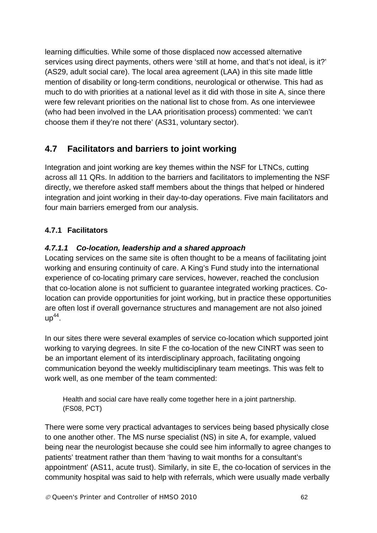learning difficulties. While some of those displaced now accessed alternative services using direct payments, others were 'still at home, and that's not ideal, is it?' (AS29, adult social care). The local area agreement (LAA) in this site made little mention of disability or long-term conditions, neurological or otherwise. This had as much to do with priorities at a national level as it did with those in site A, since there were few relevant priorities on the national list to chose from. As one interviewee (who had been involved in the LAA prioritisation process) commented: 'we can't choose them if they're not there' (AS31, voluntary sector).

# **4.7 Facilitators and barriers to joint working**

Integration and joint working are key themes within the NSF for LTNCs, cutting across all 11 QRs. In addition to the barriers and facilitators to implementing the NSF directly, we therefore asked staff members about the things that helped or hindered integration and joint working in their day-to-day operations. Five main facilitators and four main barriers emerged from our analysis.

# **4.7.1 Facilitators**

# *4.7.1.1 Co-location, leadership and a shared approach*

Locating services on the same site is often thought to be a means of facilitating joint working and ensuring continuity of care. A King's Fund study into the international experience of co-locating primary care services, however, reached the conclusion that co-location alone is not sufficient to guarantee integrated working practices. Colocation can provide opportunities for joint working, but in practice these opportunities are often lost if overall governance structures and management are not also joined  $up^{44}$ .

In our sites there were several examples of service co-location which supported joint working to varying degrees. In site F the co-location of the new CINRT was seen to be an important element of its interdisciplinary approach, facilitating ongoing communication beyond the weekly multidisciplinary team meetings. This was felt to work well, as one member of the team commented:

Health and social care have really come together here in a joint partnership. (FS08, PCT)

There were some very practical advantages to services being based physically close to one another other. The MS nurse specialist (NS) in site A, for example, valued being near the neurologist because she could see him informally to agree changes to patients' treatment rather than them 'having to wait months for a consultant's appointment' (AS11, acute trust). Similarly, in site E, the co-location of services in the community hospital was said to help with referrals, which were usually made verbally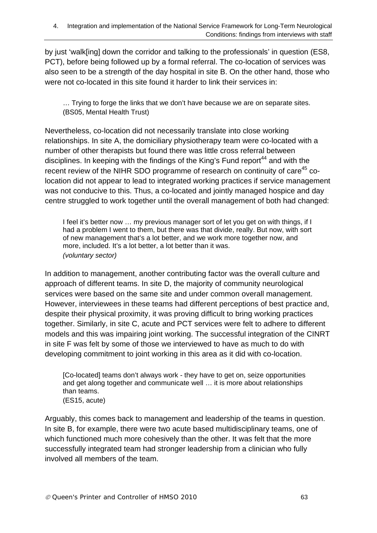by just 'walk[ing] down the corridor and talking to the professionals' in question (ES8, PCT), before being followed up by a formal referral. The co-location of services was also seen to be a strength of the day hospital in site B. On the other hand, those who were not co-located in this site found it harder to link their services in:

… Trying to forge the links that we don't have because we are on separate sites. (BS05, Mental Health Trust)

Nevertheless, co-location did not necessarily translate into close working relationships. In site A, the domiciliary physiotherapy team were co-located with a number of other therapists but found there was little cross referral between disciplines. In keeping with the findings of the King's Fund report<sup>44</sup> and with the recent review of the NIHR SDO programme of research on continuity of care<sup>45</sup> colocation did not appear to lead to integrated working practices if service management was not conducive to this. Thus, a co-located and jointly managed hospice and day centre struggled to work together until the overall management of both had changed:

I feel it's better now … my previous manager sort of let you get on with things, if I had a problem I went to them, but there was that divide, really. But now, with sort of new management that's a lot better, and we work more together now, and more, included. It's a lot better, a lot better than it was. *(voluntary sector)* 

In addition to management, another contributing factor was the overall culture and approach of different teams. In site D, the majority of community neurological services were based on the same site and under common overall management. However, interviewees in these teams had different perceptions of best practice and, despite their physical proximity, it was proving difficult to bring working practices together. Similarly, in site C, acute and PCT services were felt to adhere to different models and this was impairing joint working. The successful integration of the CINRT in site F was felt by some of those we interviewed to have as much to do with developing commitment to joint working in this area as it did with co-location.

[Co-located] teams don't always work - they have to get on, seize opportunities and get along together and communicate well … it is more about relationships than teams. (ES15, acute)

Arguably, this comes back to management and leadership of the teams in question. In site B, for example, there were two acute based multidisciplinary teams, one of which functioned much more cohesively than the other. It was felt that the more successfully integrated team had stronger leadership from a clinician who fully involved all members of the team.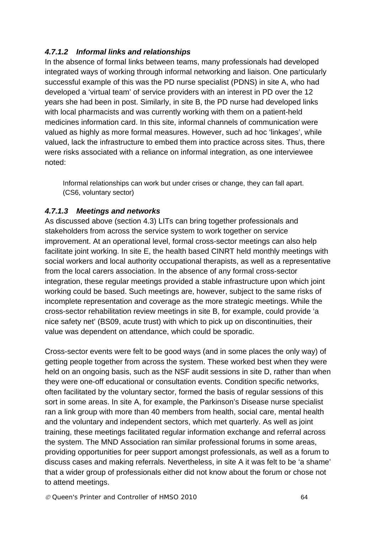#### *4.7.1.2 Informal links and relationships*

In the absence of formal links between teams, many professionals had developed integrated ways of working through informal networking and liaison. One particularly successful example of this was the PD nurse specialist (PDNS) in site A, who had developed a 'virtual team' of service providers with an interest in PD over the 12 years she had been in post. Similarly, in site B, the PD nurse had developed links with local pharmacists and was currently working with them on a patient-held medicines information card. In this site, informal channels of communication were valued as highly as more formal measures. However, such ad hoc 'linkages', while valued, lack the infrastructure to embed them into practice across sites. Thus, there were risks associated with a reliance on informal integration, as one interviewee noted:

Informal relationships can work but under crises or change, they can fall apart. (CS6, voluntary sector)

#### *4.7.1.3 Meetings and networks*

As discussed above (section 4.3) LITs can bring together professionals and stakeholders from across the service system to work together on service improvement. At an operational level, formal cross-sector meetings can also help facilitate joint working. In site E, the health based CINRT held monthly meetings with social workers and local authority occupational therapists, as well as a representative from the local carers association. In the absence of any formal cross-sector integration, these regular meetings provided a stable infrastructure upon which joint working could be based. Such meetings are, however, subject to the same risks of incomplete representation and coverage as the more strategic meetings. While the cross-sector rehabilitation review meetings in site B, for example, could provide 'a nice safety net' (BS09, acute trust) with which to pick up on discontinuities, their value was dependent on attendance, which could be sporadic.

Cross-sector events were felt to be good ways (and in some places the only way) of getting people together from across the system. These worked best when they were held on an ongoing basis, such as the NSF audit sessions in site D, rather than when they were one-off educational or consultation events. Condition specific networks, often facilitated by the voluntary sector, formed the basis of regular sessions of this sort in some areas. In site A, for example, the Parkinson's Disease nurse specialist ran a link group with more than 40 members from health, social care, mental health and the voluntary and independent sectors, which met quarterly. As well as joint training, these meetings facilitated regular information exchange and referral across the system. The MND Association ran similar professional forums in some areas, providing opportunities for peer support amongst professionals, as well as a forum to discuss cases and making referrals. Nevertheless, in site A it was felt to be 'a shame' that a wider group of professionals either did not know about the forum or chose not to attend meetings.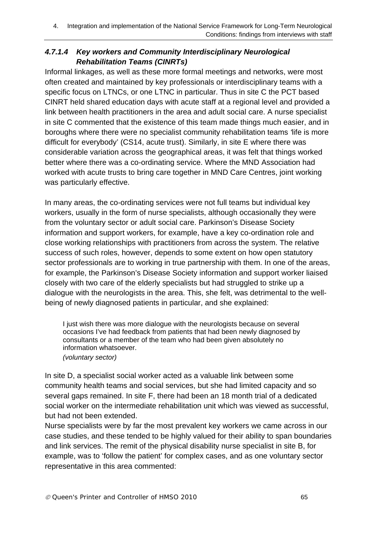# *4.7.1.4 Key workers and Community Interdisciplinary Neurological Rehabilitation Teams (CINRTs)*

Informal linkages, as well as these more formal meetings and networks, were most often created and maintained by key professionals or interdisciplinary teams with a specific focus on LTNCs, or one LTNC in particular. Thus in site C the PCT based CINRT held shared education days with acute staff at a regional level and provided a link between health practitioners in the area and adult social care. A nurse specialist in site C commented that the existence of this team made things much easier, and in boroughs where there were no specialist community rehabilitation teams *'*life is more difficult for everybody' (CS14, acute trust). Similarly, in site E where there was considerable variation across the geographical areas, it was felt that things worked better where there was a co-ordinating service. Where the MND Association had worked with acute trusts to bring care together in MND Care Centres, joint working was particularly effective.

In many areas, the co-ordinating services were not full teams but individual key workers, usually in the form of nurse specialists, although occasionally they were from the voluntary sector or adult social care. Parkinson's Disease Society information and support workers, for example, have a key co-ordination role and close working relationships with practitioners from across the system. The relative success of such roles, however, depends to some extent on how open statutory sector professionals are to working in true partnership with them. In one of the areas, for example, the Parkinson's Disease Society information and support worker liaised closely with two care of the elderly specialists but had struggled to strike up a dialogue with the neurologists in the area. This, she felt, was detrimental to the wellbeing of newly diagnosed patients in particular, and she explained:

I just wish there was more dialogue with the neurologists because on several occasions I've had feedback from patients that had been newly diagnosed by consultants or a member of the team who had been given absolutely no information whatsoever. *(voluntary sector)* 

In site D, a specialist social worker acted as a valuable link between some community health teams and social services, but she had limited capacity and so several gaps remained. In site F, there had been an 18 month trial of a dedicated social worker on the intermediate rehabilitation unit which was viewed as successful, but had not been extended.

Nurse specialists were by far the most prevalent key workers we came across in our case studies, and these tended to be highly valued for their ability to span boundaries and link services. The remit of the physical disability nurse specialist in site B, for example, was to 'follow the patient' for complex cases, and as one voluntary sector representative in this area commented: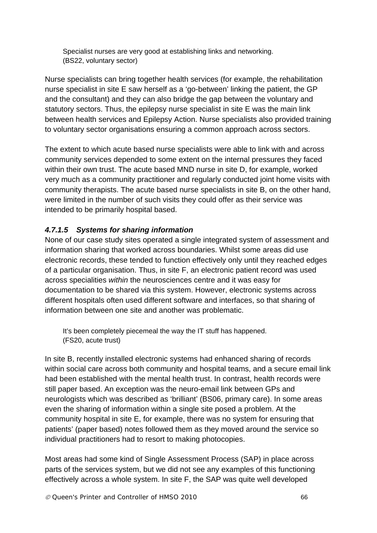Specialist nurses are very good at establishing links and networking. (BS22, voluntary sector)

Nurse specialists can bring together health services (for example, the rehabilitation nurse specialist in site E saw herself as a 'go-between' linking the patient, the GP and the consultant) and they can also bridge the gap between the voluntary and statutory sectors. Thus, the epilepsy nurse specialist in site E was the main link between health services and Epilepsy Action. Nurse specialists also provided training to voluntary sector organisations ensuring a common approach across sectors.

The extent to which acute based nurse specialists were able to link with and across community services depended to some extent on the internal pressures they faced within their own trust. The acute based MND nurse in site D, for example, worked very much as a community practitioner and regularly conducted joint home visits with community therapists. The acute based nurse specialists in site B, on the other hand, were limited in the number of such visits they could offer as their service was intended to be primarily hospital based.

#### *4.7.1.5 Systems for sharing information*

None of our case study sites operated a single integrated system of assessment and information sharing that worked across boundaries. Whilst some areas did use electronic records, these tended to function effectively only until they reached edges of a particular organisation. Thus, in site F, an electronic patient record was used across specialities *within* the neurosciences centre and it was easy for documentation to be shared via this system. However, electronic systems across different hospitals often used different software and interfaces, so that sharing of information between one site and another was problematic.

It's been completely piecemeal the way the IT stuff has happened. (FS20, acute trust)

In site B, recently installed electronic systems had enhanced sharing of records within social care across both community and hospital teams, and a secure email link had been established with the mental health trust. In contrast, health records were still paper based. An exception was the neuro-email link between GPs and neurologists which was described as 'brilliant' (BS06, primary care). In some areas even the sharing of information within a single site posed a problem. At the community hospital in site E, for example, there was no system for ensuring that patients' (paper based) notes followed them as they moved around the service so individual practitioners had to resort to making photocopies.

Most areas had some kind of Single Assessment Process (SAP) in place across parts of the services system, but we did not see any examples of this functioning effectively across a whole system. In site F, the SAP was quite well developed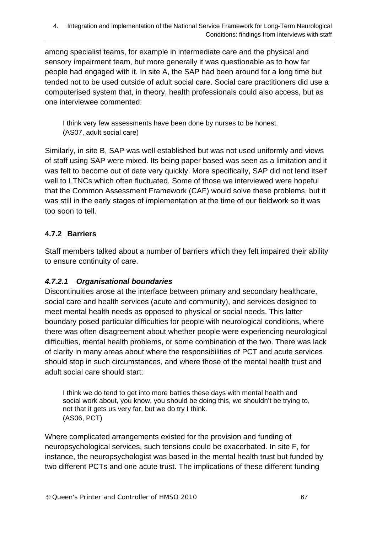among specialist teams, for example in intermediate care and the physical and sensory impairment team, but more generally it was questionable as to how far people had engaged with it. In site A, the SAP had been around for a long time but tended not to be used outside of adult social care. Social care practitioners did use a computerised system that, in theory, health professionals could also access, but as one interviewee commented:

I think very few assessments have been done by nurses to be honest. (AS07, adult social care)

Similarly, in site B, SAP was well established but was not used uniformly and views of staff using SAP were mixed. Its being paper based was seen as a limitation and it was felt to become out of date very quickly. More specifically, SAP did not lend itself well to LTNCs which often fluctuated. Some of those we interviewed were hopeful that the Common Assessment Framework (CAF) would solve these problems, but it was still in the early stages of implementation at the time of our fieldwork so it was too soon to tell.

# **4.7.2 Barriers**

Staff members talked about a number of barriers which they felt impaired their ability to ensure continuity of care.

# *4.7.2.1 Organisational boundaries*

Discontinuities arose at the interface between primary and secondary healthcare, social care and health services (acute and community), and services designed to meet mental health needs as opposed to physical or social needs. This latter boundary posed particular difficulties for people with neurological conditions, where there was often disagreement about whether people were experiencing neurological difficulties, mental health problems, or some combination of the two. There was lack of clarity in many areas about where the responsibilities of PCT and acute services should stop in such circumstances, and where those of the mental health trust and adult social care should start:

I think we do tend to get into more battles these days with mental health and social work about, you know, you should be doing this, we shouldn't be trying to, not that it gets us very far, but we do try I think. (AS06, PCT)

Where complicated arrangements existed for the provision and funding of neuropsychological services, such tensions could be exacerbated. In site F, for instance, the neuropsychologist was based in the mental health trust but funded by two different PCTs and one acute trust. The implications of these different funding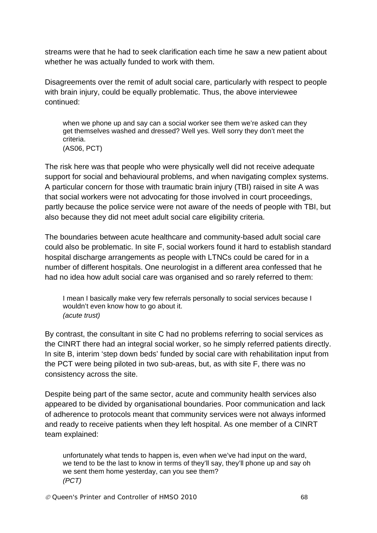streams were that he had to seek clarification each time he saw a new patient about whether he was actually funded to work with them.

Disagreements over the remit of adult social care, particularly with respect to people with brain injury, could be equally problematic. Thus, the above interviewee continued:

when we phone up and say can a social worker see them we're asked can they get themselves washed and dressed? Well yes. Well sorry they don't meet the criteria. (AS06, PCT)

The risk here was that people who were physically well did not receive adequate support for social and behavioural problems, and when navigating complex systems. A particular concern for those with traumatic brain injury (TBI) raised in site A was that social workers were not advocating for those involved in court proceedings, partly because the police service were not aware of the needs of people with TBI, but also because they did not meet adult social care eligibility criteria.

The boundaries between acute healthcare and community-based adult social care could also be problematic. In site F, social workers found it hard to establish standard hospital discharge arrangements as people with LTNCs could be cared for in a number of different hospitals. One neurologist in a different area confessed that he had no idea how adult social care was organised and so rarely referred to them:

I mean I basically make very few referrals personally to social services because I wouldn't even know how to go about it. *(acute trust)*

By contrast, the consultant in site C had no problems referring to social services as the CINRT there had an integral social worker, so he simply referred patients directly. In site B, interim 'step down beds' funded by social care with rehabilitation input from the PCT were being piloted in two sub-areas, but, as with site F, there was no consistency across the site.

Despite being part of the same sector, acute and community health services also appeared to be divided by organisational boundaries. Poor communication and lack of adherence to protocols meant that community services were not always informed and ready to receive patients when they left hospital. As one member of a CINRT team explained:

unfortunately what tends to happen is, even when we've had input on the ward, we tend to be the last to know in terms of they'll say, they'll phone up and say oh we sent them home yesterday, can you see them? *(PCT)*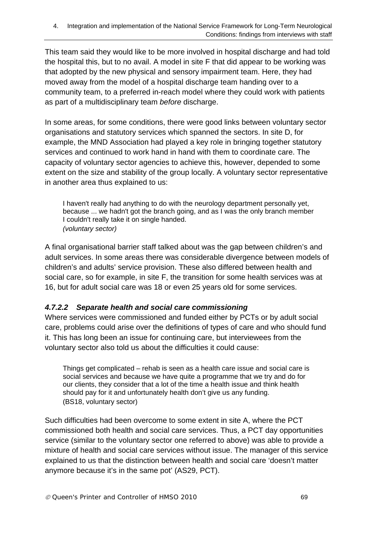This team said they would like to be more involved in hospital discharge and had told the hospital this, but to no avail. A model in site F that did appear to be working was that adopted by the new physical and sensory impairment team. Here, they had moved away from the model of a hospital discharge team handing over to a community team, to a preferred in-reach model where they could work with patients as part of a multidisciplinary team *before* discharge.

In some areas, for some conditions, there were good links between voluntary sector organisations and statutory services which spanned the sectors. In site D, for example, the MND Association had played a key role in bringing together statutory services and continued to work hand in hand with them to coordinate care. The capacity of voluntary sector agencies to achieve this, however, depended to some extent on the size and stability of the group locally. A voluntary sector representative in another area thus explained to us:

I haven't really had anything to do with the neurology department personally yet, because ... we hadn't got the branch going, and as I was the only branch member I couldn't really take it on single handed. *(voluntary sector)* 

A final organisational barrier staff talked about was the gap between children's and adult services. In some areas there was considerable divergence between models of children's and adults' service provision. These also differed between health and social care, so for example, in site F, the transition for some health services was at 16, but for adult social care was 18 or even 25 years old for some services.

# *4.7.2.2 Separate health and social care commissioning*

Where services were commissioned and funded either by PCTs or by adult social care, problems could arise over the definitions of types of care and who should fund it. This has long been an issue for continuing care, but interviewees from the voluntary sector also told us about the difficulties it could cause:

Things get complicated – rehab is seen as a health care issue and social care is social services and because we have quite a programme that we try and do for our clients, they consider that a lot of the time a health issue and think health should pay for it and unfortunately health don't give us any funding. (BS18, voluntary sector)

Such difficulties had been overcome to some extent in site A, where the PCT commissioned both health and social care services. Thus, a PCT day opportunities service (similar to the voluntary sector one referred to above) was able to provide a mixture of health and social care services without issue. The manager of this service explained to us that the distinction between health and social care 'doesn't matter anymore because it's in the same pot' (AS29, PCT).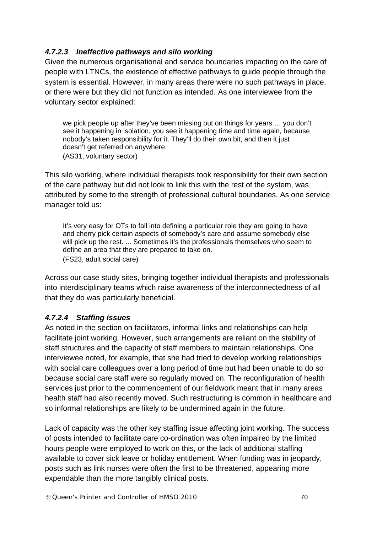#### *4.7.2.3 Ineffective pathways and silo working*

Given the numerous organisational and service boundaries impacting on the care of people with LTNCs, the existence of effective pathways to guide people through the system is essential. However, in many areas there were no such pathways in place, or there were but they did not function as intended. As one interviewee from the voluntary sector explained:

we pick people up after they've been missing out on things for years … you don't see it happening in isolation, you see it happening time and time again, because nobody's taken responsibility for it. They'll do their own bit, and then it just doesn't get referred on anywhere. (AS31, voluntary sector)

This silo working, where individual therapists took responsibility for their own section of the care pathway but did not look to link this with the rest of the system, was attributed by some to the strength of professional cultural boundaries. As one service manager told us:

It's very easy for OTs to fall into defining a particular role they are going to have and cherry pick certain aspects of somebody's care and assume somebody else will pick up the rest. ... Sometimes it's the professionals themselves who seem to define an area that they are prepared to take on. (FS23, adult social care)

Across our case study sites, bringing together individual therapists and professionals into interdisciplinary teams which raise awareness of the interconnectedness of all that they do was particularly beneficial.

# *4.7.2.4 Staffing issues*

As noted in the section on facilitators, informal links and relationships can help facilitate joint working. However, such arrangements are reliant on the stability of staff structures and the capacity of staff members to maintain relationships. One interviewee noted, for example, that she had tried to develop working relationships with social care colleagues over a long period of time but had been unable to do so because social care staff were so regularly moved on. The reconfiguration of health services just prior to the commencement of our fieldwork meant that in many areas health staff had also recently moved. Such restructuring is common in healthcare and so informal relationships are likely to be undermined again in the future.

Lack of capacity was the other key staffing issue affecting joint working. The success of posts intended to facilitate care co-ordination was often impaired by the limited hours people were employed to work on this, or the lack of additional staffing available to cover sick leave or holiday entitlement. When funding was in jeopardy, posts such as link nurses were often the first to be threatened, appearing more expendable than the more tangibly clinical posts.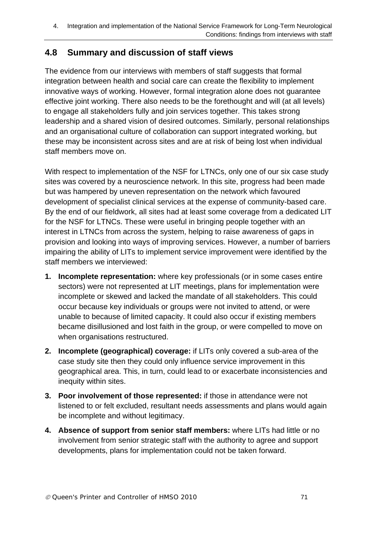### **4.8 Summary and discussion of staff views**

The evidence from our interviews with members of staff suggests that formal integration between health and social care can create the flexibility to implement innovative ways of working. However, formal integration alone does not guarantee effective joint working. There also needs to be the forethought and will (at all levels) to engage all stakeholders fully and join services together. This takes strong leadership and a shared vision of desired outcomes. Similarly, personal relationships and an organisational culture of collaboration can support integrated working, but these may be inconsistent across sites and are at risk of being lost when individual staff members move on.

With respect to implementation of the NSF for LTNCs, only one of our six case study sites was covered by a neuroscience network. In this site, progress had been made but was hampered by uneven representation on the network which favoured development of specialist clinical services at the expense of community-based care. By the end of our fieldwork, all sites had at least some coverage from a dedicated LIT for the NSF for LTNCs. These were useful in bringing people together with an interest in LTNCs from across the system, helping to raise awareness of gaps in provision and looking into ways of improving services. However, a number of barriers impairing the ability of LITs to implement service improvement were identified by the staff members we interviewed:

- **1. Incomplete representation:** where key professionals (or in some cases entire sectors) were not represented at LIT meetings, plans for implementation were incomplete or skewed and lacked the mandate of all stakeholders. This could occur because key individuals or groups were not invited to attend, or were unable to because of limited capacity. It could also occur if existing members became disillusioned and lost faith in the group, or were compelled to move on when organisations restructured.
- **2. Incomplete (geographical) coverage:** if LITs only covered a sub-area of the case study site then they could only influence service improvement in this geographical area. This, in turn, could lead to or exacerbate inconsistencies and inequity within sites.
- **3. Poor involvement of those represented:** if those in attendance were not listened to or felt excluded, resultant needs assessments and plans would again be incomplete and without legitimacy.
- **4. Absence of support from senior staff members:** where LITs had little or no involvement from senior strategic staff with the authority to agree and support developments, plans for implementation could not be taken forward.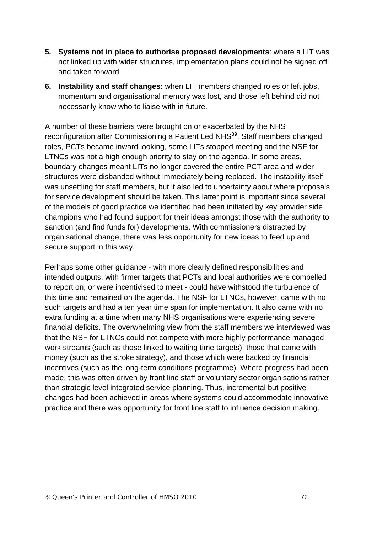- **5. Systems not in place to authorise proposed developments**: where a LIT was not linked up with wider structures, implementation plans could not be signed off and taken forward
- **6. Instability and staff changes:** when LIT members changed roles or left jobs, momentum and organisational memory was lost, and those left behind did not necessarily know who to liaise with in future.

A number of these barriers were brought on or exacerbated by the NHS reconfiguration after Commissioning a Patient Led NHS<sup>39</sup>. Staff members changed roles, PCTs became inward looking, some LITs stopped meeting and the NSF for LTNCs was not a high enough priority to stay on the agenda. In some areas, boundary changes meant LITs no longer covered the entire PCT area and wider structures were disbanded without immediately being replaced. The instability itself was unsettling for staff members, but it also led to uncertainty about where proposals for service development should be taken. This latter point is important since several of the models of good practice we identified had been initiated by key provider side champions who had found support for their ideas amongst those with the authority to sanction (and find funds for) developments. With commissioners distracted by organisational change, there was less opportunity for new ideas to feed up and secure support in this way.

Perhaps some other quidance - with more clearly defined responsibilities and intended outputs, with firmer targets that PCTs and local authorities were compelled to report on, or were incentivised to meet - could have withstood the turbulence of this time and remained on the agenda. The NSF for LTNCs, however, came with no such targets and had a ten year time span for implementation. It also came with no extra funding at a time when many NHS organisations were experiencing severe financial deficits. The overwhelming view from the staff members we interviewed was that the NSF for LTNCs could not compete with more highly performance managed work streams (such as those linked to waiting time targets), those that came with money (such as the stroke strategy), and those which were backed by financial incentives (such as the long-term conditions programme). Where progress had been made, this was often driven by front line staff or voluntary sector organisations rather than strategic level integrated service planning. Thus, incremental but positive changes had been achieved in areas where systems could accommodate innovative practice and there was opportunity for front line staff to influence decision making.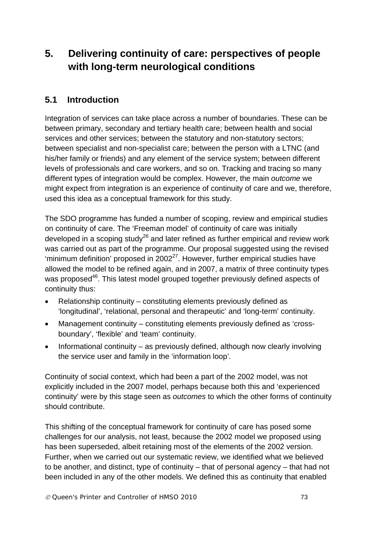# **5. Delivering continuity of care: perspectives of people with long-term neurological conditions**

## **5.1 Introduction**

Integration of services can take place across a number of boundaries. These can be between primary, secondary and tertiary health care; between health and social services and other services; between the statutory and non-statutory sectors; between specialist and non-specialist care; between the person with a LTNC (and his/her family or friends) and any element of the service system; between different levels of professionals and care workers, and so on. Tracking and tracing so many different types of integration would be complex. However, the main *outcome* we might expect from integration is an experience of continuity of care and we, therefore, used this idea as a conceptual framework for this study.

The SDO programme has funded a number of scoping, review and empirical studies on continuity of care. The 'Freeman model' of continuity of care was initially developed in a scoping study<sup>26</sup> and later refined as further empirical and review work was carried out as part of the programme. Our proposal suggested using the revised 'minimum definition' proposed in  $2002^{27}$ . However, further empirical studies have allowed the model to be refined again, and in 2007, a matrix of three continuity types was proposed<sup>46</sup>. This latest model grouped together previously defined aspects of continuity thus:

- Relationship continuity constituting elements previously defined as 'longitudinal', 'relational, personal and therapeutic' and 'long-term' continuity.
- Management continuity constituting elements previously defined as 'crossboundary', 'flexible' and 'team' continuity.
- Informational continuity as previously defined, although now clearly involving the service user and family in the 'information loop'.

Continuity of social context, which had been a part of the 2002 model, was not explicitly included in the 2007 model, perhaps because both this and 'experienced continuity' were by this stage seen as *outcomes* to which the other forms of continuity should contribute.

This shifting of the conceptual framework for continuity of care has posed some challenges for our analysis, not least, because the 2002 model we proposed using has been superseded, albeit retaining most of the elements of the 2002 version. Further, when we carried out our systematic review, we identified what we believed to be another, and distinct, type of continuity – that of personal agency – that had not been included in any of the other models. We defined this as continuity that enabled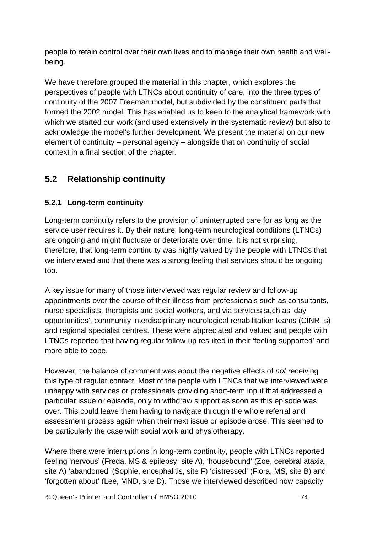people to retain control over their own lives and to manage their own health and wellbeing.

We have therefore grouped the material in this chapter, which explores the perspectives of people with LTNCs about continuity of care, into the three types of continuity of the 2007 Freeman model, but subdivided by the constituent parts that formed the 2002 model. This has enabled us to keep to the analytical framework with which we started our work (and used extensively in the systematic review) but also to acknowledge the model's further development. We present the material on our new element of continuity – personal agency – alongside that on continuity of social context in a final section of the chapter.

## **5.2 Relationship continuity**

#### **5.2.1 Long-term continuity**

Long-term continuity refers to the provision of uninterrupted care for as long as the service user requires it. By their nature, long-term neurological conditions (LTNCs) are ongoing and might fluctuate or deteriorate over time. It is not surprising, therefore, that long-term continuity was highly valued by the people with LTNCs that we interviewed and that there was a strong feeling that services should be ongoing too.

A key issue for many of those interviewed was regular review and follow-up appointments over the course of their illness from professionals such as consultants, nurse specialists, therapists and social workers, and via services such as 'day opportunities', community interdisciplinary neurological rehabilitation teams (CINRTs) and regional specialist centres. These were appreciated and valued and people with LTNCs reported that having regular follow-up resulted in their 'feeling supported' and more able to cope.

However, the balance of comment was about the negative effects of *not* receiving this type of regular contact. Most of the people with LTNCs that we interviewed were unhappy with services or professionals providing short-term input that addressed a particular issue or episode, only to withdraw support as soon as this episode was over. This could leave them having to navigate through the whole referral and assessment process again when their next issue or episode arose. This seemed to be particularly the case with social work and physiotherapy.

Where there were interruptions in long-term continuity, people with LTNCs reported feeling 'nervous' (Freda, MS & epilepsy, site A), 'housebound' (Zoe, cerebral ataxia, site A) 'abandoned' (Sophie, encephalitis, site F) 'distressed' (Flora, MS, site B) and 'forgotten about' (Lee, MND, site D). Those we interviewed described how capacity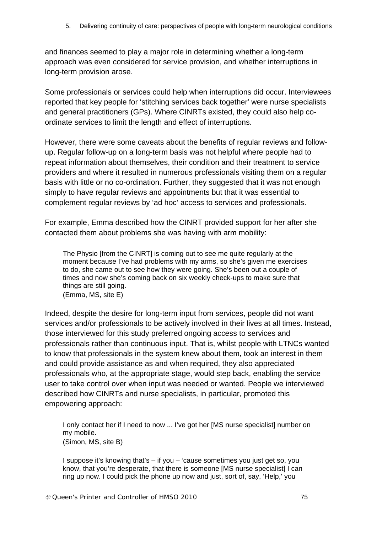and finances seemed to play a major role in determining whether a long-term approach was even considered for service provision, and whether interruptions in long-term provision arose.

Some professionals or services could help when interruptions did occur. Interviewees reported that key people for 'stitching services back together' were nurse specialists and general practitioners (GPs). Where CINRTs existed, they could also help coordinate services to limit the length and effect of interruptions.

However, there were some caveats about the benefits of regular reviews and followup. Regular follow-up on a long-term basis was not helpful where people had to repeat information about themselves, their condition and their treatment to service providers and where it resulted in numerous professionals visiting them on a regular basis with little or no co-ordination. Further, they suggested that it was not enough simply to have regular reviews and appointments but that it was essential to complement regular reviews by 'ad hoc' access to services and professionals.

For example, Emma described how the CINRT provided support for her after she contacted them about problems she was having with arm mobility:

The Physio [from the CINRT] is coming out to see me quite regularly at the moment because I've had problems with my arms, so she's given me exercises to do, she came out to see how they were going. She's been out a couple of times and now she's coming back on six weekly check-ups to make sure that things are still going. (Emma, MS, site E)

Indeed, despite the desire for long-term input from services, people did not want services and/or professionals to be actively involved in their lives at all times. Instead, those interviewed for this study preferred ongoing access to services and professionals rather than continuous input. That is, whilst people with LTNCs wanted to know that professionals in the system knew about them, took an interest in them and could provide assistance as and when required, they also appreciated professionals who, at the appropriate stage, would step back, enabling the service user to take control over when input was needed or wanted. People we interviewed described how CINRTs and nurse specialists, in particular, promoted this empowering approach:

I only contact her if I need to now ... I've got her [MS nurse specialist] number on my mobile. (Simon, MS, site B)

I suppose it's knowing that's – if you – 'cause sometimes you just get so, you know, that you're desperate, that there is someone [MS nurse specialist] I can ring up now. I could pick the phone up now and just, sort of, say, 'Help,' you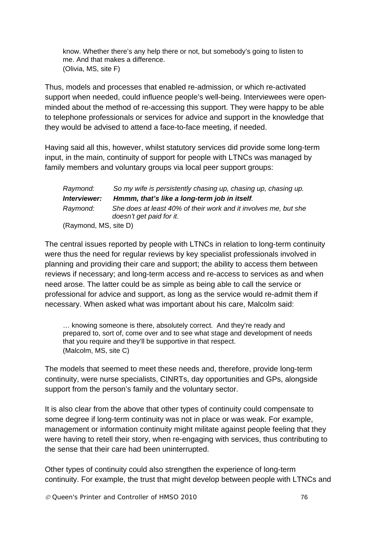know. Whether there's any help there or not, but somebody's going to listen to me. And that makes a difference. (Olivia, MS, site F)

Thus, models and processes that enabled re-admission, or which re-activated support when needed, could influence people's well-being. Interviewees were openminded about the method of re-accessing this support. They were happy to be able to telephone professionals or services for advice and support in the knowledge that they would be advised to attend a face-to-face meeting, if needed.

Having said all this, however, whilst statutory services did provide some long-term input, in the main, continuity of support for people with LTNCs was managed by family members and voluntary groups via local peer support groups:

| Raymond:              | So my wife is persistently chasing up, chasing up, chasing up.                              |
|-----------------------|---------------------------------------------------------------------------------------------|
| Interviewer:          | Hmmm, that's like a long-term job in itself.                                                |
| Raymond:              | She does at least 40% of their work and it involves me, but she<br>doesn't get paid for it. |
| (Raymond, MS, site D) |                                                                                             |

The central issues reported by people with LTNCs in relation to long-term continuity were thus the need for regular reviews by key specialist professionals involved in planning and providing their care and support; the ability to access them between reviews if necessary; and long-term access and re-access to services as and when need arose. The latter could be as simple as being able to call the service or professional for advice and support, as long as the service would re-admit them if necessary. When asked what was important about his care, Malcolm said:

… knowing someone is there, absolutely correct. And they're ready and prepared to, sort of, come over and to see what stage and development of needs that you require and they'll be supportive in that respect. (Malcolm, MS, site C)

The models that seemed to meet these needs and, therefore, provide long-term continuity, were nurse specialists, CINRTs, day opportunities and GPs, alongside support from the person's family and the voluntary sector.

It is also clear from the above that other types of continuity could compensate to some degree if long-term continuity was not in place or was weak. For example, management or information continuity might militate against people feeling that they were having to retell their story, when re-engaging with services, thus contributing to the sense that their care had been uninterrupted.

Other types of continuity could also strengthen the experience of long-term continuity. For example, the trust that might develop between people with LTNCs and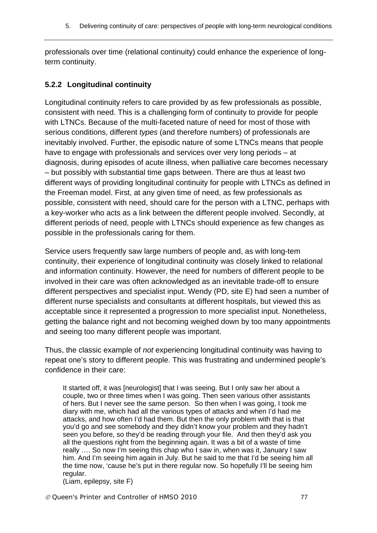professionals over time (relational continuity) could enhance the experience of longterm continuity.

#### **5.2.2 Longitudinal continuity**

Longitudinal continuity refers to care provided by as few professionals as possible, consistent with need. This is a challenging form of continuity to provide for people with LTNCs. Because of the multi-faceted nature of need for most of those with serious conditions, different *types* (and therefore numbers) of professionals are inevitably involved. Further, the episodic nature of some LTNCs means that people have to engage with professionals and services over very long periods – at diagnosis, during episodes of acute illness, when palliative care becomes necessary – but possibly with substantial time gaps between. There are thus at least two different ways of providing longitudinal continuity for people with LTNCs as defined in the Freeman model. First, at any given time of need, as few professionals as possible, consistent with need, should care for the person with a LTNC, perhaps with a key-worker who acts as a link between the different people involved. Secondly, at different periods of need, people with LTNCs should experience as few changes as possible in the professionals caring for them.

Service users frequently saw large numbers of people and, as with long-tem continuity, their experience of longitudinal continuity was closely linked to relational and information continuity. However, the need for numbers of different people to be involved in their care was often acknowledged as an inevitable trade-off to ensure different perspectives and specialist input. Wendy (PD, site E) had seen a number of different nurse specialists and consultants at different hospitals, but viewed this as acceptable since it represented a progression to more specialist input. Nonetheless, getting the balance right and not becoming weighed down by too many appointments and seeing too many different people was important.

Thus, the classic example of *not* experiencing longitudinal continuity was having to repeat one's story to different people. This was frustrating and undermined people's confidence in their care:

It started off, it was [neurologist] that I was seeing. But I only saw her about a couple, two or three times when I was going. Then seen various other assistants of hers. But I never see the same person. So then when I was going, I took me diary with me, which had all the various types of attacks and when I'd had me attacks, and how often I'd had them. But then the only problem with that is that you'd go and see somebody and they didn't know your problem and they hadn't seen you before, so they'd be reading through your file. And then they'd ask you all the questions right from the beginning again. It was a bit of a waste of time really …. So now I'm seeing this chap who I saw in, when was it, January I saw him. And I'm seeing him again in July. But he said to me that I'd be seeing him all the time now, 'cause he's put in there regular now. So hopefully I'll be seeing him regular.

(Liam, epilepsy, site F)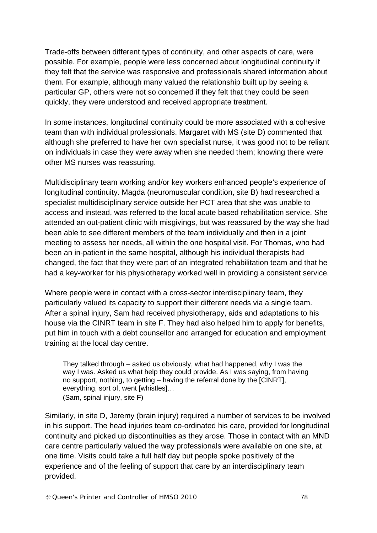Trade-offs between different types of continuity, and other aspects of care, were possible. For example, people were less concerned about longitudinal continuity if they felt that the service was responsive and professionals shared information about them. For example, although many valued the relationship built up by seeing a particular GP, others were not so concerned if they felt that they could be seen quickly, they were understood and received appropriate treatment.

In some instances, longitudinal continuity could be more associated with a cohesive team than with individual professionals. Margaret with MS (site D) commented that although she preferred to have her own specialist nurse, it was good not to be reliant on individuals in case they were away when she needed them; knowing there were other MS nurses was reassuring.

Multidisciplinary team working and/or key workers enhanced people's experience of longitudinal continuity. Magda (neuromuscular condition, site B) had researched a specialist multidisciplinary service outside her PCT area that she was unable to access and instead, was referred to the local acute based rehabilitation service. She attended an out-patient clinic with misgivings, but was reassured by the way she had been able to see different members of the team individually and then in a joint meeting to assess her needs, all within the one hospital visit. For Thomas, who had been an in-patient in the same hospital, although his individual therapists had changed, the fact that they were part of an integrated rehabilitation team and that he had a key-worker for his physiotherapy worked well in providing a consistent service.

Where people were in contact with a cross-sector interdisciplinary team, they particularly valued its capacity to support their different needs via a single team. After a spinal injury, Sam had received physiotherapy, aids and adaptations to his house via the CINRT team in site F. They had also helped him to apply for benefits, put him in touch with a debt counsellor and arranged for education and employment training at the local day centre.

They talked through – asked us obviously, what had happened, why I was the way I was. Asked us what help they could provide. As I was saying, from having no support, nothing, to getting – having the referral done by the [CINRT], everything, sort of, went [whistles]… (Sam, spinal injury, site F)

Similarly, in site D, Jeremy (brain injury) required a number of services to be involved in his support. The head injuries team co-ordinated his care, provided for longitudinal continuity and picked up discontinuities as they arose. Those in contact with an MND care centre particularly valued the way professionals were available on one site, at one time. Visits could take a full half day but people spoke positively of the experience and of the feeling of support that care by an interdisciplinary team provided.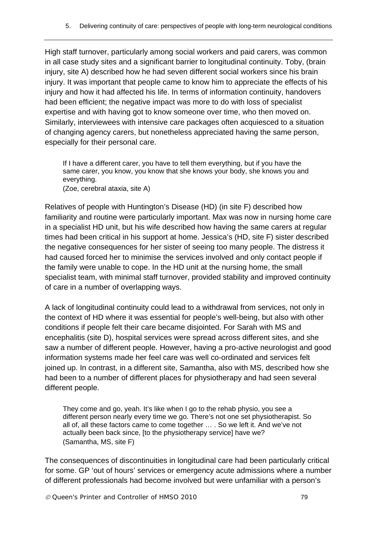High staff turnover, particularly among social workers and paid carers, was common in all case study sites and a significant barrier to longitudinal continuity. Toby, (brain injury, site A) described how he had seven different social workers since his brain injury. It was important that people came to know him to appreciate the effects of his injury and how it had affected his life. In terms of information continuity, handovers had been efficient; the negative impact was more to do with loss of specialist expertise and with having got to know someone over time, who then moved on. Similarly, interviewees with intensive care packages often acquiesced to a situation of changing agency carers, but nonetheless appreciated having the same person, especially for their personal care.

If I have a different carer, you have to tell them everything, but if you have the same carer, you know, you know that she knows your body, she knows you and everything. (Zoe, cerebral ataxia, site A)

Relatives of people with Huntington's Disease (HD) (in site F) described how familiarity and routine were particularly important. Max was now in nursing home care in a specialist HD unit, but his wife described how having the same carers at regular times had been critical in his support at home. Jessica's (HD, site F) sister described the negative consequences for her sister of seeing too many people. The distress it had caused forced her to minimise the services involved and only contact people if the family were unable to cope. In the HD unit at the nursing home, the small specialist team, with minimal staff turnover, provided stability and improved continuity of care in a number of overlapping ways.

A lack of longitudinal continuity could lead to a withdrawal from services, not only in the context of HD where it was essential for people's well-being, but also with other conditions if people felt their care became disjointed. For Sarah with MS and encephalitis (site D), hospital services were spread across different sites, and she saw a number of different people. However, having a pro-active neurologist and good information systems made her feel care was well co-ordinated and services felt joined up. In contrast, in a different site, Samantha, also with MS, described how she had been to a number of different places for physiotherapy and had seen several different people.

They come and go, yeah. It's like when I go to the rehab physio, you see a different person nearly every time we go. There's not one set physiotherapist. So all of, all these factors came to come together … . So we left it. And we've not actually been back since, [to the physiotherapy service] have we? (Samantha, MS, site F)

The consequences of discontinuities in longitudinal care had been particularly critical for some. GP 'out of hours' services or emergency acute admissions where a number of different professionals had become involved but were unfamiliar with a person's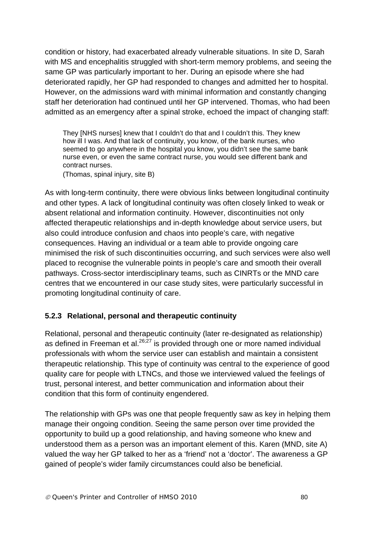condition or history, had exacerbated already vulnerable situations. In site D, Sarah with MS and encephalitis struggled with short-term memory problems, and seeing the same GP was particularly important to her. During an episode where she had deteriorated rapidly, her GP had responded to changes and admitted her to hospital. However, on the admissions ward with minimal information and constantly changing staff her deterioration had continued until her GP intervened. Thomas, who had been admitted as an emergency after a spinal stroke, echoed the impact of changing staff:

They [NHS nurses] knew that I couldn't do that and I couldn't this. They knew how ill I was. And that lack of continuity, you know, of the bank nurses, who seemed to go anywhere in the hospital you know, you didn't see the same bank nurse even, or even the same contract nurse, you would see different bank and contract nurses.

(Thomas, spinal injury, site B)

As with long-term continuity, there were obvious links between longitudinal continuity and other types. A lack of longitudinal continuity was often closely linked to weak or absent relational and information continuity. However, discontinuities not only affected therapeutic relationships and in-depth knowledge about service users, but also could introduce confusion and chaos into people's care, with negative consequences. Having an individual or a team able to provide ongoing care minimised the risk of such discontinuities occurring, and such services were also well placed to recognise the vulnerable points in people's care and smooth their overall pathways. Cross-sector interdisciplinary teams, such as CINRTs or the MND care centres that we encountered in our case study sites, were particularly successful in promoting longitudinal continuity of care.

#### **5.2.3 Relational, personal and therapeutic continuity**

Relational, personal and therapeutic continuity (later re-designated as relationship) as defined in Freeman et al.  $26,27$  is provided through one or more named individual professionals with whom the service user can establish and maintain a consistent therapeutic relationship. This type of continuity was central to the experience of good quality care for people with LTNCs, and those we interviewed valued the feelings of trust, personal interest, and better communication and information about their condition that this form of continuity engendered.

The relationship with GPs was one that people frequently saw as key in helping them manage their ongoing condition. Seeing the same person over time provided the opportunity to build up a good relationship, and having someone who knew and understood them as a person was an important element of this. Karen (MND, site A) valued the way her GP talked to her as a 'friend' not a 'doctor'. The awareness a GP gained of people's wider family circumstances could also be beneficial.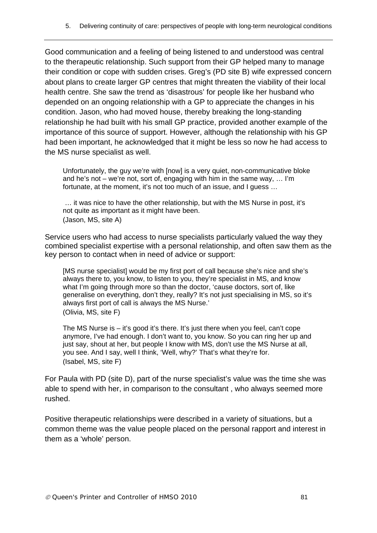Good communication and a feeling of being listened to and understood was central to the therapeutic relationship. Such support from their GP helped many to manage their condition or cope with sudden crises. Greg's (PD site B) wife expressed concern about plans to create larger GP centres that might threaten the viability of their local health centre. She saw the trend as 'disastrous' for people like her husband who depended on an ongoing relationship with a GP to appreciate the changes in his condition. Jason, who had moved house, thereby breaking the long-standing relationship he had built with his small GP practice, provided another example of the importance of this source of support. However, although the relationship with his GP had been important, he acknowledged that it might be less so now he had access to the MS nurse specialist as well.

Unfortunately, the guy we're with [now] is a very quiet, non-communicative bloke and he's not – we're not, sort of, engaging with him in the same way, … I'm fortunate, at the moment, it's not too much of an issue, and I guess …

 … it was nice to have the other relationship, but with the MS Nurse in post, it's not quite as important as it might have been. (Jason, MS, site A)

Service users who had access to nurse specialists particularly valued the way they combined specialist expertise with a personal relationship, and often saw them as the key person to contact when in need of advice or support:

[MS nurse specialist] would be my first port of call because she's nice and she's always there to, you know, to listen to you, they're specialist in MS, and know what I'm going through more so than the doctor, 'cause doctors, sort of, like generalise on everything, don't they, really? It's not just specialising in MS, so it's always first port of call is always the MS Nurse.' (Olivia, MS, site F)

The MS Nurse is  $-$  it's good it's there. It's just there when you feel, can't cope anymore, I've had enough. I don't want to, you know. So you can ring her up and just say, shout at her, but people I know with MS, don't use the MS Nurse at all, you see. And I say, well I think, 'Well, why?' That's what they're for. (Isabel, MS, site F)

For Paula with PD (site D), part of the nurse specialist's value was the time she was able to spend with her, in comparison to the consultant , who always seemed more rushed.

Positive therapeutic relationships were described in a variety of situations, but a common theme was the value people placed on the personal rapport and interest in them as a 'whole' person.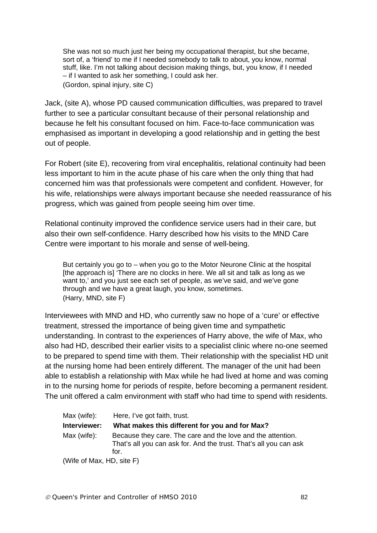She was not so much just her being my occupational therapist, but she became, sort of, a 'friend' to me if I needed somebody to talk to about, you know, normal stuff, like. I'm not talking about decision making things, but, you know, if I needed – if I wanted to ask her something, I could ask her. (Gordon, spinal injury, site C)

Jack, (site A), whose PD caused communication difficulties, was prepared to travel further to see a particular consultant because of their personal relationship and because he felt his consultant focused on him. Face-to-face communication was emphasised as important in developing a good relationship and in getting the best out of people.

For Robert (site E), recovering from viral encephalitis, relational continuity had been less important to him in the acute phase of his care when the only thing that had concerned him was that professionals were competent and confident. However, for his wife, relationships were always important because she needed reassurance of his progress, which was gained from people seeing him over time.

Relational continuity improved the confidence service users had in their care, but also their own self-confidence. Harry described how his visits to the MND Care Centre were important to his morale and sense of well-being.

But certainly you go to – when you go to the Motor Neurone Clinic at the hospital [the approach is] 'There are no clocks in here. We all sit and talk as long as we want to,' and you just see each set of people, as we've said, and we've gone through and we have a great laugh, you know, sometimes. (Harry, MND, site F)

Interviewees with MND and HD, who currently saw no hope of a 'cure' or effective treatment, stressed the importance of being given time and sympathetic understanding. In contrast to the experiences of Harry above, the wife of Max, who also had HD, described their earlier visits to a specialist clinic where no-one seemed to be prepared to spend time with them. Their relationship with the specialist HD unit at the nursing home had been entirely different. The manager of the unit had been able to establish a relationship with Max while he had lived at home and was coming in to the nursing home for periods of respite, before becoming a permanent resident. The unit offered a calm environment with staff who had time to spend with residents.

| Max (wife):  | Here, I've got faith, trust.                                                                                                             |
|--------------|------------------------------------------------------------------------------------------------------------------------------------------|
| Interviewer: | What makes this different for you and for Max?                                                                                           |
| Max (wife):  | Because they care. The care and the love and the attention.<br>That's all you can ask for. And the trust. That's all you can ask<br>for. |
|              |                                                                                                                                          |

(Wife of Max, HD, site F)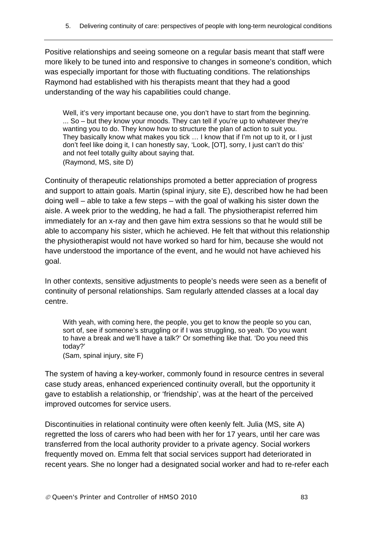Positive relationships and seeing someone on a regular basis meant that staff were more likely to be tuned into and responsive to changes in someone's condition, which was especially important for those with fluctuating conditions. The relationships Raymond had established with his therapists meant that they had a good understanding of the way his capabilities could change.

Well, it's very important because one, you don't have to start from the beginning. ... So – but they know your moods. They can tell if you're up to whatever they're wanting you to do. They know how to structure the plan of action to suit you. They basically know what makes you tick … I know that if I'm not up to it, or I just don't feel like doing it, I can honestly say, 'Look, [OT], sorry, I just can't do this' and not feel totally guilty about saying that. (Raymond, MS, site D)

Continuity of therapeutic relationships promoted a better appreciation of progress and support to attain goals. Martin (spinal injury, site E), described how he had been doing well – able to take a few steps – with the goal of walking his sister down the aisle. A week prior to the wedding, he had a fall. The physiotherapist referred him immediately for an x-ray and then gave him extra sessions so that he would still be able to accompany his sister, which he achieved. He felt that without this relationship the physiotherapist would not have worked so hard for him, because she would not have understood the importance of the event, and he would not have achieved his goal.

In other contexts, sensitive adjustments to people's needs were seen as a benefit of continuity of personal relationships. Sam regularly attended classes at a local day centre.

With yeah, with coming here, the people, you get to know the people so you can, sort of, see if someone's struggling or if I was struggling, so yeah. 'Do you want to have a break and we'll have a talk?' Or something like that. 'Do you need this today?'

(Sam, spinal injury, site F)

The system of having a key-worker, commonly found in resource centres in several case study areas, enhanced experienced continuity overall, but the opportunity it gave to establish a relationship, or 'friendship', was at the heart of the perceived improved outcomes for service users.

Discontinuities in relational continuity were often keenly felt. Julia (MS, site A) regretted the loss of carers who had been with her for 17 years, until her care was transferred from the local authority provider to a private agency. Social workers frequently moved on. Emma felt that social services support had deteriorated in recent years. She no longer had a designated social worker and had to re-refer each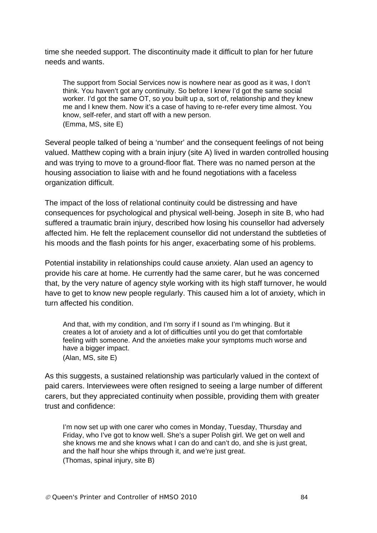time she needed support. The discontinuity made it difficult to plan for her future needs and wants.

The support from Social Services now is nowhere near as good as it was, I don't think. You haven't got any continuity. So before I knew I'd got the same social worker. I'd got the same OT, so you built up a, sort of, relationship and they knew me and I knew them. Now it's a case of having to re-refer every time almost. You know, self-refer, and start off with a new person. (Emma, MS, site E)

Several people talked of being a 'number' and the consequent feelings of not being valued. Matthew coping with a brain injury (site A) lived in warden controlled housing and was trying to move to a ground-floor flat. There was no named person at the housing association to liaise with and he found negotiations with a faceless organization difficult.

The impact of the loss of relational continuity could be distressing and have consequences for psychological and physical well-being. Joseph in site B, who had suffered a traumatic brain injury, described how losing his counsellor had adversely affected him. He felt the replacement counsellor did not understand the subtleties of his moods and the flash points for his anger, exacerbating some of his problems.

Potential instability in relationships could cause anxiety. Alan used an agency to provide his care at home. He currently had the same carer, but he was concerned that, by the very nature of agency style working with its high staff turnover, he would have to get to know new people regularly. This caused him a lot of anxiety, which in turn affected his condition.

And that, with my condition, and I'm sorry if I sound as I'm whinging. But it creates a lot of anxiety and a lot of difficulties until you do get that comfortable feeling with someone. And the anxieties make your symptoms much worse and have a bigger impact. (Alan, MS, site E)

As this suggests, a sustained relationship was particularly valued in the context of paid carers. Interviewees were often resigned to seeing a large number of different carers, but they appreciated continuity when possible, providing them with greater trust and confidence:

I'm now set up with one carer who comes in Monday, Tuesday, Thursday and Friday, who I've got to know well. She's a super Polish girl. We get on well and she knows me and she knows what I can do and can't do, and she is just great, and the half hour she whips through it, and we're just great. (Thomas, spinal injury, site B)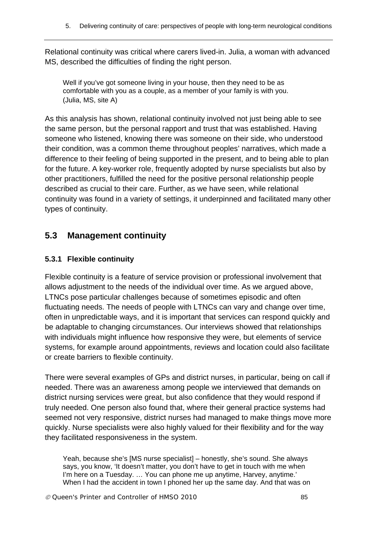Relational continuity was critical where carers lived-in. Julia, a woman with advanced MS, described the difficulties of finding the right person.

Well if you've got someone living in your house, then they need to be as comfortable with you as a couple, as a member of your family is with you. (Julia, MS, site A)

As this analysis has shown, relational continuity involved not just being able to see the same person, but the personal rapport and trust that was established. Having someone who listened, knowing there was someone on their side, who understood their condition, was a common theme throughout peoples' narratives, which made a difference to their feeling of being supported in the present, and to being able to plan for the future. A key-worker role, frequently adopted by nurse specialists but also by other practitioners, fulfilled the need for the positive personal relationship people described as crucial to their care. Further, as we have seen, while relational continuity was found in a variety of settings, it underpinned and facilitated many other types of continuity.

## **5.3 Management continuity**

#### **5.3.1 Flexible continuity**

Flexible continuity is a feature of service provision or professional involvement that allows adjustment to the needs of the individual over time. As we argued above, LTNCs pose particular challenges because of sometimes episodic and often fluctuating needs. The needs of people with LTNCs can vary and change over time, often in unpredictable ways, and it is important that services can respond quickly and be adaptable to changing circumstances. Our interviews showed that relationships with individuals might influence how responsive they were, but elements of service systems, for example around appointments, reviews and location could also facilitate or create barriers to flexible continuity.

There were several examples of GPs and district nurses, in particular, being on call if needed. There was an awareness among people we interviewed that demands on district nursing services were great, but also confidence that they would respond if truly needed. One person also found that, where their general practice systems had seemed not very responsive, district nurses had managed to make things move more quickly. Nurse specialists were also highly valued for their flexibility and for the way they facilitated responsiveness in the system.

Yeah, because she's [MS nurse specialist] – honestly, she's sound. She always says, you know, 'It doesn't matter, you don't have to get in touch with me when I'm here on a Tuesday. … You can phone me up anytime, Harvey, anytime.' When I had the accident in town I phoned her up the same day. And that was on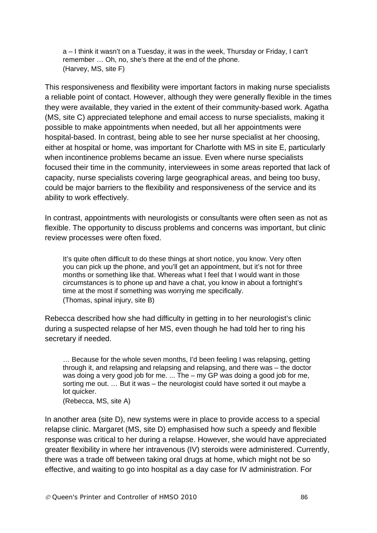a – I think it wasn't on a Tuesday, it was in the week, Thursday or Friday, I can't remember … Oh, no, she's there at the end of the phone. (Harvey, MS, site F)

This responsiveness and flexibility were important factors in making nurse specialists a reliable point of contact. However, although they were generally flexible in the times they were available, they varied in the extent of their community-based work. Agatha (MS, site C) appreciated telephone and email access to nurse specialists, making it possible to make appointments when needed, but all her appointments were hospital-based. In contrast, being able to see her nurse specialist at her choosing, either at hospital or home, was important for Charlotte with MS in site E, particularly when incontinence problems became an issue. Even where nurse specialists focused their time in the community, interviewees in some areas reported that lack of capacity, nurse specialists covering large geographical areas, and being too busy, could be major barriers to the flexibility and responsiveness of the service and its ability to work effectively.

In contrast, appointments with neurologists or consultants were often seen as not as flexible. The opportunity to discuss problems and concerns was important, but clinic review processes were often fixed.

It's quite often difficult to do these things at short notice, you know. Very often you can pick up the phone, and you'll get an appointment, but it's not for three months or something like that. Whereas what I feel that I would want in those circumstances is to phone up and have a chat, you know in about a fortnight's time at the most if something was worrying me specifically. (Thomas, spinal injury, site B)

Rebecca described how she had difficulty in getting in to her neurologist's clinic during a suspected relapse of her MS, even though he had told her to ring his secretary if needed.

… Because for the whole seven months, I'd been feeling I was relapsing, getting through it, and relapsing and relapsing and relapsing, and there was – the doctor was doing a very good job for me. ... The – my GP was doing a good job for me, sorting me out. … But it was – the neurologist could have sorted it out maybe a lot quicker.

(Rebecca, MS, site A)

In another area (site D), new systems were in place to provide access to a special relapse clinic. Margaret (MS, site D) emphasised how such a speedy and flexible response was critical to her during a relapse. However, she would have appreciated greater flexibility in where her intravenous (IV) steroids were administered. Currently, there was a trade off between taking oral drugs at home, which might not be so effective, and waiting to go into hospital as a day case for IV administration. For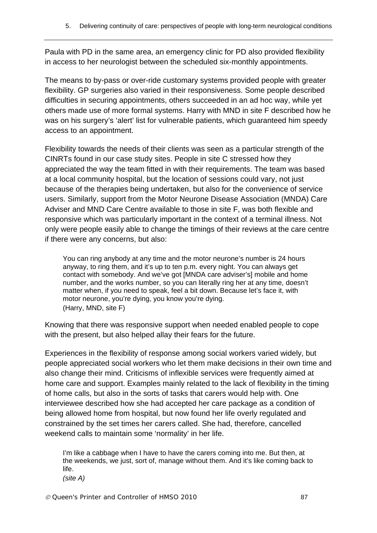Paula with PD in the same area, an emergency clinic for PD also provided flexibility in access to her neurologist between the scheduled six-monthly appointments.

The means to by-pass or over-ride customary systems provided people with greater flexibility. GP surgeries also varied in their responsiveness. Some people described difficulties in securing appointments, others succeeded in an ad hoc way, while yet others made use of more formal systems. Harry with MND in site F described how he was on his surgery's 'alert' list for vulnerable patients, which guaranteed him speedy access to an appointment.

Flexibility towards the needs of their clients was seen as a particular strength of the CINRTs found in our case study sites. People in site C stressed how they appreciated the way the team fitted in with their requirements. The team was based at a local community hospital, but the location of sessions could vary, not just because of the therapies being undertaken, but also for the convenience of service users. Similarly, support from the Motor Neurone Disease Association (MNDA) Care Adviser and MND Care Centre available to those in site F, was both flexible and responsive which was particularly important in the context of a terminal illness. Not only were people easily able to change the timings of their reviews at the care centre if there were any concerns, but also:

You can ring anybody at any time and the motor neurone's number is 24 hours anyway, to ring them, and it's up to ten p.m. every night. You can always get contact with somebody. And we've got [MNDA care adviser's] mobile and home number, and the works number, so you can literally ring her at any time, doesn't matter when, if you need to speak, feel a bit down. Because let's face it, with motor neurone, you're dying, you know you're dying. (Harry, MND, site F)

Knowing that there was responsive support when needed enabled people to cope with the present, but also helped allay their fears for the future.

Experiences in the flexibility of response among social workers varied widely, but people appreciated social workers who let them make decisions in their own time and also change their mind. Criticisms of inflexible services were frequently aimed at home care and support. Examples mainly related to the lack of flexibility in the timing of home calls, but also in the sorts of tasks that carers would help with. One interviewee described how she had accepted her care package as a condition of being allowed home from hospital, but now found her life overly regulated and constrained by the set times her carers called. She had, therefore, cancelled weekend calls to maintain some 'normality' in her life.

I'm like a cabbage when I have to have the carers coming into me. But then, at the weekends, we just, sort of, manage without them. And it's like coming back to life.

*(site A)*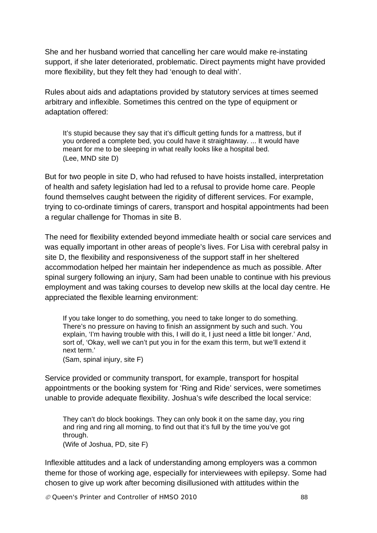She and her husband worried that cancelling her care would make re-instating support, if she later deteriorated, problematic. Direct payments might have provided more flexibility, but they felt they had 'enough to deal with'.

Rules about aids and adaptations provided by statutory services at times seemed arbitrary and inflexible. Sometimes this centred on the type of equipment or adaptation offered:

It's stupid because they say that it's difficult getting funds for a mattress, but if you ordered a complete bed, you could have it straightaway. ... It would have meant for me to be sleeping in what really looks like a hospital bed. (Lee, MND site D)

But for two people in site D, who had refused to have hoists installed, interpretation of health and safety legislation had led to a refusal to provide home care. People found themselves caught between the rigidity of different services. For example, trying to co-ordinate timings of carers, transport and hospital appointments had been a regular challenge for Thomas in site B.

The need for flexibility extended beyond immediate health or social care services and was equally important in other areas of people's lives. For Lisa with cerebral palsy in site D, the flexibility and responsiveness of the support staff in her sheltered accommodation helped her maintain her independence as much as possible. After spinal surgery following an injury, Sam had been unable to continue with his previous employment and was taking courses to develop new skills at the local day centre. He appreciated the flexible learning environment:

If you take longer to do something, you need to take longer to do something. There's no pressure on having to finish an assignment by such and such. You explain, 'I'm having trouble with this, I will do it, I just need a little bit longer.' And, sort of, 'Okay, well we can't put you in for the exam this term, but we'll extend it next term.'

(Sam, spinal injury, site F)

Service provided or community transport, for example, transport for hospital appointments or the booking system for 'Ring and Ride' services, were sometimes unable to provide adequate flexibility. Joshua's wife described the local service:

They can't do block bookings. They can only book it on the same day, you ring and ring and ring all morning, to find out that it's full by the time you've got through. (Wife of Joshua, PD, site F)

Inflexible attitudes and a lack of understanding among employers was a common theme for those of working age, especially for interviewees with epilepsy. Some had chosen to give up work after becoming disillusioned with attitudes within the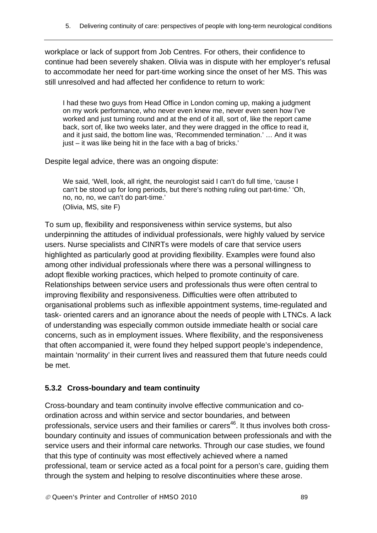workplace or lack of support from Job Centres. For others, their confidence to continue had been severely shaken. Olivia was in dispute with her employer's refusal to accommodate her need for part-time working since the onset of her MS. This was still unresolved and had affected her confidence to return to work:

I had these two guys from Head Office in London coming up, making a judgment on my work performance, who never even knew me, never even seen how I've worked and just turning round and at the end of it all, sort of, like the report came back, sort of, like two weeks later, and they were dragged in the office to read it, and it just said, the bottom line was, 'Recommended termination.' … And it was just – it was like being hit in the face with a bag of bricks.'

Despite legal advice, there was an ongoing dispute:

We said, 'Well, look, all right, the neurologist said I can't do full time, 'cause I can't be stood up for long periods, but there's nothing ruling out part-time.' 'Oh, no, no, no, we can't do part-time.' (Olivia, MS, site F)

To sum up, flexibility and responsiveness within service systems, but also underpinning the attitudes of individual professionals, were highly valued by service users. Nurse specialists and CINRTs were models of care that service users highlighted as particularly good at providing flexibility. Examples were found also among other individual professionals where there was a personal willingness to adopt flexible working practices, which helped to promote continuity of care. Relationships between service users and professionals thus were often central to improving flexibility and responsiveness. Difficulties were often attributed to organisational problems such as inflexible appointment systems, time-regulated and task- oriented carers and an ignorance about the needs of people with LTNCs. A lack of understanding was especially common outside immediate health or social care concerns, such as in employment issues. Where flexibility, and the responsiveness that often accompanied it, were found they helped support people's independence, maintain 'normality' in their current lives and reassured them that future needs could be met.

#### **5.3.2 Cross-boundary and team continuity**

Cross-boundary and team continuity involve effective communication and coordination across and within service and sector boundaries, and between professionals, service users and their families or carers<sup>46</sup>. It thus involves both crossboundary continuity and issues of communication between professionals and with the service users and their informal care networks. Through our case studies, we found that this type of continuity was most effectively achieved where a named professional, team or service acted as a focal point for a person's care, guiding them through the system and helping to resolve discontinuities where these arose.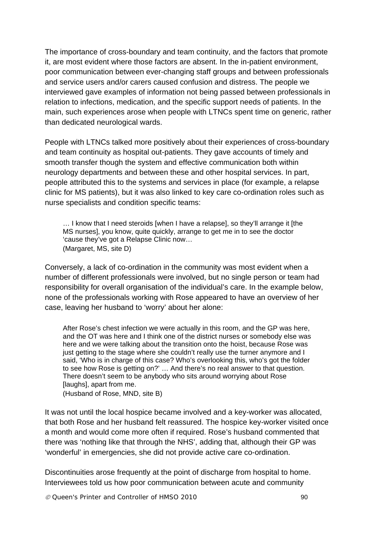The importance of cross-boundary and team continuity, and the factors that promote it, are most evident where those factors are absent. In the in-patient environment, poor communication between ever-changing staff groups and between professionals and service users and/or carers caused confusion and distress. The people we interviewed gave examples of information not being passed between professionals in relation to infections, medication, and the specific support needs of patients. In the main, such experiences arose when people with LTNCs spent time on generic, rather than dedicated neurological wards.

People with LTNCs talked more positively about their experiences of cross-boundary and team continuity as hospital out-patients. They gave accounts of timely and smooth transfer though the system and effective communication both within neurology departments and between these and other hospital services. In part, people attributed this to the systems and services in place (for example, a relapse clinic for MS patients), but it was also linked to key care co-ordination roles such as nurse specialists and condition specific teams:

… I know that I need steroids [when I have a relapse], so they'll arrange it [the MS nurses], you know, quite quickly, arrange to get me in to see the doctor 'cause they've got a Relapse Clinic now… (Margaret, MS, site D)

Conversely, a lack of co-ordination in the community was most evident when a number of different professionals were involved, but no single person or team had responsibility for overall organisation of the individual's care. In the example below, none of the professionals working with Rose appeared to have an overview of her case, leaving her husband to 'worry' about her alone:

After Rose's chest infection we were actually in this room, and the GP was here, and the OT was here and I think one of the district nurses or somebody else was here and we were talking about the transition onto the hoist, because Rose was just getting to the stage where she couldn't really use the turner anymore and I said, 'Who is in charge of this case? Who's overlooking this, who's got the folder to see how Rose is getting on?' … And there's no real answer to that question. There doesn't seem to be anybody who sits around worrying about Rose [laughs], apart from me.

(Husband of Rose, MND, site B)

It was not until the local hospice became involved and a key-worker was allocated, that both Rose and her husband felt reassured. The hospice key-worker visited once a month and would come more often if required. Rose's husband commented that there was 'nothing like that through the NHS', adding that, although their GP was 'wonderful' in emergencies, she did not provide active care co-ordination.

Discontinuities arose frequently at the point of discharge from hospital to home. Interviewees told us how poor communication between acute and community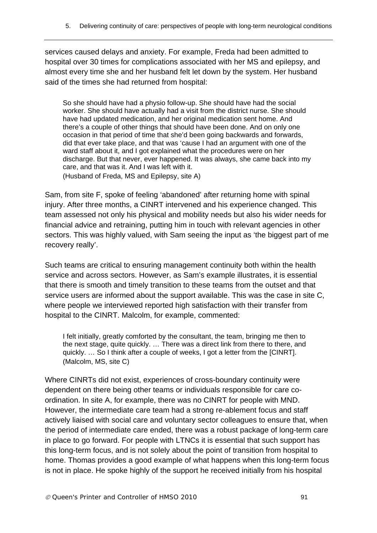services caused delays and anxiety. For example, Freda had been admitted to hospital over 30 times for complications associated with her MS and epilepsy, and almost every time she and her husband felt let down by the system. Her husband said of the times she had returned from hospital:

So she should have had a physio follow-up. She should have had the social worker. She should have actually had a visit from the district nurse. She should have had updated medication, and her original medication sent home. And there's a couple of other things that should have been done. And on only one occasion in that period of time that she'd been going backwards and forwards, did that ever take place, and that was 'cause I had an argument with one of the ward staff about it, and I got explained what the procedures were on her discharge. But that never, ever happened. It was always, she came back into my care, and that was it. And I was left with it.

(Husband of Freda, MS and Epilepsy, site A)

Sam, from site F, spoke of feeling 'abandoned' after returning home with spinal injury. After three months, a CINRT intervened and his experience changed. This team assessed not only his physical and mobility needs but also his wider needs for financial advice and retraining, putting him in touch with relevant agencies in other sectors. This was highly valued, with Sam seeing the input as 'the biggest part of me recovery really'.

Such teams are critical to ensuring management continuity both within the health service and across sectors. However, as Sam's example illustrates, it is essential that there is smooth and timely transition to these teams from the outset and that service users are informed about the support available. This was the case in site C, where people we interviewed reported high satisfaction with their transfer from hospital to the CINRT. Malcolm, for example, commented:

I felt initially, greatly comforted by the consultant, the team, bringing me then to the next stage, quite quickly. … There was a direct link from there to there, and quickly. … So I think after a couple of weeks, I got a letter from the [CINRT]. (Malcolm, MS, site C)

Where CINRTs did not exist, experiences of cross-boundary continuity were dependent on there being other teams or individuals responsible for care coordination. In site A, for example, there was no CINRT for people with MND. However, the intermediate care team had a strong re-ablement focus and staff actively liaised with social care and voluntary sector colleagues to ensure that, when the period of intermediate care ended, there was a robust package of long-term care in place to go forward. For people with LTNCs it is essential that such support has this long-term focus, and is not solely about the point of transition from hospital to home. Thomas provides a good example of what happens when this long-term focus is not in place. He spoke highly of the support he received initially from his hospital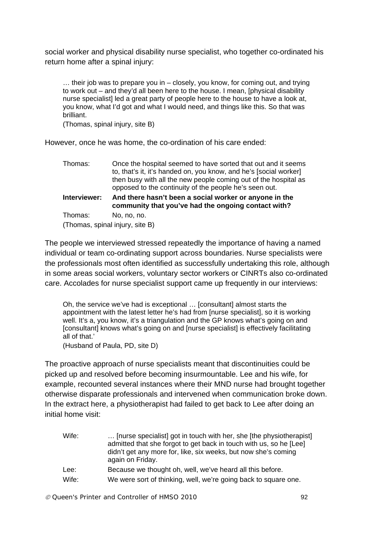social worker and physical disability nurse specialist, who together co-ordinated his return home after a spinal injury:

… their job was to prepare you in – closely, you know, for coming out, and trying to work out – and they'd all been here to the house. I mean, [physical disability nurse specialist] led a great party of people here to the house to have a look at, you know, what I'd got and what I would need, and things like this. So that was brilliant.

(Thomas, spinal injury, site B)

However, once he was home, the co-ordination of his care ended:

| Thomas:      | Once the hospital seemed to have sorted that out and it seems<br>to, that's it, it's handed on, you know, and he's [social worker]<br>then busy with all the new people coming out of the hospital as<br>opposed to the continuity of the people he's seen out. |
|--------------|-----------------------------------------------------------------------------------------------------------------------------------------------------------------------------------------------------------------------------------------------------------------|
| Interviewer: | And there hasn't been a social worker or anyone in the<br>community that you've had the ongoing contact with?                                                                                                                                                   |
| Thomas:      | No, no, no.                                                                                                                                                                                                                                                     |
|              | (Thomas, spinal injury, site B)                                                                                                                                                                                                                                 |

The people we interviewed stressed repeatedly the importance of having a named individual or team co-ordinating support across boundaries. Nurse specialists were the professionals most often identified as successfully undertaking this role, although in some areas social workers, voluntary sector workers or CINRTs also co-ordinated care. Accolades for nurse specialist support came up frequently in our interviews:

Oh, the service we've had is exceptional … [consultant] almost starts the appointment with the latest letter he's had from [nurse specialist], so it is working well. It's a, you know, it's a triangulation and the GP knows what's going on and [consultant] knows what's going on and [nurse specialist] is effectively facilitating all of that.'

(Husband of Paula, PD, site D)

The proactive approach of nurse specialists meant that discontinuities could be picked up and resolved before becoming insurmountable. Lee and his wife, for example, recounted several instances where their MND nurse had brought together otherwise disparate professionals and intervened when communication broke down. In the extract here, a physiotherapist had failed to get back to Lee after doing an initial home visit:

| Wife: | [nurse specialist] got in touch with her, she [the physiotherapist]<br>admitted that she forgot to get back in touch with us, so he [Lee]<br>didn't get any more for, like, six weeks, but now she's coming<br>again on Friday. |
|-------|---------------------------------------------------------------------------------------------------------------------------------------------------------------------------------------------------------------------------------|
| Lee:  | Because we thought oh, well, we've heard all this before.                                                                                                                                                                       |
| Wife: | We were sort of thinking, well, we're going back to square one.                                                                                                                                                                 |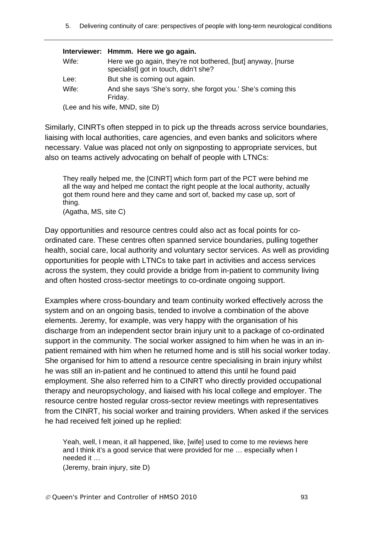5. Delivering continuity of care: perspectives of people with long-term neurological conditions

#### **Interviewer: Hmmm. Here we go again.**

| Wife: | Here we go again, they're not bothered, [but] anyway, [nurse]<br>specialist] got in touch, didn't she? |
|-------|--------------------------------------------------------------------------------------------------------|
| Lee:  | But she is coming out again.                                                                           |
| Wife: | And she says 'She's sorry, she forgot you.' She's coming this<br>Friday.                               |
|       | (Lee and his wife, MND, site D)                                                                        |

Similarly, CINRTs often stepped in to pick up the threads across service boundaries, liaising with local authorities, care agencies, and even banks and solicitors where necessary. Value was placed not only on signposting to appropriate services, but also on teams actively advocating on behalf of people with LTNCs:

They really helped me, the [CINRT] which form part of the PCT were behind me all the way and helped me contact the right people at the local authority, actually got them round here and they came and sort of, backed my case up, sort of thing.

(Agatha, MS, site C)

Day opportunities and resource centres could also act as focal points for coordinated care. These centres often spanned service boundaries, pulling together health, social care, local authority and voluntary sector services. As well as providing opportunities for people with LTNCs to take part in activities and access services across the system, they could provide a bridge from in-patient to community living and often hosted cross-sector meetings to co-ordinate ongoing support.

Examples where cross-boundary and team continuity worked effectively across the system and on an ongoing basis, tended to involve a combination of the above elements. Jeremy, for example, was very happy with the organisation of his discharge from an independent sector brain injury unit to a package of co-ordinated support in the community. The social worker assigned to him when he was in an inpatient remained with him when he returned home and is still his social worker today. She organised for him to attend a resource centre specialising in brain injury whilst he was still an in-patient and he continued to attend this until he found paid employment. She also referred him to a CINRT who directly provided occupational therapy and neuropsychology, and liaised with his local college and employer. The resource centre hosted regular cross-sector review meetings with representatives from the CINRT, his social worker and training providers. When asked if the services he had received felt joined up he replied:

Yeah, well, I mean, it all happened, like, [wife] used to come to me reviews here and I think it's a good service that were provided for me … especially when I needed it …

(Jeremy, brain injury, site D)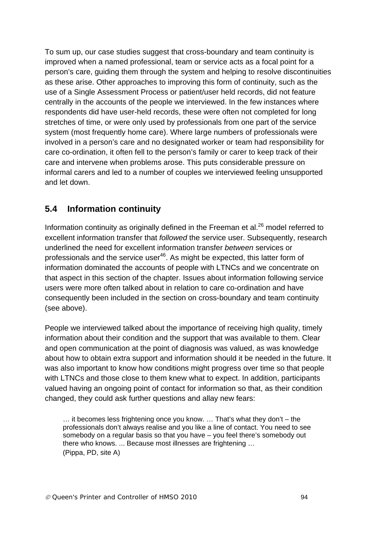To sum up, our case studies suggest that cross-boundary and team continuity is improved when a named professional, team or service acts as a focal point for a person's care, guiding them through the system and helping to resolve discontinuities as these arise. Other approaches to improving this form of continuity, such as the use of a Single Assessment Process or patient/user held records, did not feature centrally in the accounts of the people we interviewed. In the few instances where respondents did have user-held records, these were often not completed for long stretches of time, or were only used by professionals from one part of the service system (most frequently home care). Where large numbers of professionals were involved in a person's care and no designated worker or team had responsibility for care co-ordination, it often fell to the person's family or carer to keep track of their care and intervene when problems arose. This puts considerable pressure on informal carers and led to a number of couples we interviewed feeling unsupported and let down.

## **5.4 Information continuity**

Information continuity as originally defined in the Freeman et al. $^{26}$  model referred to excellent information transfer that *followed* the service user. Subsequently, research underlined the need for excellent information transfer *between* services or professionals and the service user<sup>46</sup>. As might be expected, this latter form of information dominated the accounts of people with LTNCs and we concentrate on that aspect in this section of the chapter. Issues about information following service users were more often talked about in relation to care co-ordination and have consequently been included in the section on cross-boundary and team continuity (see above).

People we interviewed talked about the importance of receiving high quality, timely information about their condition and the support that was available to them. Clear and open communication at the point of diagnosis was valued, as was knowledge about how to obtain extra support and information should it be needed in the future. It was also important to know how conditions might progress over time so that people with LTNCs and those close to them knew what to expect. In addition, participants valued having an ongoing point of contact for information so that, as their condition changed, they could ask further questions and allay new fears:

… it becomes less frightening once you know. … That's what they don't – the professionals don't always realise and you like a line of contact. You need to see somebody on a regular basis so that you have – you feel there's somebody out there who knows. ... Because most illnesses are frightening … (Pippa, PD, site A)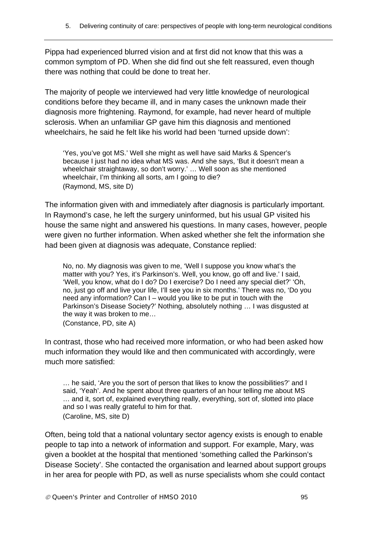Pippa had experienced blurred vision and at first did not know that this was a common symptom of PD. When she did find out she felt reassured, even though there was nothing that could be done to treat her.

The majority of people we interviewed had very little knowledge of neurological conditions before they became ill, and in many cases the unknown made their diagnosis more frightening. Raymond, for example, had never heard of multiple sclerosis. When an unfamiliar GP gave him this diagnosis and mentioned wheelchairs, he said he felt like his world had been 'turned upside down':

'Yes, you've got MS.' Well she might as well have said Marks & Spencer's because I just had no idea what MS was. And she says, 'But it doesn't mean a wheelchair straightaway, so don't worry.' … Well soon as she mentioned wheelchair, I'm thinking all sorts, am I going to die? (Raymond, MS, site D)

The information given with and immediately after diagnosis is particularly important. In Raymond's case, he left the surgery uninformed, but his usual GP visited his house the same night and answered his questions. In many cases, however, people were given no further information. When asked whether she felt the information she had been given at diagnosis was adequate, Constance replied:

No, no. My diagnosis was given to me, 'Well I suppose you know what's the matter with you? Yes, it's Parkinson's. Well, you know, go off and live.' I said, 'Well, you know, what do I do? Do I exercise? Do I need any special diet?' 'Oh, no, just go off and live your life, I'll see you in six months.' There was no, 'Do you need any information? Can I – would you like to be put in touch with the Parkinson's Disease Society?' Nothing, absolutely nothing … I was disgusted at the way it was broken to me… (Constance, PD, site A)

In contrast, those who had received more information, or who had been asked how much information they would like and then communicated with accordingly, were much more satisfied:

… he said, 'Are you the sort of person that likes to know the possibilities?' and I said, 'Yeah'. And he spent about three quarters of an hour telling me about MS … and it, sort of, explained everything really, everything, sort of, slotted into place and so I was really grateful to him for that. (Caroline, MS, site D)

Often, being told that a national voluntary sector agency exists is enough to enable people to tap into a network of information and support. For example, Mary, was given a booklet at the hospital that mentioned 'something called the Parkinson's Disease Society'. She contacted the organisation and learned about support groups in her area for people with PD, as well as nurse specialists whom she could contact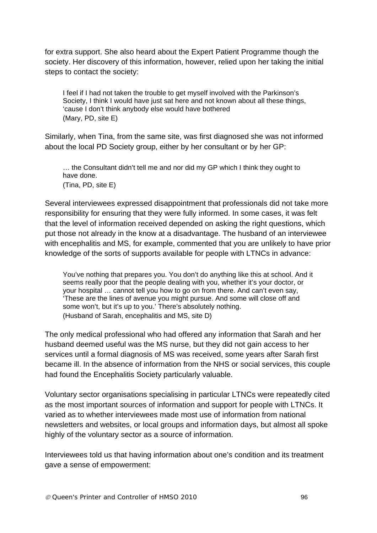for extra support. She also heard about the Expert Patient Programme though the society. Her discovery of this information, however, relied upon her taking the initial steps to contact the society:

I feel if I had not taken the trouble to get myself involved with the Parkinson's Society, I think I would have just sat here and not known about all these things, 'cause I don't think anybody else would have bothered (Mary, PD, site E)

Similarly, when Tina, from the same site, was first diagnosed she was not informed about the local PD Society group, either by her consultant or by her GP:

… the Consultant didn't tell me and nor did my GP which I think they ought to have done. (Tina, PD, site E)

Several interviewees expressed disappointment that professionals did not take more responsibility for ensuring that they were fully informed. In some cases, it was felt that the level of information received depended on asking the right questions, which put those not already in the know at a disadvantage. The husband of an interviewee with encephalitis and MS, for example, commented that you are unlikely to have prior knowledge of the sorts of supports available for people with LTNCs in advance:

You've nothing that prepares you. You don't do anything like this at school. And it seems really poor that the people dealing with you, whether it's your doctor, or your hospital … cannot tell you how to go on from there. And can't even say, 'These are the lines of avenue you might pursue. And some will close off and some won't, but it's up to you.' There's absolutely nothing. (Husband of Sarah, encephalitis and MS, site D)

The only medical professional who had offered any information that Sarah and her husband deemed useful was the MS nurse, but they did not gain access to her services until a formal diagnosis of MS was received, some years after Sarah first became ill. In the absence of information from the NHS or social services, this couple had found the Encephalitis Society particularly valuable.

Voluntary sector organisations specialising in particular LTNCs were repeatedly cited as the most important sources of information and support for people with LTNCs. It varied as to whether interviewees made most use of information from national newsletters and websites, or local groups and information days, but almost all spoke highly of the voluntary sector as a source of information.

Interviewees told us that having information about one's condition and its treatment gave a sense of empowerment: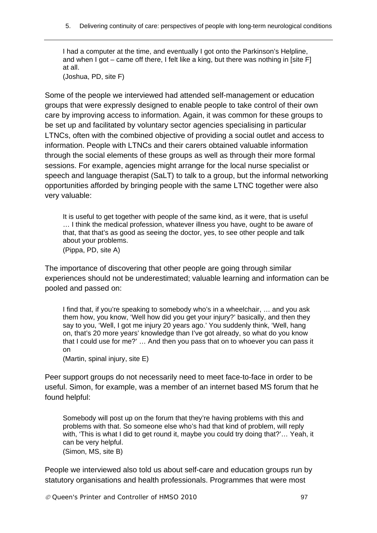I had a computer at the time, and eventually I got onto the Parkinson's Helpline, and when I got – came off there, I felt like a king, but there was nothing in [site F] at all.

(Joshua, PD, site F)

Some of the people we interviewed had attended self-management or education groups that were expressly designed to enable people to take control of their own care by improving access to information. Again, it was common for these groups to be set up and facilitated by voluntary sector agencies specialising in particular LTNCs, often with the combined objective of providing a social outlet and access to information. People with LTNCs and their carers obtained valuable information through the social elements of these groups as well as through their more formal sessions. For example, agencies might arrange for the local nurse specialist or speech and language therapist (SaLT) to talk to a group, but the informal networking opportunities afforded by bringing people with the same LTNC together were also very valuable:

It is useful to get together with people of the same kind, as it were, that is useful … I think the medical profession, whatever illness you have, ought to be aware of that, that that's as good as seeing the doctor, yes, to see other people and talk about your problems.

(Pippa, PD, site A)

The importance of discovering that other people are going through similar experiences should not be underestimated; valuable learning and information can be pooled and passed on:

I find that, if you're speaking to somebody who's in a wheelchair, … and you ask them how, you know, 'Well how did you get your injury?' basically, and then they say to you, 'Well, I got me injury 20 years ago.' You suddenly think, 'Well, hang on, that's 20 more years' knowledge than I've got already, so what do you know that I could use for me?' … And then you pass that on to whoever you can pass it on

(Martin, spinal injury, site E)

Peer support groups do not necessarily need to meet face-to-face in order to be useful. Simon, for example, was a member of an internet based MS forum that he found helpful:

Somebody will post up on the forum that they're having problems with this and problems with that. So someone else who's had that kind of problem, will reply with, 'This is what I did to get round it, maybe you could try doing that?'… Yeah, it can be very helpful. (Simon, MS, site B)

People we interviewed also told us about self-care and education groups run by statutory organisations and health professionals. Programmes that were most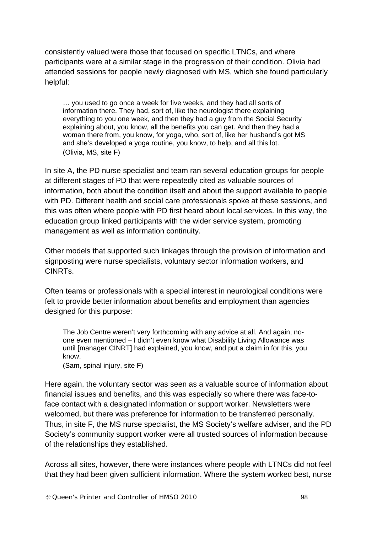consistently valued were those that focused on specific LTNCs, and where participants were at a similar stage in the progression of their condition. Olivia had attended sessions for people newly diagnosed with MS, which she found particularly helpful:

… you used to go once a week for five weeks, and they had all sorts of information there. They had, sort of, like the neurologist there explaining everything to you one week, and then they had a guy from the Social Security explaining about, you know, all the benefits you can get. And then they had a woman there from, you know, for yoga, who, sort of, like her husband's got MS and she's developed a yoga routine, you know, to help, and all this lot. (Olivia, MS, site F)

In site A, the PD nurse specialist and team ran several education groups for people at different stages of PD that were repeatedly cited as valuable sources of information, both about the condition itself and about the support available to people with PD. Different health and social care professionals spoke at these sessions, and this was often where people with PD first heard about local services. In this way, the education group linked participants with the wider service system, promoting management as well as information continuity.

Other models that supported such linkages through the provision of information and signposting were nurse specialists, voluntary sector information workers, and CINRTs.

Often teams or professionals with a special interest in neurological conditions were felt to provide better information about benefits and employment than agencies designed for this purpose:

The Job Centre weren't very forthcoming with any advice at all. And again, noone even mentioned – I didn't even know what Disability Living Allowance was until [manager CINRT] had explained, you know, and put a claim in for this, you know.

(Sam, spinal injury, site F)

Here again, the voluntary sector was seen as a valuable source of information about financial issues and benefits, and this was especially so where there was face-toface contact with a designated information or support worker. Newsletters were welcomed, but there was preference for information to be transferred personally. Thus, in site F, the MS nurse specialist, the MS Society's welfare adviser, and the PD Society's community support worker were all trusted sources of information because of the relationships they established.

Across all sites, however, there were instances where people with LTNCs did not feel that they had been given sufficient information. Where the system worked best, nurse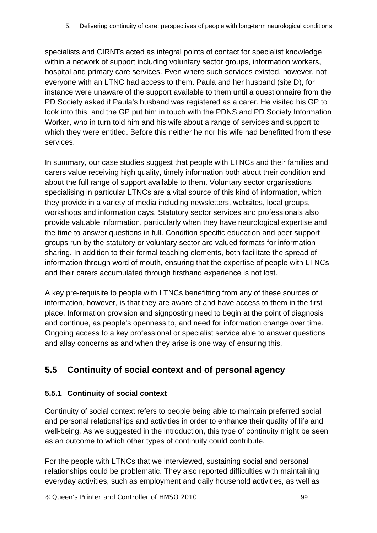specialists and CIRNTs acted as integral points of contact for specialist knowledge within a network of support including voluntary sector groups, information workers, hospital and primary care services. Even where such services existed, however, not everyone with an LTNC had access to them. Paula and her husband (site D), for instance were unaware of the support available to them until a questionnaire from the PD Society asked if Paula's husband was registered as a carer. He visited his GP to look into this, and the GP put him in touch with the PDNS and PD Society Information Worker, who in turn told him and his wife about a range of services and support to which they were entitled. Before this neither he nor his wife had benefitted from these services.

In summary, our case studies suggest that people with LTNCs and their families and carers value receiving high quality, timely information both about their condition and about the full range of support available to them. Voluntary sector organisations specialising in particular LTNCs are a vital source of this kind of information, which they provide in a variety of media including newsletters, websites, local groups, workshops and information days. Statutory sector services and professionals also provide valuable information, particularly when they have neurological expertise and the time to answer questions in full. Condition specific education and peer support groups run by the statutory or voluntary sector are valued formats for information sharing. In addition to their formal teaching elements, both facilitate the spread of information through word of mouth, ensuring that the expertise of people with LTNCs and their carers accumulated through firsthand experience is not lost.

A key pre-requisite to people with LTNCs benefitting from any of these sources of information, however, is that they are aware of and have access to them in the first place. Information provision and signposting need to begin at the point of diagnosis and continue, as people's openness to, and need for information change over time. Ongoing access to a key professional or specialist service able to answer questions and allay concerns as and when they arise is one way of ensuring this.

## **5.5 Continuity of social context and of personal agency**

## **5.5.1 Continuity of social context**

Continuity of social context refers to people being able to maintain preferred social and personal relationships and activities in order to enhance their quality of life and well-being. As we suggested in the introduction, this type of continuity might be seen as an outcome to which other types of continuity could contribute.

For the people with LTNCs that we interviewed, sustaining social and personal relationships could be problematic. They also reported difficulties with maintaining everyday activities, such as employment and daily household activities, as well as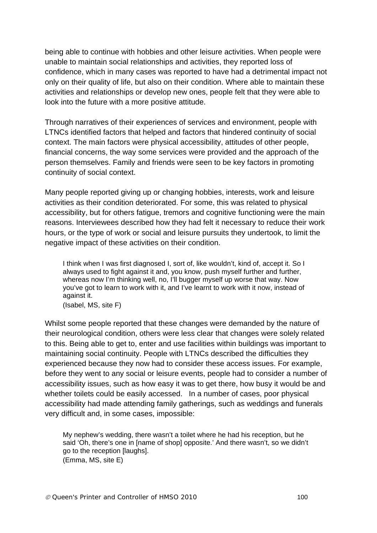being able to continue with hobbies and other leisure activities. When people were unable to maintain social relationships and activities, they reported loss of confidence, which in many cases was reported to have had a detrimental impact not only on their quality of life, but also on their condition. Where able to maintain these activities and relationships or develop new ones, people felt that they were able to look into the future with a more positive attitude.

Through narratives of their experiences of services and environment, people with LTNCs identified factors that helped and factors that hindered continuity of social context. The main factors were physical accessibility, attitudes of other people, financial concerns, the way some services were provided and the approach of the person themselves. Family and friends were seen to be key factors in promoting continuity of social context.

Many people reported giving up or changing hobbies, interests, work and leisure activities as their condition deteriorated. For some, this was related to physical accessibility, but for others fatigue, tremors and cognitive functioning were the main reasons. Interviewees described how they had felt it necessary to reduce their work hours, or the type of work or social and leisure pursuits they undertook, to limit the negative impact of these activities on their condition.

I think when I was first diagnosed I, sort of, like wouldn't, kind of, accept it. So I always used to fight against it and, you know, push myself further and further, whereas now I'm thinking well, no, I'll bugger myself up worse that way. Now you've got to learn to work with it, and I've learnt to work with it now, instead of against it.

(Isabel, MS, site F)

Whilst some people reported that these changes were demanded by the nature of their neurological condition, others were less clear that changes were solely related to this. Being able to get to, enter and use facilities within buildings was important to maintaining social continuity. People with LTNCs described the difficulties they experienced because they now had to consider these access issues. For example, before they went to any social or leisure events, people had to consider a number of accessibility issues, such as how easy it was to get there, how busy it would be and whether toilets could be easily accessed. In a number of cases, poor physical accessibility had made attending family gatherings, such as weddings and funerals very difficult and, in some cases, impossible:

My nephew's wedding, there wasn't a toilet where he had his reception, but he said 'Oh, there's one in [name of shop] opposite.' And there wasn't, so we didn't go to the reception [laughs]. (Emma, MS, site E)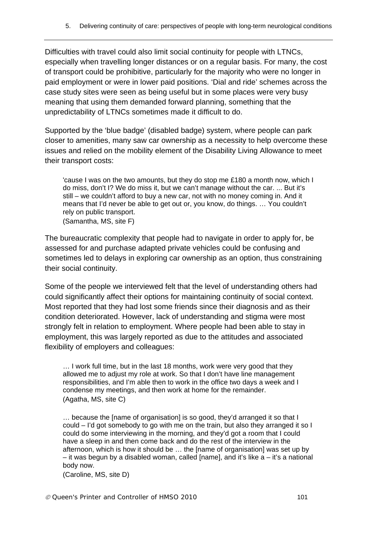Difficulties with travel could also limit social continuity for people with LTNCs, especially when travelling longer distances or on a regular basis. For many, the cost of transport could be prohibitive, particularly for the majority who were no longer in paid employment or were in lower paid positions. 'Dial and ride' schemes across the case study sites were seen as being useful but in some places were very busy meaning that using them demanded forward planning, something that the unpredictability of LTNCs sometimes made it difficult to do.

Supported by the 'blue badge' (disabled badge) system, where people can park closer to amenities, many saw car ownership as a necessity to help overcome these issues and relied on the mobility element of the Disability Living Allowance to meet their transport costs:

'cause I was on the two amounts, but they do stop me £180 a month now, which I do miss, don't I? We do miss it, but we can't manage without the car. ... But it's still – we couldn't afford to buy a new car, not with no money coming in. And it means that I'd never be able to get out or, you know, do things. … You couldn't rely on public transport. (Samantha, MS, site F)

The bureaucratic complexity that people had to navigate in order to apply for, be assessed for and purchase adapted private vehicles could be confusing and sometimes led to delays in exploring car ownership as an option, thus constraining their social continuity.

Some of the people we interviewed felt that the level of understanding others had could significantly affect their options for maintaining continuity of social context. Most reported that they had lost some friends since their diagnosis and as their condition deteriorated. However, lack of understanding and stigma were most strongly felt in relation to employment. Where people had been able to stay in employment, this was largely reported as due to the attitudes and associated flexibility of employers and colleagues:

… I work full time, but in the last 18 months, work were very good that they allowed me to adjust my role at work. So that I don't have line management responsibilities, and I'm able then to work in the office two days a week and I condense my meetings, and then work at home for the remainder. (Agatha, MS, site C)

… because the [name of organisation] is so good, they'd arranged it so that I could – I'd got somebody to go with me on the train, but also they arranged it so I could do some interviewing in the morning, and they'd got a room that I could have a sleep in and then come back and do the rest of the interview in the afternoon, which is how it should be … the [name of organisation] was set up by – it was begun by a disabled woman, called [name], and it's like  $a - it$ 's a national body now.

(Caroline, MS, site D)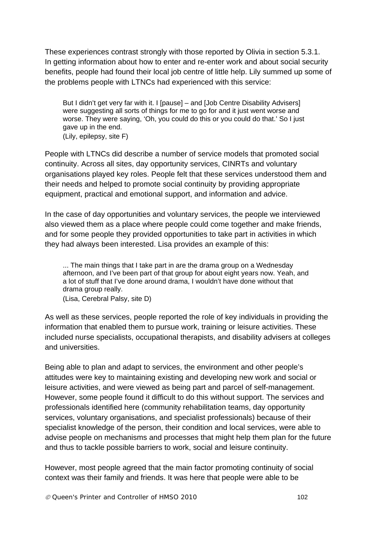These experiences contrast strongly with those reported by Olivia in section 5.3.1. In getting information about how to enter and re-enter work and about social security benefits, people had found their local job centre of little help. Lily summed up some of the problems people with LTNCs had experienced with this service:

But I didn't get very far with it. I [pause] – and [Job Centre Disability Advisers] were suggesting all sorts of things for me to go for and it just went worse and worse. They were saying, 'Oh, you could do this or you could do that.' So I just gave up in the end. (Lily, epilepsy, site F)

People with LTNCs did describe a number of service models that promoted social continuity. Across all sites, day opportunity services, CINRTs and voluntary organisations played key roles. People felt that these services understood them and their needs and helped to promote social continuity by providing appropriate equipment, practical and emotional support, and information and advice.

In the case of day opportunities and voluntary services, the people we interviewed also viewed them as a place where people could come together and make friends, and for some people they provided opportunities to take part in activities in which they had always been interested. Lisa provides an example of this:

... The main things that I take part in are the drama group on a Wednesday afternoon, and I've been part of that group for about eight years now. Yeah, and a lot of stuff that I've done around drama, I wouldn't have done without that drama group really. (Lisa, Cerebral Palsy, site D)

As well as these services, people reported the role of key individuals in providing the information that enabled them to pursue work, training or leisure activities. These included nurse specialists, occupational therapists, and disability advisers at colleges and universities.

Being able to plan and adapt to services, the environment and other people's attitudes were key to maintaining existing and developing new work and social or leisure activities, and were viewed as being part and parcel of self-management. However, some people found it difficult to do this without support. The services and professionals identified here (community rehabilitation teams, day opportunity services, voluntary organisations, and specialist professionals) because of their specialist knowledge of the person, their condition and local services, were able to advise people on mechanisms and processes that might help them plan for the future and thus to tackle possible barriers to work, social and leisure continuity.

However, most people agreed that the main factor promoting continuity of social context was their family and friends. It was here that people were able to be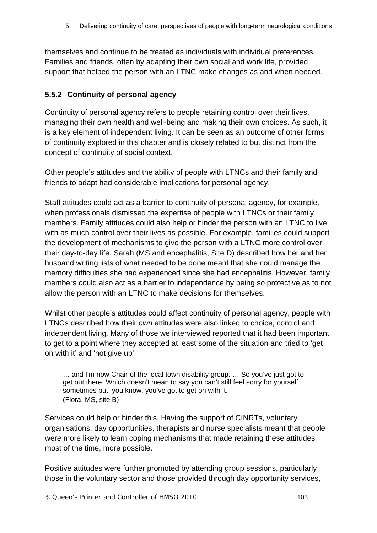themselves and continue to be treated as individuals with individual preferences. Families and friends, often by adapting their own social and work life, provided support that helped the person with an LTNC make changes as and when needed.

#### **5.5.2 Continuity of personal agency**

Continuity of personal agency refers to people retaining control over their lives, managing their own health and well-being and making their own choices. As such, it is a key element of independent living. It can be seen as an outcome of other forms of continuity explored in this chapter and is closely related to but distinct from the concept of continuity of social context.

Other people's attitudes and the ability of people with LTNCs and their family and friends to adapt had considerable implications for personal agency.

Staff attitudes could act as a barrier to continuity of personal agency, for example, when professionals dismissed the expertise of people with LTNCs or their family members. Family attitudes could also help or hinder the person with an LTNC to live with as much control over their lives as possible. For example, families could support the development of mechanisms to give the person with a LTNC more control over their day-to-day life. Sarah (MS and encephalitis, Site D) described how her and her husband writing lists of what needed to be done meant that she could manage the memory difficulties she had experienced since she had encephalitis. However, family members could also act as a barrier to independence by being so protective as to not allow the person with an LTNC to make decisions for themselves.

Whilst other people's attitudes could affect continuity of personal agency, people with LTNCs described how their *own* attitudes were also linked to choice, control and independent living. Many of those we interviewed reported that it had been important to get to a point where they accepted at least some of the situation and tried to 'get on with it' and 'not give up'.

… and I'm now Chair of the local town disability group. … So you've just got to get out there. Which doesn't mean to say you can't still feel sorry for yourself sometimes but, you know, you've got to get on with it. (Flora, MS, site B)

Services could help or hinder this. Having the support of CINRTs, voluntary organisations, day opportunities, therapists and nurse specialists meant that people were more likely to learn coping mechanisms that made retaining these attitudes most of the time, more possible.

Positive attitudes were further promoted by attending group sessions, particularly those in the voluntary sector and those provided through day opportunity services,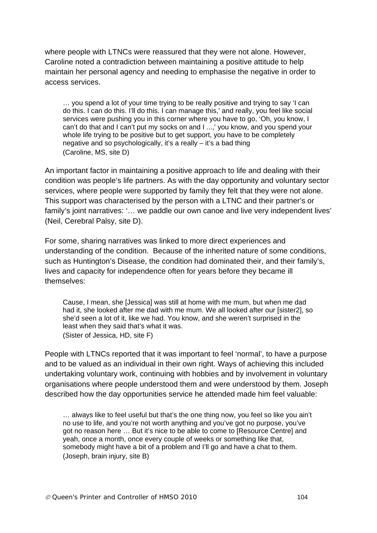where people with LTNCs were reassured that they were not alone. However, Caroline noted a contradiction between maintaining a positive attitude to help maintain her personal agency and needing to emphasise the negative in order to access services.

… you spend a lot of your time trying to be really positive and trying to say 'I can do this. I can do this. I'll do this. I can manage this,' and really, you feel like social services were pushing you in this corner where you have to go, 'Oh, you know, I can't do that and I can't put my socks on and I ...,' you know, and you spend your whole life trying to be positive but to get support, you have to be completely negative and so psychologically, it's a really – it's a bad thing (Caroline, MS, site D)

An important factor in maintaining a positive approach to life and dealing with their condition was people's life partners. As with the day opportunity and voluntary sector services, where people were supported by family they felt that they were not alone. This support was characterised by the person with a LTNC and their partner's or family's joint narratives: '… we paddle our own canoe and live very independent lives' (Neil, Cerebral Palsy, site D).

For some, sharing narratives was linked to more direct experiences and understanding of the condition. Because of the inherited nature of some conditions, such as Huntington's Disease, the condition had dominated their, and their family's, lives and capacity for independence often for years before they became ill themselves:

Cause, I mean, she [Jessica] was still at home with me mum, but when me dad had it, she looked after me dad with me mum. We all looked after our [sister2], so she'd seen a lot of it, like we had. You know, and she weren't surprised in the least when they said that's what it was. (Sister of Jessica, HD, site F)

People with LTNCs reported that it was important to feel 'normal', to have a purpose and to be valued as an individual in their own right. Ways of achieving this included undertaking voluntary work, continuing with hobbies and by involvement in voluntary organisations where people understood them and were understood by them. Joseph described how the day opportunities service he attended made him feel valuable:

… always like to feel useful but that's the one thing now, you feel so like you ain't no use to life, and you're not worth anything and you've got no purpose, you've got no reason here … But it's nice to be able to come to [Resource Centre] and yeah, once a month, once every couple of weeks or something like that, somebody might have a bit of a problem and I'll go and have a chat to them. (Joseph, brain injury, site B)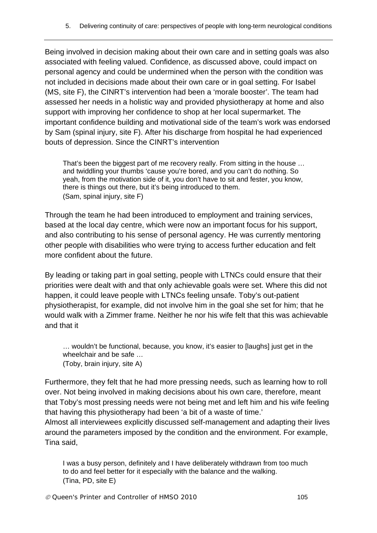Being involved in decision making about their own care and in setting goals was also associated with feeling valued. Confidence, as discussed above, could impact on personal agency and could be undermined when the person with the condition was not included in decisions made about their own care or in goal setting. For Isabel (MS, site F), the CINRT's intervention had been a 'morale booster'. The team had assessed her needs in a holistic way and provided physiotherapy at home and also support with improving her confidence to shop at her local supermarket. The important confidence building and motivational side of the team's work was endorsed by Sam (spinal injury, site F). After his discharge from hospital he had experienced bouts of depression. Since the CINRT's intervention

That's been the biggest part of me recovery really. From sitting in the house … and twiddling your thumbs 'cause you're bored, and you can't do nothing. So yeah, from the motivation side of it, you don't have to sit and fester, you know, there is things out there, but it's being introduced to them. (Sam, spinal injury, site F)

Through the team he had been introduced to employment and training services, based at the local day centre, which were now an important focus for his support, and also contributing to his sense of personal agency. He was currently mentoring other people with disabilities who were trying to access further education and felt more confident about the future.

By leading or taking part in goal setting, people with LTNCs could ensure that their priorities were dealt with and that only achievable goals were set. Where this did not happen, it could leave people with LTNCs feeling unsafe. Toby's out-patient physiotherapist, for example, did not involve him in the goal she set for him; that he would walk with a Zimmer frame. Neither he nor his wife felt that this was achievable and that it

… wouldn't be functional, because, you know, it's easier to [laughs] just get in the wheelchair and be safe … (Toby, brain injury, site A)

Furthermore, they felt that he had more pressing needs, such as learning how to roll over. Not being involved in making decisions about his own care, therefore, meant that Toby's most pressing needs were not being met and left him and his wife feeling that having this physiotherapy had been 'a bit of a waste of time.'

Almost all interviewees explicitly discussed self-management and adapting their lives around the parameters imposed by the condition and the environment. For example, Tina said,

I was a busy person, definitely and I have deliberately withdrawn from too much to do and feel better for it especially with the balance and the walking. (Tina, PD, site E)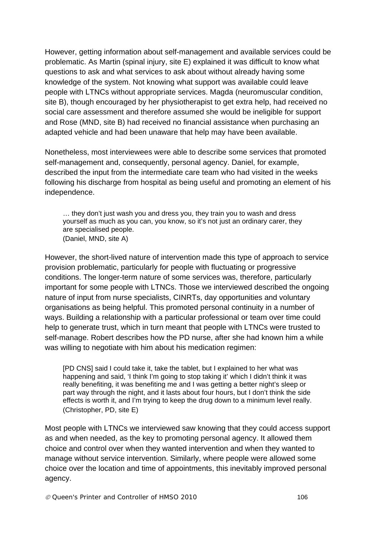However, getting information about self-management and available services could be problematic. As Martin (spinal injury, site E) explained it was difficult to know what questions to ask and what services to ask about without already having some knowledge of the system. Not knowing what support was available could leave people with LTNCs without appropriate services. Magda (neuromuscular condition, site B), though encouraged by her physiotherapist to get extra help, had received no social care assessment and therefore assumed she would be ineligible for support and Rose (MND, site B) had received no financial assistance when purchasing an adapted vehicle and had been unaware that help may have been available.

Nonetheless, most interviewees were able to describe some services that promoted self-management and, consequently, personal agency. Daniel, for example, described the input from the intermediate care team who had visited in the weeks following his discharge from hospital as being useful and promoting an element of his independence.

… they don't just wash you and dress you, they train you to wash and dress yourself as much as you can, you know, so it's not just an ordinary carer, they are specialised people. (Daniel, MND, site A)

However, the short-lived nature of intervention made this type of approach to service provision problematic, particularly for people with fluctuating or progressive conditions. The longer-term nature of some services was, therefore, particularly important for some people with LTNCs. Those we interviewed described the ongoing nature of input from nurse specialists, CINRTs, day opportunities and voluntary organisations as being helpful. This promoted personal continuity in a number of ways. Building a relationship with a particular professional or team over time could help to generate trust, which in turn meant that people with LTNCs were trusted to self-manage. Robert describes how the PD nurse, after she had known him a while was willing to negotiate with him about his medication regimen:

[PD CNS] said I could take it, take the tablet, but I explained to her what was happening and said, 'I think I'm going to stop taking it' which I didn't think it was really benefiting, it was benefiting me and I was getting a better night's sleep or part way through the night, and it lasts about four hours, but I don't think the side effects is worth it, and I'm trying to keep the drug down to a minimum level really. (Christopher, PD, site E)

Most people with LTNCs we interviewed saw knowing that they could access support as and when needed, as the key to promoting personal agency. It allowed them choice and control over when they wanted intervention and when they wanted to manage without service intervention. Similarly, where people were allowed some choice over the location and time of appointments, this inevitably improved personal agency.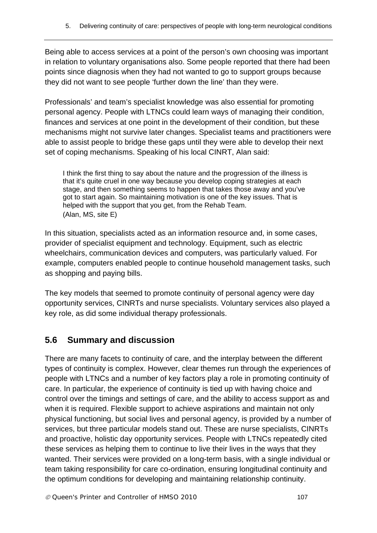Being able to access services at a point of the person's own choosing was important in relation to voluntary organisations also. Some people reported that there had been points since diagnosis when they had not wanted to go to support groups because they did not want to see people 'further down the line' than they were.

Professionals' and team's specialist knowledge was also essential for promoting personal agency. People with LTNCs could learn ways of managing their condition, finances and services at one point in the development of their condition, but these mechanisms might not survive later changes. Specialist teams and practitioners were able to assist people to bridge these gaps until they were able to develop their next set of coping mechanisms. Speaking of his local CINRT, Alan said:

I think the first thing to say about the nature and the progression of the illness is that it's quite cruel in one way because you develop coping strategies at each stage, and then something seems to happen that takes those away and you've got to start again. So maintaining motivation is one of the key issues. That is helped with the support that you get, from the Rehab Team. (Alan, MS, site E)

In this situation, specialists acted as an information resource and, in some cases, provider of specialist equipment and technology. Equipment, such as electric wheelchairs, communication devices and computers, was particularly valued. For example, computers enabled people to continue household management tasks, such as shopping and paying bills.

The key models that seemed to promote continuity of personal agency were day opportunity services, CINRTs and nurse specialists. Voluntary services also played a key role, as did some individual therapy professionals.

# **5.6 Summary and discussion**

There are many facets to continuity of care, and the interplay between the different types of continuity is complex. However, clear themes run through the experiences of people with LTNCs and a number of key factors play a role in promoting continuity of care. In particular, the experience of continuity is tied up with having choice and control over the timings and settings of care, and the ability to access support as and when it is required. Flexible support to achieve aspirations and maintain not only physical functioning, but social lives and personal agency, is provided by a number of services, but three particular models stand out. These are nurse specialists, CINRTs and proactive, holistic day opportunity services. People with LTNCs repeatedly cited these services as helping them to continue to live their lives in the ways that they wanted. Their services were provided on a long-term basis, with a single individual or team taking responsibility for care co-ordination, ensuring longitudinal continuity and the optimum conditions for developing and maintaining relationship continuity.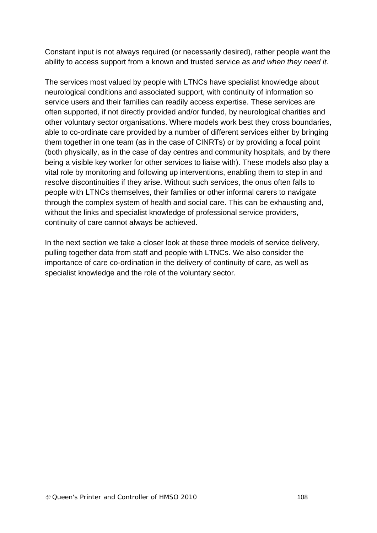Constant input is not always required (or necessarily desired), rather people want the ability to access support from a known and trusted service *as and when they need it*.

The services most valued by people with LTNCs have specialist knowledge about neurological conditions and associated support, with continuity of information so service users and their families can readily access expertise. These services are often supported, if not directly provided and/or funded, by neurological charities and other voluntary sector organisations. Where models work best they cross boundaries, able to co-ordinate care provided by a number of different services either by bringing them together in one team (as in the case of CINRTs) or by providing a focal point (both physically, as in the case of day centres and community hospitals, and by there being a visible key worker for other services to liaise with). These models also play a vital role by monitoring and following up interventions, enabling them to step in and resolve discontinuities if they arise. Without such services, the onus often falls to people with LTNCs themselves, their families or other informal carers to navigate through the complex system of health and social care. This can be exhausting and, without the links and specialist knowledge of professional service providers, continuity of care cannot always be achieved.

In the next section we take a closer look at these three models of service delivery, pulling together data from staff and people with LTNCs. We also consider the importance of care co-ordination in the delivery of continuity of care, as well as specialist knowledge and the role of the voluntary sector.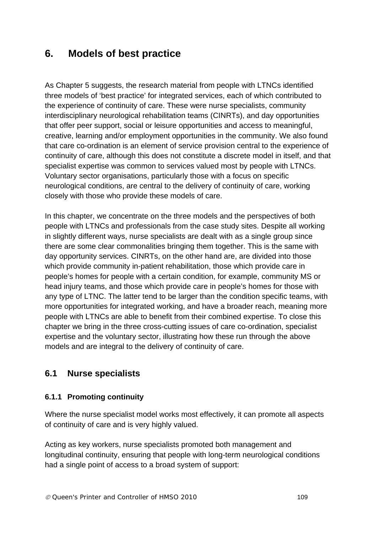# **6. Models of best practice**

As Chapter 5 suggests, the research material from people with LTNCs identified three models of 'best practice' for integrated services, each of which contributed to the experience of continuity of care. These were nurse specialists, community interdisciplinary neurological rehabilitation teams (CINRTs), and day opportunities that offer peer support, social or leisure opportunities and access to meaningful, creative, learning and/or employment opportunities in the community. We also found that care co-ordination is an element of service provision central to the experience of continuity of care, although this does not constitute a discrete model in itself, and that specialist expertise was common to services valued most by people with LTNCs. Voluntary sector organisations, particularly those with a focus on specific neurological conditions, are central to the delivery of continuity of care, working closely with those who provide these models of care.

In this chapter, we concentrate on the three models and the perspectives of both people with LTNCs and professionals from the case study sites. Despite all working in slightly different ways, nurse specialists are dealt with as a single group since there are some clear commonalities bringing them together. This is the same with day opportunity services. CINRTs, on the other hand are, are divided into those which provide community in-patient rehabilitation, those which provide care in people's homes for people with a certain condition, for example, community MS or head injury teams, and those which provide care in people's homes for those with any type of LTNC. The latter tend to be larger than the condition specific teams, with more opportunities for integrated working, and have a broader reach, meaning more people with LTNCs are able to benefit from their combined expertise. To close this chapter we bring in the three cross-cutting issues of care co-ordination, specialist expertise and the voluntary sector, illustrating how these run through the above models and are integral to the delivery of continuity of care.

# **6.1 Nurse specialists**

#### **6.1.1 Promoting continuity**

Where the nurse specialist model works most effectively, it can promote all aspects of continuity of care and is very highly valued.

Acting as key workers, nurse specialists promoted both management and longitudinal continuity, ensuring that people with long-term neurological conditions had a single point of access to a broad system of support: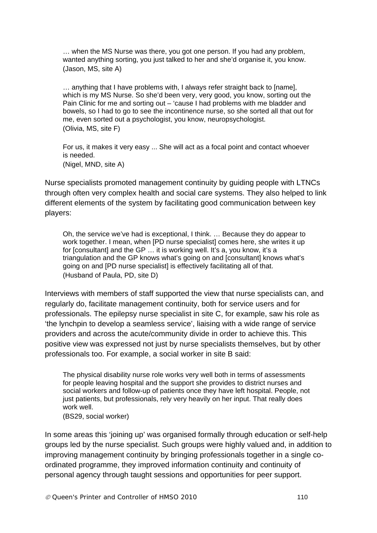… when the MS Nurse was there, you got one person. If you had any problem, wanted anything sorting, you just talked to her and she'd organise it, you know. (Jason, MS, site A)

… anything that I have problems with, I always refer straight back to [name], which is my MS Nurse. So she'd been very, very good, you know, sorting out the Pain Clinic for me and sorting out – 'cause I had problems with me bladder and bowels, so I had to go to see the incontinence nurse, so she sorted all that out for me, even sorted out a psychologist, you know, neuropsychologist. (Olivia, MS, site F)

For us, it makes it very easy ... She will act as a focal point and contact whoever is needed. (Nigel, MND, site A)

Nurse specialists promoted management continuity by guiding people with LTNCs through often very complex health and social care systems. They also helped to link different elements of the system by facilitating good communication between key players:

Oh, the service we've had is exceptional, I think. … Because they do appear to work together. I mean, when [PD nurse specialist] comes here, she writes it up for [consultant] and the GP … it is working well. It's a, you know, it's a triangulation and the GP knows what's going on and [consultant] knows what's going on and [PD nurse specialist] is effectively facilitating all of that. (Husband of Paula, PD, site D)

Interviews with members of staff supported the view that nurse specialists can, and regularly do, facilitate management continuity, both for service users and for professionals. The epilepsy nurse specialist in site C, for example, saw his role as 'the lynchpin to develop a seamless service', liaising with a wide range of service providers and across the acute/community divide in order to achieve this. This positive view was expressed not just by nurse specialists themselves, but by other professionals too. For example, a social worker in site B said:

The physical disability nurse role works very well both in terms of assessments for people leaving hospital and the support she provides to district nurses and social workers and follow-up of patients once they have left hospital. People, not just patients, but professionals, rely very heavily on her input. That really does work well.

(BS29, social worker)

In some areas this 'joining up' was organised formally through education or self-help groups led by the nurse specialist. Such groups were highly valued and, in addition to improving management continuity by bringing professionals together in a single coordinated programme, they improved information continuity and continuity of personal agency through taught sessions and opportunities for peer support.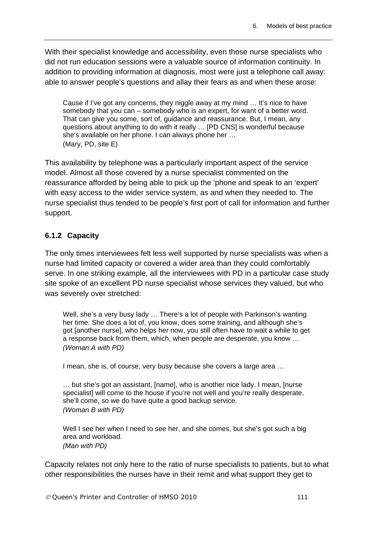With their specialist knowledge and accessibility, even those nurse specialists who did not run education sessions were a valuable source of information continuity. In addition to providing information at diagnosis, most were just a telephone call away: able to answer people's questions and allay their fears as and when these arose:

Cause if I've got any concerns, they niggle away at my mind … It's nice to have somebody that you can – somebody who is an expert, for want of a better word. That can give you some, sort of, guidance and reassurance. But, I mean, any questions about anything to do with it really … [PD CNS] is wonderful because she's available on her phone. I can always phone her … (Mary, PD, site E)

This availability by telephone was a particularly important aspect of the service model. Almost all those covered by a nurse specialist commented on the reassurance afforded by being able to pick up the 'phone and speak to an 'expert' with easy access to the wider service system, as and when they needed to. The nurse specialist thus tended to be people's first port of call for information and further support.

#### **6.1.2 Capacity**

The only times interviewees felt less well supported by nurse specialists was when a nurse had limited capacity or covered a wider area than they could comfortably serve. In one striking example, all the interviewees with PD in a particular case study site spoke of an excellent PD nurse specialist whose services they valued, but who was severely over stretched:

Well, she's a very busy lady … There's a lot of people with Parkinson's wanting her time. She does a lot of, you know, does some training, and although she's got [another nurse], who helps her now, you still often have to wait a while to get a response back from them, which, when people are desperate, you know … *(Woman A with PD)* 

I mean, she is, of course, very busy because she covers a large area …

… but she's got an assistant, [name], who is another nice lady. I mean, [nurse specialist] will come to the house if you're not well and you're really desperate, she'll come, so we do have quite a good backup service. *(Woman B with PD)* 

Well I see her when I need to see her, and she comes, but she's got such a big area and workload. *(Man with PD)* 

Capacity relates not only here to the ratio of nurse specialists to patients, but to what other responsibilities the nurses have in their remit and what support they get to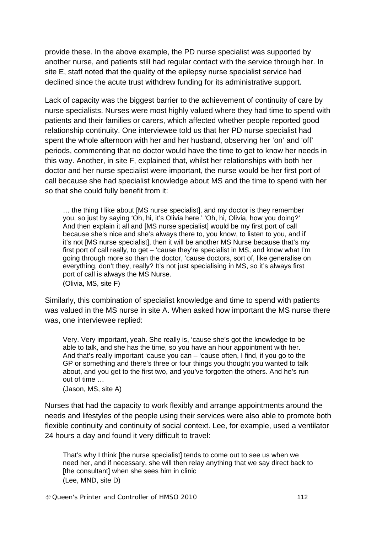provide these. In the above example, the PD nurse specialist was supported by another nurse, and patients still had regular contact with the service through her. In site E, staff noted that the quality of the epilepsy nurse specialist service had declined since the acute trust withdrew funding for its administrative support.

Lack of capacity was the biggest barrier to the achievement of continuity of care by nurse specialists. Nurses were most highly valued where they had time to spend with patients and their families or carers, which affected whether people reported good relationship continuity. One interviewee told us that her PD nurse specialist had spent the whole afternoon with her and her husband, observing her 'on' and 'off' periods, commenting that no doctor would have the time to get to know her needs in this way. Another, in site F, explained that, whilst her relationships with both her doctor and her nurse specialist were important, the nurse would be her first port of call because she had specialist knowledge about MS and the time to spend with her so that she could fully benefit from it:

… the thing I like about [MS nurse specialist], and my doctor is they remember you, so just by saying 'Oh, hi, it's Olivia here.' 'Oh, hi, Olivia, how you doing?' And then explain it all and IMS nurse specialist would be my first port of call because she's nice and she's always there to, you know, to listen to you, and if it's not [MS nurse specialist], then it will be another MS Nurse because that's my first port of call really, to get – 'cause they're specialist in MS, and know what I'm going through more so than the doctor, 'cause doctors, sort of, like generalise on everything, don't they, really? It's not just specialising in MS, so it's always first port of call is always the MS Nurse. (Olivia, MS, site F)

Similarly, this combination of specialist knowledge and time to spend with patients was valued in the MS nurse in site A. When asked how important the MS nurse there

Very. Very important, yeah. She really is, 'cause she's got the knowledge to be able to talk, and she has the time, so you have an hour appointment with her. And that's really important 'cause you can – 'cause often, I find, if you go to the GP or something and there's three or four things you thought you wanted to talk about, and you get to the first two, and you've forgotten the others. And he's run out of time …

(Jason, MS, site A)

was, one interviewee replied:

Nurses that had the capacity to work flexibly and arrange appointments around the needs and lifestyles of the people using their services were also able to promote both flexible continuity and continuity of social context. Lee, for example, used a ventilator 24 hours a day and found it very difficult to travel:

That's why I think [the nurse specialist] tends to come out to see us when we need her, and if necessary, she will then relay anything that we say direct back to [the consultant] when she sees him in clinic (Lee, MND, site D)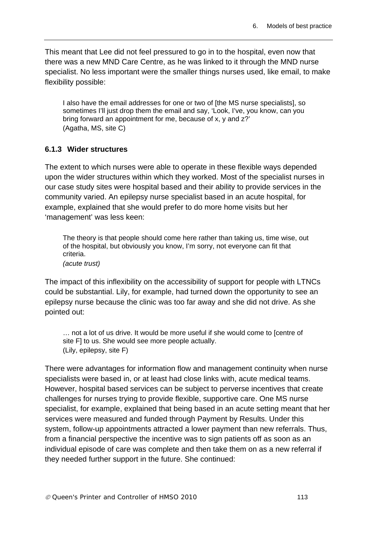This meant that Lee did not feel pressured to go in to the hospital, even now that there was a new MND Care Centre, as he was linked to it through the MND nurse specialist. No less important were the smaller things nurses used, like email, to make flexibility possible:

I also have the email addresses for one or two of [the MS nurse specialists], so sometimes I'll just drop them the email and say, 'Look, I've, you know, can you bring forward an appointment for me, because of x, y and z?' (Agatha, MS, site C)

#### **6.1.3 Wider structures**

The extent to which nurses were able to operate in these flexible ways depended upon the wider structures within which they worked. Most of the specialist nurses in our case study sites were hospital based and their ability to provide services in the community varied. An epilepsy nurse specialist based in an acute hospital, for example, explained that she would prefer to do more home visits but her 'management' was less keen:

The theory is that people should come here rather than taking us, time wise, out of the hospital, but obviously you know, I'm sorry, not everyone can fit that criteria. *(acute trust)* 

The impact of this inflexibility on the accessibility of support for people with LTNCs could be substantial. Lily, for example, had turned down the opportunity to see an epilepsy nurse because the clinic was too far away and she did not drive. As she pointed out:

… not a lot of us drive. It would be more useful if she would come to [centre of site F] to us. She would see more people actually. (Lily, epilepsy, site F)

There were advantages for information flow and management continuity when nurse specialists were based in, or at least had close links with, acute medical teams. However, hospital based services can be subject to perverse incentives that create challenges for nurses trying to provide flexible, supportive care. One MS nurse specialist, for example, explained that being based in an acute setting meant that her services were measured and funded through Payment by Results. Under this system, follow-up appointments attracted a lower payment than new referrals. Thus, from a financial perspective the incentive was to sign patients off as soon as an individual episode of care was complete and then take them on as a new referral if they needed further support in the future. She continued: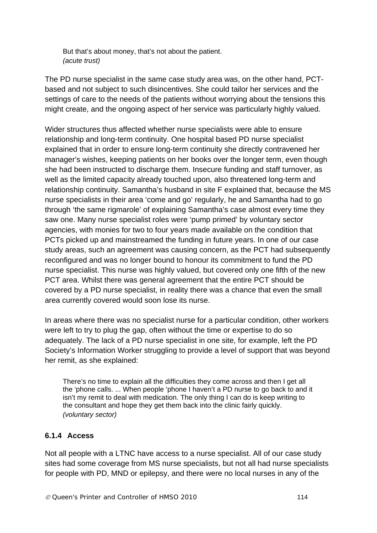But that's about money, that's not about the patient. *(acute trust)* 

The PD nurse specialist in the same case study area was, on the other hand, PCTbased and not subject to such disincentives. She could tailor her services and the settings of care to the needs of the patients without worrying about the tensions this might create, and the ongoing aspect of her service was particularly highly valued.

Wider structures thus affected whether nurse specialists were able to ensure relationship and long-term continuity. One hospital based PD nurse specialist explained that in order to ensure long-term continuity she directly contravened her manager's wishes, keeping patients on her books over the longer term, even though she had been instructed to discharge them. Insecure funding and staff turnover, as well as the limited capacity already touched upon, also threatened long-term and relationship continuity. Samantha's husband in site F explained that, because the MS nurse specialists in their area 'come and go' regularly, he and Samantha had to go through 'the same rigmarole' of explaining Samantha's case almost every time they saw one. Many nurse specialist roles were 'pump primed' by voluntary sector agencies, with monies for two to four years made available on the condition that PCTs picked up and mainstreamed the funding in future years. In one of our case study areas, such an agreement was causing concern, as the PCT had subsequently reconfigured and was no longer bound to honour its commitment to fund the PD nurse specialist. This nurse was highly valued, but covered only one fifth of the new PCT area. Whilst there was general agreement that the entire PCT should be covered by a PD nurse specialist, in reality there was a chance that even the small area currently covered would soon lose its nurse.

In areas where there was no specialist nurse for a particular condition, other workers were left to try to plug the gap, often without the time or expertise to do so adequately. The lack of a PD nurse specialist in one site, for example, left the PD Society's Information Worker struggling to provide a level of support that was beyond her remit, as she explained:

There's no time to explain all the difficulties they come across and then I get all the 'phone calls. ... When people 'phone I haven't a PD nurse to go back to and it isn't my remit to deal with medication. The only thing I can do is keep writing to the consultant and hope they get them back into the clinic fairly quickly. *(voluntary sector)* 

#### **6.1.4 Access**

Not all people with a LTNC have access to a nurse specialist. All of our case study sites had some coverage from MS nurse specialists, but not all had nurse specialists for people with PD, MND or epilepsy, and there were no local nurses in any of the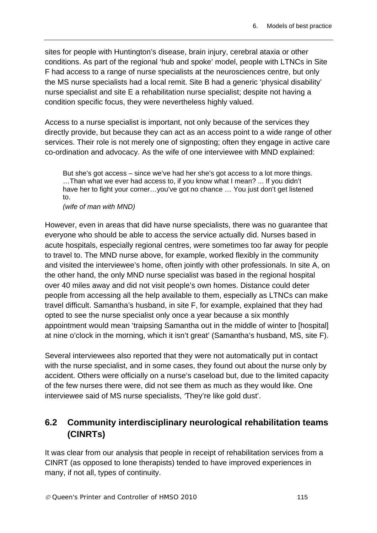sites for people with Huntington's disease, brain injury, cerebral ataxia or other conditions. As part of the regional 'hub and spoke' model, people with LTNCs in Site F had access to a range of nurse specialists at the neurosciences centre, but only the MS nurse specialists had a local remit. Site B had a generic 'physical disability' nurse specialist and site E a rehabilitation nurse specialist; despite not having a condition specific focus, they were nevertheless highly valued.

Access to a nurse specialist is important, not only because of the services they directly provide, but because they can act as an access point to a wide range of other services. Their role is not merely one of signposting; often they engage in active care co-ordination and advocacy. As the wife of one interviewee with MND explained:

But she's got access – since we've had her she's got access to a lot more things. …Than what we ever had access to, if you know what I mean? ... If you didn't have her to fight your corner...you've got no chance ... You just don't get listened to.

*(wife of man with MND)* 

However, even in areas that did have nurse specialists, there was no guarantee that everyone who should be able to access the service actually did. Nurses based in acute hospitals, especially regional centres, were sometimes too far away for people to travel to. The MND nurse above, for example, worked flexibly in the community and visited the interviewee's home, often jointly with other professionals. In site A, on the other hand, the only MND nurse specialist was based in the regional hospital over 40 miles away and did not visit people's own homes. Distance could deter people from accessing all the help available to them, especially as LTNCs can make travel difficult. Samantha's husband, in site F, for example, explained that they had opted to see the nurse specialist only once a year because a six monthly appointment would mean 'traipsing Samantha out in the middle of winter to [hospital] at nine o'clock in the morning, which it isn't great' (Samantha's husband, MS, site F).

Several interviewees also reported that they were not automatically put in contact with the nurse specialist, and in some cases, they found out about the nurse only by accident. Others were officially on a nurse's caseload but, due to the limited capacity of the few nurses there were, did not see them as much as they would like. One interviewee said of MS nurse specialists, *'*They're like gold dust'.

# **6.2 Community interdisciplinary neurological rehabilitation teams (CINRTs)**

It was clear from our analysis that people in receipt of rehabilitation services from a CINRT (as opposed to lone therapists) tended to have improved experiences in many, if not all, types of continuity.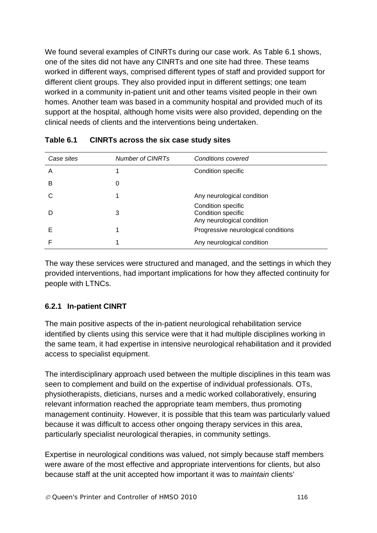We found several examples of CINRTs during our case work. As Table 6.1 shows, one of the sites did not have any CINRTs and one site had three. These teams worked in different ways, comprised different types of staff and provided support for different client groups. They also provided input in different settings; one team worked in a community in-patient unit and other teams visited people in their own homes. Another team was based in a community hospital and provided much of its support at the hospital, although home visits were also provided, depending on the clinical needs of clients and the interventions being undertaken.

| Case sites | <b>Number of CINRTs</b> | <b>Conditions covered</b>                                              |
|------------|-------------------------|------------------------------------------------------------------------|
| Α          |                         | Condition specific                                                     |
| в          |                         |                                                                        |
|            |                         | Any neurological condition                                             |
|            | 3                       | Condition specific<br>Condition specific<br>Any neurological condition |
| Е          |                         | Progressive neurological conditions                                    |
|            |                         | Any neurological condition                                             |

| Table 6.1 | <b>CINRTs across the six case study sites</b> |
|-----------|-----------------------------------------------|
|-----------|-----------------------------------------------|

The way these services were structured and managed, and the settings in which they provided interventions, had important implications for how they affected continuity for people with LTNCs.

#### **6.2.1 In-patient CINRT**

The main positive aspects of the in-patient neurological rehabilitation service identified by clients using this service were that it had multiple disciplines working in the same team, it had expertise in intensive neurological rehabilitation and it provided access to specialist equipment.

The interdisciplinary approach used between the multiple disciplines in this team was seen to complement and build on the expertise of individual professionals. OTs, physiotherapists, dieticians, nurses and a medic worked collaboratively, ensuring relevant information reached the appropriate team members, thus promoting management continuity. However, it is possible that this team was particularly valued because it was difficult to access other ongoing therapy services in this area, particularly specialist neurological therapies, in community settings.

Expertise in neurological conditions was valued, not simply because staff members were aware of the most effective and appropriate interventions for clients, but also because staff at the unit accepted how important it was to *maintain* clients'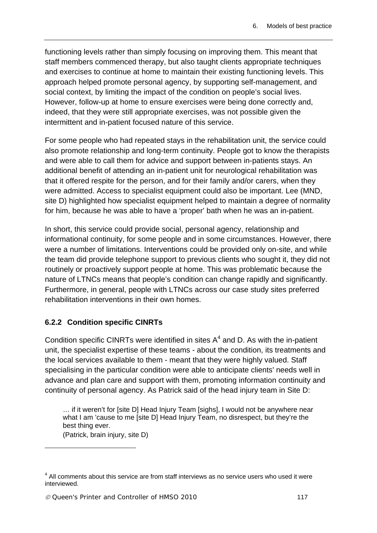functioning levels rather than simply focusing on improving them. This meant that staff members commenced therapy, but also taught clients appropriate techniques and exercises to continue at home to maintain their existing functioning levels. This approach helped promote personal agency, by supporting self-management, and social context, by limiting the impact of the condition on people's social lives. However, follow-up at home to ensure exercises were being done correctly and, indeed, that they were still appropriate exercises, was not possible given the intermittent and in-patient focused nature of this service.

For some people who had repeated stays in the rehabilitation unit, the service could also promote relationship and long-term continuity. People got to know the therapists and were able to call them for advice and support between in-patients stays. An additional benefit of attending an in-patient unit for neurological rehabilitation was that it offered respite for the person, and for their family and/or carers, when they were admitted. Access to specialist equipment could also be important. Lee (MND, site D) highlighted how specialist equipment helped to maintain a degree of normality for him, because he was able to have a 'proper' bath when he was an in-patient.

In short, this service could provide social, personal agency, relationship and informational continuity, for some people and in some circumstances. However, there were a number of limitations. Interventions could be provided only on-site, and while the team did provide telephone support to previous clients who sought it, they did not routinely or proactively support people at home. This was problematic because the nature of LTNCs means that people's condition can change rapidly and significantly. Furthermore, in general, people with LTNCs across our case study sites preferred rehabilitation interventions in their own homes.

## **6.2.2 Condition specific CINRTs**

Condition specific CINRTs were identified in sites  $A<sup>4</sup>$  and D. As with the in-patient unit, the specialist expertise of these teams - about the condition, its treatments and the local services available to them - meant that they were highly valued. Staff specialising in the particular condition were able to anticipate clients' needs well in advance and plan care and support with them, promoting information continuity and continuity of personal agency. As Patrick said of the head injury team in Site D:

… if it weren't for [site D] Head Injury Team [sighs], I would not be anywhere near what I am 'cause to me [site D] Head Injury Team, no disrespect, but they're the best thing ever.

(Patrick, brain injury, site D)

1

 $4$  All comments about this service are from staff interviews as no service users who used it were interviewed.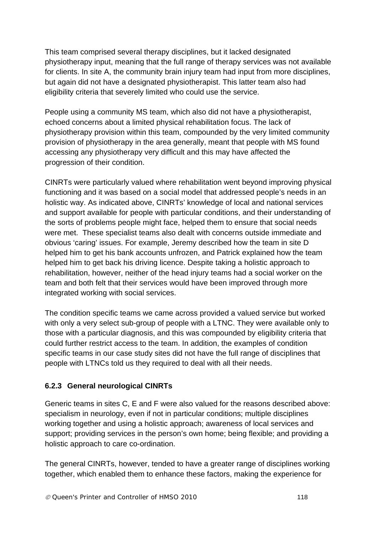This team comprised several therapy disciplines, but it lacked designated physiotherapy input, meaning that the full range of therapy services was not available for clients. In site A, the community brain injury team had input from more disciplines, but again did not have a designated physiotherapist. This latter team also had eligibility criteria that severely limited who could use the service.

People using a community MS team, which also did not have a physiotherapist, echoed concerns about a limited physical rehabilitation focus. The lack of physiotherapy provision within this team, compounded by the very limited community provision of physiotherapy in the area generally, meant that people with MS found accessing any physiotherapy very difficult and this may have affected the progression of their condition.

CINRTs were particularly valued where rehabilitation went beyond improving physical functioning and it was based on a social model that addressed people's needs in an holistic way. As indicated above, CINRTs' knowledge of local and national services and support available for people with particular conditions, and their understanding of the sorts of problems people might face, helped them to ensure that social needs were met. These specialist teams also dealt with concerns outside immediate and obvious 'caring' issues. For example, Jeremy described how the team in site D helped him to get his bank accounts unfrozen, and Patrick explained how the team helped him to get back his driving licence. Despite taking a holistic approach to rehabilitation, however, neither of the head injury teams had a social worker on the team and both felt that their services would have been improved through more integrated working with social services.

The condition specific teams we came across provided a valued service but worked with only a very select sub-group of people with a LTNC. They were available only to those with a particular diagnosis, and this was compounded by eligibility criteria that could further restrict access to the team. In addition, the examples of condition specific teams in our case study sites did not have the full range of disciplines that people with LTNCs told us they required to deal with all their needs.

## **6.2.3 General neurological CINRTs**

Generic teams in sites C, E and F were also valued for the reasons described above: specialism in neurology, even if not in particular conditions; multiple disciplines working together and using a holistic approach; awareness of local services and support; providing services in the person's own home; being flexible; and providing a holistic approach to care co-ordination.

The general CINRTs, however, tended to have a greater range of disciplines working together, which enabled them to enhance these factors, making the experience for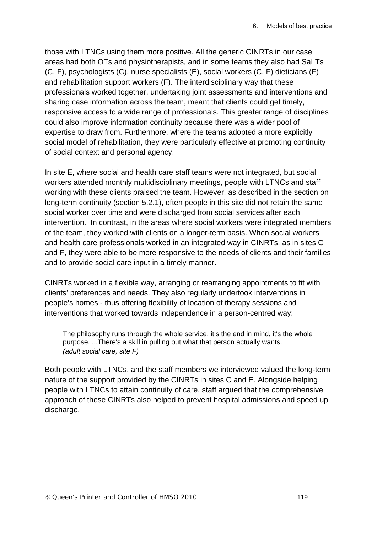those with LTNCs using them more positive. All the generic CINRTs in our case areas had both OTs and physiotherapists, and in some teams they also had SaLTs (C, F), psychologists (C), nurse specialists (E), social workers (C, F) dieticians (F) and rehabilitation support workers (F). The interdisciplinary way that these professionals worked together, undertaking joint assessments and interventions and sharing case information across the team, meant that clients could get timely, responsive access to a wide range of professionals. This greater range of disciplines could also improve information continuity because there was a wider pool of expertise to draw from. Furthermore, where the teams adopted a more explicitly social model of rehabilitation, they were particularly effective at promoting continuity of social context and personal agency.

In site E, where social and health care staff teams were not integrated, but social workers attended monthly multidisciplinary meetings, people with LTNCs and staff working with these clients praised the team. However, as described in the section on long-term continuity (section 5.2.1), often people in this site did not retain the same social worker over time and were discharged from social services after each intervention. In contrast, in the areas where social workers were integrated members of the team, they worked with clients on a longer-term basis. When social workers and health care professionals worked in an integrated way in CINRTs, as in sites C and F, they were able to be more responsive to the needs of clients and their families and to provide social care input in a timely manner.

CINRTs worked in a flexible way, arranging or rearranging appointments to fit with clients' preferences and needs. They also regularly undertook interventions in people's homes - thus offering flexibility of location of therapy sessions and interventions that worked towards independence in a person-centred way:

The philosophy runs through the whole service, it's the end in mind, it's the whole purpose. ...There's a skill in pulling out what that person actually wants. *(adult social care, site F)* 

Both people with LTNCs, and the staff members we interviewed valued the long-term nature of the support provided by the CINRTs in sites C and E. Alongside helping people with LTNCs to attain continuity of care, staff argued that the comprehensive approach of these CINRTs also helped to prevent hospital admissions and speed up discharge.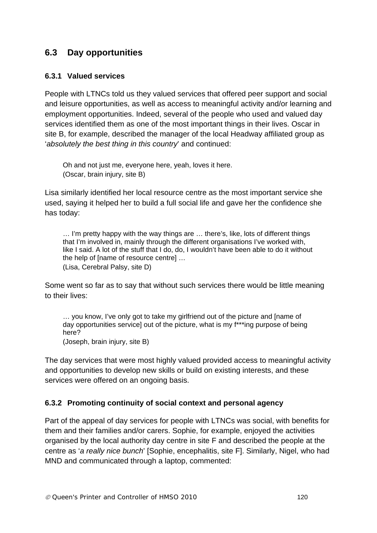# **6.3 Day opportunities**

#### **6.3.1 Valued services**

People with LTNCs told us they valued services that offered peer support and social and leisure opportunities, as well as access to meaningful activity and/or learning and employment opportunities. Indeed, several of the people who used and valued day services identified them as one of the most important things in their lives. Oscar in site B, for example, described the manager of the local Headway affiliated group as '*absolutely the best thing in this country*' and continued:

Oh and not just me, everyone here, yeah, loves it here. (Oscar, brain injury, site B)

Lisa similarly identified her local resource centre as the most important service she used, saying it helped her to build a full social life and gave her the confidence she has today:

… I'm pretty happy with the way things are … there's, like, lots of different things that I'm involved in, mainly through the different organisations I've worked with, like I said. A lot of the stuff that I do, do, I wouldn't have been able to do it without the help of [name of resource centre] … (Lisa, Cerebral Palsy, site D)

Some went so far as to say that without such services there would be little meaning to their lives:

… you know, I've only got to take my girlfriend out of the picture and [name of day opportunities service] out of the picture, what is my f\*\*\*ing purpose of being here? (Joseph, brain injury, site B)

The day services that were most highly valued provided access to meaningful activity and opportunities to develop new skills or build on existing interests, and these services were offered on an ongoing basis.

#### **6.3.2 Promoting continuity of social context and personal agency**

Part of the appeal of day services for people with LTNCs was social, with benefits for them and their families and/or carers. Sophie, for example, enjoyed the activities organised by the local authority day centre in site F and described the people at the centre as '*a really nice bunch*' [Sophie, encephalitis, site F]. Similarly, Nigel, who had MND and communicated through a laptop, commented: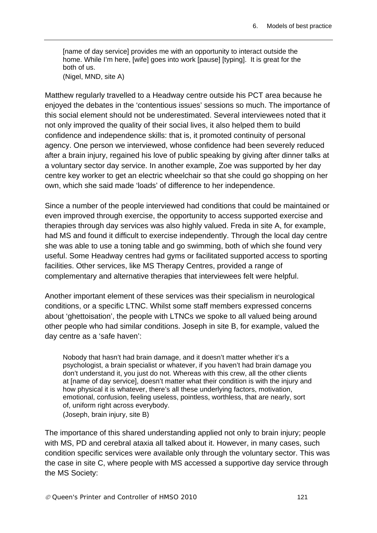[name of day service] provides me with an opportunity to interact outside the home. While I'm here, [wife] goes into work [pause] [typing]. It is great for the both of us. (Nigel, MND, site A)

Matthew regularly travelled to a Headway centre outside his PCT area because he enjoyed the debates in the 'contentious issues' sessions so much. The importance of this social element should not be underestimated. Several interviewees noted that it not only improved the quality of their social lives, it also helped them to build confidence and independence skills: that is, it promoted continuity of personal agency. One person we interviewed, whose confidence had been severely reduced after a brain injury, regained his love of public speaking by giving after dinner talks at a voluntary sector day service. In another example, Zoe was supported by her day centre key worker to get an electric wheelchair so that she could go shopping on her own, which she said made 'loads' of difference to her independence.

Since a number of the people interviewed had conditions that could be maintained or even improved through exercise, the opportunity to access supported exercise and therapies through day services was also highly valued. Freda in site A, for example, had MS and found it difficult to exercise independently. Through the local day centre she was able to use a toning table and go swimming, both of which she found very useful. Some Headway centres had gyms or facilitated supported access to sporting facilities. Other services, like MS Therapy Centres, provided a range of complementary and alternative therapies that interviewees felt were helpful.

Another important element of these services was their specialism in neurological conditions, or a specific LTNC. Whilst some staff members expressed concerns about 'ghettoisation', the people with LTNCs we spoke to all valued being around other people who had similar conditions. Joseph in site B, for example, valued the day centre as a 'safe haven':

Nobody that hasn't had brain damage, and it doesn't matter whether it's a psychologist, a brain specialist or whatever, if you haven't had brain damage you don't understand it, you just do not. Whereas with this crew, all the other clients at [name of day service], doesn't matter what their condition is with the injury and how physical it is whatever, there's all these underlying factors, motivation, emotional, confusion, feeling useless, pointless, worthless, that are nearly, sort of, uniform right across everybody. (Joseph, brain injury, site B)

The importance of this shared understanding applied not only to brain injury; people with MS, PD and cerebral ataxia all talked about it. However, in many cases, such condition specific services were available only through the voluntary sector. This was the case in site C, where people with MS accessed a supportive day service through the MS Society: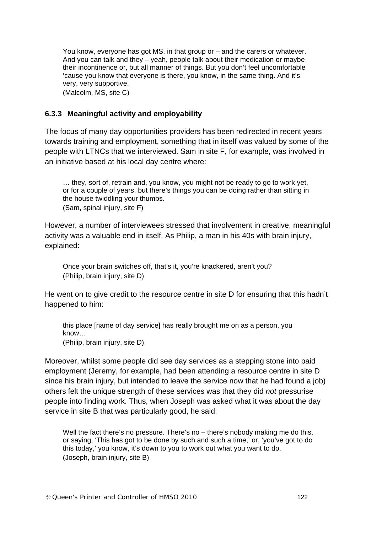You know, everyone has got MS, in that group or – and the carers or whatever. And you can talk and they – yeah, people talk about their medication or maybe their incontinence or, but all manner of things. But you don't feel uncomfortable 'cause you know that everyone is there, you know, in the same thing. And it's very, very supportive.

(Malcolm, MS, site C)

#### **6.3.3 Meaningful activity and employability**

The focus of many day opportunities providers has been redirected in recent years towards training and employment, something that in itself was valued by some of the people with LTNCs that we interviewed. Sam in site F, for example, was involved in an initiative based at his local day centre where:

… they, sort of, retrain and, you know, you might not be ready to go to work yet, or for a couple of years, but there's things you can be doing rather than sitting in the house twiddling your thumbs. (Sam, spinal injury, site F)

However, a number of interviewees stressed that involvement in creative, meaningful activity was a valuable end in itself. As Philip, a man in his 40s with brain injury, explained:

Once your brain switches off, that's it, you're knackered, aren't you? (Philip, brain injury, site D)

He went on to give credit to the resource centre in site D for ensuring that this hadn't happened to him:

this place [name of day service] has really brought me on as a person, you know… (Philip, brain injury, site D)

Moreover, whilst some people did see day services as a stepping stone into paid employment (Jeremy, for example, had been attending a resource centre in site D since his brain injury, but intended to leave the service now that he had found a job) others felt the unique strength of these services was that they did *not* pressurise people into finding work. Thus, when Joseph was asked what it was about the day service in site B that was particularly good, he said:

Well the fact there's no pressure. There's no – there's nobody making me do this, or saying, 'This has got to be done by such and such a time,' or, 'you've got to do this today,' you know, it's down to you to work out what you want to do. (Joseph, brain injury, site B)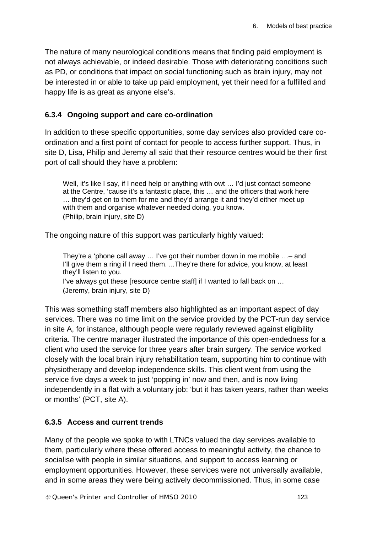The nature of many neurological conditions means that finding paid employment is not always achievable, or indeed desirable. Those with deteriorating conditions such as PD, or conditions that impact on social functioning such as brain injury, may not be interested in or able to take up paid employment, yet their need for a fulfilled and happy life is as great as anyone else's.

### **6.3.4 Ongoing support and care co-ordination**

In addition to these specific opportunities, some day services also provided care coordination and a first point of contact for people to access further support. Thus, in site D, Lisa, Philip and Jeremy all said that their resource centres would be their first port of call should they have a problem:

Well, it's like I say, if I need help or anything with owt ... I'd just contact someone at the Centre, 'cause it's a fantastic place, this … and the officers that work here … they'd get on to them for me and they'd arrange it and they'd either meet up with them and organise whatever needed doing, you know. (Philip, brain injury, site D)

The ongoing nature of this support was particularly highly valued:

They're a 'phone call away … I've got their number down in me mobile …– and I'll give them a ring if I need them. ...They're there for advice, you know, at least they'll listen to you.

I've always got these [resource centre staff] if I wanted to fall back on … (Jeremy, brain injury, site D)

This was something staff members also highlighted as an important aspect of day services. There was no time limit on the service provided by the PCT-run day service in site A, for instance, although people were regularly reviewed against eligibility criteria. The centre manager illustrated the importance of this open-endedness for a client who used the service for three years after brain surgery. The service worked closely with the local brain injury rehabilitation team, supporting him to continue with physiotherapy and develop independence skills. This client went from using the service five days a week to just 'popping in' now and then, and is now living independently in a flat with a voluntary job: 'but it has taken years, rather than weeks or months' (PCT, site A).

## **6.3.5 Access and current trends**

Many of the people we spoke to with LTNCs valued the day services available to them, particularly where these offered access to meaningful activity, the chance to socialise with people in similar situations, and support to access learning or employment opportunities. However, these services were not universally available, and in some areas they were being actively decommissioned. Thus, in some case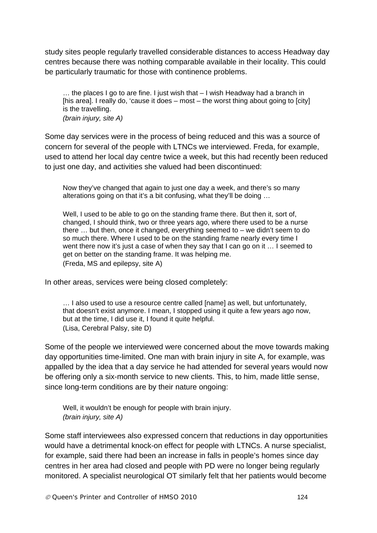study sites people regularly travelled considerable distances to access Headway day centres because there was nothing comparable available in their locality. This could be particularly traumatic for those with continence problems.

… the places I go to are fine. I just wish that – I wish Headway had a branch in [his area]. I really do, 'cause it does  $-$  most  $-$  the worst thing about going to [city] is the travelling. *(brain injury, site A)* 

Some day services were in the process of being reduced and this was a source of concern for several of the people with LTNCs we interviewed. Freda, for example, used to attend her local day centre twice a week, but this had recently been reduced to just one day, and activities she valued had been discontinued:

Now they've changed that again to just one day a week, and there's so many alterations going on that it's a bit confusing, what they'll be doing …

Well, I used to be able to go on the standing frame there. But then it, sort of, changed, I should think, two or three years ago, where there used to be a nurse there … but then, once it changed, everything seemed to – we didn't seem to do so much there. Where I used to be on the standing frame nearly every time I went there now it's just a case of when they say that I can go on it ... I seemed to get on better on the standing frame. It was helping me. (Freda, MS and epilepsy, site A)

In other areas, services were being closed completely:

... I also used to use a resource centre called [name] as well, but unfortunately, that doesn't exist anymore. I mean, I stopped using it quite a few years ago now, but at the time, I did use it, I found it quite helpful. (Lisa, Cerebral Palsy, site D)

Some of the people we interviewed were concerned about the move towards making day opportunities time-limited. One man with brain injury in site A, for example, was appalled by the idea that a day service he had attended for several years would now be offering only a six-month service to new clients. This, to him, made little sense, since long-term conditions are by their nature ongoing:

Well, it wouldn't be enough for people with brain injury. *(brain injury, site A)* 

Some staff interviewees also expressed concern that reductions in day opportunities would have a detrimental knock-on effect for people with LTNCs. A nurse specialist, for example, said there had been an increase in falls in people's homes since day centres in her area had closed and people with PD were no longer being regularly monitored. A specialist neurological OT similarly felt that her patients would become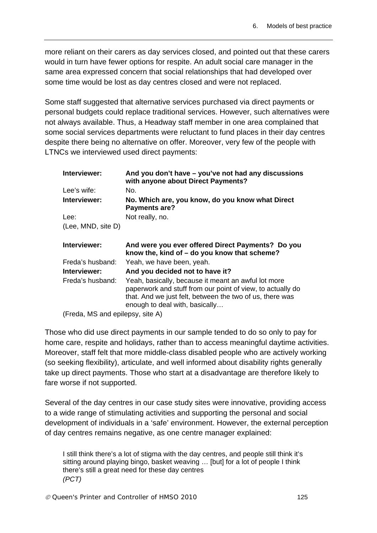more reliant on their carers as day services closed, and pointed out that these carers would in turn have fewer options for respite. An adult social care manager in the same area expressed concern that social relationships that had developed over some time would be lost as day centres closed and were not replaced.

Some staff suggested that alternative services purchased via direct payments or personal budgets could replace traditional services. However, such alternatives were not always available. Thus, a Headway staff member in one area complained that some social services departments were reluctant to fund places in their day centres despite there being no alternative on offer. Moreover, very few of the people with LTNCs we interviewed used direct payments:

| Interviewer:                     | And you don't have - you've not had any discussions<br>with anyone about Direct Payments?                                                                                                                       |
|----------------------------------|-----------------------------------------------------------------------------------------------------------------------------------------------------------------------------------------------------------------|
| Lee's wife:                      | No.                                                                                                                                                                                                             |
| Interviewer:                     | No. Which are, you know, do you know what Direct<br>Payments are?                                                                                                                                               |
| Lee:                             | Not really, no.                                                                                                                                                                                                 |
| (Lee, MND, site D)               |                                                                                                                                                                                                                 |
| Interviewer:                     | And were you ever offered Direct Payments? Do you<br>know the, kind of $-$ do you know that scheme?                                                                                                             |
| Freda's husband:                 | Yeah, we have been, yeah.                                                                                                                                                                                       |
| Interviewer:                     | And you decided not to have it?                                                                                                                                                                                 |
| Freda's husband:                 | Yeah, basically, because it meant an awful lot more<br>paperwork and stuff from our point of view, to actually do<br>that. And we just felt, between the two of us, there was<br>enough to deal with, basically |
| (Freda, MS and epilepsy, site A) |                                                                                                                                                                                                                 |

Those who did use direct payments in our sample tended to do so only to pay for home care, respite and holidays, rather than to access meaningful daytime activities. Moreover, staff felt that more middle-class disabled people who are actively working (so seeking flexibility), articulate, and well informed about disability rights generally take up direct payments. Those who start at a disadvantage are therefore likely to fare worse if not supported.

Several of the day centres in our case study sites were innovative, providing access to a wide range of stimulating activities and supporting the personal and social development of individuals in a 'safe' environment. However, the external perception of day centres remains negative, as one centre manager explained:

I still think there's a lot of stigma with the day centres, and people still think it's sitting around playing bingo, basket weaving … [but] for a lot of people I think there's still a great need for these day centres *(PCT)*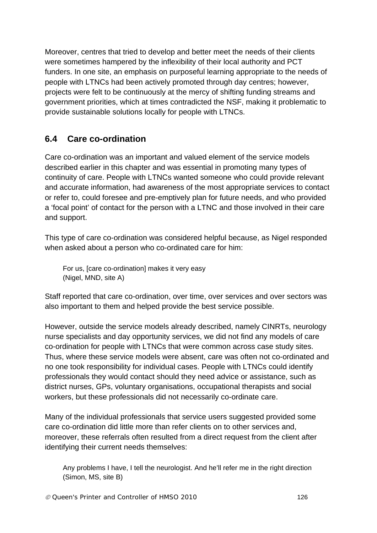Moreover, centres that tried to develop and better meet the needs of their clients were sometimes hampered by the inflexibility of their local authority and PCT funders. In one site, an emphasis on purposeful learning appropriate to the needs of people with LTNCs had been actively promoted through day centres; however, projects were felt to be continuously at the mercy of shifting funding streams and government priorities, which at times contradicted the NSF, making it problematic to provide sustainable solutions locally for people with LTNCs.

# **6.4 Care co-ordination**

Care co-ordination was an important and valued element of the service models described earlier in this chapter and was essential in promoting many types of continuity of care. People with LTNCs wanted someone who could provide relevant and accurate information, had awareness of the most appropriate services to contact or refer to, could foresee and pre-emptively plan for future needs, and who provided a 'focal point' of contact for the person with a LTNC and those involved in their care and support.

This type of care co-ordination was considered helpful because, as Nigel responded when asked about a person who co-ordinated care for him:

For us, [care co-ordination] makes it very easy (Nigel, MND, site A)

Staff reported that care co-ordination, over time, over services and over sectors was also important to them and helped provide the best service possible.

However, outside the service models already described, namely CINRTs, neurology nurse specialists and day opportunity services, we did not find any models of care co-ordination for people with LTNCs that were common across case study sites. Thus, where these service models were absent, care was often not co-ordinated and no one took responsibility for individual cases. People with LTNCs could identify professionals they would contact should they need advice or assistance, such as district nurses, GPs, voluntary organisations, occupational therapists and social workers, but these professionals did not necessarily co-ordinate care.

Many of the individual professionals that service users suggested provided some care co-ordination did little more than refer clients on to other services and, moreover, these referrals often resulted from a direct request from the client after identifying their current needs themselves:

Any problems I have, I tell the neurologist. And he'll refer me in the right direction (Simon, MS, site B)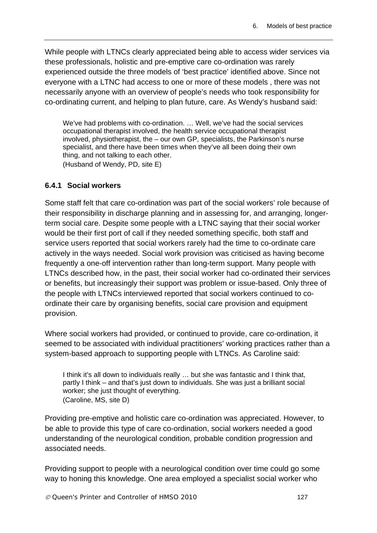While people with LTNCs clearly appreciated being able to access wider services via these professionals, holistic and pre-emptive care co-ordination was rarely experienced outside the three models of 'best practice' identified above. Since not everyone with a LTNC had access to one or more of these models , there was not necessarily anyone with an overview of people's needs who took responsibility for co-ordinating current, and helping to plan future, care. As Wendy's husband said:

We've had problems with co-ordination. … Well, we've had the social services occupational therapist involved, the health service occupational therapist involved, physiotherapist, the – our own GP, specialists, the Parkinson's nurse specialist, and there have been times when they've all been doing their own thing, and not talking to each other. (Husband of Wendy, PD, site E)

#### **6.4.1 Social workers**

Some staff felt that care co-ordination was part of the social workers' role because of their responsibility in discharge planning and in assessing for, and arranging, longerterm social care. Despite some people with a LTNC saying that their social worker would be their first port of call if they needed something specific, both staff and service users reported that social workers rarely had the time to co-ordinate care actively in the ways needed. Social work provision was criticised as having become frequently a one-off intervention rather than long-term support. Many people with LTNCs described how, in the past, their social worker had co-ordinated their services or benefits, but increasingly their support was problem or issue-based. Only three of the people with LTNCs interviewed reported that social workers continued to coordinate their care by organising benefits, social care provision and equipment provision.

Where social workers had provided, or continued to provide, care co-ordination, it seemed to be associated with individual practitioners' working practices rather than a system-based approach to supporting people with LTNCs. As Caroline said:

I think it's all down to individuals really … but she was fantastic and I think that, partly I think – and that's just down to individuals. She was just a brilliant social worker; she just thought of everything. (Caroline, MS, site D)

Providing pre-emptive and holistic care co-ordination was appreciated. However, to be able to provide this type of care co-ordination, social workers needed a good understanding of the neurological condition, probable condition progression and associated needs.

Providing support to people with a neurological condition over time could go some way to honing this knowledge. One area employed a specialist social worker who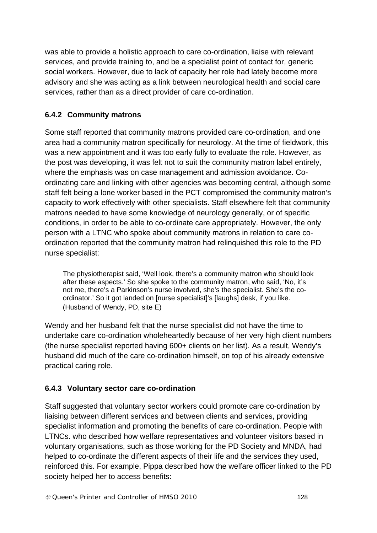was able to provide a holistic approach to care co-ordination, liaise with relevant services, and provide training to, and be a specialist point of contact for, generic social workers. However, due to lack of capacity her role had lately become more advisory and she was acting as a link between neurological health and social care services, rather than as a direct provider of care co-ordination.

# **6.4.2 Community matrons**

Some staff reported that community matrons provided care co-ordination, and one area had a community matron specifically for neurology. At the time of fieldwork, this was a new appointment and it was too early fully to evaluate the role. However, as the post was developing, it was felt not to suit the community matron label entirely, where the emphasis was on case management and admission avoidance. Coordinating care and linking with other agencies was becoming central, although some staff felt being a lone worker based in the PCT compromised the community matron's capacity to work effectively with other specialists. Staff elsewhere felt that community matrons needed to have some knowledge of neurology generally, or of specific conditions, in order to be able to co-ordinate care appropriately. However, the only person with a LTNC who spoke about community matrons in relation to care coordination reported that the community matron had relinquished this role to the PD nurse specialist:

The physiotherapist said, 'Well look, there's a community matron who should look after these aspects.' So she spoke to the community matron, who said, 'No, it's not me, there's a Parkinson's nurse involved, she's the specialist. She's the coordinator.' So it got landed on [nurse specialist]'s [laughs] desk, if you like. (Husband of Wendy, PD, site E)

Wendy and her husband felt that the nurse specialist did not have the time to undertake care co-ordination wholeheartedly because of her very high client numbers (the nurse specialist reported having 600+ clients on her list). As a result, Wendy's husband did much of the care co-ordination himself, on top of his already extensive practical caring role.

# **6.4.3 Voluntary sector care co-ordination**

Staff suggested that voluntary sector workers could promote care co-ordination by liaising between different services and between clients and services, providing specialist information and promoting the benefits of care co-ordination. People with LTNCs. who described how welfare representatives and volunteer visitors based in voluntary organisations, such as those working for the PD Society and MNDA, had helped to co-ordinate the different aspects of their life and the services they used, reinforced this. For example, Pippa described how the welfare officer linked to the PD society helped her to access benefits: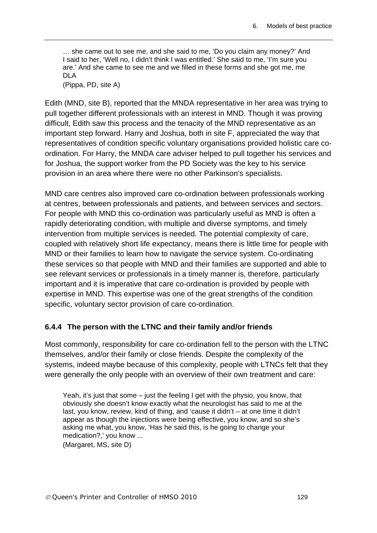… she came out to see me, and she said to me, 'Do you claim any money?' And I said to her, 'Well no, I didn't think I was entitled.' She said to me, 'I'm sure you are.' And she came to see me and we filled in these forms and she got me, me DLA

(Pippa, PD, site A)

Edith (MND, site B), reported that the MNDA representative in her area was trying to pull together different professionals with an interest in MND. Though it was proving difficult, Edith saw this process and the tenacity of the MND representative as an important step forward. Harry and Joshua, both in site F, appreciated the way that representatives of condition specific voluntary organisations provided holistic care coordination. For Harry, the MNDA care adviser helped to pull together his services and for Joshua, the support worker from the PD Society was the key to his service provision in an area where there were no other Parkinson's specialists.

MND care centres also improved care co-ordination between professionals working at centres, between professionals and patients, and between services and sectors. For people with MND this co-ordination was particularly useful as MND is often a rapidly deteriorating condition, with multiple and diverse symptoms, and timely intervention from multiple services is needed. The potential complexity of care, coupled with relatively short life expectancy, means there is little time for people with MND or their families to learn how to navigate the service system. Co-ordinating these services so that people with MND and their families are supported and able to see relevant services or professionals in a timely manner is, therefore, particularly important and it is imperative that care co-ordination is provided by people with expertise in MND. This expertise was one of the great strengths of the condition specific, voluntary sector provision of care co-ordination.

#### **6.4.4 The person with the LTNC and their family and/or friends**

Most commonly, responsibility for care co-ordination fell to the person with the LTNC themselves, and/or their family or close friends. Despite the complexity of the systems, indeed maybe because of this complexity, people with LTNCs felt that they were generally the only people with an overview of their own treatment and care:

Yeah, it's just that some – just the feeling I get with the physio, you know, that obviously she doesn't know exactly what the neurologist has said to me at the last, you know, review, kind of thing, and 'cause it didn't – at one time it didn't appear as though the injections were being effective, you know, and so she's asking me what, you know, 'Has he said this, is he going to change your medication?,' you know ...

(Margaret, MS, site D)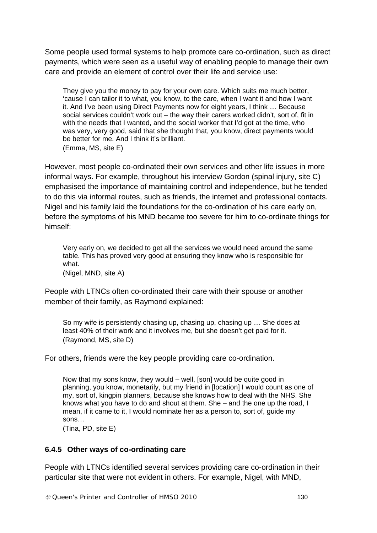Some people used formal systems to help promote care co-ordination, such as direct payments, which were seen as a useful way of enabling people to manage their own care and provide an element of control over their life and service use:

They give you the money to pay for your own care. Which suits me much better, 'cause I can tailor it to what, you know, to the care, when I want it and how I want it. And I've been using Direct Payments now for eight years, I think … Because social services couldn't work out – the way their carers worked didn't, sort of, fit in with the needs that I wanted, and the social worker that I'd got at the time, who was very, very good, said that she thought that, you know, direct payments would be better for me. And I think it's brilliant. (Emma, MS, site E)

However, most people co-ordinated their own services and other life issues in more informal ways. For example, throughout his interview Gordon (spinal injury, site C) emphasised the importance of maintaining control and independence, but he tended to do this via informal routes, such as friends, the internet and professional contacts. Nigel and his family laid the foundations for the co-ordination of his care early on, before the symptoms of his MND became too severe for him to co-ordinate things for himself:

Very early on, we decided to get all the services we would need around the same table. This has proved very good at ensuring they know who is responsible for what.

(Nigel, MND, site A)

People with LTNCs often co-ordinated their care with their spouse or another member of their family, as Raymond explained:

So my wife is persistently chasing up, chasing up, chasing up … She does at least 40% of their work and it involves me, but she doesn't get paid for it. (Raymond, MS, site D)

For others, friends were the key people providing care co-ordination.

Now that my sons know, they would – well, [son] would be quite good in planning, you know, monetarily, but my friend in [location] I would count as one of my, sort of, kingpin planners, because she knows how to deal with the NHS. She knows what you have to do and shout at them. She – and the one up the road, I mean, if it came to it, I would nominate her as a person to, sort of, guide my sons…

(Tina, PD, site E)

#### **6.4.5 Other ways of co-ordinating care**

People with LTNCs identified several services providing care co-ordination in their particular site that were not evident in others. For example, Nigel, with MND,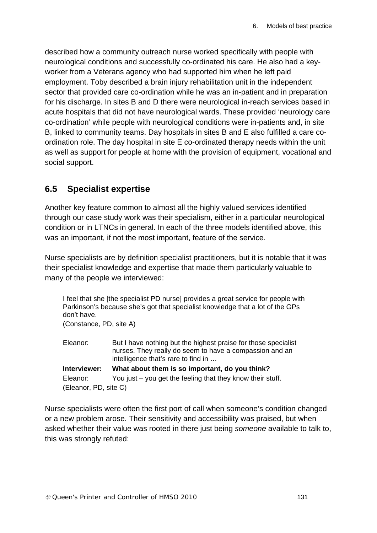described how a community outreach nurse worked specifically with people with neurological conditions and successfully co-ordinated his care. He also had a keyworker from a Veterans agency who had supported him when he left paid employment. Toby described a brain injury rehabilitation unit in the independent sector that provided care co-ordination while he was an in-patient and in preparation for his discharge. In sites B and D there were neurological in-reach services based in acute hospitals that did not have neurological wards. These provided 'neurology care co-ordination' while people with neurological conditions were in-patients and, in site B, linked to community teams. Day hospitals in sites B and E also fulfilled a care coordination role. The day hospital in site E co-ordinated therapy needs within the unit as well as support for people at home with the provision of equipment, vocational and social support.

# **6.5 Specialist expertise**

Another key feature common to almost all the highly valued services identified through our case study work was their specialism, either in a particular neurological condition or in LTNCs in general. In each of the three models identified above, this was an important, if not the most important, feature of the service.

Nurse specialists are by definition specialist practitioners, but it is notable that it was their specialist knowledge and expertise that made them particularly valuable to many of the people we interviewed:

I feel that she [the specialist PD nurse] provides a great service for people with Parkinson's because she's got that specialist knowledge that a lot of the GPs don't have. (Constance, PD, site A)

| Eleanor:              | But I have nothing but the highest praise for those specialist |
|-----------------------|----------------------------------------------------------------|
|                       | nurses. They really do seem to have a compassion and an        |
|                       | intelligence that's rare to find in                            |
| Interviewer:          | What about them is so important, do you think?                 |
| Eleanor:              | You just $-$ you get the feeling that they know their stuff.   |
| (Eleanor, PD, site C) |                                                                |

Nurse specialists were often the first port of call when someone's condition changed or a new problem arose. Their sensitivity and accessibility was praised, but when asked whether their value was rooted in there just being *someone* available to talk to, this was strongly refuted: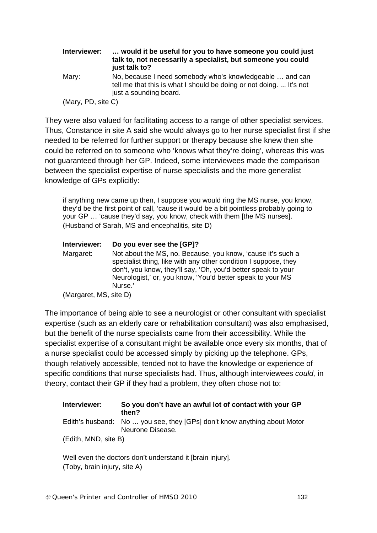| Interviewer:       | would it be useful for you to have someone you could just<br>talk to, not necessarily a specialist, but someone you could<br>just talk to?                |
|--------------------|-----------------------------------------------------------------------------------------------------------------------------------------------------------|
| Mary:              | No, because I need somebody who's knowledgeable  and can<br>tell me that this is what I should be doing or not doing.  It's not<br>just a sounding board. |
| (Mary, PD, site C) |                                                                                                                                                           |

They were also valued for facilitating access to a range of other specialist services. Thus, Constance in site A said she would always go to her nurse specialist first if she needed to be referred for further support or therapy because she knew then she could be referred on to someone who 'knows what they're doing', whereas this was not guaranteed through her GP. Indeed, some interviewees made the comparison between the specialist expertise of nurse specialists and the more generalist knowledge of GPs explicitly:

if anything new came up then, I suppose you would ring the MS nurse, you know, they'd be the first point of call, 'cause it would be a bit pointless probably going to your GP … 'cause they'd say, you know, check with them [the MS nurses]. (Husband of Sarah, MS and encephalitis, site D)

# **Interviewer: Do you ever see the [GP]?**

Margaret: Not about the MS, no. Because, you know, 'cause it's such a specialist thing, like with any other condition I suppose, they don't, you know, they'll say, 'Oh, you'd better speak to your Neurologist,' or, you know, 'You'd better speak to your MS Nurse.'

The importance of being able to see a neurologist or other consultant with specialist expertise (such as an elderly care or rehabilitation consultant) was also emphasised, but the benefit of the nurse specialists came from their accessibility. While the specialist expertise of a consultant might be available once every six months, that of a nurse specialist could be accessed simply by picking up the telephone. GPs, though relatively accessible, tended not to have the knowledge or experience of specific conditions that nurse specialists had. Thus, although interviewees *could,* in theory, contact their GP if they had a problem, they often chose not to:

#### **Interviewer: So you don't have an awful lot of contact with your GP then?**  Edith's husband: No … you see, they [GPs] don't know anything about Motor Neurone Disease. (Edith, MND, site B)

Well even the doctors don't understand it [brain injury]. (Toby, brain injury, site A)

<sup>(</sup>Margaret, MS, site D)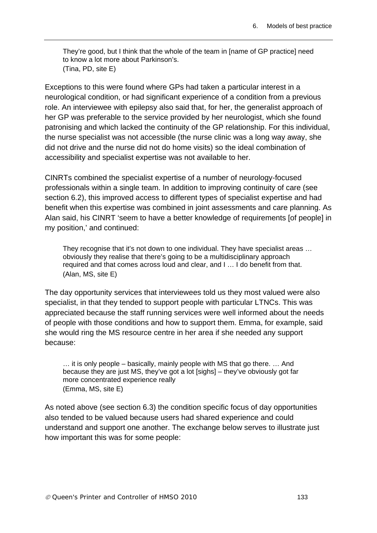They're good, but I think that the whole of the team in [name of GP practice] need to know a lot more about Parkinson's. (Tina, PD, site E)

Exceptions to this were found where GPs had taken a particular interest in a neurological condition, or had significant experience of a condition from a previous role. An interviewee with epilepsy also said that, for her, the generalist approach of her GP was preferable to the service provided by her neurologist, which she found patronising and which lacked the continuity of the GP relationship. For this individual, the nurse specialist was not accessible (the nurse clinic was a long way away, she did not drive and the nurse did not do home visits) so the ideal combination of accessibility and specialist expertise was not available to her.

CINRTs combined the specialist expertise of a number of neurology-focused professionals within a single team. In addition to improving continuity of care (see section 6.2), this improved access to different types of specialist expertise and had benefit when this expertise was combined in joint assessments and care planning. As Alan said, his CINRT 'seem to have a better knowledge of requirements [of people] in my position,' and continued:

They recognise that it's not down to one individual. They have specialist areas … obviously they realise that there's going to be a multidisciplinary approach required and that comes across loud and clear, and I … I do benefit from that. (Alan, MS, site E)

The day opportunity services that interviewees told us they most valued were also specialist, in that they tended to support people with particular LTNCs. This was appreciated because the staff running services were well informed about the needs of people with those conditions and how to support them. Emma, for example, said she would ring the MS resource centre in her area if she needed any support because:

… it is only people – basically, mainly people with MS that go there. … And because they are just MS, they've got a lot [sighs] – they've obviously got far more concentrated experience really (Emma, MS, site E)

As noted above (see section 6.3) the condition specific focus of day opportunities also tended to be valued because users had shared experience and could understand and support one another. The exchange below serves to illustrate just how important this was for some people: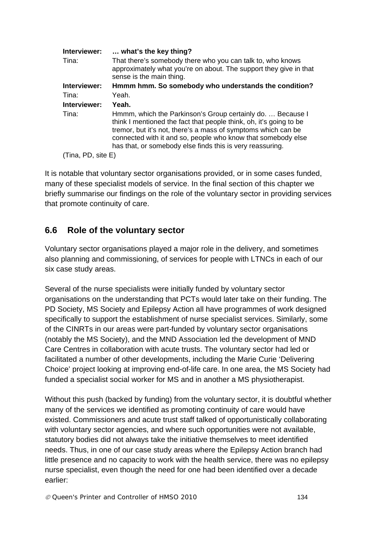| Interviewer:       | what's the key thing?                                                                                                                                                                                                                                                                                                          |
|--------------------|--------------------------------------------------------------------------------------------------------------------------------------------------------------------------------------------------------------------------------------------------------------------------------------------------------------------------------|
| Tina:              | That there's somebody there who you can talk to, who knows<br>approximately what you're on about. The support they give in that<br>sense is the main thing.                                                                                                                                                                    |
| Interviewer:       | Hmmm hmm. So somebody who understands the condition?                                                                                                                                                                                                                                                                           |
| Tina:              | Yeah.                                                                                                                                                                                                                                                                                                                          |
| Interviewer:       | Yeah.                                                                                                                                                                                                                                                                                                                          |
| Tina:              | Hmmm, which the Parkinson's Group certainly do.  Because I<br>think I mentioned the fact that people think, oh, it's going to be<br>tremor, but it's not, there's a mass of symptoms which can be<br>connected with it and so, people who know that somebody else<br>has that, or somebody else finds this is very reassuring. |
| (Tina, PD, site E) |                                                                                                                                                                                                                                                                                                                                |

It is notable that voluntary sector organisations provided, or in some cases funded, many of these specialist models of service. In the final section of this chapter we briefly summarise our findings on the role of the voluntary sector in providing services that promote continuity of care.

# **6.6 Role of the voluntary sector**

Voluntary sector organisations played a major role in the delivery, and sometimes also planning and commissioning, of services for people with LTNCs in each of our six case study areas.

Several of the nurse specialists were initially funded by voluntary sector organisations on the understanding that PCTs would later take on their funding. The PD Society, MS Society and Epilepsy Action all have programmes of work designed specifically to support the establishment of nurse specialist services. Similarly, some of the CINRTs in our areas were part-funded by voluntary sector organisations (notably the MS Society), and the MND Association led the development of MND Care Centres in collaboration with acute trusts. The voluntary sector had led or facilitated a number of other developments, including the Marie Curie 'Delivering Choice' project looking at improving end-of-life care. In one area, the MS Society had funded a specialist social worker for MS and in another a MS physiotherapist.

Without this push (backed by funding) from the voluntary sector, it is doubtful whether many of the services we identified as promoting continuity of care would have existed. Commissioners and acute trust staff talked of opportunistically collaborating with voluntary sector agencies, and where such opportunities were not available, statutory bodies did not always take the initiative themselves to meet identified needs. Thus, in one of our case study areas where the Epilepsy Action branch had little presence and no capacity to work with the health service, there was no epilepsy nurse specialist, even though the need for one had been identified over a decade earlier: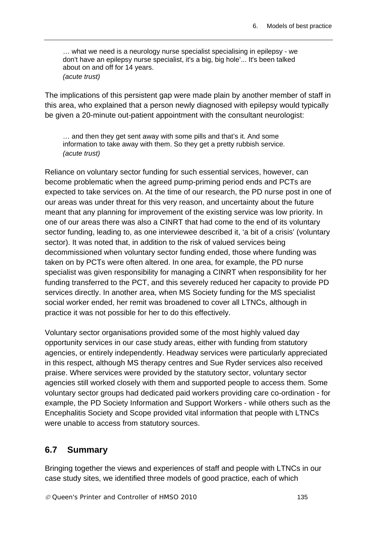… what we need is a neurology nurse specialist specialising in epilepsy - we don't have an epilepsy nurse specialist, it's a big, big hole'... It's been talked about on and off for 14 years. *(acute trust)* 

The implications of this persistent gap were made plain by another member of staff in this area, who explained that a person newly diagnosed with epilepsy would typically be given a 20-minute out-patient appointment with the consultant neurologist:

… and then they get sent away with some pills and that's it. And some information to take away with them. So they get a pretty rubbish service. *(acute trust)* 

Reliance on voluntary sector funding for such essential services, however, can become problematic when the agreed pump-priming period ends and PCTs are expected to take services on. At the time of our research, the PD nurse post in one of our areas was under threat for this very reason, and uncertainty about the future meant that any planning for improvement of the existing service was low priority. In one of our areas there was also a CINRT that had come to the end of its voluntary sector funding, leading to, as one interviewee described it, 'a bit of a crisis' (voluntary sector). It was noted that, in addition to the risk of valued services being decommissioned when voluntary sector funding ended, those where funding was taken on by PCTs were often altered. In one area, for example, the PD nurse specialist was given responsibility for managing a CINRT when responsibility for her funding transferred to the PCT, and this severely reduced her capacity to provide PD services directly. In another area, when MS Society funding for the MS specialist social worker ended, her remit was broadened to cover all LTNCs, although in practice it was not possible for her to do this effectively.

Voluntary sector organisations provided some of the most highly valued day opportunity services in our case study areas, either with funding from statutory agencies, or entirely independently. Headway services were particularly appreciated in this respect, although MS therapy centres and Sue Ryder services also received praise. Where services were provided by the statutory sector, voluntary sector agencies still worked closely with them and supported people to access them. Some voluntary sector groups had dedicated paid workers providing care co-ordination - for example, the PD Society Information and Support Workers - while others such as the Encephalitis Society and Scope provided vital information that people with LTNCs were unable to access from statutory sources.

# **6.7 Summary**

Bringing together the views and experiences of staff and people with LTNCs in our case study sites, we identified three models of good practice, each of which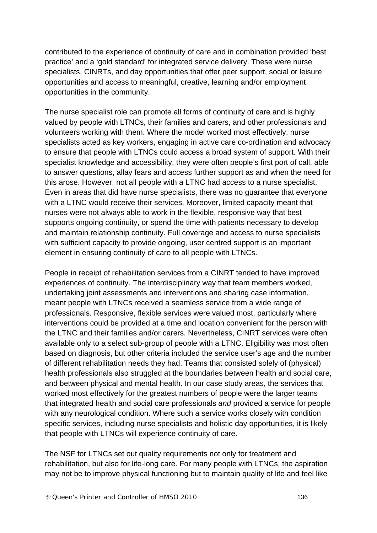contributed to the experience of continuity of care and in combination provided 'best practice' and a 'gold standard' for integrated service delivery. These were nurse specialists, CINRTs, and day opportunities that offer peer support, social or leisure opportunities and access to meaningful, creative, learning and/or employment opportunities in the community.

The nurse specialist role can promote all forms of continuity of care and is highly valued by people with LTNCs, their families and carers, and other professionals and volunteers working with them. Where the model worked most effectively, nurse specialists acted as key workers, engaging in active care co-ordination and advocacy to ensure that people with LTNCs could access a broad system of support. With their specialist knowledge and accessibility, they were often people's first port of call, able to answer questions, allay fears and access further support as and when the need for this arose. However, not all people with a LTNC had access to a nurse specialist. Even in areas that did have nurse specialists, there was no guarantee that everyone with a LTNC would receive their services. Moreover, limited capacity meant that nurses were not always able to work in the flexible, responsive way that best supports ongoing continuity, or spend the time with patients necessary to develop and maintain relationship continuity. Full coverage and access to nurse specialists with sufficient capacity to provide ongoing, user centred support is an important element in ensuring continuity of care to all people with LTNCs.

People in receipt of rehabilitation services from a CINRT tended to have improved experiences of continuity. The interdisciplinary way that team members worked, undertaking joint assessments and interventions and sharing case information, meant people with LTNCs received a seamless service from a wide range of professionals. Responsive, flexible services were valued most, particularly where interventions could be provided at a time and location convenient for the person with the LTNC and their families and/or carers. Nevertheless, CINRT services were often available only to a select sub-group of people with a LTNC. Eligibility was most often based on diagnosis, but other criteria included the service user's age and the number of different rehabilitation needs they had. Teams that consisted solely of (physical) health professionals also struggled at the boundaries between health and social care, and between physical and mental health. In our case study areas, the services that worked most effectively for the greatest numbers of people were the larger teams that integrated health and social care professionals *and* provided a service for people with any neurological condition. Where such a service works closely with condition specific services, including nurse specialists and holistic day opportunities, it is likely that people with LTNCs will experience continuity of care.

The NSF for LTNCs set out quality requirements not only for treatment and rehabilitation, but also for life-long care. For many people with LTNCs, the aspiration may not be to improve physical functioning but to maintain quality of life and feel like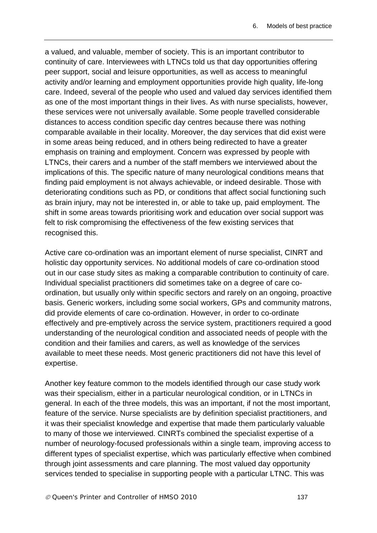a valued, and valuable, member of society. This is an important contributor to continuity of care. Interviewees with LTNCs told us that day opportunities offering peer support, social and leisure opportunities, as well as access to meaningful activity and/or learning and employment opportunities provide high quality, life-long care. Indeed, several of the people who used and valued day services identified them as one of the most important things in their lives. As with nurse specialists, however, these services were not universally available. Some people travelled considerable distances to access condition specific day centres because there was nothing comparable available in their locality. Moreover, the day services that did exist were in some areas being reduced, and in others being redirected to have a greater emphasis on training and employment. Concern was expressed by people with LTNCs, their carers and a number of the staff members we interviewed about the implications of this. The specific nature of many neurological conditions means that finding paid employment is not always achievable, or indeed desirable. Those with deteriorating conditions such as PD, or conditions that affect social functioning such as brain injury, may not be interested in, or able to take up, paid employment. The shift in some areas towards prioritising work and education over social support was felt to risk compromising the effectiveness of the few existing services that recognised this.

Active care co-ordination was an important element of nurse specialist, CINRT and holistic day opportunity services. No additional models of care co-ordination stood out in our case study sites as making a comparable contribution to continuity of care. Individual specialist practitioners did sometimes take on a degree of care coordination, but usually only within specific sectors and rarely on an ongoing, proactive basis. Generic workers, including some social workers, GPs and community matrons, did provide elements of care co-ordination. However, in order to co-ordinate effectively and pre-emptively across the service system, practitioners required a good understanding of the neurological condition and associated needs of people with the condition and their families and carers, as well as knowledge of the services available to meet these needs. Most generic practitioners did not have this level of expertise.

Another key feature common to the models identified through our case study work was their specialism, either in a particular neurological condition, or in LTNCs in general. In each of the three models, this was an important, if not the most important, feature of the service. Nurse specialists are by definition specialist practitioners, and it was their specialist knowledge and expertise that made them particularly valuable to many of those we interviewed. CINRTs combined the specialist expertise of a number of neurology-focused professionals within a single team, improving access to different types of specialist expertise, which was particularly effective when combined through joint assessments and care planning. The most valued day opportunity services tended to specialise in supporting people with a particular LTNC. This was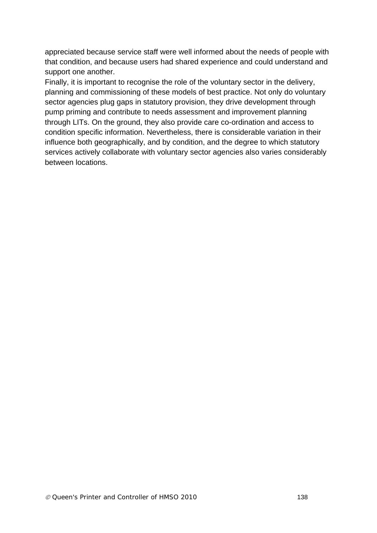appreciated because service staff were well informed about the needs of people with that condition, and because users had shared experience and could understand and support one another.

Finally, it is important to recognise the role of the voluntary sector in the delivery, planning and commissioning of these models of best practice. Not only do voluntary sector agencies plug gaps in statutory provision, they drive development through pump priming and contribute to needs assessment and improvement planning through LITs. On the ground, they also provide care co-ordination and access to condition specific information. Nevertheless, there is considerable variation in their influence both geographically, and by condition, and the degree to which statutory services actively collaborate with voluntary sector agencies also varies considerably between locations.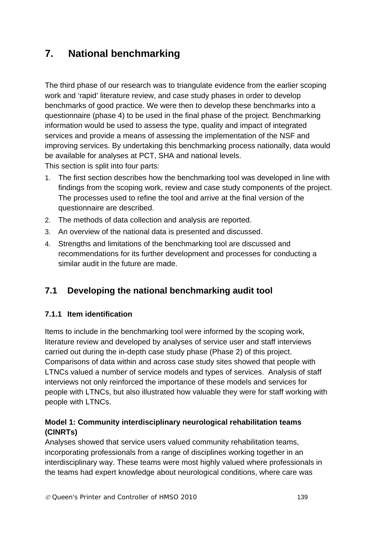# **7. National benchmarking**

The third phase of our research was to triangulate evidence from the earlier scoping work and 'rapid' literature review, and case study phases in order to develop benchmarks of good practice. We were then to develop these benchmarks into a questionnaire (phase 4) to be used in the final phase of the project. Benchmarking information would be used to assess the type, quality and impact of integrated services and provide a means of assessing the implementation of the NSF and improving services. By undertaking this benchmarking process nationally, data would be available for analyses at PCT, SHA and national levels. This section is split into four parts:

- 1. The first section describes how the benchmarking tool was developed in line with findings from the scoping work, review and case study components of the project. The processes used to refine the tool and arrive at the final version of the questionnaire are described.
- 2. The methods of data collection and analysis are reported.
- 3. An overview of the national data is presented and discussed.
- 4. Strengths and limitations of the benchmarking tool are discussed and recommendations for its further development and processes for conducting a similar audit in the future are made.

# **7.1 Developing the national benchmarking audit tool**

## **7.1.1 Item identification**

Items to include in the benchmarking tool were informed by the scoping work, literature review and developed by analyses of service user and staff interviews carried out during the in-depth case study phase (Phase 2) of this project. Comparisons of data within and across case study sites showed that people with LTNCs valued a number of service models and types of services. Analysis of staff interviews not only reinforced the importance of these models and services for people with LTNCs, but also illustrated how valuable they were for staff working with people with LTNCs.

#### **Model 1: Community interdisciplinary neurological rehabilitation teams (CINRTs)**

Analyses showed that service users valued community rehabilitation teams, incorporating professionals from a range of disciplines working together in an interdisciplinary way. These teams were most highly valued where professionals in the teams had expert knowledge about neurological conditions, where care was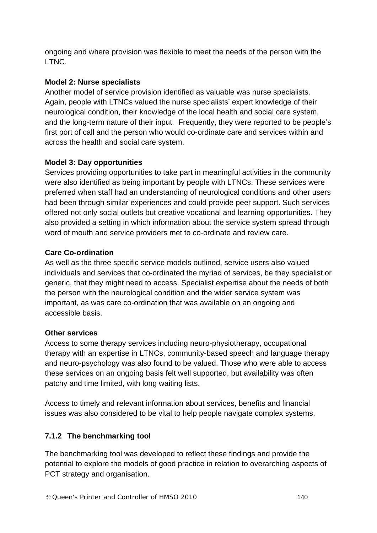ongoing and where provision was flexible to meet the needs of the person with the LTNC.

## **Model 2: Nurse specialists**

Another model of service provision identified as valuable was nurse specialists. Again, people with LTNCs valued the nurse specialists' expert knowledge of their neurological condition, their knowledge of the local health and social care system, and the long-term nature of their input. Frequently, they were reported to be people's first port of call and the person who would co-ordinate care and services within and across the health and social care system.

#### **Model 3: Day opportunities**

Services providing opportunities to take part in meaningful activities in the community were also identified as being important by people with LTNCs. These services were preferred when staff had an understanding of neurological conditions and other users had been through similar experiences and could provide peer support. Such services offered not only social outlets but creative vocational and learning opportunities. They also provided a setting in which information about the service system spread through word of mouth and service providers met to co-ordinate and review care.

#### **Care Co-ordination**

As well as the three specific service models outlined, service users also valued individuals and services that co-ordinated the myriad of services, be they specialist or generic, that they might need to access. Specialist expertise about the needs of both the person with the neurological condition and the wider service system was important, as was care co-ordination that was available on an ongoing and accessible basis.

#### **Other services**

Access to some therapy services including neuro-physiotherapy, occupational therapy with an expertise in LTNCs, community-based speech and language therapy and neuro-psychology was also found to be valued. Those who were able to access these services on an ongoing basis felt well supported, but availability was often patchy and time limited, with long waiting lists.

Access to timely and relevant information about services, benefits and financial issues was also considered to be vital to help people navigate complex systems.

## **7.1.2 The benchmarking tool**

The benchmarking tool was developed to reflect these findings and provide the potential to explore the models of good practice in relation to overarching aspects of PCT strategy and organisation.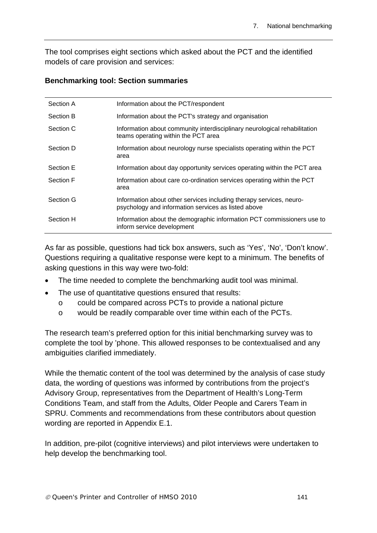The tool comprises eight sections which asked about the PCT and the identified models of care provision and services:

#### **Benchmarking tool: Section summaries**

| Section A | Information about the PCT/respondent                                                                                       |
|-----------|----------------------------------------------------------------------------------------------------------------------------|
| Section B | Information about the PCT's strategy and organisation                                                                      |
| Section C | Information about community interdisciplinary neurological rehabilitation<br>teams operating within the PCT area           |
| Section D | Information about neurology nurse specialists operating within the PCT<br>area                                             |
| Section E | Information about day opportunity services operating within the PCT area                                                   |
| Section F | Information about care co-ordination services operating within the PCT<br>area                                             |
| Section G | Information about other services including therapy services, neuro-<br>psychology and information services as listed above |
| Section H | Information about the demographic information PCT commissioners use to<br>inform service development                       |

As far as possible, questions had tick box answers, such as 'Yes', 'No', 'Don't know'. Questions requiring a qualitative response were kept to a minimum. The benefits of asking questions in this way were two-fold:

- The time needed to complete the benchmarking audit tool was minimal.
- The use of quantitative questions ensured that results:
	- o could be compared across PCTs to provide a national picture
	- o would be readily comparable over time within each of the PCTs.

The research team's preferred option for this initial benchmarking survey was to complete the tool by 'phone. This allowed responses to be contextualised and any ambiguities clarified immediately.

While the thematic content of the tool was determined by the analysis of case study data, the wording of questions was informed by contributions from the project's Advisory Group, representatives from the Department of Health's Long-Term Conditions Team, and staff from the Adults, Older People and Carers Team in SPRU. Comments and recommendations from these contributors about question wording are reported in Appendix E.1.

In addition, pre-pilot (cognitive interviews) and pilot interviews were undertaken to help develop the benchmarking tool.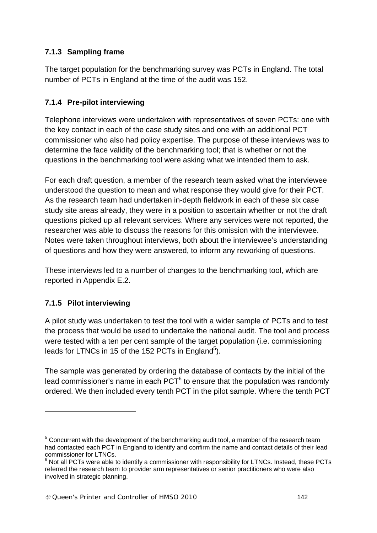# **7.1.3 Sampling frame**

The target population for the benchmarking survey was PCTs in England. The total number of PCTs in England at the time of the audit was 152.

# **7.1.4 Pre-pilot interviewing**

Telephone interviews were undertaken with representatives of seven PCTs: one with the key contact in each of the case study sites and one with an additional PCT commissioner who also had policy expertise. The purpose of these interviews was to determine the face validity of the benchmarking tool; that is whether or not the questions in the benchmarking tool were asking what we intended them to ask.

For each draft question, a member of the research team asked what the interviewee understood the question to mean and what response they would give for their PCT. As the research team had undertaken in-depth fieldwork in each of these six case study site areas already, they were in a position to ascertain whether or not the draft questions picked up all relevant services. Where any services were not reported, the researcher was able to discuss the reasons for this omission with the interviewee. Notes were taken throughout interviews, both about the interviewee's understanding of questions and how they were answered, to inform any reworking of questions.

These interviews led to a number of changes to the benchmarking tool, which are reported in Appendix E.2.

## **7.1.5 Pilot interviewing**

1

A pilot study was undertaken to test the tool with a wider sample of PCTs and to test the process that would be used to undertake the national audit. The tool and process were tested with a ten per cent sample of the target population (i.e. commissioning leads for LTNCs in 15 of the 152 PCTs in England<sup>5</sup>).

The sample was generated by ordering the database of contacts by the initial of the lead commissioner's name in each  $PCT<sup>6</sup>$  to ensure that the population was randomly ordered. We then included every tenth PCT in the pilot sample. Where the tenth PCT

 $5$  Concurrent with the development of the benchmarking audit tool, a member of the research team had contacted each PCT in England to identify and confirm the name and contact details of their lead commissioner for LTNCs.

 $6$  Not all PCTs were able to identify a commissioner with responsibility for LTNCs. Instead, these PCTs referred the research team to provider arm representatives or senior practitioners who were also involved in strategic planning.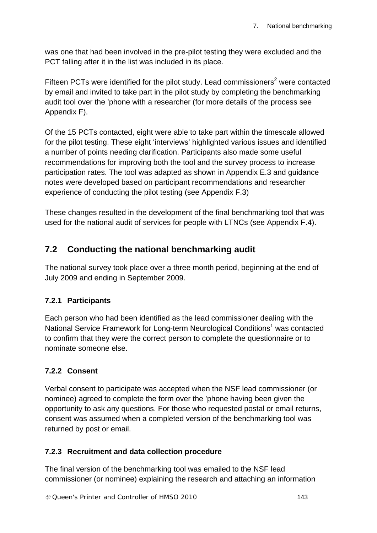was one that had been involved in the pre-pilot testing they were excluded and the PCT falling after it in the list was included in its place.

Fifteen PCTs were identified for the pilot study. Lead commissioners<sup>2</sup> were contacted by email and invited to take part in the pilot study by completing the benchmarking audit tool over the 'phone with a researcher (for more details of the process see Appendix F).

Of the 15 PCTs contacted, eight were able to take part within the timescale allowed for the pilot testing. These eight 'interviews' highlighted various issues and identified a number of points needing clarification. Participants also made some useful recommendations for improving both the tool and the survey process to increase participation rates. The tool was adapted as shown in Appendix E.3 and guidance notes were developed based on participant recommendations and researcher experience of conducting the pilot testing (see Appendix F.3)

These changes resulted in the development of the final benchmarking tool that was used for the national audit of services for people with LTNCs (see Appendix F.4).

# **7.2 Conducting the national benchmarking audit**

The national survey took place over a three month period, beginning at the end of July 2009 and ending in September 2009.

## **7.2.1 Participants**

Each person who had been identified as the lead commissioner dealing with the National Service Framework for Long-term Neurological Conditions<sup>1</sup> was contacted to confirm that they were the correct person to complete the questionnaire or to nominate someone else.

## **7.2.2 Consent**

Verbal consent to participate was accepted when the NSF lead commissioner (or nominee) agreed to complete the form over the 'phone having been given the opportunity to ask any questions. For those who requested postal or email returns, consent was assumed when a completed version of the benchmarking tool was returned by post or email.

## **7.2.3 Recruitment and data collection procedure**

The final version of the benchmarking tool was emailed to the NSF lead commissioner (or nominee) explaining the research and attaching an information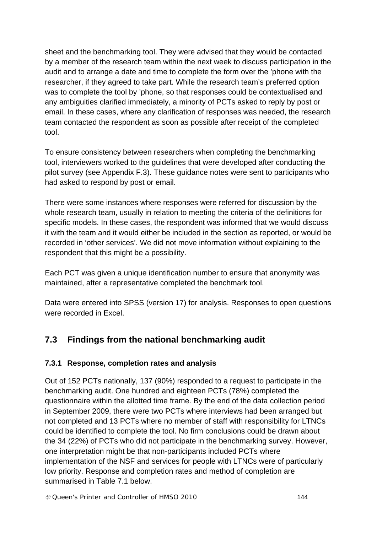sheet and the benchmarking tool. They were advised that they would be contacted by a member of the research team within the next week to discuss participation in the audit and to arrange a date and time to complete the form over the 'phone with the researcher, if they agreed to take part. While the research team's preferred option was to complete the tool by 'phone, so that responses could be contextualised and any ambiguities clarified immediately, a minority of PCTs asked to reply by post or email. In these cases, where any clarification of responses was needed, the research team contacted the respondent as soon as possible after receipt of the completed tool.

To ensure consistency between researchers when completing the benchmarking tool, interviewers worked to the guidelines that were developed after conducting the pilot survey (see Appendix F.3). These guidance notes were sent to participants who had asked to respond by post or email.

There were some instances where responses were referred for discussion by the whole research team, usually in relation to meeting the criteria of the definitions for specific models. In these cases, the respondent was informed that we would discuss it with the team and it would either be included in the section as reported, or would be recorded in 'other services'. We did not move information without explaining to the respondent that this might be a possibility.

Each PCT was given a unique identification number to ensure that anonymity was maintained, after a representative completed the benchmark tool.

Data were entered into SPSS (version 17) for analysis. Responses to open questions were recorded in Excel.

# **7.3 Findings from the national benchmarking audit**

## **7.3.1 Response, completion rates and analysis**

Out of 152 PCTs nationally, 137 (90%) responded to a request to participate in the benchmarking audit. One hundred and eighteen PCTs (78%) completed the questionnaire within the allotted time frame. By the end of the data collection period in September 2009, there were two PCTs where interviews had been arranged but not completed and 13 PCTs where no member of staff with responsibility for LTNCs could be identified to complete the tool. No firm conclusions could be drawn about the 34 (22%) of PCTs who did not participate in the benchmarking survey. However, one interpretation might be that non-participants included PCTs where implementation of the NSF and services for people with LTNCs were of particularly low priority. Response and completion rates and method of completion are summarised in Table 7.1 below.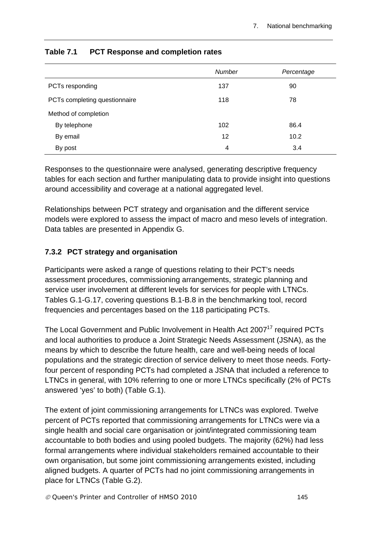|                               | <b>Number</b> | Percentage |
|-------------------------------|---------------|------------|
| PCTs responding               | 137           | 90         |
| PCTs completing questionnaire | 118           | 78         |
| Method of completion          |               |            |
| By telephone                  | 102           | 86.4       |
| By email                      | 12            | 10.2       |
| By post                       | 4             | 3.4        |

#### **Table 7.1 PCT Response and completion rates**

Responses to the questionnaire were analysed, generating descriptive frequency tables for each section and further manipulating data to provide insight into questions around accessibility and coverage at a national aggregated level.

Relationships between PCT strategy and organisation and the different service models were explored to assess the impact of macro and meso levels of integration. Data tables are presented in Appendix G.

### **7.3.2 PCT strategy and organisation**

Participants were asked a range of questions relating to their PCT's needs assessment procedures, commissioning arrangements, strategic planning and service user involvement at different levels for services for people with LTNCs. Tables G.1-G.17, covering questions B.1-B.8 in the benchmarking tool, record frequencies and percentages based on the 118 participating PCTs.

The Local Government and Public Involvement in Health Act 2007<sup>17</sup> required PCTs and local authorities to produce a Joint Strategic Needs Assessment (JSNA), as the means by which to describe the future health, care and well-being needs of local populations and the strategic direction of service delivery to meet those needs. Fortyfour percent of responding PCTs had completed a JSNA that included a reference to LTNCs in general, with 10% referring to one or more LTNCs specifically (2% of PCTs answered 'yes' to both) (Table G.1).

The extent of joint commissioning arrangements for LTNCs was explored. Twelve percent of PCTs reported that commissioning arrangements for LTNCs were via a single health and social care organisation or joint/integrated commissioning team accountable to both bodies and using pooled budgets. The majority (62%) had less formal arrangements where individual stakeholders remained accountable to their own organisation, but some joint commissioning arrangements existed, including aligned budgets. A quarter of PCTs had no joint commissioning arrangements in place for LTNCs (Table G.2).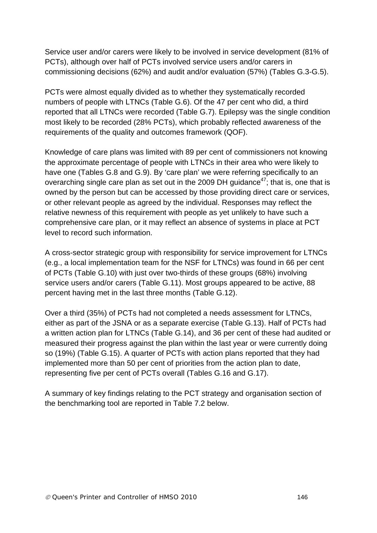Service user and/or carers were likely to be involved in service development (81% of PCTs), although over half of PCTs involved service users and/or carers in commissioning decisions (62%) and audit and/or evaluation (57%) (Tables G.3-G.5).

PCTs were almost equally divided as to whether they systematically recorded numbers of people with LTNCs (Table G.6). Of the 47 per cent who did, a third reported that all LTNCs were recorded (Table G.7). Epilepsy was the single condition most likely to be recorded (28% PCTs), which probably reflected awareness of the requirements of the quality and outcomes framework (QOF).

Knowledge of care plans was limited with 89 per cent of commissioners not knowing the approximate percentage of people with LTNCs in their area who were likely to have one (Tables G.8 and G.9). By 'care plan' we were referring specifically to an overarching single care plan as set out in the 2009 DH guidance<sup>47</sup>; that is, one that is owned by the person but can be accessed by those providing direct care or services, or other relevant people as agreed by the individual. Responses may reflect the relative newness of this requirement with people as yet unlikely to have such a comprehensive care plan, or it may reflect an absence of systems in place at PCT level to record such information.

A cross-sector strategic group with responsibility for service improvement for LTNCs (e.g., a local implementation team for the NSF for LTNCs) was found in 66 per cent of PCTs (Table G.10) with just over two-thirds of these groups (68%) involving service users and/or carers (Table G.11). Most groups appeared to be active, 88 percent having met in the last three months (Table G.12).

Over a third (35%) of PCTs had not completed a needs assessment for LTNCs, either as part of the JSNA or as a separate exercise (Table G.13). Half of PCTs had a written action plan for LTNCs (Table G.14), and 36 per cent of these had audited or measured their progress against the plan within the last year or were currently doing so (19%) (Table G.15). A quarter of PCTs with action plans reported that they had implemented more than 50 per cent of priorities from the action plan to date, representing five per cent of PCTs overall (Tables G.16 and G.17).

A summary of key findings relating to the PCT strategy and organisation section of the benchmarking tool are reported in Table 7.2 below.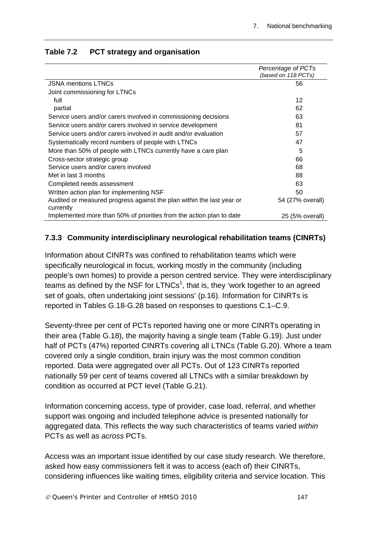|                                                                                    | Percentage of PCTs<br>(based on 118 PCTs) |
|------------------------------------------------------------------------------------|-------------------------------------------|
| <b>JSNA mentions LTNCs</b>                                                         | 56                                        |
| Joint commissioning for LTNCs                                                      |                                           |
| full                                                                               | 12                                        |
| partial                                                                            | 62                                        |
| Service users and/or carers involved in commissioning decisions                    | 63                                        |
| Service users and/or carers involved in service development                        | 81                                        |
| Service users and/or carers involved in audit and/or evaluation                    | 57                                        |
| Systematically record numbers of people with LTNCs                                 | 47                                        |
| More than 50% of people with LTNCs currently have a care plan                      | 5                                         |
| Cross-sector strategic group                                                       | 66                                        |
| Service users and/or carers involved                                               | 68                                        |
| Met in last 3 months                                                               | 88                                        |
| Completed needs assessment                                                         | 63                                        |
| Written action plan for implementing NSF                                           | 50                                        |
| Audited or measured progress against the plan within the last year or<br>currently | 54 (27% overall)                          |
| Implemented more than 50% of priorities from the action plan to date               | 25 (5% overall)                           |

### **Table 7.2 PCT strategy and organisation**

### **7.3.3 Community interdisciplinary neurological rehabilitation teams (CINRTs)**

Information about CINRTs was confined to rehabilitation teams which were specifically neurological in focus, working mostly in the community (including people's own homes) to provide a person centred service. They were interdisciplinary teams as defined by the NSF for LTNCs<sup>1</sup>, that is, they 'work together to an agreed set of goals, often undertaking joint sessions' (p.16). Information for CINRTs is reported in Tables G.18-G.28 based on responses to questions C.1–C.9.

Seventy-three per cent of PCTs reported having one or more CINRTs operating in their area (Table G.18), the majority having a single team (Table G.19). Just under half of PCTs (47%) reported CINRTs covering all LTNCs (Table G.20). Where a team covered only a single condition, brain injury was the most common condition reported. Data were aggregated over all PCTs. Out of 123 CINRTs reported nationally 59 per cent of teams covered all LTNCs with a similar breakdown by condition as occurred at PCT level (Table G.21).

Information concerning access, type of provider, case load, referral, and whether support was ongoing and included telephone advice is presented nationally for aggregated data. This reflects the way such characteristics of teams varied *within*  PCTs as well as *across* PCTs.

Access was an important issue identified by our case study research. We therefore, asked how easy commissioners felt it was to access (each of) their CINRTs, considering influences like waiting times, eligibility criteria and service location. This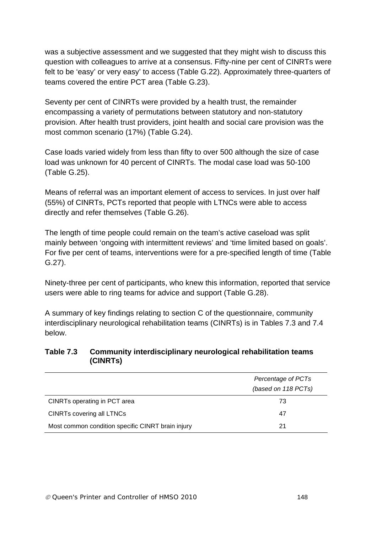was a subjective assessment and we suggested that they might wish to discuss this question with colleagues to arrive at a consensus. Fifty-nine per cent of CINRTs were felt to be 'easy' or very easy' to access (Table G.22). Approximately three-quarters of teams covered the entire PCT area (Table G.23).

Seventy per cent of CINRTs were provided by a health trust, the remainder encompassing a variety of permutations between statutory and non-statutory provision. After health trust providers, joint health and social care provision was the most common scenario (17%) (Table G.24).

Case loads varied widely from less than fifty to over 500 although the size of case load was unknown for 40 percent of CINRTs. The modal case load was 50-100 (Table G.25).

Means of referral was an important element of access to services. In just over half (55%) of CINRTs, PCTs reported that people with LTNCs were able to access directly and refer themselves (Table G.26).

The length of time people could remain on the team's active caseload was split mainly between 'ongoing with intermittent reviews' and 'time limited based on goals'. For five per cent of teams, interventions were for a pre-specified length of time (Table G.27).

Ninety-three per cent of participants, who knew this information, reported that service users were able to ring teams for advice and support (Table G.28).

A summary of key findings relating to section C of the questionnaire, community interdisciplinary neurological rehabilitation teams (CINRTs) is in Tables 7.3 and 7.4 below.

#### **Table 7.3 Community interdisciplinary neurological rehabilitation teams (CINRTs)**

|                                                   | Percentage of PCTs<br>(based on 118 PCTs) |
|---------------------------------------------------|-------------------------------------------|
| CINRTs operating in PCT area                      | 73                                        |
| CINRTs covering all LTNCs                         | 47                                        |
| Most common condition specific CINRT brain injury | 21                                        |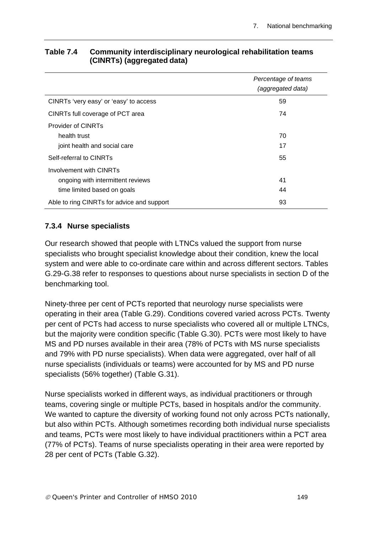|                                            | Percentage of teams |
|--------------------------------------------|---------------------|
|                                            | (aggregated data)   |
| CINRTs 'very easy' or 'easy' to access     | 59                  |
| CINRTs full coverage of PCT area           | 74                  |
| Provider of CINRTs                         |                     |
| health trust                               | 70                  |
| joint health and social care               | 17                  |
| Self-referral to CINRTs                    | 55                  |
| Involvement with CINRTs                    |                     |
| ongoing with intermittent reviews          | 41                  |
| time limited based on goals                | 44                  |
| Able to ring CINRTs for advice and support | 93                  |

#### **Table 7.4 Community interdisciplinary neurological rehabilitation teams (CINRTs) (aggregated data)**

#### **7.3.4 Nurse specialists**

Our research showed that people with LTNCs valued the support from nurse specialists who brought specialist knowledge about their condition, knew the local system and were able to co-ordinate care within and across different sectors. Tables G.29-G.38 refer to responses to questions about nurse specialists in section D of the benchmarking tool.

Ninety-three per cent of PCTs reported that neurology nurse specialists were operating in their area (Table G.29). Conditions covered varied across PCTs. Twenty per cent of PCTs had access to nurse specialists who covered all or multiple LTNCs, but the majority were condition specific (Table G.30). PCTs were most likely to have MS and PD nurses available in their area (78% of PCTs with MS nurse specialists and 79% with PD nurse specialists). When data were aggregated, over half of all nurse specialists (individuals or teams) were accounted for by MS and PD nurse specialists (56% together) (Table G.31).

Nurse specialists worked in different ways, as individual practitioners or through teams, covering single or multiple PCTs, based in hospitals and/or the community. We wanted to capture the diversity of working found not only across PCTs nationally, but also within PCTs. Although sometimes recording both individual nurse specialists and teams, PCTs were most likely to have individual practitioners within a PCT area (77% of PCTs). Teams of nurse specialists operating in their area were reported by 28 per cent of PCTs (Table G.32).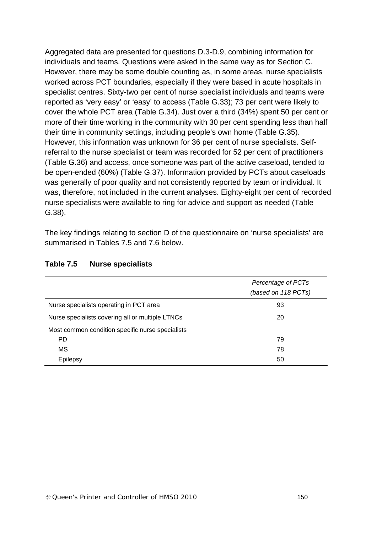Aggregated data are presented for questions D.3-D.9, combining information for individuals and teams. Questions were asked in the same way as for Section C. However, there may be some double counting as, in some areas, nurse specialists worked across PCT boundaries, especially if they were based in acute hospitals in specialist centres. Sixty-two per cent of nurse specialist individuals and teams were reported as 'very easy' or 'easy' to access (Table G.33); 73 per cent were likely to cover the whole PCT area (Table G.34). Just over a third (34%) spent 50 per cent or more of their time working in the community with 30 per cent spending less than half their time in community settings, including people's own home (Table G.35). However, this information was unknown for 36 per cent of nurse specialists. Selfreferral to the nurse specialist or team was recorded for 52 per cent of practitioners (Table G.36) and access, once someone was part of the active caseload, tended to be open-ended (60%) (Table G.37). Information provided by PCTs about caseloads was generally of poor quality and not consistently reported by team or individual. It was, therefore, not included in the current analyses. Eighty-eight per cent of recorded nurse specialists were available to ring for advice and support as needed (Table G.38).

The key findings relating to section D of the questionnaire on 'nurse specialists' are summarised in Tables 7.5 and 7.6 below.

|                                                  | Percentage of PCTs<br>(based on 118 PCTs) |
|--------------------------------------------------|-------------------------------------------|
| Nurse specialists operating in PCT area          | 93                                        |
| Nurse specialists covering all or multiple LTNCs | 20                                        |
| Most common condition specific nurse specialists |                                           |
| <b>PD</b>                                        | 79                                        |
| MS                                               | 78                                        |
| Epilepsy                                         | 50                                        |

#### **Table 7.5 Nurse specialists**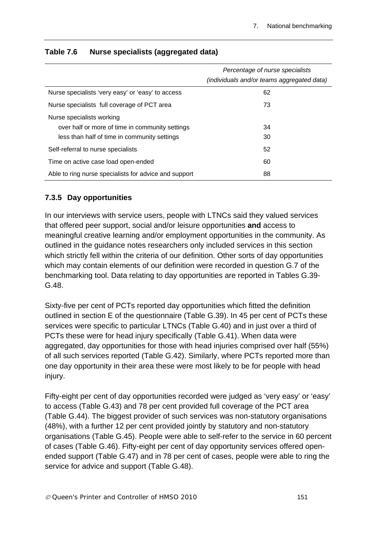|                                                       | Percentage of nurse specialists<br>(individuals and/or teams aggregated data) |
|-------------------------------------------------------|-------------------------------------------------------------------------------|
| Nurse specialists 'very easy' or 'easy' to access     | 62                                                                            |
| Nurse specialists full coverage of PCT area           | 73                                                                            |
| Nurse specialists working                             |                                                                               |
| over half or more of time in community settings       | 34                                                                            |
| less than half of time in community settings          | 30                                                                            |
| Self-referral to nurse specialists                    | 52                                                                            |
| Time on active case load open-ended                   | 60                                                                            |
| Able to ring nurse specialists for advice and support | 88                                                                            |

### **Table 7.6 Nurse specialists (aggregated data)**

#### **7.3.5 Day opportunities**

In our interviews with service users, people with LTNCs said they valued services that offered peer support, social and/or leisure opportunities **and** access to meaningful creative learning and/or employment opportunities in the community. As outlined in the guidance notes researchers only included services in this section which strictly fell within the criteria of our definition. Other sorts of day opportunities which may contain elements of our definition were recorded in question G.7 of the benchmarking tool. Data relating to day opportunities are reported in Tables G.39- G.48.

Sixty-five per cent of PCTs reported day opportunities which fitted the definition outlined in section E of the questionnaire (Table G.39). In 45 per cent of PCTs these services were specific to particular LTNCs (Table G.40) and in just over a third of PCTs these were for head injury specifically (Table G.41). When data were aggregated, day opportunities for those with head injuries comprised over half (55%) of all such services reported (Table G.42). Similarly, where PCTs reported more than one day opportunity in their area these were most likely to be for people with head injury.

Fifty-eight per cent of day opportunities recorded were judged as 'very easy' or 'easy' to access (Table G.43) and 78 per cent provided full coverage of the PCT area (Table G.44). The biggest provider of such services was non-statutory organisations (48%), with a further 12 per cent provided jointly by statutory and non-statutory organisations (Table G.45). People were able to self-refer to the service in 60 percent of cases (Table G.46). Fifty-eight per cent of day opportunity services offered openended support (Table G.47) and in 78 per cent of cases, people were able to ring the service for advice and support (Table G.48).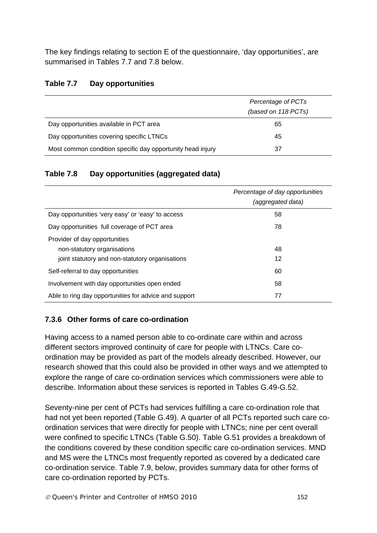The key findings relating to section E of the questionnaire, 'day opportunities', are summarised in Tables 7.7 and 7.8 below.

#### **Table 7.7 Day opportunities**

|                                                            | Percentage of PCTs<br>(based on 118 PCTs) |
|------------------------------------------------------------|-------------------------------------------|
| Day opportunities available in PCT area                    | 65                                        |
| Day opportunities covering specific LTNCs                  | 45                                        |
| Most common condition specific day opportunity head injury | 37                                        |

### **Table 7.8 Day opportunities (aggregated data)**

|                                                       | Percentage of day opportunities<br>(aggregated data) |
|-------------------------------------------------------|------------------------------------------------------|
| Day opportunities 'very easy' or 'easy' to access     | 58                                                   |
| Day opportunities full coverage of PCT area           | 78                                                   |
| Provider of day opportunities                         |                                                      |
| non-statutory organisations                           | 48                                                   |
| joint statutory and non-statutory organisations       | 12                                                   |
| Self-referral to day opportunities                    | 60                                                   |
| Involvement with day opportunities open ended         | 58                                                   |
| Able to ring day opportunities for advice and support | 77                                                   |

## **7.3.6 Other forms of care co-ordination**

Having access to a named person able to co-ordinate care within and across different sectors improved continuity of care for people with LTNCs. Care coordination may be provided as part of the models already described. However, our research showed that this could also be provided in other ways and we attempted to explore the range of care co-ordination services which commissioners were able to describe. Information about these services is reported in Tables G.49-G.52.

Seventy-nine per cent of PCTs had services fulfilling a care co-ordination role that had not yet been reported (Table G.49). A quarter of all PCTs reported such care coordination services that were directly for people with LTNCs; nine per cent overall were confined to specific LTNCs (Table G.50). Table G.51 provides a breakdown of the conditions covered by these condition specific care co-ordination services. MND and MS were the LTNCs most frequently reported as covered by a dedicated care co-ordination service. Table 7.9, below, provides summary data for other forms of care co-ordination reported by PCTs.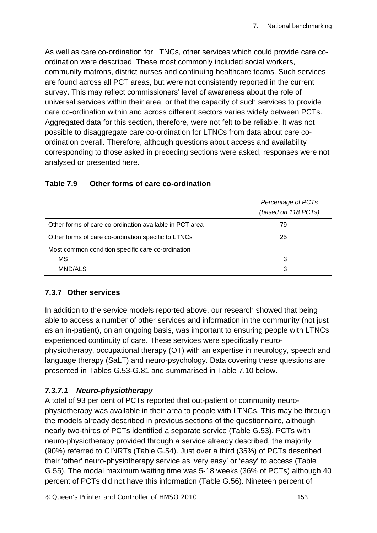As well as care co-ordination for LTNCs, other services which could provide care coordination were described. These most commonly included social workers, community matrons, district nurses and continuing healthcare teams. Such services are found across all PCT areas, but were not consistently reported in the current survey. This may reflect commissioners' level of awareness about the role of universal services within their area, or that the capacity of such services to provide care co-ordination within and across different sectors varies widely between PCTs. Aggregated data for this section, therefore, were not felt to be reliable. It was not possible to disaggregate care co-ordination for LTNCs from data about care coordination overall. Therefore, although questions about access and availability corresponding to those asked in preceding sections were asked, responses were not analysed or presented here.

|                                                         | Percentage of PCTs<br>(based on 118 PCTs) |
|---------------------------------------------------------|-------------------------------------------|
| Other forms of care co-ordination available in PCT area | 79                                        |
| Other forms of care co-ordination specific to LTNCs     | 25                                        |
| Most common condition specific care co-ordination       |                                           |
| MS                                                      | 3                                         |
| MND/ALS                                                 | 3                                         |

#### **Table 7.9 Other forms of care co-ordination**

#### **7.3.7 Other services**

In addition to the service models reported above, our research showed that being able to access a number of other services and information in the community (not just as an in-patient), on an ongoing basis, was important to ensuring people with LTNCs experienced continuity of care. These services were specifically neurophysiotherapy, occupational therapy (OT) with an expertise in neurology, speech and language therapy (SaLT) and neuro-psychology. Data covering these questions are presented in Tables G.53-G.81 and summarised in Table 7.10 below.

#### *7.3.7.1 Neuro-physiotherapy*

A total of 93 per cent of PCTs reported that out-patient or community neurophysiotherapy was available in their area to people with LTNCs. This may be through the models already described in previous sections of the questionnaire, although nearly two-thirds of PCTs identified a separate service (Table G.53). PCTs with neuro-physiotherapy provided through a service already described, the majority (90%) referred to CINRTs (Table G.54). Just over a third (35%) of PCTs described their 'other' neuro-physiotherapy service as 'very easy' or 'easy' to access (Table G.55). The modal maximum waiting time was 5-18 weeks (36% of PCTs) although 40 percent of PCTs did not have this information (Table G.56). Nineteen percent of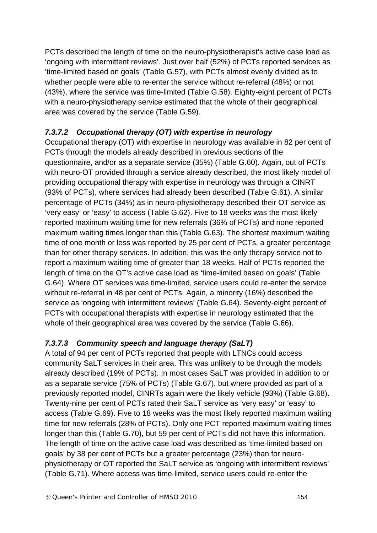PCTs described the length of time on the neuro-physiotherapist's active case load as 'ongoing with intermittent reviews'. Just over half (52%) of PCTs reported services as 'time-limited based on goals' (Table G.57), with PCTs almost evenly divided as to whether people were able to re-enter the service without re-referral (48%) or not (43%), where the service was time-limited (Table G.58). Eighty-eight percent of PCTs with a neuro-physiotherapy service estimated that the whole of their geographical area was covered by the service (Table G.59).

## *7.3.7.2 Occupational therapy (OT) with expertise in neurology*

Occupational therapy (OT) with expertise in neurology was available in 82 per cent of PCTs through the models already described in previous sections of the questionnaire, and/or as a separate service (35%) (Table G.60). Again, out of PCTs with neuro-OT provided through a service already described, the most likely model of providing occupational therapy with expertise in neurology was through a CINRT (93% of PCTs), where services had already been described (Table G.61). A similar percentage of PCTs (34%) as in neuro-physiotherapy described their OT service as 'very easy' or 'easy' to access (Table G.62). Five to 18 weeks was the most likely reported maximum waiting time for new referrals (36% of PCTs) and none reported maximum waiting times longer than this (Table G.63). The shortest maximum waiting time of one month or less was reported by 25 per cent of PCTs, a greater percentage than for other therapy services. In addition, this was the only therapy service not to report a maximum waiting time of greater than 18 weeks. Half of PCTs reported the length of time on the OT's active case load as 'time-limited based on goals' (Table G.64). Where OT services was time-limited, service users could re-enter the service without re-referral in 48 per cent of PCTs. Again, a minority (16%) described the service as 'ongoing with intermittent reviews' (Table G.64). Seventy-eight percent of PCTs with occupational therapists with expertise in neurology estimated that the whole of their geographical area was covered by the service (Table G.66).

## *7.3.7.3 Community speech and language therapy (SaLT)*

A total of 94 per cent of PCTs reported that people with LTNCs could access community SaLT services in their area. This was unlikely to be through the models already described (19% of PCTs). In most cases SaLT was provided in addition to or as a separate service (75% of PCTs) (Table G.67), but where provided as part of a previously reported model, CINRTs again were the likely vehicle (93%) (Table G.68). Twenty-nine per cent of PCTs rated their SaLT service as 'very easy' or 'easy' to access (Table G.69). Five to 18 weeks was the most likely reported maximum waiting time for new referrals (28% of PCTs). Only one PCT reported maximum waiting times longer than this (Table G.70), but 59 per cent of PCTs did not have this information. The length of time on the active case load was described as 'time-limited based on goals' by 38 per cent of PCTs but a greater percentage (23%) than for neurophysiotherapy or OT reported the SaLT service as 'ongoing with intermittent reviews' (Table G.71). Where access was time-limited, service users could re-enter the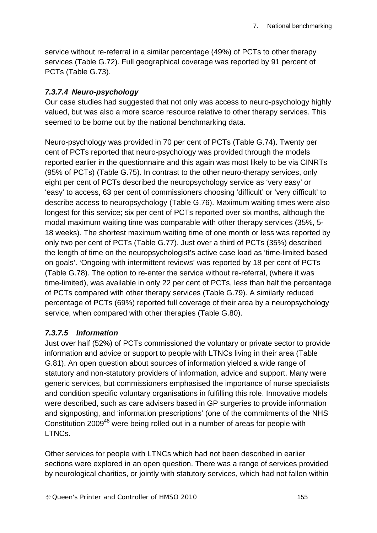service without re-referral in a similar percentage (49%) of PCTs to other therapy services (Table G.72). Full geographical coverage was reported by 91 percent of PCTs (Table G.73).

### *7.3.7.4 Neuro-psychology*

Our case studies had suggested that not only was access to neuro-psychology highly valued, but was also a more scarce resource relative to other therapy services. This seemed to be borne out by the national benchmarking data.

Neuro-psychology was provided in 70 per cent of PCTs (Table G.74). Twenty per cent of PCTs reported that neuro-psychology was provided through the models reported earlier in the questionnaire and this again was most likely to be via CINRTs (95% of PCTs) (Table G.75). In contrast to the other neuro-therapy services, only eight per cent of PCTs described the neuropsychology service as 'very easy' or 'easy' to access, 63 per cent of commissioners choosing 'difficult' or 'very difficult' to describe access to neuropsychology (Table G.76). Maximum waiting times were also longest for this service; six per cent of PCTs reported over six months, although the modal maximum waiting time was comparable with other therapy services (35%, 5- 18 weeks). The shortest maximum waiting time of one month or less was reported by only two per cent of PCTs (Table G.77). Just over a third of PCTs (35%) described the length of time on the neuropsychologist's active case load as 'time-limited based on goals'. 'Ongoing with intermittent reviews' was reported by 18 per cent of PCTs (Table G.78). The option to re-enter the service without re-referral, (where it was time-limited), was available in only 22 per cent of PCTs, less than half the percentage of PCTs compared with other therapy services (Table G.79). A similarly reduced percentage of PCTs (69%) reported full coverage of their area by a neuropsychology service, when compared with other therapies (Table G.80).

#### *7.3.7.5 Information*

Just over half (52%) of PCTs commissioned the voluntary or private sector to provide information and advice or support to people with LTNCs living in their area (Table G.81). An open question about sources of information yielded a wide range of statutory and non-statutory providers of information, advice and support. Many were generic services, but commissioners emphasised the importance of nurse specialists and condition specific voluntary organisations in fulfilling this role. Innovative models were described, such as care advisers based in GP surgeries to provide information and signposting, and 'information prescriptions' (one of the commitments of the NHS Constitution 2009<sup>48</sup> were being rolled out in a number of areas for people with LTNCs.

Other services for people with LTNCs which had not been described in earlier sections were explored in an open question. There was a range of services provided by neurological charities, or jointly with statutory services, which had not fallen within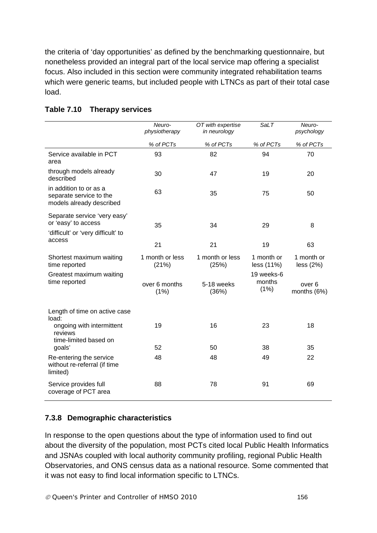the criteria of 'day opportunities' as defined by the benchmarking questionnaire, but nonetheless provided an integral part of the local service map offering a specialist focus. Also included in this section were community integrated rehabilitation teams which were generic teams, but included people with LTNCs as part of their total case load.

|                                                                                           | Neuro-<br>physiotherapy  | OT with expertise<br>in neurology | <b>SaLT</b>                  | Neuro-<br>psychology             |
|-------------------------------------------------------------------------------------------|--------------------------|-----------------------------------|------------------------------|----------------------------------|
|                                                                                           | % of PCTs                | % of PCTs                         | % of PCTs                    | % of PCTs                        |
| Service available in PCT<br>area                                                          | 93                       | 82                                | 94                           | 70                               |
| through models already<br>described                                                       | 30                       | 47                                | 19                           | 20                               |
| in addition to or as a<br>separate service to the<br>models already described             | 63                       | 35                                | 75                           | 50                               |
| Separate service 'very easy'<br>or 'easy' to access<br>'difficult' or 'very difficult' to | 35                       | 34                                | 29                           | 8                                |
| access                                                                                    | 21                       | 21                                | 19                           | 63                               |
| Shortest maximum waiting<br>time reported                                                 | 1 month or less<br>(21%) | 1 month or less<br>(25%)          | 1 month or<br>less (11%)     | 1 month or<br>less (2%)          |
| Greatest maximum waiting<br>time reported                                                 | over 6 months<br>(1%)    | 5-18 weeks<br>(36%)               | 19 weeks-6<br>months<br>(1%) | over <sub>6</sub><br>months (6%) |
| Length of time on active case<br>load:                                                    |                          |                                   |                              |                                  |
| ongoing with intermittent<br>reviews<br>time-limited based on                             | 19                       | 16                                | 23                           | 18                               |
| goals'                                                                                    | 52                       | 50                                | 38                           | 35                               |
| Re-entering the service<br>without re-referral (if time<br>limited)                       | 48                       | 48                                | 49                           | 22                               |
| Service provides full<br>coverage of PCT area                                             | 88                       | 78                                | 91                           | 69                               |

#### **Table 7.10 Therapy services**

## **7.3.8 Demographic characteristics**

In response to the open questions about the type of information used to find out about the diversity of the population, most PCTs cited local Public Health Informatics and JSNAs coupled with local authority community profiling, regional Public Health Observatories, and ONS census data as a national resource. Some commented that it was not easy to find local information specific to LTNCs.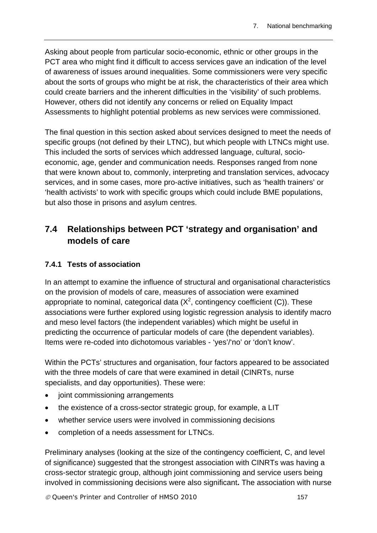Asking about people from particular socio-economic, ethnic or other groups in the PCT area who might find it difficult to access services gave an indication of the level of awareness of issues around inequalities. Some commissioners were very specific about the sorts of groups who might be at risk, the characteristics of their area which could create barriers and the inherent difficulties in the 'visibility' of such problems. However, others did not identify any concerns or relied on Equality Impact Assessments to highlight potential problems as new services were commissioned.

The final question in this section asked about services designed to meet the needs of specific groups (not defined by their LTNC), but which people with LTNCs might use. This included the sorts of services which addressed language, cultural, socioeconomic, age, gender and communication needs. Responses ranged from none that were known about to, commonly, interpreting and translation services, advocacy services, and in some cases, more pro-active initiatives, such as 'health trainers' or 'health activists' to work with specific groups which could include BME populations, but also those in prisons and asylum centres.

# **7.4 Relationships between PCT 'strategy and organisation' and models of care**

### **7.4.1 Tests of association**

In an attempt to examine the influence of structural and organisational characteristics on the provision of models of care, measures of association were examined appropriate to nominal, categorical data  $(X^2)$ , contingency coefficient (C)). These associations were further explored using logistic regression analysis to identify macro and meso level factors (the independent variables) which might be useful in predicting the occurrence of particular models of care (the dependent variables). Items were re-coded into dichotomous variables - 'yes'/'no' or 'don't know'.

Within the PCTs' structures and organisation, four factors appeared to be associated with the three models of care that were examined in detail (CINRTs, nurse specialists, and day opportunities). These were:

- joint commissioning arrangements
- the existence of a cross-sector strategic group, for example, a LIT
- whether service users were involved in commissioning decisions
- completion of a needs assessment for LTNCs.

Preliminary analyses (looking at the size of the contingency coefficient, C, and level of significance) suggested that the strongest association with CINRTs was having a cross-sector strategic group, although joint commissioning and service users being involved in commissioning decisions were also significant**.** The association with nurse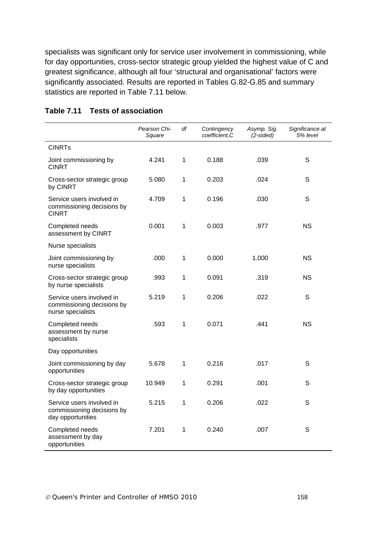specialists was significant only for service user involvement in commissioning, while for day opportunities, cross-sector strategic group yielded the highest value of C and greatest significance, although all four 'structural and organisational' factors were significantly associated. Results are reported in Tables G.82-G.85 and summary statistics are reported in Table 7.11 below.

|                                                                              | Pearson Chi-<br>Square | df | Contingency<br>coefficient, C | Asymp. Sig.<br>$(2-sided)$ | Significance at<br>5% level |
|------------------------------------------------------------------------------|------------------------|----|-------------------------------|----------------------------|-----------------------------|
| <b>CINRTs</b>                                                                |                        |    |                               |                            |                             |
| Joint commissioning by<br><b>CINRT</b>                                       | 4.241                  | 1  | 0.188                         | .039                       | S                           |
| Cross-sector strategic group<br>by CINRT                                     | 5.080                  | 1  | 0.203                         | .024                       | S                           |
| Service users involved in<br>commissioning decisions by<br><b>CINRT</b>      | 4.709                  | 1  | 0.196                         | .030                       | $\mathsf S$                 |
| Completed needs<br>assessment by CINRT                                       | 0.001                  | 1  | 0.003                         | .977                       | <b>NS</b>                   |
| Nurse specialists                                                            |                        |    |                               |                            |                             |
| Joint commissioning by<br>nurse specialists                                  | .000                   | 1  | 0.000                         | 1.000                      | <b>NS</b>                   |
| Cross-sector strategic group<br>by nurse specialists                         | .993                   | 1  | 0.091                         | .319                       | <b>NS</b>                   |
| Service users involved in<br>commissioning decisions by<br>nurse specialists | 5.219                  | 1  | 0.206                         | .022                       | S                           |
| Completed needs<br>assessment by nurse<br>specialists                        | .593                   | 1  | 0.071                         | .441                       | <b>NS</b>                   |
| Day opportunities                                                            |                        |    |                               |                            |                             |
| Joint commissioning by day<br>opportunities                                  | 5.678                  | 1  | 0.216                         | .017                       | S                           |
| Cross-sector strategic group<br>by day opportunities                         | 10.949                 | 1  | 0.291                         | .001                       | S                           |
| Service users involved in<br>commissioning decisions by<br>day opportunities | 5.215                  | 1  | 0.206                         | .022                       | S                           |
| Completed needs<br>assessment by day<br>opportunities                        | 7.201                  | 1  | 0.240                         | .007                       | S                           |

#### **Table 7.11 Tests of association**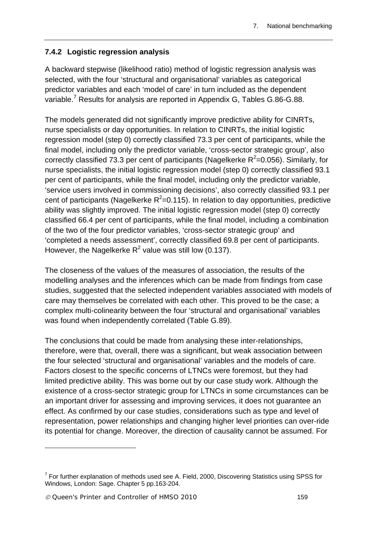### **7.4.2 Logistic regression analysis**

A backward stepwise (likelihood ratio) method of logistic regression analysis was selected, with the four 'structural and organisational' variables as categorical predictor variables and each 'model of care' in turn included as the dependent variable.<sup>7</sup> Results for analysis are reported in Appendix G, Tables G.86-G.88.

The models generated did not significantly improve predictive ability for CINRTs, nurse specialists or day opportunities. In relation to CINRTs, the initial logistic regression model (step 0) correctly classified 73.3 per cent of participants, while the final model, including only the predictor variable, 'cross-sector strategic group', also correctly classified 73.3 per cent of participants (Nagelkerke  $R^2$ =0.056). Similarly, for nurse specialists, the initial logistic regression model (step 0) correctly classified 93.1 per cent of participants, while the final model, including only the predictor variable, 'service users involved in commissioning decisions', also correctly classified 93.1 per cent of participants (Nagelkerke  $R^2$ =0.115). In relation to day opportunities, predictive ability was slightly improved. The initial logistic regression model (step 0) correctly classified 66.4 per cent of participants, while the final model, including a combination of the two of the four predictor variables, 'cross-sector strategic group' and 'completed a needs assessment', correctly classified 69.8 per cent of participants. However, the Nagelkerke  $R^2$  value was still low (0.137).

The closeness of the values of the measures of association, the results of the modelling analyses and the inferences which can be made from findings from case studies, suggested that the selected independent variables associated with models of care may themselves be correlated with each other. This proved to be the case; a complex multi-colinearity between the four 'structural and organisational' variables was found when independently correlated (Table G.89).

The conclusions that could be made from analysing these inter-relationships, therefore, were that, overall, there was a significant, but weak association between the four selected 'structural and organisational' variables and the models of care. Factors closest to the specific concerns of LTNCs were foremost, but they had limited predictive ability. This was borne out by our case study work. Although the existence of a cross-sector strategic group for LTNCs in some circumstances can be an important driver for assessing and improving services, it does not guarantee an effect. As confirmed by our case studies, considerations such as type and level of representation, power relationships and changing higher level priorities can over-ride its potential for change. Moreover, the direction of causality cannot be assumed. For

1

 $7$  For further explanation of methods used see A. Field, 2000, Discovering Statistics using SPSS for Windows, London: Sage. Chapter 5 pp.163-204.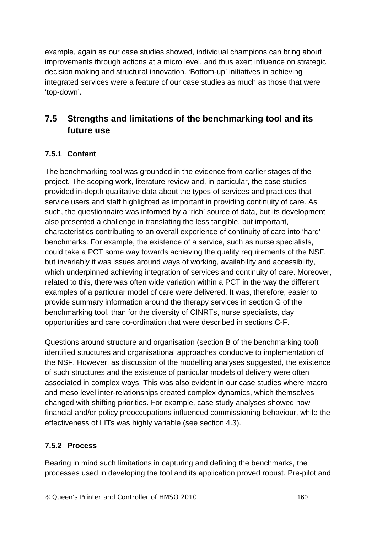example, again as our case studies showed, individual champions can bring about improvements through actions at a micro level, and thus exert influence on strategic decision making and structural innovation. 'Bottom-up' initiatives in achieving integrated services were a feature of our case studies as much as those that were 'top-down'.

# **7.5 Strengths and limitations of the benchmarking tool and its future use**

## **7.5.1 Content**

The benchmarking tool was grounded in the evidence from earlier stages of the project. The scoping work, literature review and, in particular, the case studies provided in-depth qualitative data about the types of services and practices that service users and staff highlighted as important in providing continuity of care. As such, the questionnaire was informed by a 'rich' source of data, but its development also presented a challenge in translating the less tangible, but important, characteristics contributing to an overall experience of continuity of care into 'hard' benchmarks. For example, the existence of a service, such as nurse specialists, could take a PCT some way towards achieving the quality requirements of the NSF, but invariably it was issues around ways of working, availability and accessibility, which underpinned achieving integration of services and continuity of care. Moreover, related to this, there was often wide variation within a PCT in the way the different examples of a particular model of care were delivered. It was, therefore, easier to provide summary information around the therapy services in section G of the benchmarking tool, than for the diversity of CINRTs, nurse specialists, day opportunities and care co-ordination that were described in sections C-F.

Questions around structure and organisation (section B of the benchmarking tool) identified structures and organisational approaches conducive to implementation of the NSF. However, as discussion of the modelling analyses suggested, the existence of such structures and the existence of particular models of delivery were often associated in complex ways. This was also evident in our case studies where macro and meso level inter-relationships created complex dynamics, which themselves changed with shifting priorities. For example, case study analyses showed how financial and/or policy preoccupations influenced commissioning behaviour, while the effectiveness of LITs was highly variable (see section 4.3).

## **7.5.2 Process**

Bearing in mind such limitations in capturing and defining the benchmarks, the processes used in developing the tool and its application proved robust. Pre-pilot and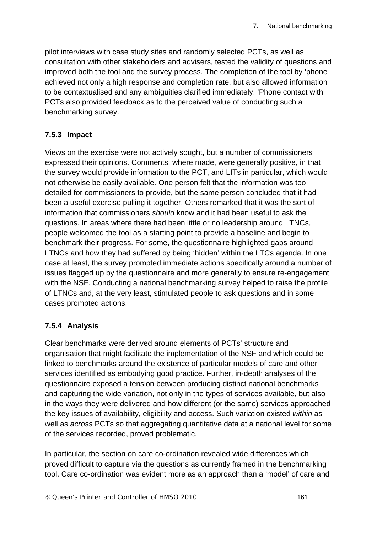pilot interviews with case study sites and randomly selected PCTs, as well as consultation with other stakeholders and advisers, tested the validity of questions and improved both the tool and the survey process. The completion of the tool by 'phone achieved not only a high response and completion rate, but also allowed information to be contextualised and any ambiguities clarified immediately. 'Phone contact with PCTs also provided feedback as to the perceived value of conducting such a benchmarking survey.

### **7.5.3 Impact**

Views on the exercise were not actively sought, but a number of commissioners expressed their opinions. Comments, where made, were generally positive, in that the survey would provide information to the PCT, and LITs in particular, which would not otherwise be easily available. One person felt that the information was too detailed for commissioners to provide, but the same person concluded that it had been a useful exercise pulling it together. Others remarked that it was the sort of information that commissioners *should* know and it had been useful to ask the questions. In areas where there had been little or no leadership around LTNCs, people welcomed the tool as a starting point to provide a baseline and begin to benchmark their progress. For some, the questionnaire highlighted gaps around LTNCs and how they had suffered by being 'hidden' within the LTCs agenda. In one case at least, the survey prompted immediate actions specifically around a number of issues flagged up by the questionnaire and more generally to ensure re-engagement with the NSF. Conducting a national benchmarking survey helped to raise the profile of LTNCs and, at the very least, stimulated people to ask questions and in some cases prompted actions.

## **7.5.4 Analysis**

Clear benchmarks were derived around elements of PCTs' structure and organisation that might facilitate the implementation of the NSF and which could be linked to benchmarks around the existence of particular models of care and other services identified as embodying good practice. Further, in-depth analyses of the questionnaire exposed a tension between producing distinct national benchmarks and capturing the wide variation, not only in the types of services available, but also in the ways they were delivered and how different (or the same) services approached the key issues of availability, eligibility and access. Such variation existed *within* as well as *across* PCTs so that aggregating quantitative data at a national level for some of the services recorded, proved problematic.

In particular, the section on care co-ordination revealed wide differences which proved difficult to capture via the questions as currently framed in the benchmarking tool. Care co-ordination was evident more as an approach than a 'model' of care and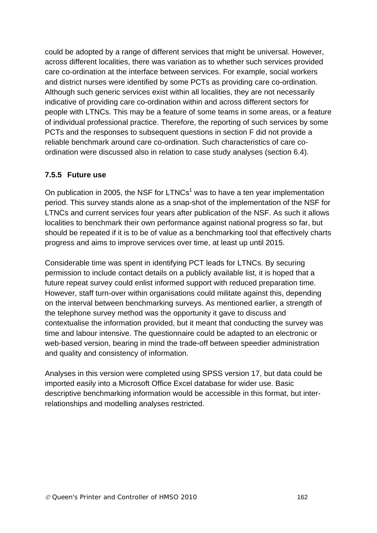could be adopted by a range of different services that might be universal. However, across different localities, there was variation as to whether such services provided care co-ordination at the interface between services. For example, social workers and district nurses were identified by some PCTs as providing care co-ordination. Although such generic services exist within all localities, they are not necessarily indicative of providing care co-ordination within and across different sectors for people with LTNCs. This may be a feature of some teams in some areas, or a feature of individual professional practice. Therefore, the reporting of such services by some PCTs and the responses to subsequent questions in section F did not provide a reliable benchmark around care co-ordination. Such characteristics of care coordination were discussed also in relation to case study analyses (section 6.4).

### **7.5.5 Future use**

On publication in 2005, the NSF for  $LTNCs<sup>1</sup>$  was to have a ten year implementation period. This survey stands alone as a snap-shot of the implementation of the NSF for LTNCs and current services four years after publication of the NSF. As such it allows localities to benchmark their own performance against national progress so far, but should be repeated if it is to be of value as a benchmarking tool that effectively charts progress and aims to improve services over time, at least up until 2015.

Considerable time was spent in identifying PCT leads for LTNCs. By securing permission to include contact details on a publicly available list, it is hoped that a future repeat survey could enlist informed support with reduced preparation time. However, staff turn-over within organisations could militate against this, depending on the interval between benchmarking surveys. As mentioned earlier, a strength of the telephone survey method was the opportunity it gave to discuss and contextualise the information provided, but it meant that conducting the survey was time and labour intensive. The questionnaire could be adapted to an electronic or web-based version, bearing in mind the trade-off between speedier administration and quality and consistency of information.

Analyses in this version were completed using SPSS version 17, but data could be imported easily into a Microsoft Office Excel database for wider use. Basic descriptive benchmarking information would be accessible in this format, but interrelationships and modelling analyses restricted.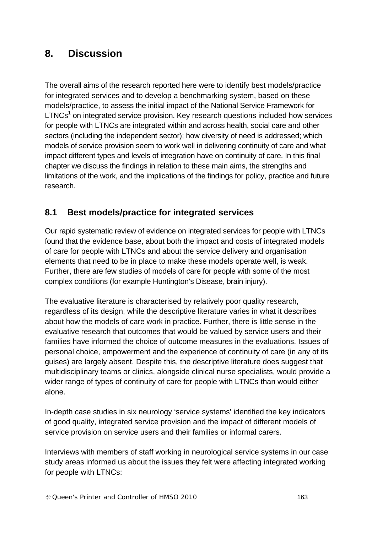# **8. Discussion**

The overall aims of the research reported here were to identify best models/practice for integrated services and to develop a benchmarking system, based on these models/practice, to assess the initial impact of the National Service Framework for  $LTNCs<sup>1</sup>$  on integrated service provision. Key research questions included how services for people with LTNCs are integrated within and across health, social care and other sectors (including the independent sector); how diversity of need is addressed; which models of service provision seem to work well in delivering continuity of care and what impact different types and levels of integration have on continuity of care. In this final chapter we discuss the findings in relation to these main aims, the strengths and limitations of the work, and the implications of the findings for policy, practice and future research.

# **8.1 Best models/practice for integrated services**

Our rapid systematic review of evidence on integrated services for people with LTNCs found that the evidence base, about both the impact and costs of integrated models of care for people with LTNCs and about the service delivery and organisation elements that need to be in place to make these models operate well, is weak. Further, there are few studies of models of care for people with some of the most complex conditions (for example Huntington's Disease, brain injury).

The evaluative literature is characterised by relatively poor quality research, regardless of its design, while the descriptive literature varies in what it describes about how the models of care work in practice. Further, there is little sense in the evaluative research that outcomes that would be valued by service users and their families have informed the choice of outcome measures in the evaluations. Issues of personal choice, empowerment and the experience of continuity of care (in any of its guises) are largely absent. Despite this, the descriptive literature does suggest that multidisciplinary teams or clinics, alongside clinical nurse specialists, would provide a wider range of types of continuity of care for people with LTNCs than would either alone.

In-depth case studies in six neurology 'service systems' identified the key indicators of good quality, integrated service provision and the impact of different models of service provision on service users and their families or informal carers.

Interviews with members of staff working in neurological service systems in our case study areas informed us about the issues they felt were affecting integrated working for people with LTNCs: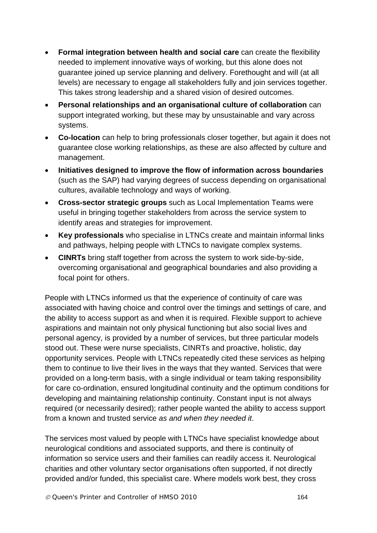- **Formal integration between health and social care** can create the flexibility needed to implement innovative ways of working, but this alone does not guarantee joined up service planning and delivery. Forethought and will (at all levels) are necessary to engage all stakeholders fully and join services together. This takes strong leadership and a shared vision of desired outcomes.
- **Personal relationships and an organisational culture of collaboration** can support integrated working, but these may by unsustainable and vary across systems.
- **Co-location** can help to bring professionals closer together, but again it does not guarantee close working relationships, as these are also affected by culture and management.
- **Initiatives designed to improve the flow of information across boundaries** (such as the SAP) had varying degrees of success depending on organisational cultures, available technology and ways of working.
- **Cross-sector strategic groups** such as Local Implementation Teams were useful in bringing together stakeholders from across the service system to identify areas and strategies for improvement.
- **Key professionals** who specialise in LTNCs create and maintain informal links and pathways, helping people with LTNCs to navigate complex systems.
- **CINRTs** bring staff together from across the system to work side-by-side, overcoming organisational and geographical boundaries and also providing a focal point for others.

People with LTNCs informed us that the experience of continuity of care was associated with having choice and control over the timings and settings of care, and the ability to access support as and when it is required. Flexible support to achieve aspirations and maintain not only physical functioning but also social lives and personal agency, is provided by a number of services, but three particular models stood out. These were nurse specialists, CINRTs and proactive, holistic, day opportunity services. People with LTNCs repeatedly cited these services as helping them to continue to live their lives in the ways that they wanted. Services that were provided on a long-term basis, with a single individual or team taking responsibility for care co-ordination, ensured longitudinal continuity and the optimum conditions for developing and maintaining relationship continuity. Constant input is not always required (or necessarily desired); rather people wanted the ability to access support from a known and trusted service *as and when they needed it*.

The services most valued by people with LTNCs have specialist knowledge about neurological conditions and associated supports, and there is continuity of information so service users and their families can readily access it. Neurological charities and other voluntary sector organisations often supported, if not directly provided and/or funded, this specialist care. Where models work best, they cross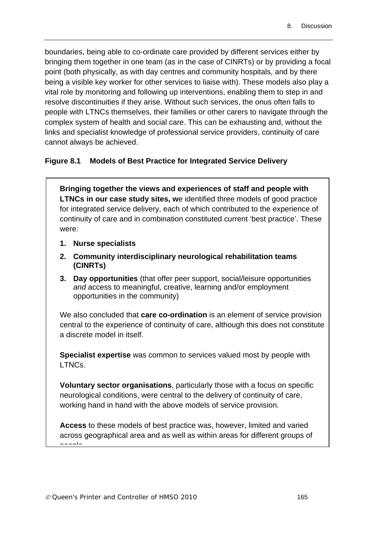boundaries, being able to co-ordinate care provided by different services either by bringing them together in one team (as in the case of CINRTs) or by providing a focal point (both physically, as with day centres and community hospitals, and by there being a visible key worker for other services to liaise with). These models also play a vital role by monitoring and following up interventions, enabling them to step in and resolve discontinuities if they arise. Without such services, the onus often falls to people with LTNCs themselves, their families or other carers to navigate through the complex system of health and social care. This can be exhausting and, without the links and specialist knowledge of professional service providers, continuity of care cannot always be achieved.

### **Figure 8.1 Models of Best Practice for Integrated Service Delivery**

**Bringing together the views and experiences of staff and people with LTNCs in our case study sites, w**e identified three models of good practice for integrated service delivery, each of which contributed to the experience of continuity of care and in combination constituted current 'best practice'. These were:

- **1. Nurse specialists**
- **2. Community interdisciplinary neurological rehabilitation teams (CINRTs)**
- **3. Day opportunities** (that offer peer support, social/leisure opportunities *and* access to meaningful, creative, learning and/or employment opportunities in the community)

We also concluded that **care co-ordination** is an element of service provision central to the experience of continuity of care, although this does not constitute a discrete model in itself.

**Specialist expertise** was common to services valued most by people with LTNCs.

**Voluntary sector organisations**, particularly those with a focus on specific neurological conditions, were central to the delivery of continuity of care, working hand in hand with the above models of service provision.

**Access** to these models of best practice was, however, limited and varied across geographical area and as well as within areas for different groups of

people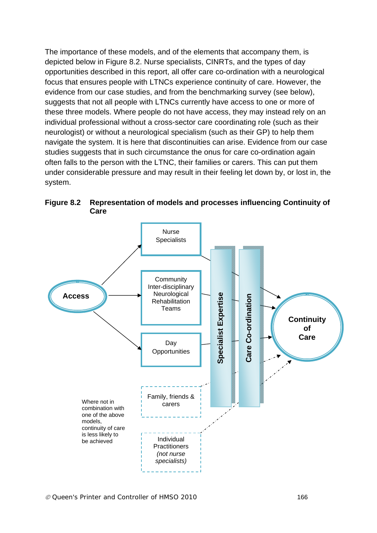The importance of these models, and of the elements that accompany them, is depicted below in Figure 8.2. Nurse specialists, CINRTs, and the types of day opportunities described in this report, all offer care co-ordination with a neurological focus that ensures people with LTNCs experience continuity of care. However, the evidence from our case studies, and from the benchmarking survey (see below), suggests that not all people with LTNCs currently have access to one or more of these three models. Where people do not have access, they may instead rely on an individual professional without a cross-sector care coordinating role (such as their neurologist) or without a neurological specialism (such as their GP) to help them navigate the system. It is here that discontinuities can arise. Evidence from our case studies suggests that in such circumstance the onus for care co-ordination again often falls to the person with the LTNC, their families or carers. This can put them under considerable pressure and may result in their feeling let down by, or lost in, the system.

**Figure 8.2 Representation of models and processes influencing Continuity of Care** 

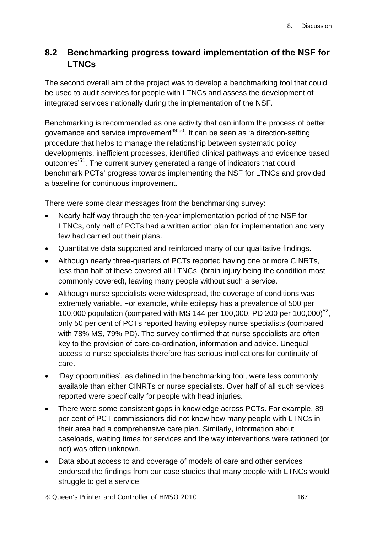# **8.2 Benchmarking progress toward implementation of the NSF for LTNCs**

The second overall aim of the project was to develop a benchmarking tool that could be used to audit services for people with LTNCs and assess the development of integrated services nationally during the implementation of the NSF.

Benchmarking is recommended as one activity that can inform the process of better governance and service improvement<sup>49;50</sup>. It can be seen as 'a direction-setting procedure that helps to manage the relationship between systematic policy developments, inefficient processes, identified clinical pathways and evidence based outcomes'51. The current survey generated a range of indicators that could benchmark PCTs' progress towards implementing the NSF for LTNCs and provided a baseline for continuous improvement.

There were some clear messages from the benchmarking survey:

- Nearly half way through the ten-year implementation period of the NSF for LTNCs, only half of PCTs had a written action plan for implementation and very few had carried out their plans.
- Quantitative data supported and reinforced many of our qualitative findings.
- Although nearly three-quarters of PCTs reported having one or more CINRTs, less than half of these covered all LTNCs, (brain injury being the condition most commonly covered), leaving many people without such a service.
- Although nurse specialists were widespread, the coverage of conditions was extremely variable. For example, while epilepsy has a prevalence of 500 per 100,000 population (compared with MS 144 per 100,000, PD 200 per 100,000)<sup>52</sup>, only 50 per cent of PCTs reported having epilepsy nurse specialists (compared with 78% MS, 79% PD). The survey confirmed that nurse specialists are often key to the provision of care-co-ordination, information and advice. Unequal access to nurse specialists therefore has serious implications for continuity of care.
- 'Day opportunities', as defined in the benchmarking tool, were less commonly available than either CINRTs or nurse specialists. Over half of all such services reported were specifically for people with head injuries.
- There were some consistent gaps in knowledge across PCTs. For example, 89 per cent of PCT commissioners did not know how many people with LTNCs in their area had a comprehensive care plan. Similarly, information about caseloads, waiting times for services and the way interventions were rationed (or not) was often unknown.
- Data about access to and coverage of models of care and other services endorsed the findings from our case studies that many people with LTNCs would struggle to get a service.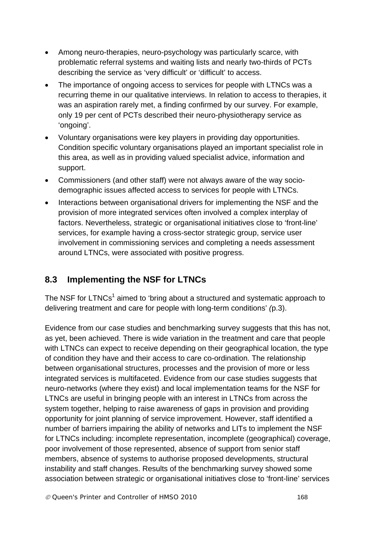- Among neuro-therapies, neuro-psychology was particularly scarce, with problematic referral systems and waiting lists and nearly two-thirds of PCTs describing the service as 'very difficult' or 'difficult' to access.
- The importance of ongoing access to services for people with LTNCs was a recurring theme in our qualitative interviews. In relation to access to therapies, it was an aspiration rarely met, a finding confirmed by our survey. For example, only 19 per cent of PCTs described their neuro-physiotherapy service as 'ongoing'.
- Voluntary organisations were key players in providing day opportunities. Condition specific voluntary organisations played an important specialist role in this area, as well as in providing valued specialist advice, information and support.
- Commissioners (and other staff) were not always aware of the way sociodemographic issues affected access to services for people with LTNCs.
- Interactions between organisational drivers for implementing the NSF and the provision of more integrated services often involved a complex interplay of factors. Nevertheless, strategic or organisational initiatives close to 'front-line' services, for example having a cross-sector strategic group, service user involvement in commissioning services and completing a needs assessment around LTNCs, were associated with positive progress.

# **8.3 Implementing the NSF for LTNCs**

The NSF for LTNCs<sup>1</sup> aimed to 'bring about a structured and systematic approach to delivering treatment and care for people with long-term conditions' *(*p.3).

Evidence from our case studies and benchmarking survey suggests that this has not, as yet, been achieved. There is wide variation in the treatment and care that people with LTNCs can expect to receive depending on their geographical location, the type of condition they have and their access to care co-ordination. The relationship between organisational structures, processes and the provision of more or less integrated services is multifaceted. Evidence from our case studies suggests that neuro-networks (where they exist) and local implementation teams for the NSF for LTNCs are useful in bringing people with an interest in LTNCs from across the system together, helping to raise awareness of gaps in provision and providing opportunity for joint planning of service improvement. However, staff identified a number of barriers impairing the ability of networks and LITs to implement the NSF for LTNCs including: incomplete representation, incomplete (geographical) coverage, poor involvement of those represented, absence of support from senior staff members, absence of systems to authorise proposed developments, structural instability and staff changes. Results of the benchmarking survey showed some association between strategic or organisational initiatives close to 'front-line' services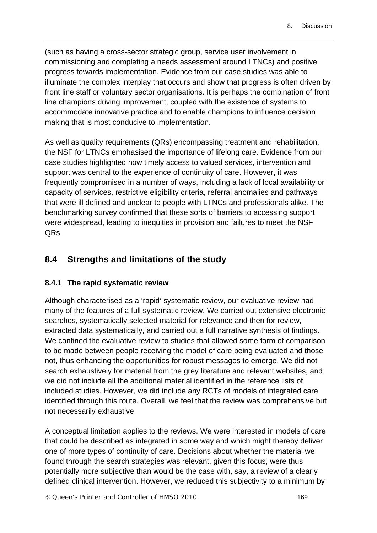(such as having a cross-sector strategic group, service user involvement in commissioning and completing a needs assessment around LTNCs) and positive progress towards implementation. Evidence from our case studies was able to illuminate the complex interplay that occurs and show that progress is often driven by front line staff or voluntary sector organisations. It is perhaps the combination of front line champions driving improvement, coupled with the existence of systems to accommodate innovative practice and to enable champions to influence decision making that is most conducive to implementation.

As well as quality requirements (QRs) encompassing treatment and rehabilitation, the NSF for LTNCs emphasised the importance of lifelong care. Evidence from our case studies highlighted how timely access to valued services, intervention and support was central to the experience of continuity of care. However, it was frequently compromised in a number of ways, including a lack of local availability or capacity of services, restrictive eligibility criteria, referral anomalies and pathways that were ill defined and unclear to people with LTNCs and professionals alike. The benchmarking survey confirmed that these sorts of barriers to accessing support were widespread, leading to inequities in provision and failures to meet the NSF QRs.

## **8.4 Strengths and limitations of the study**

#### **8.4.1 The rapid systematic review**

Although characterised as a 'rapid' systematic review, our evaluative review had many of the features of a full systematic review. We carried out extensive electronic searches, systematically selected material for relevance and then for review, extracted data systematically, and carried out a full narrative synthesis of findings. We confined the evaluative review to studies that allowed some form of comparison to be made between people receiving the model of care being evaluated and those not, thus enhancing the opportunities for robust messages to emerge. We did not search exhaustively for material from the grey literature and relevant websites, and we did not include all the additional material identified in the reference lists of included studies. However, we did include any RCTs of models of integrated care identified through this route. Overall, we feel that the review was comprehensive but not necessarily exhaustive.

A conceptual limitation applies to the reviews. We were interested in models of care that could be described as integrated in some way and which might thereby deliver one of more types of continuity of care. Decisions about whether the material we found through the search strategies was relevant, given this focus, were thus potentially more subjective than would be the case with, say, a review of a clearly defined clinical intervention. However, we reduced this subjectivity to a minimum by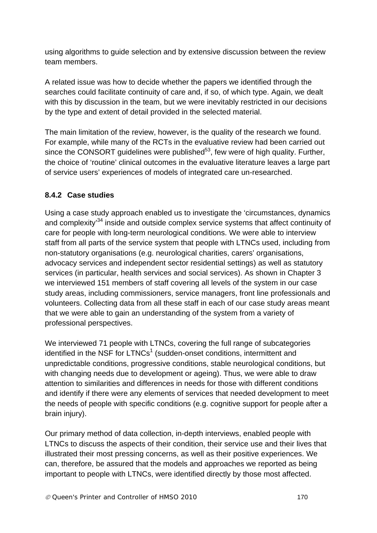using algorithms to guide selection and by extensive discussion between the review team members.

A related issue was how to decide whether the papers we identified through the searches could facilitate continuity of care and, if so, of which type. Again, we dealt with this by discussion in the team, but we were inevitably restricted in our decisions by the type and extent of detail provided in the selected material.

The main limitation of the review, however, is the quality of the research we found. For example, while many of the RCTs in the evaluative review had been carried out since the CONSORT quidelines were published $53$ , few were of high quality. Further, the choice of 'routine' clinical outcomes in the evaluative literature leaves a large part of service users' experiences of models of integrated care un-researched.

## **8.4.2 Case studies**

Using a case study approach enabled us to investigate the 'circumstances, dynamics and complexity<sup>34</sup> inside and outside complex service systems that affect continuity of care for people with long-term neurological conditions. We were able to interview staff from all parts of the service system that people with LTNCs used, including from non-statutory organisations (e.g. neurological charities, carers' organisations, advocacy services and independent sector residential settings) as well as statutory services (in particular, health services and social services). As shown in Chapter 3 we interviewed 151 members of staff covering all levels of the system in our case study areas, including commissioners, service managers, front line professionals and volunteers. Collecting data from all these staff in each of our case study areas meant that we were able to gain an understanding of the system from a variety of professional perspectives.

We interviewed 71 people with LTNCs, covering the full range of subcategories identified in the NSF for LTNCs<sup>1</sup> (sudden-onset conditions, intermittent and unpredictable conditions, progressive conditions, stable neurological conditions, but with changing needs due to development or ageing). Thus, we were able to draw attention to similarities and differences in needs for those with different conditions and identify if there were any elements of services that needed development to meet the needs of people with specific conditions (e.g. cognitive support for people after a brain injury).

Our primary method of data collection, in-depth interviews, enabled people with LTNCs to discuss the aspects of their condition, their service use and their lives that illustrated their most pressing concerns, as well as their positive experiences. We can, therefore, be assured that the models and approaches we reported as being important to people with LTNCs, were identified directly by those most affected.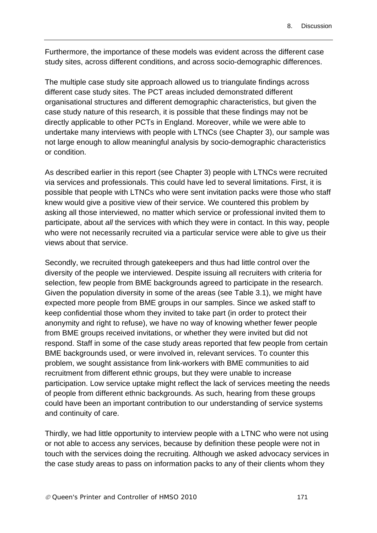Furthermore, the importance of these models was evident across the different case study sites, across different conditions, and across socio-demographic differences.

The multiple case study site approach allowed us to triangulate findings across different case study sites. The PCT areas included demonstrated different organisational structures and different demographic characteristics, but given the case study nature of this research, it is possible that these findings may not be directly applicable to other PCTs in England. Moreover, while we were able to undertake many interviews with people with LTNCs (see Chapter 3), our sample was not large enough to allow meaningful analysis by socio-demographic characteristics or condition.

As described earlier in this report (see Chapter 3) people with LTNCs were recruited via services and professionals. This could have led to several limitations. First, it is possible that people with LTNCs who were sent invitation packs were those who staff knew would give a positive view of their service. We countered this problem by asking all those interviewed, no matter which service or professional invited them to participate, about *all* the services with which they were in contact. In this way, people who were not necessarily recruited via a particular service were able to give us their views about that service.

Secondly, we recruited through gatekeepers and thus had little control over the diversity of the people we interviewed. Despite issuing all recruiters with criteria for selection, few people from BME backgrounds agreed to participate in the research. Given the population diversity in some of the areas (see Table 3.1), we might have expected more people from BME groups in our samples. Since we asked staff to keep confidential those whom they invited to take part (in order to protect their anonymity and right to refuse), we have no way of knowing whether fewer people from BME groups received invitations, or whether they were invited but did not respond. Staff in some of the case study areas reported that few people from certain BME backgrounds used, or were involved in, relevant services. To counter this problem, we sought assistance from link-workers with BME communities to aid recruitment from different ethnic groups, but they were unable to increase participation. Low service uptake might reflect the lack of services meeting the needs of people from different ethnic backgrounds. As such, hearing from these groups could have been an important contribution to our understanding of service systems and continuity of care.

Thirdly, we had little opportunity to interview people with a LTNC who were not using or not able to access any services, because by definition these people were not in touch with the services doing the recruiting. Although we asked advocacy services in the case study areas to pass on information packs to any of their clients whom they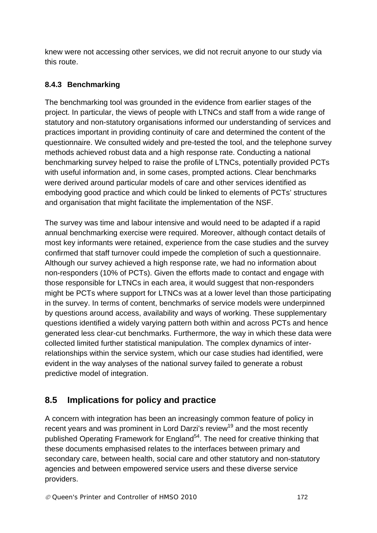knew were not accessing other services, we did not recruit anyone to our study via this route.

## **8.4.3 Benchmarking**

The benchmarking tool was grounded in the evidence from earlier stages of the project. In particular, the views of people with LTNCs and staff from a wide range of statutory and non-statutory organisations informed our understanding of services and practices important in providing continuity of care and determined the content of the questionnaire. We consulted widely and pre-tested the tool, and the telephone survey methods achieved robust data and a high response rate. Conducting a national benchmarking survey helped to raise the profile of LTNCs, potentially provided PCTs with useful information and, in some cases, prompted actions. Clear benchmarks were derived around particular models of care and other services identified as embodying good practice and which could be linked to elements of PCTs' structures and organisation that might facilitate the implementation of the NSF.

The survey was time and labour intensive and would need to be adapted if a rapid annual benchmarking exercise were required. Moreover, although contact details of most key informants were retained, experience from the case studies and the survey confirmed that staff turnover could impede the completion of such a questionnaire. Although our survey achieved a high response rate, we had no information about non-responders (10% of PCTs). Given the efforts made to contact and engage with those responsible for LTNCs in each area, it would suggest that non-responders might be PCTs where support for LTNCs was at a lower level than those participating in the survey. In terms of content, benchmarks of service models were underpinned by questions around access, availability and ways of working. These supplementary questions identified a widely varying pattern both within and across PCTs and hence generated less clear-cut benchmarks. Furthermore, the way in which these data were collected limited further statistical manipulation. The complex dynamics of interrelationships within the service system, which our case studies had identified, were evident in the way analyses of the national survey failed to generate a robust predictive model of integration.

# **8.5 Implications for policy and practice**

A concern with integration has been an increasingly common feature of policy in recent years and was prominent in Lord Darzi's review<sup>19</sup> and the most recently published Operating Framework for England<sup>54</sup>. The need for creative thinking that these documents emphasised relates to the interfaces between primary and secondary care, between health, social care and other statutory and non-statutory agencies and between empowered service users and these diverse service providers.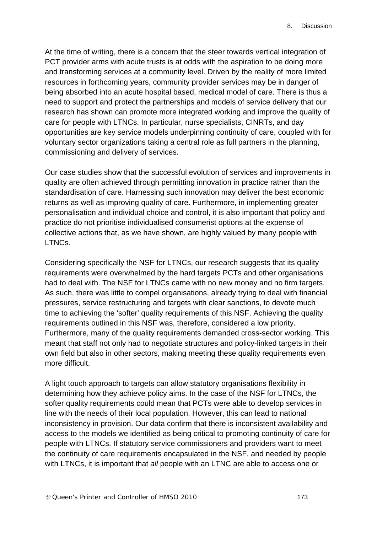At the time of writing, there is a concern that the steer towards vertical integration of PCT provider arms with acute trusts is at odds with the aspiration to be doing more and transforming services at a community level. Driven by the reality of more limited resources in forthcoming years, community provider services may be in danger of being absorbed into an acute hospital based, medical model of care. There is thus a need to support and protect the partnerships and models of service delivery that our research has shown can promote more integrated working and improve the quality of care for people with LTNCs. In particular, nurse specialists, CINRTs, and day opportunities are key service models underpinning continuity of care, coupled with for voluntary sector organizations taking a central role as full partners in the planning, commissioning and delivery of services.

Our case studies show that the successful evolution of services and improvements in quality are often achieved through permitting innovation in practice rather than the standardisation of care. Harnessing such innovation may deliver the best economic returns as well as improving quality of care. Furthermore, in implementing greater personalisation and individual choice and control, it is also important that policy and practice do not prioritise individualised consumerist options at the expense of collective actions that, as we have shown, are highly valued by many people with LTNCs.

Considering specifically the NSF for LTNCs, our research suggests that its quality requirements were overwhelmed by the hard targets PCTs and other organisations had to deal with. The NSF for LTNCs came with no new money and no firm targets. As such, there was little to compel organisations, already trying to deal with financial pressures, service restructuring and targets with clear sanctions, to devote much time to achieving the 'softer' quality requirements of this NSF. Achieving the quality requirements outlined in this NSF was, therefore, considered a low priority. Furthermore, many of the quality requirements demanded cross-sector working. This meant that staff not only had to negotiate structures and policy-linked targets in their own field but also in other sectors, making meeting these quality requirements even more difficult.

A light touch approach to targets can allow statutory organisations flexibility in determining how they achieve policy aims. In the case of the NSF for LTNCs, the softer quality requirements could mean that PCTs were able to develop services in line with the needs of their local population. However, this can lead to national inconsistency in provision. Our data confirm that there is inconsistent availability and access to the models we identified as being critical to promoting continuity of care for people with LTNCs. If statutory service commissioners and providers want to meet the continuity of care requirements encapsulated in the NSF, and needed by people with LTNCs, it is important that *all* people with an LTNC are able to access one or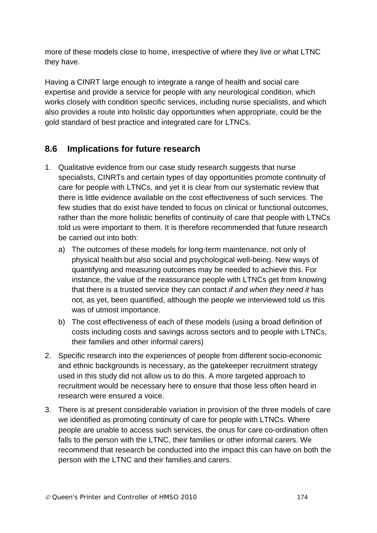more of these models close to home, irrespective of where they live or what LTNC they have.

Having a CINRT large enough to integrate a range of health and social care expertise and provide a service for people with any neurological condition, which works closely with condition specific services, including nurse specialists, and which also provides a route into holistic day opportunities when appropriate, could be the gold standard of best practice and integrated care for LTNCs.

## **8.6 Implications for future research**

- 1. Qualitative evidence from our case study research suggests that nurse specialists, CINRTs and certain types of day opportunities promote continuity of care for people with LTNCs, and yet it is clear from our systematic review that there is little evidence available on the cost effectiveness of such services. The few studies that do exist have tended to focus on clinical or functional outcomes, rather than the more holistic benefits of continuity of care that people with LTNCs told us were important to them. It is therefore recommended that future research be carried out into both:
	- a) The outcomes of these models for long-term maintenance, not only of physical health but also social and psychological well-being. New ways of quantifying and measuring outcomes may be needed to achieve this. For instance, the value of the reassurance people with LTNCs get from knowing that there is a trusted service they can contact *if and when they need it* has not, as yet, been quantified, although the people we interviewed told us this was of utmost importance.
	- b) The cost effectiveness of each of these models (using a broad definition of costs including costs and savings across sectors and to people with LTNCs, their families and other informal carers)
- 2. Specific research into the experiences of people from different socio-economic and ethnic backgrounds is necessary, as the gatekeeper recruitment strategy used in this study did not allow us to do this. A more targeted approach to recruitment would be necessary here to ensure that those less often heard in research were ensured a voice.
- 3. There is at present considerable variation in provision of the three models of care we identified as promoting continuity of care for people with LTNCs. Where people are unable to access such services, the onus for care co-ordination often falls to the person with the LTNC, their families or other informal carers. We recommend that research be conducted into the impact this can have on both the person with the LTNC and their families and carers.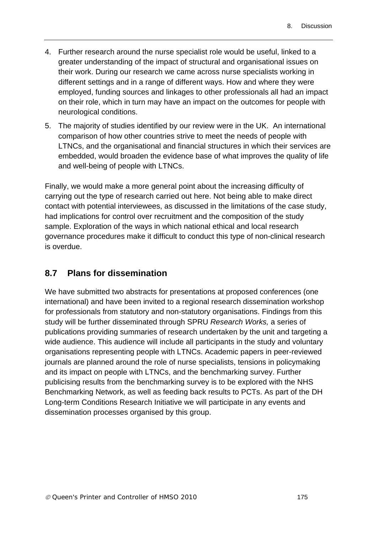- 4. Further research around the nurse specialist role would be useful, linked to a greater understanding of the impact of structural and organisational issues on their work. During our research we came across nurse specialists working in different settings and in a range of different ways. How and where they were employed, funding sources and linkages to other professionals all had an impact on their role, which in turn may have an impact on the outcomes for people with neurological conditions.
- 5. The majority of studies identified by our review were in the UK. An international comparison of how other countries strive to meet the needs of people with LTNCs, and the organisational and financial structures in which their services are embedded, would broaden the evidence base of what improves the quality of life and well-being of people with LTNCs.

Finally, we would make a more general point about the increasing difficulty of carrying out the type of research carried out here. Not being able to make direct contact with potential interviewees, as discussed in the limitations of the case study, had implications for control over recruitment and the composition of the study sample. Exploration of the ways in which national ethical and local research governance procedures make it difficult to conduct this type of non-clinical research is overdue.

## **8.7 Plans for dissemination**

We have submitted two abstracts for presentations at proposed conferences (one international) and have been invited to a regional research dissemination workshop for professionals from statutory and non-statutory organisations. Findings from this study will be further disseminated through SPRU *Research Works,* a series of publications providing summaries of research undertaken by the unit and targeting a wide audience. This audience will include all participants in the study and voluntary organisations representing people with LTNCs. Academic papers in peer-reviewed journals are planned around the role of nurse specialists, tensions in policymaking and its impact on people with LTNCs, and the benchmarking survey. Further publicising results from the benchmarking survey is to be explored with the NHS Benchmarking Network, as well as feeding back results to PCTs. As part of the DH Long-term Conditions Research Initiative we will participate in any events and dissemination processes organised by this group.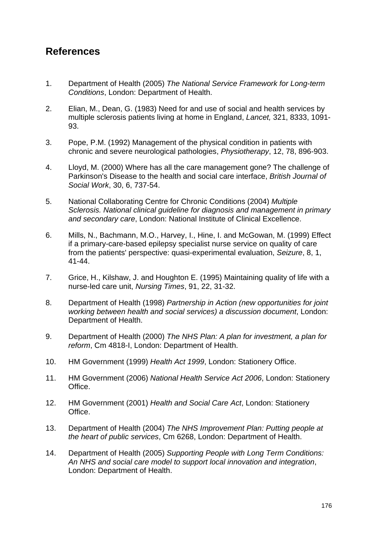# **References**

- 1. Department of Health (2005) *The National Service Framework for Long-term Conditions*, London: Department of Health.
- 2. Elian, M., Dean, G. (1983) Need for and use of social and health services by multiple sclerosis patients living at home in England, *Lancet,* 321, 8333, 1091- 93.
- 3. Pope, P.M. (1992) Management of the physical condition in patients with chronic and severe neurological pathologies, *Physiotherapy*, 12, 78, 896-903.
- 4. Lloyd, M. (2000) Where has all the care management gone? The challenge of Parkinson's Disease to the health and social care interface, *British Journal of Social Work*, 30, 6, 737-54.
- 5. National Collaborating Centre for Chronic Conditions (2004) *Multiple Sclerosis. National clinical guideline for diagnosis and management in primary and secondary care*, London: National Institute of Clinical Excellence.
- 6. Mills, N., Bachmann, M.O., Harvey, I., Hine, I. and McGowan, M. (1999) Effect if a primary-care-based epilepsy specialist nurse service on quality of care from the patients' perspective: quasi-experimental evaluation, *Seizure*, 8, 1, 41-44.
- 7. Grice, H., Kilshaw, J. and Houghton E. (1995) Maintaining quality of life with a nurse-led care unit, *Nursing Times*, 91, 22, 31-32.
- 8. Department of Health (1998) *Partnership in Action (new opportunities for joint working between health and social services) a discussion document*, London: Department of Health.
- 9. Department of Health (2000) *The NHS Plan: A plan for investment, a plan for reform*, Cm 4818-I, London: Department of Health.
- 10. HM Government (1999) *Health Act 1999*, London: Stationery Office.
- 11. HM Government (2006) *National Health Service Act 2006*, London: Stationery Office.
- 12. HM Government (2001) *Health and Social Care Act*, London: Stationery Office.
- 13. Department of Health (2004) *The NHS Improvement Plan: Putting people at the heart of public services*, Cm 6268, London: Department of Health.
- 14. Department of Health (2005) *Supporting People with Long Term Conditions: An NHS and social care model to support local innovation and integration*, London: Department of Health.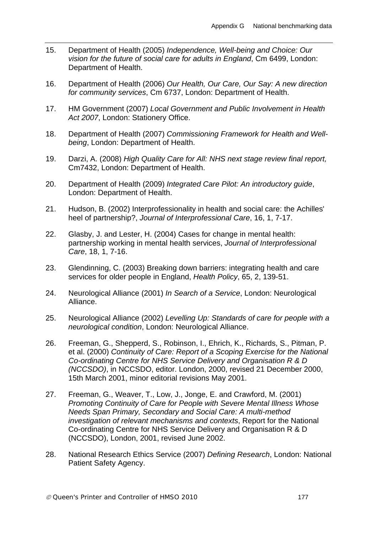- 15. Department of Health (2005) *Independence, Well-being and Choice: Our vision for the future of social care for adults in England*, Cm 6499, London: Department of Health.
- 16. Department of Health (2006) *Our Health, Our Care, Our Say: A new direction for community services*, Cm 6737, London: Department of Health.
- 17. HM Government (2007) *Local Government and Public Involvement in Health Act 2007*, London: Stationery Office.
- 18. Department of Health (2007) *Commissioning Framework for Health and Wellbeing*, London: Department of Health.
- 19. Darzi, A. (2008) *High Quality Care for All: NHS next stage review final report,* Cm7432, London: Department of Health.
- 20. Department of Health (2009) *Integrated Care Pilot: An introductory guide*, London: Department of Health.
- 21. Hudson, B. (2002) Interprofessionality in health and social care: the Achilles' heel of partnership?, *Journal of Interprofessional Care*, 16, 1, 7-17.
- 22. Glasby, J. and Lester, H. (2004) Cases for change in mental health: partnership working in mental health services, *Journal of Interprofessional Care*, 18, 1, 7-16.
- 23. Glendinning, C. (2003) Breaking down barriers: integrating health and care services for older people in England, *Health Policy*, 65, 2, 139-51.
- 24. Neurological Alliance (2001) *In Search of a Service*, London: Neurological Alliance.
- 25. Neurological Alliance (2002) *Levelling Up: Standards of care for people with a neurological condition*, London: Neurological Alliance.
- 26. Freeman, G., Shepperd, S., Robinson, I., Ehrich, K., Richards, S., Pitman, P. et al. (2000) *Continuity of Care: Report of a Scoping Exercise for the National Co-ordinating Centre for NHS Service Delivery and Organisation R & D (NCCSDO)*, in NCCSDO, editor. London, 2000, revised 21 December 2000, 15th March 2001, minor editorial revisions May 2001.
- 27. Freeman, G., Weaver, T., Low, J., Jonge, E. and Crawford, M. (2001) *Promoting Continuity of Care for People with Severe Mental Illness Whose Needs Span Primary, Secondary and Social Care: A multi-method investigation of relevant mechanisms and contexts*, Report for the National Co-ordinating Centre for NHS Service Delivery and Organisation R & D (NCCSDO), London, 2001, revised June 2002.
- 28. National Research Ethics Service (2007) *Defining Research*, London: National Patient Safety Agency.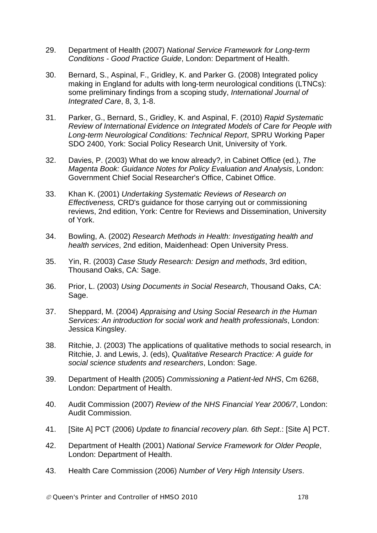- 29. Department of Health (2007) *National Service Framework for Long-term Conditions - Good Practice Guide*, London: Department of Health.
- 30. Bernard, S., Aspinal, F., Gridley, K. and Parker G. (2008) Integrated policy making in England for adults with long-term neurological conditions (LTNCs): some preliminary findings from a scoping study, *International Journal of Integrated Care*, 8, 3, 1-8.
- 31. Parker, G., Bernard, S., Gridley, K. and Aspinal, F. (2010) *Rapid Systematic Review of International Evidence on Integrated Models of Care for People with Long-term Neurological Conditions: Technical Report*, SPRU Working Paper SDO 2400, York: Social Policy Research Unit, University of York.
- 32. Davies, P. (2003) What do we know already?, in Cabinet Office (ed.), *The Magenta Book: Guidance Notes for Policy Evaluation and Analysis*, London: Government Chief Social Researcher's Office, Cabinet Office.
- 33. Khan K. (2001) *Undertaking Systematic Reviews of Research on Effectiveness,* CRD's guidance for those carrying out or commissioning reviews, 2nd edition, York: Centre for Reviews and Dissemination, University of York.
- 34. Bowling, A. (2002) *Research Methods in Health: Investigating health and health services*, 2nd edition, Maidenhead: Open University Press.
- 35. Yin, R. (2003) *Case Study Research: Design and methods*, 3rd edition, Thousand Oaks, CA: Sage.
- 36. Prior, L. (2003) *Using Documents in Social Research*, Thousand Oaks, CA: Sage.
- 37. Sheppard, M. (2004) *Appraising and Using Social Research in the Human Services: An introduction for social work and health professionals*, London: Jessica Kingsley.
- 38. Ritchie, J. (2003) The applications of qualitative methods to social research, in Ritchie, J. and Lewis, J. (eds), *Qualitative Research Practice: A guide for social science students and researchers*, London: Sage.
- 39. Department of Health (2005) *Commissioning a Patient-led NHS*, Cm 6268, London: Department of Health.
- 40. Audit Commission (2007) *Review of the NHS Financial Year 2006/7*, London: Audit Commission.
- 41. [Site A] PCT (2006) *Update to financial recovery plan. 6th Sept*.: [Site A] PCT.
- 42. Department of Health (2001) *National Service Framework for Older People*, London: Department of Health.
- 43. Health Care Commission (2006) *Number of Very High Intensity Users*.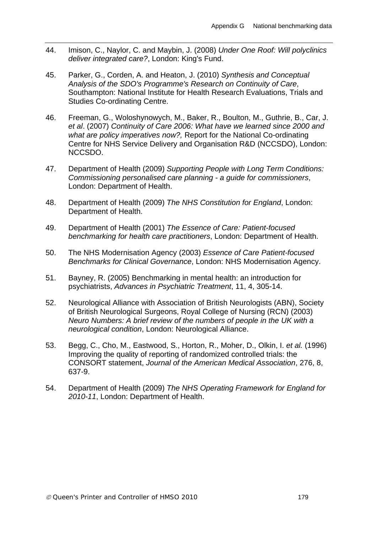- 44. Imison, C., Naylor, C. and Maybin, J. (2008) *Under One Roof: Will polyclinics deliver integrated care?*, London: King's Fund.
- 45. Parker, G., Corden, A. and Heaton, J. (2010) *Synthesis and Conceptual Analysis of the SDO's Programme's Research on Continuity of Care*, Southampton: National Institute for Health Research Evaluations, Trials and Studies Co-ordinating Centre.
- 46. Freeman, G., Woloshynowych, M., Baker, R., Boulton, M., Guthrie, B., Car, J. *et al*. (2007) *Continuity of Care 2006: What have we learned since 2000 and what are policy imperatives now?,* Report for the National Co-ordinating Centre for NHS Service Delivery and Organisation R&D (NCCSDO), London: NCCSDO.
- 47. Department of Health (2009) *Supporting People with Long Term Conditions: Commissioning personalised care planning - a guide for commissioners*, London: Department of Health.
- 48. Department of Health (2009) *The NHS Constitution for England*, London: Department of Health.
- 49. Department of Health (2001) *The Essence of Care: Patient-focused benchmarking for health care practitioners*, London: Department of Health.
- 50. The NHS Modernisation Agency (2003) *Essence of Care Patient-focused Benchmarks for Clinical Governance*, London: NHS Modernisation Agency.
- 51. Bayney, R. (2005) Benchmarking in mental health: an introduction for psychiatrists, *Advances in Psychiatric Treatment*, 11, 4, 305-14.
- 52. Neurological Alliance with Association of British Neurologists (ABN), Society of British Neurological Surgeons, Royal College of Nursing (RCN) (2003) *Neuro Numbers: A brief review of the numbers of people in the UK with a neurological condition*, London: Neurological Alliance.
- 53. Begg, C., Cho, M., Eastwood, S., Horton, R., Moher, D., Olkin, I. *et al.* (1996) Improving the quality of reporting of randomized controlled trials: the CONSORT statement, *Journal of the American Medical Association*, 276, 8, 637-9.
- 54. Department of Health (2009) *The NHS Operating Framework for England for 2010-11*, London: Department of Health.